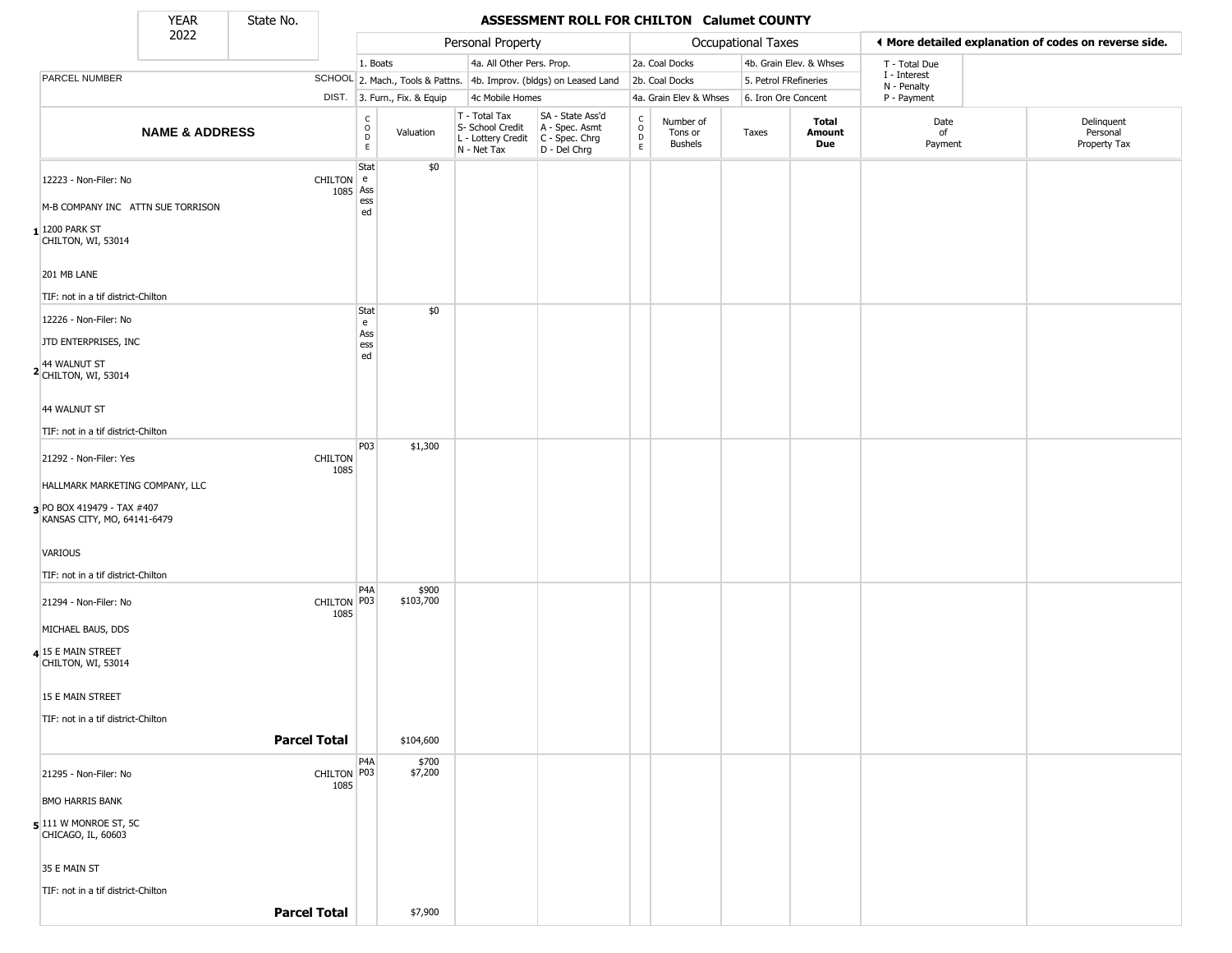State No.

 $\Box$ 

#### YEAR State No. **ASSESSMENT ROLL FOR CHILTON Calumet COUNTY**

|                                                           | 2022                      |                        |                                                |                              | Personal Property                                                      |                                                                      |                                                |                                        | Occupational Taxes    |                         |                             | ♦ More detailed explanation of codes on reverse side. |
|-----------------------------------------------------------|---------------------------|------------------------|------------------------------------------------|------------------------------|------------------------------------------------------------------------|----------------------------------------------------------------------|------------------------------------------------|----------------------------------------|-----------------------|-------------------------|-----------------------------|-------------------------------------------------------|
|                                                           |                           |                        | 1. Boats                                       |                              | 4a. All Other Pers. Prop.                                              |                                                                      |                                                | 2a. Coal Docks                         |                       | 4b. Grain Elev. & Whses | T - Total Due               |                                                       |
| PARCEL NUMBER                                             |                           |                        |                                                |                              |                                                                        | SCHOOL 2. Mach., Tools & Pattns. 4b. Improv. (bldgs) on Leased Land  |                                                | 2b. Coal Docks                         | 5. Petrol FRefineries |                         | I - Interest<br>N - Penalty |                                                       |
|                                                           |                           |                        |                                                | DIST. 3. Furn., Fix. & Equip | 4c Mobile Homes                                                        |                                                                      |                                                | 4a. Grain Elev & Whses                 | 6. Iron Ore Concent   |                         | P - Payment                 |                                                       |
|                                                           | <b>NAME &amp; ADDRESS</b> |                        | $\begin{matrix} 0 \\ 0 \\ 0 \end{matrix}$<br>E | Valuation                    | T - Total Tax<br>S- School Credit<br>L - Lottery Credit<br>N - Net Tax | SA - State Ass'd<br>A - Spec. Asmt<br>C - Spec. Chrg<br>D - Del Chrg | $\begin{matrix} 0 \\ 0 \\ D \end{matrix}$<br>E | Number of<br>Tons or<br><b>Bushels</b> | Taxes                 | Total<br>Amount<br>Due  | Date<br>of<br>Payment       | Delinquent<br>Personal<br>Property Tax                |
| 12223 - Non-Filer: No                                     |                           | CHILTON e<br>1085 Ass  | Stat                                           | \$0                          |                                                                        |                                                                      |                                                |                                        |                       |                         |                             |                                                       |
| M-B COMPANY INC ATTN SUE TORRISON                         |                           |                        | ess<br>ed                                      |                              |                                                                        |                                                                      |                                                |                                        |                       |                         |                             |                                                       |
| $1200$ PARK ST<br>CHILTON, WI, 53014                      |                           |                        |                                                |                              |                                                                        |                                                                      |                                                |                                        |                       |                         |                             |                                                       |
| 201 MB LANE                                               |                           |                        |                                                |                              |                                                                        |                                                                      |                                                |                                        |                       |                         |                             |                                                       |
| TIF: not in a tif district-Chilton                        |                           |                        |                                                |                              |                                                                        |                                                                      |                                                |                                        |                       |                         |                             |                                                       |
| 12226 - Non-Filer: No                                     |                           |                        | Stat<br>e                                      | \$0                          |                                                                        |                                                                      |                                                |                                        |                       |                         |                             |                                                       |
| JTD ENTERPRISES, INC                                      |                           |                        | Ass<br>ess                                     |                              |                                                                        |                                                                      |                                                |                                        |                       |                         |                             |                                                       |
| 2 44 WALNUT ST<br>CHILTON, WI, 53014                      |                           |                        | ed                                             |                              |                                                                        |                                                                      |                                                |                                        |                       |                         |                             |                                                       |
| 44 WALNUT ST                                              |                           |                        |                                                |                              |                                                                        |                                                                      |                                                |                                        |                       |                         |                             |                                                       |
| TIF: not in a tif district-Chilton                        |                           |                        |                                                |                              |                                                                        |                                                                      |                                                |                                        |                       |                         |                             |                                                       |
| 21292 - Non-Filer: Yes                                    |                           | <b>CHILTON</b><br>1085 | P03                                            | \$1,300                      |                                                                        |                                                                      |                                                |                                        |                       |                         |                             |                                                       |
| HALLMARK MARKETING COMPANY, LLC                           |                           |                        |                                                |                              |                                                                        |                                                                      |                                                |                                        |                       |                         |                             |                                                       |
| 3 PO BOX 419479 - TAX #407<br>KANSAS CITY, MO, 64141-6479 |                           |                        |                                                |                              |                                                                        |                                                                      |                                                |                                        |                       |                         |                             |                                                       |
| <b>VARIOUS</b>                                            |                           |                        |                                                |                              |                                                                        |                                                                      |                                                |                                        |                       |                         |                             |                                                       |
| TIF: not in a tif district-Chilton                        |                           |                        |                                                |                              |                                                                        |                                                                      |                                                |                                        |                       |                         |                             |                                                       |
| 21294 - Non-Filer: No                                     |                           | CHILTON P03<br>1085    | P4A                                            | \$900<br>\$103,700           |                                                                        |                                                                      |                                                |                                        |                       |                         |                             |                                                       |
| MICHAEL BAUS, DDS                                         |                           |                        |                                                |                              |                                                                        |                                                                      |                                                |                                        |                       |                         |                             |                                                       |
| 4 15 E MAIN STREET<br>CHILTON, WI, 53014                  |                           |                        |                                                |                              |                                                                        |                                                                      |                                                |                                        |                       |                         |                             |                                                       |
| 15 E MAIN STREET                                          |                           |                        |                                                |                              |                                                                        |                                                                      |                                                |                                        |                       |                         |                             |                                                       |
| TIF: not in a tif district-Chilton                        |                           |                        |                                                |                              |                                                                        |                                                                      |                                                |                                        |                       |                         |                             |                                                       |
|                                                           |                           | <b>Parcel Total</b>    |                                                | \$104,600                    |                                                                        |                                                                      |                                                |                                        |                       |                         |                             |                                                       |
|                                                           |                           |                        | P4A                                            | \$700                        |                                                                        |                                                                      |                                                |                                        |                       |                         |                             |                                                       |
| 21295 - Non-Filer: No                                     |                           | CHILTON P03<br>1085    |                                                | \$7,200                      |                                                                        |                                                                      |                                                |                                        |                       |                         |                             |                                                       |
| <b>BMO HARRIS BANK</b>                                    |                           |                        |                                                |                              |                                                                        |                                                                      |                                                |                                        |                       |                         |                             |                                                       |
| $5$ 111 W MONROE ST, 5C<br>CHICAGO, IL, 60603             |                           |                        |                                                |                              |                                                                        |                                                                      |                                                |                                        |                       |                         |                             |                                                       |
| 35 E MAIN ST                                              |                           |                        |                                                |                              |                                                                        |                                                                      |                                                |                                        |                       |                         |                             |                                                       |
| TIF: not in a tif district-Chilton                        |                           |                        |                                                |                              |                                                                        |                                                                      |                                                |                                        |                       |                         |                             |                                                       |
|                                                           |                           | <b>Parcel Total</b>    |                                                | \$7,900                      |                                                                        |                                                                      |                                                |                                        |                       |                         |                             |                                                       |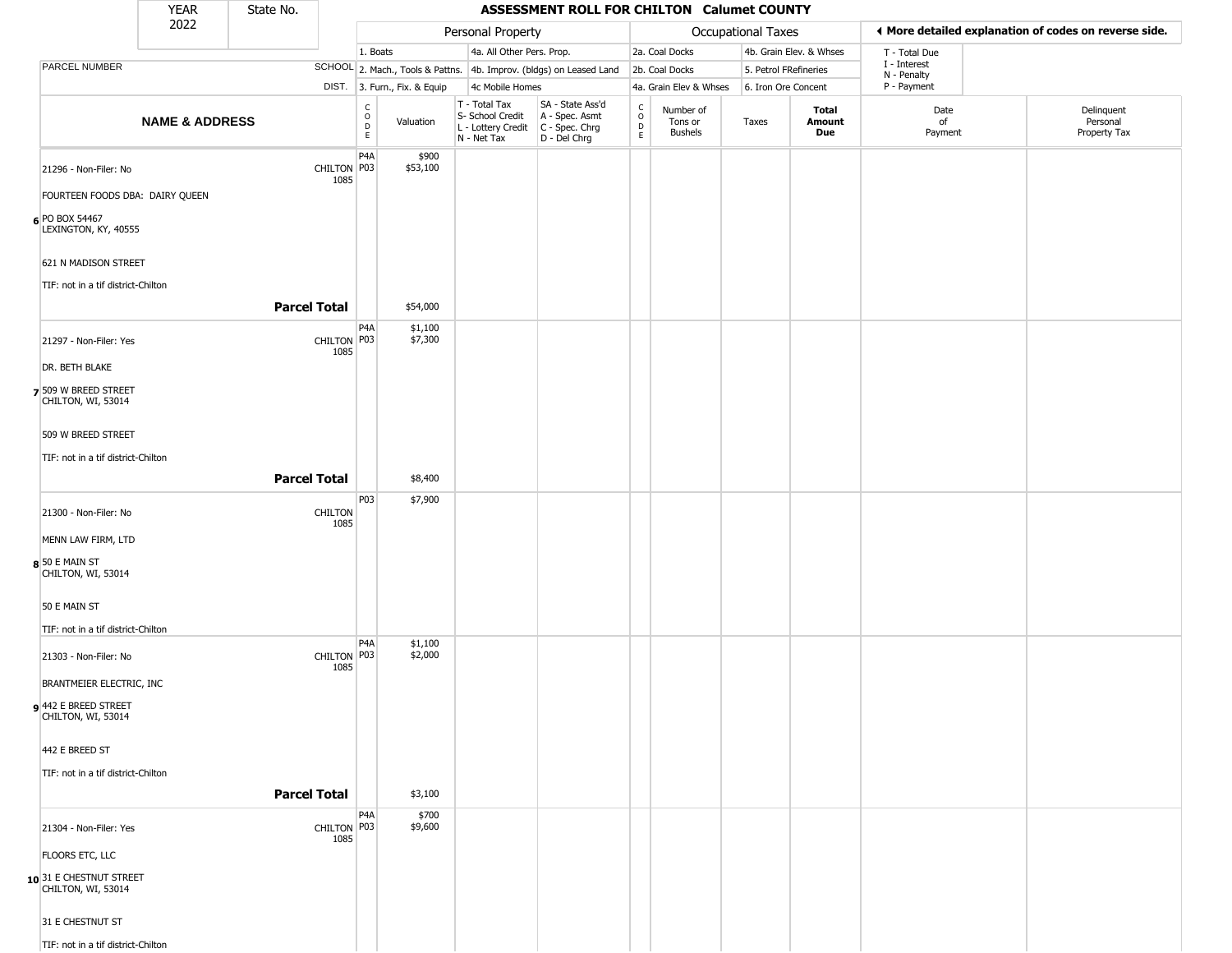|                                                                            | <b>YEAR</b>               | State No.           |                        |                  |                              |                                                                        | ASSESSMENT ROLL FOR CHILTON Calumet COUNTY                             |                                            |                                        |                           |                         |                                                       |                                        |
|----------------------------------------------------------------------------|---------------------------|---------------------|------------------------|------------------|------------------------------|------------------------------------------------------------------------|------------------------------------------------------------------------|--------------------------------------------|----------------------------------------|---------------------------|-------------------------|-------------------------------------------------------|----------------------------------------|
|                                                                            | 2022                      |                     |                        |                  |                              | Personal Property                                                      |                                                                        |                                            |                                        | <b>Occupational Taxes</b> |                         | ◀ More detailed explanation of codes on reverse side. |                                        |
|                                                                            |                           |                     |                        | 1. Boats         |                              | 4a. All Other Pers. Prop.                                              |                                                                        |                                            | 2a. Coal Docks                         |                           | 4b. Grain Elev. & Whses | T - Total Due                                         |                                        |
| PARCEL NUMBER                                                              |                           |                     |                        |                  |                              |                                                                        | SCHOOL 2. Mach., Tools & Pattns. 4b. Improv. (bldgs) on Leased Land    |                                            | 2b. Coal Docks                         | 5. Petrol FRefineries     |                         | I - Interest<br>N - Penalty                           |                                        |
|                                                                            |                           |                     |                        |                  | DIST. 3. Furn., Fix. & Equip | 4c Mobile Homes                                                        |                                                                        |                                            | 4a. Grain Elev & Whses                 | 6. Iron Ore Concent       |                         | P - Payment                                           |                                        |
|                                                                            | <b>NAME &amp; ADDRESS</b> |                     |                        | $\rm _o^C$<br>E. | Valuation                    | T - Total Tax<br>S- School Credit<br>L - Lottery Credit<br>N - Net Tax | SA - State Ass'd<br>A - Spec. Asmt<br>$C - Spec. Chrg$<br>D - Del Chrg | $\begin{array}{c} C \\ 0 \\ E \end{array}$ | Number of<br>Tons or<br><b>Bushels</b> | Taxes                     | Total<br>Amount<br>Due  | Date<br>of<br>Payment                                 | Delinquent<br>Personal<br>Property Tax |
| 21296 - Non-Filer: No<br>FOURTEEN FOODS DBA: DAIRY QUEEN<br>6 PO BOX 54467 |                           |                     | CHILTON P03<br>1085    | P <sub>4</sub> A | \$900<br>\$53,100            |                                                                        |                                                                        |                                            |                                        |                           |                         |                                                       |                                        |
| LEXINGTON, KY, 40555<br>621 N MADISON STREET                               |                           |                     |                        |                  |                              |                                                                        |                                                                        |                                            |                                        |                           |                         |                                                       |                                        |
| TIF: not in a tif district-Chilton                                         |                           | <b>Parcel Total</b> |                        |                  |                              |                                                                        |                                                                        |                                            |                                        |                           |                         |                                                       |                                        |
|                                                                            |                           |                     |                        |                  | \$54,000                     |                                                                        |                                                                        |                                            |                                        |                           |                         |                                                       |                                        |
| 21297 - Non-Filer: Yes                                                     |                           |                     | CHILTON P03<br>1085    | P4A              | \$1,100<br>\$7,300           |                                                                        |                                                                        |                                            |                                        |                           |                         |                                                       |                                        |
| DR. BETH BLAKE                                                             |                           |                     |                        |                  |                              |                                                                        |                                                                        |                                            |                                        |                           |                         |                                                       |                                        |
| 7 509 W BREED STREET<br>CHILTON, WI, 53014                                 |                           |                     |                        |                  |                              |                                                                        |                                                                        |                                            |                                        |                           |                         |                                                       |                                        |
| 509 W BREED STREET                                                         |                           |                     |                        |                  |                              |                                                                        |                                                                        |                                            |                                        |                           |                         |                                                       |                                        |
| TIF: not in a tif district-Chilton                                         |                           | <b>Parcel Total</b> |                        |                  | \$8,400                      |                                                                        |                                                                        |                                            |                                        |                           |                         |                                                       |                                        |
|                                                                            |                           |                     |                        | <b>P03</b>       | \$7,900                      |                                                                        |                                                                        |                                            |                                        |                           |                         |                                                       |                                        |
| 21300 - Non-Filer: No                                                      |                           |                     | <b>CHILTON</b><br>1085 |                  |                              |                                                                        |                                                                        |                                            |                                        |                           |                         |                                                       |                                        |
| MENN LAW FIRM, LTD                                                         |                           |                     |                        |                  |                              |                                                                        |                                                                        |                                            |                                        |                           |                         |                                                       |                                        |
| 8 50 E MAIN ST<br>CHILTON, WI, 53014                                       |                           |                     |                        |                  |                              |                                                                        |                                                                        |                                            |                                        |                           |                         |                                                       |                                        |
| 50 E MAIN ST                                                               |                           |                     |                        |                  |                              |                                                                        |                                                                        |                                            |                                        |                           |                         |                                                       |                                        |
| TIF: not in a tif district-Chilton                                         |                           |                     |                        |                  |                              |                                                                        |                                                                        |                                            |                                        |                           |                         |                                                       |                                        |
| 21303 - Non-Filer: No                                                      |                           |                     | CHILTON P03<br>1085    | P <sub>4</sub> A | \$1,100<br>\$2,000           |                                                                        |                                                                        |                                            |                                        |                           |                         |                                                       |                                        |
| BRANTMEIER ELECTRIC, INC                                                   |                           |                     |                        |                  |                              |                                                                        |                                                                        |                                            |                                        |                           |                         |                                                       |                                        |
| 9442 E BREED STREET<br>CHILTON, WI, 53014                                  |                           |                     |                        |                  |                              |                                                                        |                                                                        |                                            |                                        |                           |                         |                                                       |                                        |
| 442 E BREED ST                                                             |                           |                     |                        |                  |                              |                                                                        |                                                                        |                                            |                                        |                           |                         |                                                       |                                        |
| TIF: not in a tif district-Chilton                                         |                           |                     |                        |                  |                              |                                                                        |                                                                        |                                            |                                        |                           |                         |                                                       |                                        |
|                                                                            |                           | <b>Parcel Total</b> |                        |                  | \$3,100                      |                                                                        |                                                                        |                                            |                                        |                           |                         |                                                       |                                        |
| 21304 - Non-Filer: Yes                                                     |                           |                     | CHILTON P03<br>1085    | P4A              | \$700<br>\$9,600             |                                                                        |                                                                        |                                            |                                        |                           |                         |                                                       |                                        |
| FLOORS ETC, LLC                                                            |                           |                     |                        |                  |                              |                                                                        |                                                                        |                                            |                                        |                           |                         |                                                       |                                        |
| 10 31 E CHESTNUT STREET<br>CHILTON, WI, 53014                              |                           |                     |                        |                  |                              |                                                                        |                                                                        |                                            |                                        |                           |                         |                                                       |                                        |
| 31 E CHESTNUT ST                                                           |                           |                     |                        |                  |                              |                                                                        |                                                                        |                                            |                                        |                           |                         |                                                       |                                        |
| TIF: not in a tif district-Chilton                                         |                           |                     |                        |                  |                              |                                                                        |                                                                        |                                            |                                        |                           |                         |                                                       |                                        |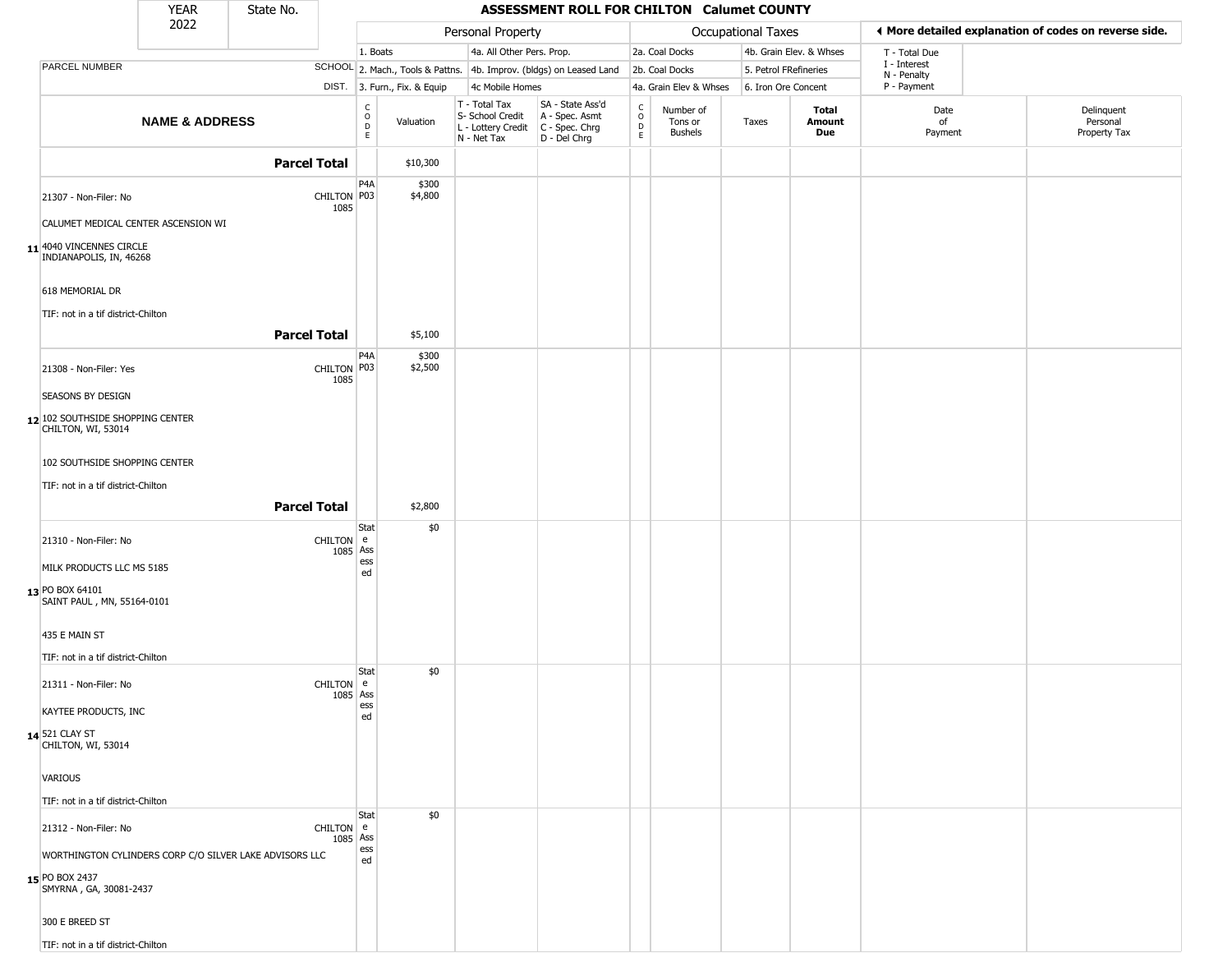|                                                         | <b>YEAR</b>               | State No.           |                         |                         |                              |                                                                        | ASSESSMENT ROLL FOR CHILTON Calumet COUNTY                             |                                              |                                 |                       |                         |                             |                                                       |
|---------------------------------------------------------|---------------------------|---------------------|-------------------------|-------------------------|------------------------------|------------------------------------------------------------------------|------------------------------------------------------------------------|----------------------------------------------|---------------------------------|-----------------------|-------------------------|-----------------------------|-------------------------------------------------------|
|                                                         | 2022                      |                     |                         |                         |                              | Personal Property                                                      |                                                                        |                                              |                                 | Occupational Taxes    |                         |                             | ◀ More detailed explanation of codes on reverse side. |
|                                                         |                           |                     |                         | 1. Boats                |                              | 4a. All Other Pers. Prop.                                              |                                                                        |                                              | 2a. Coal Docks                  |                       | 4b. Grain Elev. & Whses | T - Total Due               |                                                       |
| PARCEL NUMBER                                           |                           |                     |                         |                         |                              |                                                                        | SCHOOL 2. Mach., Tools & Pattns. 4b. Improv. (bldgs) on Leased Land    |                                              | 2b. Coal Docks                  | 5. Petrol FRefineries |                         | I - Interest<br>N - Penalty |                                                       |
|                                                         |                           |                     |                         |                         | DIST. 3. Furn., Fix. & Equip | 4c Mobile Homes                                                        |                                                                        |                                              | 4a. Grain Elev & Whses          | 6. Iron Ore Concent   |                         | P - Payment                 |                                                       |
|                                                         | <b>NAME &amp; ADDRESS</b> |                     |                         | C<br>$\circ$<br>D<br>E. | Valuation                    | T - Total Tax<br>S- School Credit<br>L - Lottery Credit<br>N - Net Tax | SA - State Ass'd<br>A - Spec. Asmt<br>$C - Spec. Chrg$<br>D - Del Chrg | $\frac{C}{O}$<br>$\mathsf{D}$<br>$\mathsf E$ | Number of<br>Tons or<br>Bushels | Taxes                 | Total<br>Amount<br>Due  | Date<br>of<br>Payment       | Delinquent<br>Personal<br>Property Tax                |
|                                                         |                           | <b>Parcel Total</b> |                         |                         | \$10,300                     |                                                                        |                                                                        |                                              |                                 |                       |                         |                             |                                                       |
| 21307 - Non-Filer: No                                   |                           |                     | CHILTON P03<br>1085     | P4A                     | \$300<br>\$4,800             |                                                                        |                                                                        |                                              |                                 |                       |                         |                             |                                                       |
| CALUMET MEDICAL CENTER ASCENSION WI                     |                           |                     |                         |                         |                              |                                                                        |                                                                        |                                              |                                 |                       |                         |                             |                                                       |
| 11 4040 VINCENNES CIRCLE<br>INDIANAPOLIS, IN, 46268     |                           |                     |                         |                         |                              |                                                                        |                                                                        |                                              |                                 |                       |                         |                             |                                                       |
| 618 MEMORIAL DR                                         |                           |                     |                         |                         |                              |                                                                        |                                                                        |                                              |                                 |                       |                         |                             |                                                       |
| TIF: not in a tif district-Chilton                      |                           |                     |                         |                         |                              |                                                                        |                                                                        |                                              |                                 |                       |                         |                             |                                                       |
|                                                         |                           | <b>Parcel Total</b> |                         |                         | \$5,100                      |                                                                        |                                                                        |                                              |                                 |                       |                         |                             |                                                       |
| 21308 - Non-Filer: Yes                                  |                           |                     | CHILTON P03<br>1085     | P4A                     | \$300<br>\$2,500             |                                                                        |                                                                        |                                              |                                 |                       |                         |                             |                                                       |
| SEASONS BY DESIGN                                       |                           |                     |                         |                         |                              |                                                                        |                                                                        |                                              |                                 |                       |                         |                             |                                                       |
| 12 102 SOUTHSIDE SHOPPING CENTER<br>CHILTON, WI, 53014  |                           |                     |                         |                         |                              |                                                                        |                                                                        |                                              |                                 |                       |                         |                             |                                                       |
| 102 SOUTHSIDE SHOPPING CENTER                           |                           |                     |                         |                         |                              |                                                                        |                                                                        |                                              |                                 |                       |                         |                             |                                                       |
| TIF: not in a tif district-Chilton                      |                           |                     |                         |                         |                              |                                                                        |                                                                        |                                              |                                 |                       |                         |                             |                                                       |
|                                                         |                           | <b>Parcel Total</b> |                         |                         | \$2,800                      |                                                                        |                                                                        |                                              |                                 |                       |                         |                             |                                                       |
| 21310 - Non-Filer: No                                   |                           |                     | CHILTON e<br>1085 Ass   | Stat                    | \$0                          |                                                                        |                                                                        |                                              |                                 |                       |                         |                             |                                                       |
| MILK PRODUCTS LLC MS 5185                               |                           |                     |                         | ess<br>ed               |                              |                                                                        |                                                                        |                                              |                                 |                       |                         |                             |                                                       |
| 13 PO BOX 64101<br>SAINT PAUL, MN, 55164-0101           |                           |                     |                         |                         |                              |                                                                        |                                                                        |                                              |                                 |                       |                         |                             |                                                       |
| 435 E MAIN ST                                           |                           |                     |                         |                         |                              |                                                                        |                                                                        |                                              |                                 |                       |                         |                             |                                                       |
| TIF: not in a tif district-Chilton                      |                           |                     |                         |                         |                              |                                                                        |                                                                        |                                              |                                 |                       |                         |                             |                                                       |
| 21311 - Non-Filer: No                                   |                           |                     | $CHILTON$ e<br>1085 Ass | Stat                    | \$0                          |                                                                        |                                                                        |                                              |                                 |                       |                         |                             |                                                       |
| KAYTEE PRODUCTS, INC                                    |                           |                     |                         | ess<br>ed               |                              |                                                                        |                                                                        |                                              |                                 |                       |                         |                             |                                                       |
| 14 521 CLAY ST<br>CHILTON, WI, 53014                    |                           |                     |                         |                         |                              |                                                                        |                                                                        |                                              |                                 |                       |                         |                             |                                                       |
| VARIOUS                                                 |                           |                     |                         |                         |                              |                                                                        |                                                                        |                                              |                                 |                       |                         |                             |                                                       |
| TIF: not in a tif district-Chilton                      |                           |                     |                         |                         |                              |                                                                        |                                                                        |                                              |                                 |                       |                         |                             |                                                       |
| 21312 - Non-Filer: No                                   |                           |                     | CHILTON e<br>1085 Ass   | Stat                    | \$0                          |                                                                        |                                                                        |                                              |                                 |                       |                         |                             |                                                       |
| WORTHINGTON CYLINDERS CORP C/O SILVER LAKE ADVISORS LLC |                           |                     |                         | ess<br>ed               |                              |                                                                        |                                                                        |                                              |                                 |                       |                         |                             |                                                       |
| 15 PO BOX 2437<br>SMYRNA, GA, 30081-2437                |                           |                     |                         |                         |                              |                                                                        |                                                                        |                                              |                                 |                       |                         |                             |                                                       |
| 300 E BREED ST                                          |                           |                     |                         |                         |                              |                                                                        |                                                                        |                                              |                                 |                       |                         |                             |                                                       |
| TIF: not in a tif district-Chilton                      |                           |                     |                         |                         |                              |                                                                        |                                                                        |                                              |                                 |                       |                         |                             |                                                       |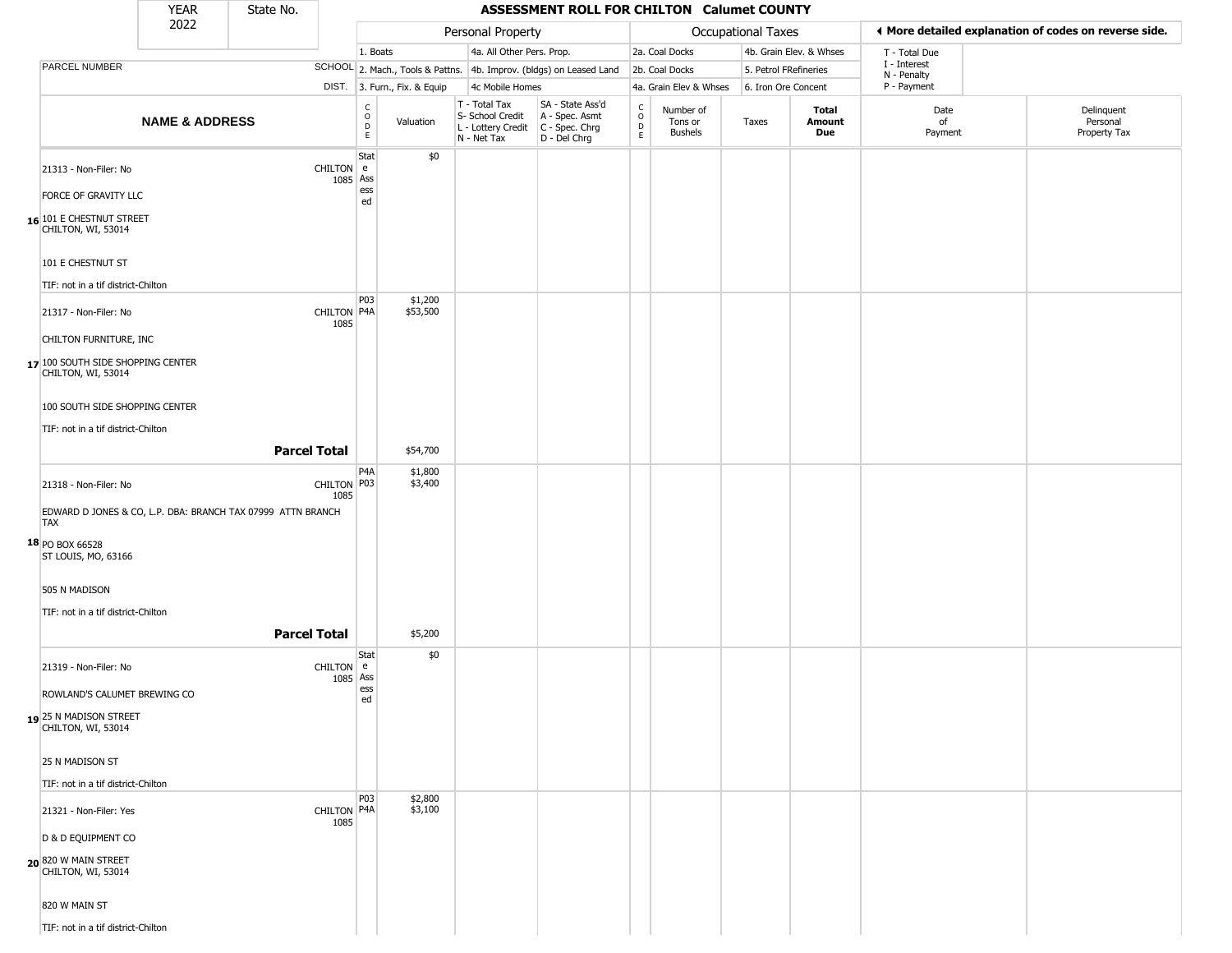|            |                                                                               | <b>YEAR</b>               | State No.                                                   |                       |                   |                              |                                                  | ASSESSMENT ROLL FOR CHILTON Calumet COUNTY                                                |                                                   |                                        |                       |                         |                             |                                                       |
|------------|-------------------------------------------------------------------------------|---------------------------|-------------------------------------------------------------|-----------------------|-------------------|------------------------------|--------------------------------------------------|-------------------------------------------------------------------------------------------|---------------------------------------------------|----------------------------------------|-----------------------|-------------------------|-----------------------------|-------------------------------------------------------|
|            |                                                                               | 2022                      |                                                             |                       |                   |                              | Personal Property                                |                                                                                           |                                                   |                                        | Occupational Taxes    |                         |                             | ♦ More detailed explanation of codes on reverse side. |
|            |                                                                               |                           |                                                             |                       | 1. Boats          |                              | 4a. All Other Pers. Prop.                        |                                                                                           |                                                   | 2a. Coal Docks                         |                       | 4b. Grain Elev. & Whses | T - Total Due               |                                                       |
|            | PARCEL NUMBER                                                                 |                           |                                                             |                       |                   |                              |                                                  | SCHOOL 2. Mach., Tools & Pattns. 4b. Improv. (bldgs) on Leased Land                       |                                                   | 2b. Coal Docks                         | 5. Petrol FRefineries |                         | I - Interest<br>N - Penalty |                                                       |
|            |                                                                               |                           |                                                             |                       |                   | DIST. 3. Furn., Fix. & Equip | 4c Mobile Homes                                  |                                                                                           |                                                   | 4a. Grain Elev & Whses                 | 6. Iron Ore Concent   |                         | P - Payment                 |                                                       |
|            |                                                                               | <b>NAME &amp; ADDRESS</b> |                                                             |                       | C<br>D<br>E<br>E  | Valuation                    | T - Total Tax<br>S- School Credit<br>N - Net Tax | SA - State Ass'd<br>A - Spec. Asmt<br>L - Lottery Credit   C - Spec. Chrg<br>D - Del Chrg | $\begin{array}{c}\nC \\ O \\ D \\ E\n\end{array}$ | Number of<br>Tons or<br><b>Bushels</b> | Taxes                 | Total<br>Amount<br>Due  | Date<br>of<br>Payment       | Delinquent<br>Personal<br>Property Tax                |
|            | 21313 - Non-Filer: No<br>FORCE OF GRAVITY LLC<br>16 101 E CHESTNUT STREET     |                           |                                                             | CHILTON e<br>1085 Ass | Stat<br>ess<br>ed | \$0                          |                                                  |                                                                                           |                                                   |                                        |                       |                         |                             |                                                       |
|            | CHILTON, WI, 53014<br>101 E CHESTNUT ST<br>TIF: not in a tif district-Chilton |                           |                                                             |                       |                   |                              |                                                  |                                                                                           |                                                   |                                        |                       |                         |                             |                                                       |
|            | 21317 - Non-Filer: No<br>CHILTON FURNITURE, INC                               |                           |                                                             | CHILTON P4A<br>1085   | P03               | \$1,200<br>\$53,500          |                                                  |                                                                                           |                                                   |                                        |                       |                         |                             |                                                       |
|            | 17 100 SOUTH SIDE SHOPPING CENTER<br>CHILTON, WI, 53014                       |                           |                                                             |                       |                   |                              |                                                  |                                                                                           |                                                   |                                        |                       |                         |                             |                                                       |
|            | 100 SOUTH SIDE SHOPPING CENTER<br>TIF: not in a tif district-Chilton          |                           | <b>Parcel Total</b>                                         |                       |                   | \$54,700                     |                                                  |                                                                                           |                                                   |                                        |                       |                         |                             |                                                       |
|            | 21318 - Non-Filer: No                                                         |                           |                                                             | CHILTON P03<br>1085   | P <sub>4</sub> A  | \$1,800<br>\$3,400           |                                                  |                                                                                           |                                                   |                                        |                       |                         |                             |                                                       |
| <b>TAX</b> | 18 PO BOX 66528<br>ST LOUIS, MO, 63166                                        |                           | EDWARD D JONES & CO, L.P. DBA: BRANCH TAX 07999 ATTN BRANCH |                       |                   |                              |                                                  |                                                                                           |                                                   |                                        |                       |                         |                             |                                                       |
|            | 505 N MADISON<br>TIF: not in a tif district-Chilton                           |                           | <b>Parcel Total</b>                                         |                       |                   | \$5,200                      |                                                  |                                                                                           |                                                   |                                        |                       |                         |                             |                                                       |
|            | 21319 - Non-Filer: No<br>ROWLAND'S CALUMET BREWING CO                         |                           |                                                             | CHILTON e<br>1085 Ass | Stat<br>ess<br>ed | \$0                          |                                                  |                                                                                           |                                                   |                                        |                       |                         |                             |                                                       |
|            | 19 25 N MADISON STREET<br>CHILTON, WI, 53014                                  |                           |                                                             |                       |                   |                              |                                                  |                                                                                           |                                                   |                                        |                       |                         |                             |                                                       |
|            | 25 N MADISON ST<br>TIF: not in a tif district-Chilton                         |                           |                                                             |                       |                   |                              |                                                  |                                                                                           |                                                   |                                        |                       |                         |                             |                                                       |
|            | 21321 - Non-Filer: Yes                                                        |                           |                                                             | CHILTON P4A<br>1085   | P03               | \$2,800<br>\$3,100           |                                                  |                                                                                           |                                                   |                                        |                       |                         |                             |                                                       |
|            | D & D EQUIPMENT CO<br>20 820 W MAIN STREET<br>CHILTON, WI, 53014              |                           |                                                             |                       |                   |                              |                                                  |                                                                                           |                                                   |                                        |                       |                         |                             |                                                       |
|            | 820 W MAIN ST<br>TIF: not in a tif district-Chilton                           |                           |                                                             |                       |                   |                              |                                                  |                                                                                           |                                                   |                                        |                       |                         |                             |                                                       |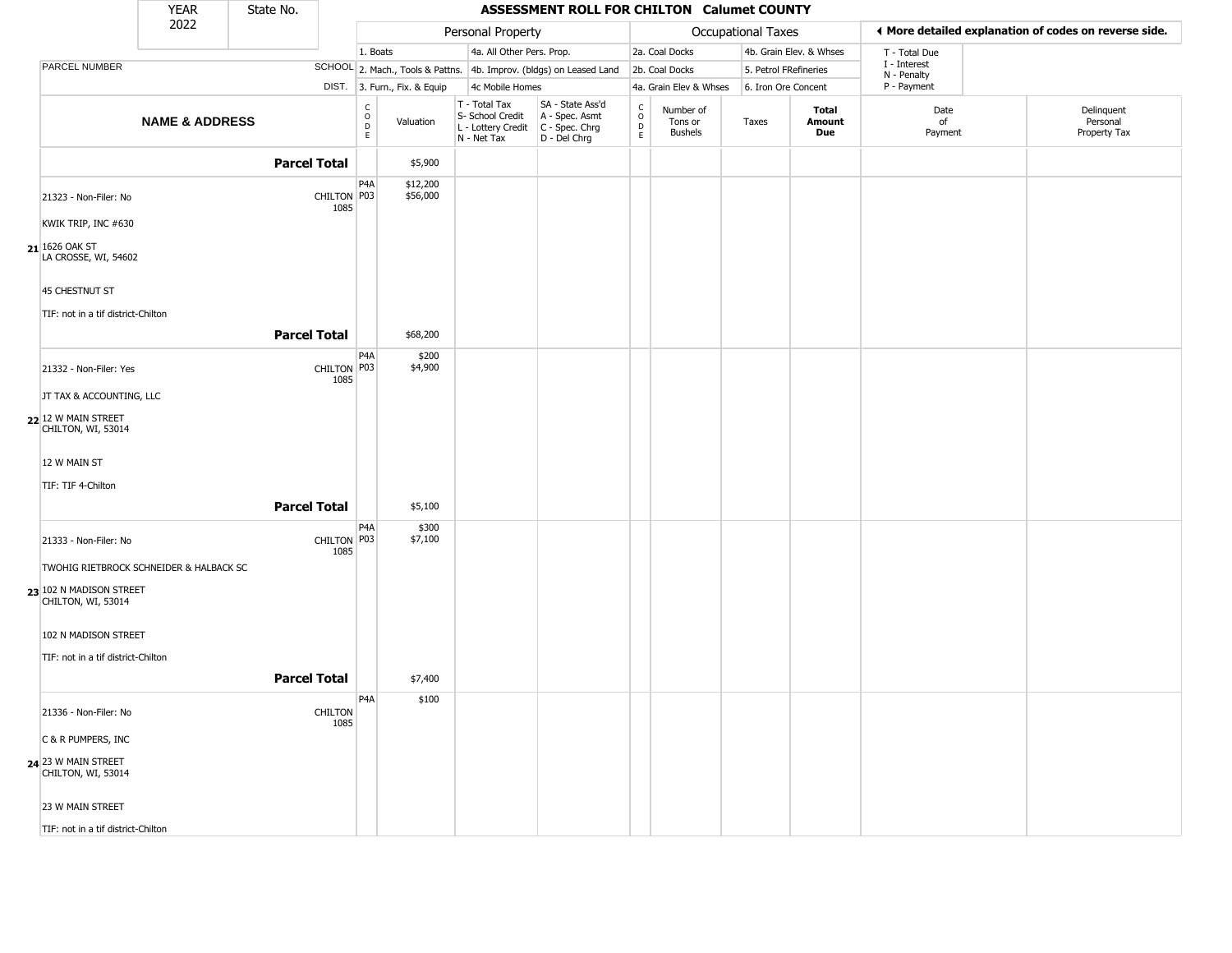|                                               | <b>YEAR</b>               | State No. |                        |                                           |                              |                                                                        | <b>ASSESSMENT ROLL FOR CHILTON Calumet COUNTY</b>                    |                                            |                                        |                       |                         |                             |                                                       |
|-----------------------------------------------|---------------------------|-----------|------------------------|-------------------------------------------|------------------------------|------------------------------------------------------------------------|----------------------------------------------------------------------|--------------------------------------------|----------------------------------------|-----------------------|-------------------------|-----------------------------|-------------------------------------------------------|
|                                               | 2022                      |           |                        |                                           |                              | Personal Property                                                      |                                                                      |                                            |                                        | Occupational Taxes    |                         |                             | ◀ More detailed explanation of codes on reverse side. |
|                                               |                           |           |                        | 1. Boats                                  |                              | 4a. All Other Pers. Prop.                                              |                                                                      |                                            | 2a. Coal Docks                         |                       | 4b. Grain Elev. & Whses | T - Total Due               |                                                       |
| PARCEL NUMBER                                 |                           |           |                        |                                           |                              |                                                                        | SCHOOL 2. Mach., Tools & Pattns. 4b. Improv. (bldgs) on Leased Land  |                                            | 2b. Coal Docks                         | 5. Petrol FRefineries |                         | I - Interest<br>N - Penalty |                                                       |
|                                               |                           |           |                        |                                           | DIST. 3. Furn., Fix. & Equip | 4c Mobile Homes                                                        |                                                                      |                                            | 4a. Grain Elev & Whses                 | 6. Iron Ore Concent   |                         | P - Payment                 |                                                       |
|                                               | <b>NAME &amp; ADDRESS</b> |           |                        | C<br>$\circ$<br>$\overrightarrow{D}$<br>E | Valuation                    | T - Total Tax<br>S- School Credit<br>L - Lottery Credit<br>N - Net Tax | SA - State Ass'd<br>A - Spec. Asmt<br>C - Spec. Chrg<br>D - Del Chrg | $\begin{array}{c} C \\ 0 \\ E \end{array}$ | Number of<br>Tons or<br><b>Bushels</b> | Taxes                 | Total<br>Amount<br>Due  | Date<br>of<br>Payment       | Delinquent<br>Personal<br>Property Tax                |
|                                               |                           |           | <b>Parcel Total</b>    |                                           | \$5,900                      |                                                                        |                                                                      |                                            |                                        |                       |                         |                             |                                                       |
| 21323 - Non-Filer: No                         |                           |           | CHILTON P03<br>1085    | P <sub>4</sub> A                          | \$12,200<br>\$56,000         |                                                                        |                                                                      |                                            |                                        |                       |                         |                             |                                                       |
| KWIK TRIP, INC #630                           |                           |           |                        |                                           |                              |                                                                        |                                                                      |                                            |                                        |                       |                         |                             |                                                       |
| 21 1626 OAK ST<br>LA CROSSE, WI, 54602        |                           |           |                        |                                           |                              |                                                                        |                                                                      |                                            |                                        |                       |                         |                             |                                                       |
| 45 CHESTNUT ST                                |                           |           |                        |                                           |                              |                                                                        |                                                                      |                                            |                                        |                       |                         |                             |                                                       |
| TIF: not in a tif district-Chilton            |                           |           |                        |                                           |                              |                                                                        |                                                                      |                                            |                                        |                       |                         |                             |                                                       |
|                                               |                           |           |                        |                                           |                              |                                                                        |                                                                      |                                            |                                        |                       |                         |                             |                                                       |
|                                               |                           |           | <b>Parcel Total</b>    |                                           | \$68,200                     |                                                                        |                                                                      |                                            |                                        |                       |                         |                             |                                                       |
| 21332 - Non-Filer: Yes                        |                           |           | CHILTON P03<br>1085    | P <sub>4</sub> A                          | \$200<br>\$4,900             |                                                                        |                                                                      |                                            |                                        |                       |                         |                             |                                                       |
| JT TAX & ACCOUNTING, LLC                      |                           |           |                        |                                           |                              |                                                                        |                                                                      |                                            |                                        |                       |                         |                             |                                                       |
| 22 12 W MAIN STREET<br>CHILTON, WI, 53014     |                           |           |                        |                                           |                              |                                                                        |                                                                      |                                            |                                        |                       |                         |                             |                                                       |
| 12 W MAIN ST                                  |                           |           |                        |                                           |                              |                                                                        |                                                                      |                                            |                                        |                       |                         |                             |                                                       |
| TIF: TIF 4-Chilton                            |                           |           |                        |                                           |                              |                                                                        |                                                                      |                                            |                                        |                       |                         |                             |                                                       |
|                                               |                           |           | <b>Parcel Total</b>    |                                           | \$5,100                      |                                                                        |                                                                      |                                            |                                        |                       |                         |                             |                                                       |
| 21333 - Non-Filer: No                         |                           |           | CHILTON P03            | P4A                                       | \$300<br>\$7,100             |                                                                        |                                                                      |                                            |                                        |                       |                         |                             |                                                       |
| TWOHIG RIETBROCK SCHNEIDER & HALBACK SC       |                           |           | 1085                   |                                           |                              |                                                                        |                                                                      |                                            |                                        |                       |                         |                             |                                                       |
| 23 102 N MADISON STREET<br>CHILTON, WI, 53014 |                           |           |                        |                                           |                              |                                                                        |                                                                      |                                            |                                        |                       |                         |                             |                                                       |
| 102 N MADISON STREET                          |                           |           |                        |                                           |                              |                                                                        |                                                                      |                                            |                                        |                       |                         |                             |                                                       |
| TIF: not in a tif district-Chilton            |                           |           |                        |                                           |                              |                                                                        |                                                                      |                                            |                                        |                       |                         |                             |                                                       |
|                                               |                           |           | <b>Parcel Total</b>    |                                           | \$7,400                      |                                                                        |                                                                      |                                            |                                        |                       |                         |                             |                                                       |
|                                               |                           |           |                        | P <sub>4</sub> A                          | \$100                        |                                                                        |                                                                      |                                            |                                        |                       |                         |                             |                                                       |
| 21336 - Non-Filer: No                         |                           |           | <b>CHILTON</b><br>1085 |                                           |                              |                                                                        |                                                                      |                                            |                                        |                       |                         |                             |                                                       |
| C & R PUMPERS, INC                            |                           |           |                        |                                           |                              |                                                                        |                                                                      |                                            |                                        |                       |                         |                             |                                                       |
| 24 23 W MAIN STREET<br>CHILTON, WI, 53014     |                           |           |                        |                                           |                              |                                                                        |                                                                      |                                            |                                        |                       |                         |                             |                                                       |
| 23 W MAIN STREET                              |                           |           |                        |                                           |                              |                                                                        |                                                                      |                                            |                                        |                       |                         |                             |                                                       |
| TIF: not in a tif district-Chilton            |                           |           |                        |                                           |                              |                                                                        |                                                                      |                                            |                                        |                       |                         |                             |                                                       |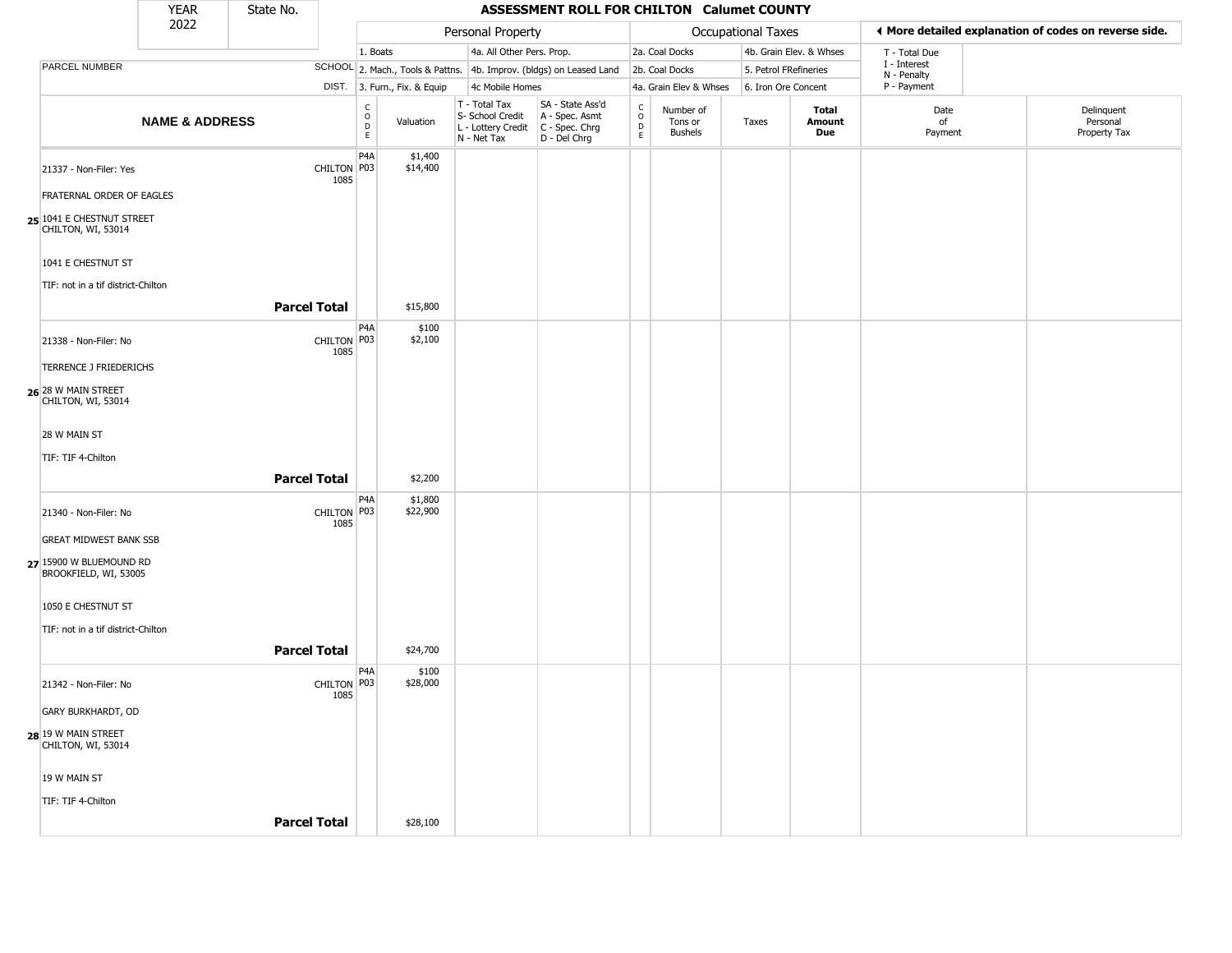|                                                  | YEAR                      | State No.           |                     |                                                          |                              |                                                                                           | ASSESSMENT ROLL FOR CHILTON Calumet COUNTY                          |                                                  |                                        |                    |                         |                            |                                                       |
|--------------------------------------------------|---------------------------|---------------------|---------------------|----------------------------------------------------------|------------------------------|-------------------------------------------------------------------------------------------|---------------------------------------------------------------------|--------------------------------------------------|----------------------------------------|--------------------|-------------------------|----------------------------|-------------------------------------------------------|
|                                                  | 2022                      |                     |                     |                                                          |                              | Personal Property                                                                         |                                                                     |                                                  |                                        | Occupational Taxes |                         |                            | ◀ More detailed explanation of codes on reverse side. |
|                                                  |                           |                     |                     | 1. Boats                                                 |                              | 4a. All Other Pers. Prop.                                                                 |                                                                     |                                                  | 2a. Coal Docks                         |                    | 4b. Grain Elev. & Whses | T - Total Due              |                                                       |
| <b>PARCEL NUMBER</b>                             |                           |                     |                     |                                                          |                              |                                                                                           | SCHOOL 2. Mach., Tools & Pattns. 4b. Improv. (bldgs) on Leased Land |                                                  | 2b. Coal Docks                         |                    | 5. Petrol FRefineries   | I - Interest               |                                                       |
|                                                  |                           |                     |                     |                                                          | DIST. 3. Furn., Fix. & Equip | 4c Mobile Homes                                                                           |                                                                     |                                                  | 4a. Grain Elev & Whses                 |                    | 6. Iron Ore Concent     | N - Penalty<br>P - Payment |                                                       |
|                                                  | <b>NAME &amp; ADDRESS</b> |                     |                     | $\begin{smallmatrix} C \\ O \\ D \end{smallmatrix}$<br>E | Valuation                    | $T - Total Tax$<br>S- School Credit<br>L - Lottery Credit   C - Spec. Chrg<br>N - Net Tax | SA - State Ass'd<br>A - Spec. Asmt<br>$D - Del Chrg$                | $_{\rm o}^{\rm c}$<br>$\mathsf D$<br>$\mathsf E$ | Number of<br>Tons or<br><b>Bushels</b> | Taxes              | Total<br>Amount<br>Due  | Date<br>of<br>Payment      | Delinquent<br>Personal<br>Property Tax                |
| 21337 - Non-Filer: Yes                           |                           |                     | CHILTON P03<br>1085 | P <sub>4</sub> A                                         | \$1,400<br>\$14,400          |                                                                                           |                                                                     |                                                  |                                        |                    |                         |                            |                                                       |
| <b>FRATERNAL ORDER OF EAGLES</b>                 |                           |                     |                     |                                                          |                              |                                                                                           |                                                                     |                                                  |                                        |                    |                         |                            |                                                       |
| 25 1041 E CHESTNUT STREET<br>CHILTON, WI, 53014  |                           |                     |                     |                                                          |                              |                                                                                           |                                                                     |                                                  |                                        |                    |                         |                            |                                                       |
| 1041 E CHESTNUT ST                               |                           |                     |                     |                                                          |                              |                                                                                           |                                                                     |                                                  |                                        |                    |                         |                            |                                                       |
| TIF: not in a tif district-Chilton               |                           |                     |                     |                                                          |                              |                                                                                           |                                                                     |                                                  |                                        |                    |                         |                            |                                                       |
|                                                  |                           | <b>Parcel Total</b> |                     |                                                          | \$15,800                     |                                                                                           |                                                                     |                                                  |                                        |                    |                         |                            |                                                       |
| 21338 - Non-Filer: No                            |                           |                     | CHILTON P03<br>1085 | P <sub>4</sub> A                                         | \$100<br>\$2,100             |                                                                                           |                                                                     |                                                  |                                        |                    |                         |                            |                                                       |
| TERRENCE J FRIEDERICHS                           |                           |                     |                     |                                                          |                              |                                                                                           |                                                                     |                                                  |                                        |                    |                         |                            |                                                       |
| 26 28 W MAIN STREET<br>CHILTON, WI, 53014        |                           |                     |                     |                                                          |                              |                                                                                           |                                                                     |                                                  |                                        |                    |                         |                            |                                                       |
| 28 W MAIN ST                                     |                           |                     |                     |                                                          |                              |                                                                                           |                                                                     |                                                  |                                        |                    |                         |                            |                                                       |
| TIF: TIF 4-Chilton                               |                           |                     |                     |                                                          |                              |                                                                                           |                                                                     |                                                  |                                        |                    |                         |                            |                                                       |
|                                                  |                           | <b>Parcel Total</b> |                     |                                                          | \$2,200                      |                                                                                           |                                                                     |                                                  |                                        |                    |                         |                            |                                                       |
| 21340 - Non-Filer: No                            |                           |                     | CHILTON P03<br>1085 | P4A                                                      | \$1,800<br>\$22,900          |                                                                                           |                                                                     |                                                  |                                        |                    |                         |                            |                                                       |
| <b>GREAT MIDWEST BANK SSB</b>                    |                           |                     |                     |                                                          |                              |                                                                                           |                                                                     |                                                  |                                        |                    |                         |                            |                                                       |
| 27 15900 W BLUEMOUND RD<br>BROOKFIELD, WI, 53005 |                           |                     |                     |                                                          |                              |                                                                                           |                                                                     |                                                  |                                        |                    |                         |                            |                                                       |
| 1050 E CHESTNUT ST                               |                           |                     |                     |                                                          |                              |                                                                                           |                                                                     |                                                  |                                        |                    |                         |                            |                                                       |
| TIF: not in a tif district-Chilton               |                           |                     |                     |                                                          |                              |                                                                                           |                                                                     |                                                  |                                        |                    |                         |                            |                                                       |
|                                                  |                           | <b>Parcel Total</b> |                     |                                                          | \$24,700                     |                                                                                           |                                                                     |                                                  |                                        |                    |                         |                            |                                                       |
| 21342 - Non-Filer: No                            |                           |                     | CHILTON P03<br>1085 | P4A                                                      | \$100<br>\$28,000            |                                                                                           |                                                                     |                                                  |                                        |                    |                         |                            |                                                       |
| <b>GARY BURKHARDT, OD</b>                        |                           |                     |                     |                                                          |                              |                                                                                           |                                                                     |                                                  |                                        |                    |                         |                            |                                                       |
| 28 19 W MAIN STREET<br>CHILTON, WI, 53014        |                           |                     |                     |                                                          |                              |                                                                                           |                                                                     |                                                  |                                        |                    |                         |                            |                                                       |
| 19 W MAIN ST                                     |                           |                     |                     |                                                          |                              |                                                                                           |                                                                     |                                                  |                                        |                    |                         |                            |                                                       |
| TIF: TIF 4-Chilton                               |                           |                     |                     |                                                          |                              |                                                                                           |                                                                     |                                                  |                                        |                    |                         |                            |                                                       |
|                                                  |                           | <b>Parcel Total</b> |                     |                                                          | \$28,100                     |                                                                                           |                                                                     |                                                  |                                        |                    |                         |                            |                                                       |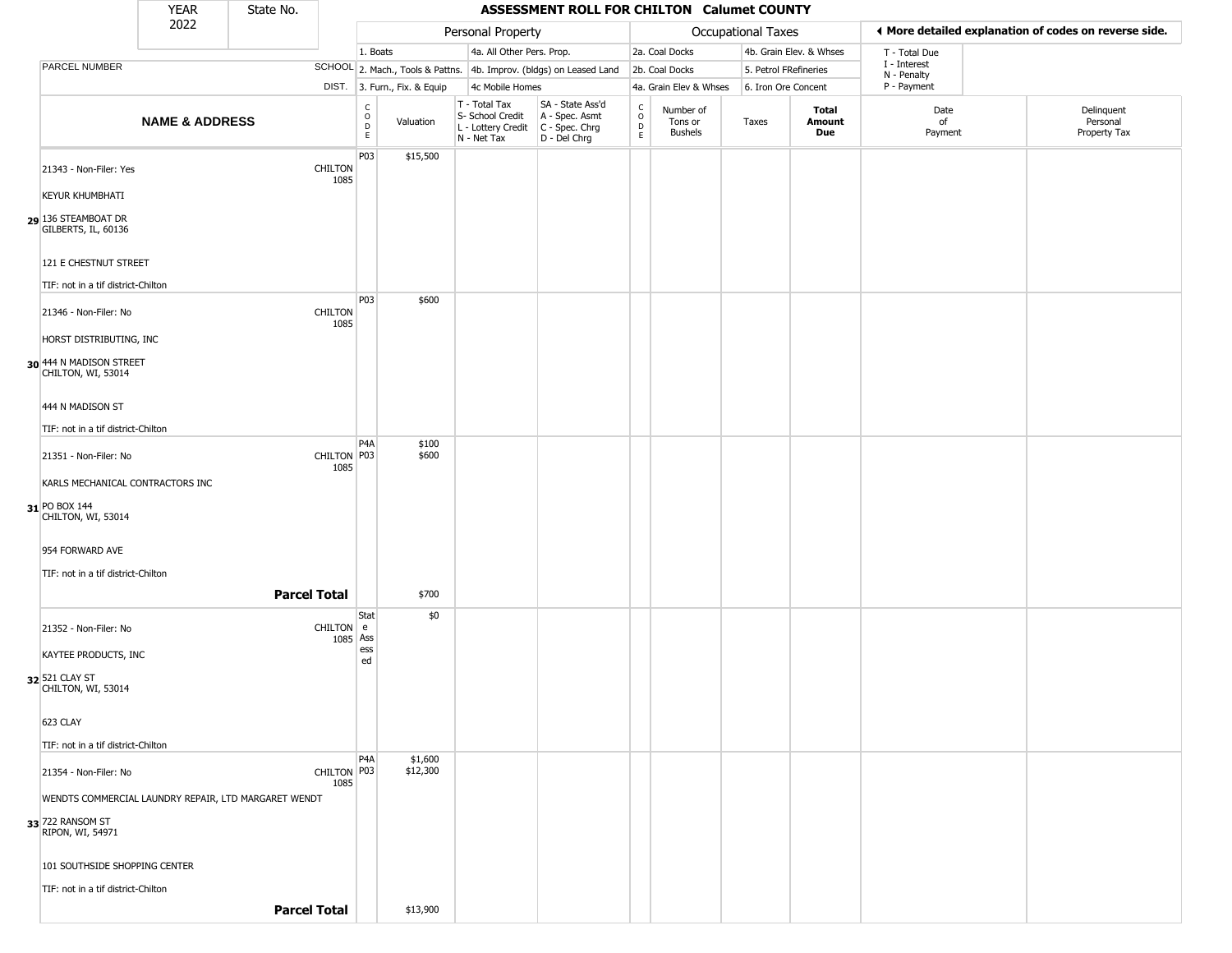|                                                             | <b>YEAR</b>               | State No.                                            |                                                 |                              |                                                                        | ASSESSMENT ROLL FOR CHILTON Calumet COUNTY                             |                                              |                                        |                           |                         |                             |                                                       |
|-------------------------------------------------------------|---------------------------|------------------------------------------------------|-------------------------------------------------|------------------------------|------------------------------------------------------------------------|------------------------------------------------------------------------|----------------------------------------------|----------------------------------------|---------------------------|-------------------------|-----------------------------|-------------------------------------------------------|
|                                                             | 2022                      |                                                      |                                                 |                              | Personal Property                                                      |                                                                        |                                              |                                        | <b>Occupational Taxes</b> |                         |                             | ♦ More detailed explanation of codes on reverse side. |
|                                                             |                           |                                                      |                                                 | 1. Boats                     | 4a. All Other Pers. Prop.                                              |                                                                        |                                              | 2a. Coal Docks                         |                           | 4b. Grain Elev. & Whses | T - Total Due               |                                                       |
| PARCEL NUMBER                                               |                           |                                                      |                                                 |                              |                                                                        | SCHOOL 2. Mach., Tools & Pattns. 4b. Improv. (bldgs) on Leased Land    |                                              | 2b. Coal Docks                         |                           | 5. Petrol FRefineries   | I - Interest<br>N - Penalty |                                                       |
|                                                             |                           |                                                      |                                                 | DIST. 3. Furn., Fix. & Equip | 4c Mobile Homes                                                        |                                                                        |                                              | 4a. Grain Elev & Whses                 |                           | 6. Iron Ore Concent     | P - Payment                 |                                                       |
|                                                             | <b>NAME &amp; ADDRESS</b> |                                                      | $\begin{array}{c} C \\ O \\ D \\ E \end{array}$ | Valuation                    | T - Total Tax<br>S- School Credit<br>L - Lottery Credit<br>N - Net Tax | SA - State Ass'd<br>A - Spec. Asmt<br>$C - Spec. Chrg$<br>D - Del Chrg | $\begin{array}{c}\nC \\ O \\ D\n\end{array}$ | Number of<br>Tons or<br><b>Bushels</b> | Taxes                     | Total<br>Amount<br>Due  | Date<br>of<br>Payment       | Delinquent<br>Personal<br>Property Tax                |
| 21343 - Non-Filer: Yes                                      |                           | CHILTON<br>1085                                      | P03                                             | \$15,500                     |                                                                        |                                                                        |                                              |                                        |                           |                         |                             |                                                       |
| <b>KEYUR KHUMBHATI</b>                                      |                           |                                                      |                                                 |                              |                                                                        |                                                                        |                                              |                                        |                           |                         |                             |                                                       |
| 29 136 STEAMBOAT DR<br>GILBERTS, IL, 60136                  |                           |                                                      |                                                 |                              |                                                                        |                                                                        |                                              |                                        |                           |                         |                             |                                                       |
| 121 E CHESTNUT STREET<br>TIF: not in a tif district-Chilton |                           |                                                      |                                                 |                              |                                                                        |                                                                        |                                              |                                        |                           |                         |                             |                                                       |
|                                                             |                           |                                                      | P03                                             | \$600                        |                                                                        |                                                                        |                                              |                                        |                           |                         |                             |                                                       |
| 21346 - Non-Filer: No<br>HORST DISTRIBUTING, INC            |                           | <b>CHILTON</b><br>1085                               |                                                 |                              |                                                                        |                                                                        |                                              |                                        |                           |                         |                             |                                                       |
| 30 444 N MADISON STREET<br>CHILTON, WI, 53014               |                           |                                                      |                                                 |                              |                                                                        |                                                                        |                                              |                                        |                           |                         |                             |                                                       |
| 444 N MADISON ST                                            |                           |                                                      |                                                 |                              |                                                                        |                                                                        |                                              |                                        |                           |                         |                             |                                                       |
| TIF: not in a tif district-Chilton                          |                           |                                                      |                                                 |                              |                                                                        |                                                                        |                                              |                                        |                           |                         |                             |                                                       |
| 21351 - Non-Filer: No                                       |                           | CHILTON P03<br>1085                                  | P <sub>4</sub> A                                | \$100<br>\$600               |                                                                        |                                                                        |                                              |                                        |                           |                         |                             |                                                       |
| KARLS MECHANICAL CONTRACTORS INC                            |                           |                                                      |                                                 |                              |                                                                        |                                                                        |                                              |                                        |                           |                         |                             |                                                       |
| 31 PO BOX 144<br>CHILTON, WI, 53014                         |                           |                                                      |                                                 |                              |                                                                        |                                                                        |                                              |                                        |                           |                         |                             |                                                       |
| 954 FORWARD AVE                                             |                           |                                                      |                                                 |                              |                                                                        |                                                                        |                                              |                                        |                           |                         |                             |                                                       |
| TIF: not in a tif district-Chilton                          |                           |                                                      |                                                 |                              |                                                                        |                                                                        |                                              |                                        |                           |                         |                             |                                                       |
|                                                             |                           | <b>Parcel Total</b>                                  |                                                 | \$700                        |                                                                        |                                                                        |                                              |                                        |                           |                         |                             |                                                       |
| 21352 - Non-Filer: No                                       |                           | CHILTON e                                            | Stat<br>1085 Ass                                | \$0                          |                                                                        |                                                                        |                                              |                                        |                           |                         |                             |                                                       |
| KAYTEE PRODUCTS, INC                                        |                           |                                                      | ess<br>ed                                       |                              |                                                                        |                                                                        |                                              |                                        |                           |                         |                             |                                                       |
| 32 521 CLAY ST<br>CHILTON, WI, 53014                        |                           |                                                      |                                                 |                              |                                                                        |                                                                        |                                              |                                        |                           |                         |                             |                                                       |
| 623 CLAY                                                    |                           |                                                      |                                                 |                              |                                                                        |                                                                        |                                              |                                        |                           |                         |                             |                                                       |
| TIF: not in a tif district-Chilton                          |                           |                                                      | P4A                                             | \$1,600                      |                                                                        |                                                                        |                                              |                                        |                           |                         |                             |                                                       |
| 21354 - Non-Filer: No                                       |                           | CHILTON P03<br>1085                                  |                                                 | \$12,300                     |                                                                        |                                                                        |                                              |                                        |                           |                         |                             |                                                       |
|                                                             |                           | WENDTS COMMERCIAL LAUNDRY REPAIR, LTD MARGARET WENDT |                                                 |                              |                                                                        |                                                                        |                                              |                                        |                           |                         |                             |                                                       |
| 33 722 RANSOM ST<br>RIPON, WI, 54971                        |                           |                                                      |                                                 |                              |                                                                        |                                                                        |                                              |                                        |                           |                         |                             |                                                       |
| 101 SOUTHSIDE SHOPPING CENTER                               |                           |                                                      |                                                 |                              |                                                                        |                                                                        |                                              |                                        |                           |                         |                             |                                                       |
| TIF: not in a tif district-Chilton                          |                           |                                                      |                                                 |                              |                                                                        |                                                                        |                                              |                                        |                           |                         |                             |                                                       |
|                                                             |                           | <b>Parcel Total</b>                                  |                                                 | \$13,900                     |                                                                        |                                                                        |                                              |                                        |                           |                         |                             |                                                       |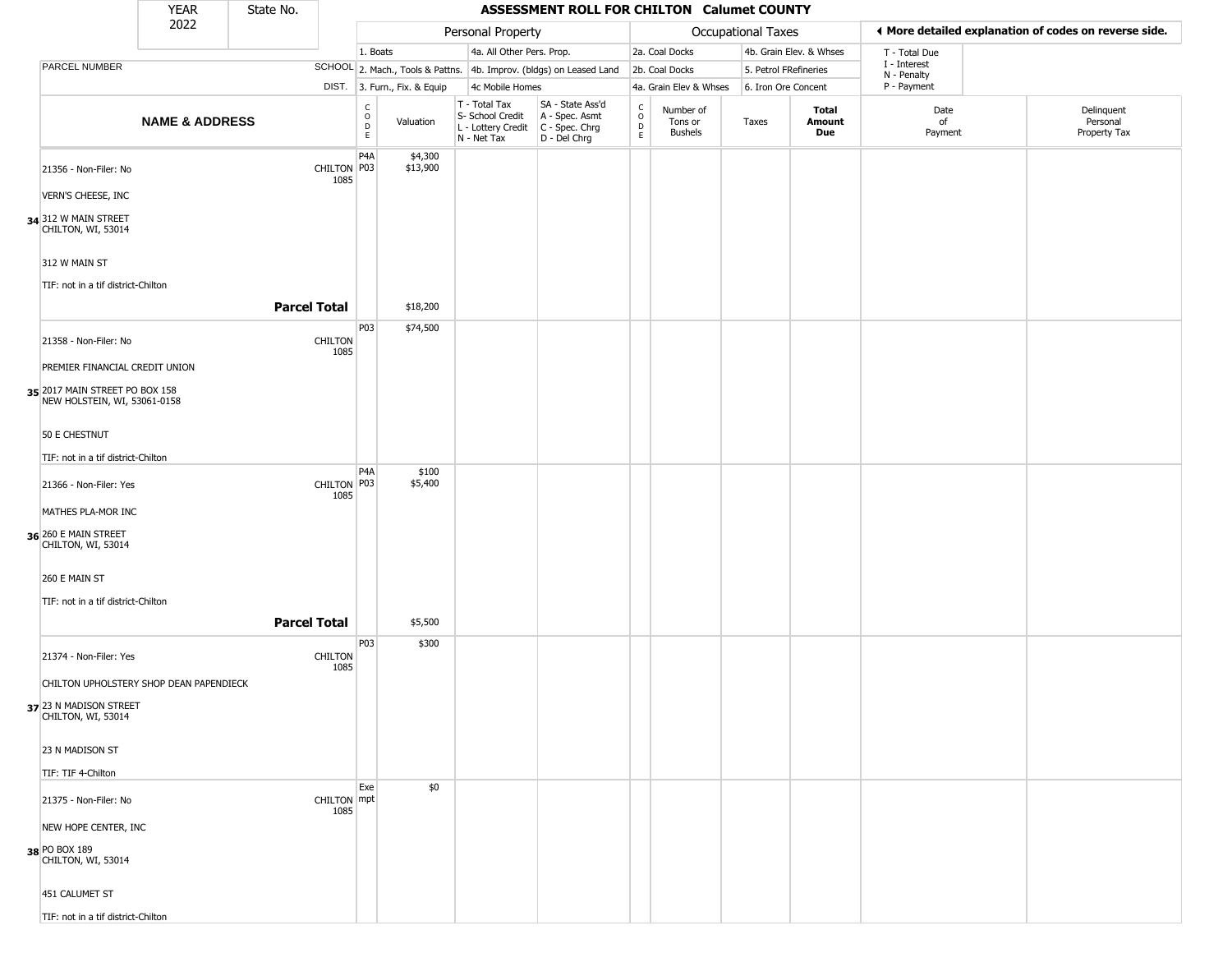|                                                                                                  | <b>YEAR</b>               | State No.           |                        |                                                 |                              |                                                                        | ASSESSMENT ROLL FOR CHILTON Calumet COUNTY                           |                                                 |                                        |                       |                         |                             |                                                       |
|--------------------------------------------------------------------------------------------------|---------------------------|---------------------|------------------------|-------------------------------------------------|------------------------------|------------------------------------------------------------------------|----------------------------------------------------------------------|-------------------------------------------------|----------------------------------------|-----------------------|-------------------------|-----------------------------|-------------------------------------------------------|
|                                                                                                  | 2022                      |                     |                        |                                                 |                              | Personal Property                                                      |                                                                      |                                                 |                                        | Occupational Taxes    |                         |                             | ◀ More detailed explanation of codes on reverse side. |
|                                                                                                  |                           |                     |                        | 1. Boats                                        |                              | 4a. All Other Pers. Prop.                                              |                                                                      |                                                 | 2a. Coal Docks                         |                       | 4b. Grain Elev. & Whses | T - Total Due               |                                                       |
| PARCEL NUMBER                                                                                    |                           |                     |                        |                                                 |                              |                                                                        | SCHOOL 2. Mach., Tools & Pattns. 4b. Improv. (bldgs) on Leased Land  |                                                 | 2b. Coal Docks                         | 5. Petrol FRefineries |                         | I - Interest<br>N - Penalty |                                                       |
|                                                                                                  |                           |                     |                        |                                                 | DIST. 3. Furn., Fix. & Equip | 4c Mobile Homes                                                        |                                                                      |                                                 | 4a. Grain Elev & Whses                 | 6. Iron Ore Concent   |                         | P - Payment                 |                                                       |
|                                                                                                  | <b>NAME &amp; ADDRESS</b> |                     |                        | $\begin{array}{c} C \\ O \\ D \\ E \end{array}$ | Valuation                    | T - Total Tax<br>S- School Credit<br>L - Lottery Credit<br>N - Net Tax | SA - State Ass'd<br>A - Spec. Asmt<br>C - Spec. Chrg<br>D - Del Chrg | $\begin{array}{c} C \\ O \\ D \\ E \end{array}$ | Number of<br>Tons or<br><b>Bushels</b> | Taxes                 | Total<br>Amount<br>Due  | Date<br>of<br>Payment       | Delinquent<br>Personal<br>Property Tax                |
| 21356 - Non-Filer: No                                                                            |                           |                     | CHILTON P03<br>1085    | P <sub>4</sub> A                                | \$4,300<br>\$13,900          |                                                                        |                                                                      |                                                 |                                        |                       |                         |                             |                                                       |
| VERN'S CHEESE, INC                                                                               |                           |                     |                        |                                                 |                              |                                                                        |                                                                      |                                                 |                                        |                       |                         |                             |                                                       |
| 34 312 W MAIN STREET<br>CHILTON, WI, 53014                                                       |                           |                     |                        |                                                 |                              |                                                                        |                                                                      |                                                 |                                        |                       |                         |                             |                                                       |
| 312 W MAIN ST<br>TIF: not in a tif district-Chilton                                              |                           |                     |                        |                                                 |                              |                                                                        |                                                                      |                                                 |                                        |                       |                         |                             |                                                       |
|                                                                                                  |                           | <b>Parcel Total</b> |                        | P03                                             | \$18,200                     |                                                                        |                                                                      |                                                 |                                        |                       |                         |                             |                                                       |
| 21358 - Non-Filer: No                                                                            |                           |                     | <b>CHILTON</b><br>1085 |                                                 | \$74,500                     |                                                                        |                                                                      |                                                 |                                        |                       |                         |                             |                                                       |
| PREMIER FINANCIAL CREDIT UNION<br>35 2017 MAIN STREET PO BOX 158<br>NEW HOLSTEIN, WI, 53061-0158 |                           |                     |                        |                                                 |                              |                                                                        |                                                                      |                                                 |                                        |                       |                         |                             |                                                       |
| 50 E CHESTNUT                                                                                    |                           |                     |                        |                                                 |                              |                                                                        |                                                                      |                                                 |                                        |                       |                         |                             |                                                       |
| TIF: not in a tif district-Chilton                                                               |                           |                     |                        |                                                 |                              |                                                                        |                                                                      |                                                 |                                        |                       |                         |                             |                                                       |
| 21366 - Non-Filer: Yes                                                                           |                           |                     | CHILTON P03<br>1085    | P4A                                             | \$100<br>\$5,400             |                                                                        |                                                                      |                                                 |                                        |                       |                         |                             |                                                       |
| MATHES PLA-MOR INC                                                                               |                           |                     |                        |                                                 |                              |                                                                        |                                                                      |                                                 |                                        |                       |                         |                             |                                                       |
| 36 260 E MAIN STREET<br>CHILTON, WI, 53014                                                       |                           |                     |                        |                                                 |                              |                                                                        |                                                                      |                                                 |                                        |                       |                         |                             |                                                       |
| 260 E MAIN ST<br>TIF: not in a tif district-Chilton                                              |                           |                     |                        |                                                 |                              |                                                                        |                                                                      |                                                 |                                        |                       |                         |                             |                                                       |
|                                                                                                  |                           | <b>Parcel Total</b> |                        |                                                 | \$5,500                      |                                                                        |                                                                      |                                                 |                                        |                       |                         |                             |                                                       |
| 21374 - Non-Filer: Yes                                                                           |                           |                     | <b>CHILTON</b><br>1085 | P03                                             | \$300                        |                                                                        |                                                                      |                                                 |                                        |                       |                         |                             |                                                       |
| CHILTON UPHOLSTERY SHOP DEAN PAPENDIECK                                                          |                           |                     |                        |                                                 |                              |                                                                        |                                                                      |                                                 |                                        |                       |                         |                             |                                                       |
| 37 23 N MADISON STREET<br>CHILTON, WI, 53014                                                     |                           |                     |                        |                                                 |                              |                                                                        |                                                                      |                                                 |                                        |                       |                         |                             |                                                       |
| 23 N MADISON ST                                                                                  |                           |                     |                        |                                                 |                              |                                                                        |                                                                      |                                                 |                                        |                       |                         |                             |                                                       |
| TIF: TIF 4-Chilton                                                                               |                           |                     |                        | Exe                                             | \$0                          |                                                                        |                                                                      |                                                 |                                        |                       |                         |                             |                                                       |
| 21375 - Non-Filer: No                                                                            |                           |                     | CHILTON mpt<br>1085    |                                                 |                              |                                                                        |                                                                      |                                                 |                                        |                       |                         |                             |                                                       |
| NEW HOPE CENTER, INC<br>38 PO BOX 189<br>CHILTON, WI, 53014                                      |                           |                     |                        |                                                 |                              |                                                                        |                                                                      |                                                 |                                        |                       |                         |                             |                                                       |
| 451 CALUMET ST                                                                                   |                           |                     |                        |                                                 |                              |                                                                        |                                                                      |                                                 |                                        |                       |                         |                             |                                                       |
| TIF: not in a tif district-Chilton                                                               |                           |                     |                        |                                                 |                              |                                                                        |                                                                      |                                                 |                                        |                       |                         |                             |                                                       |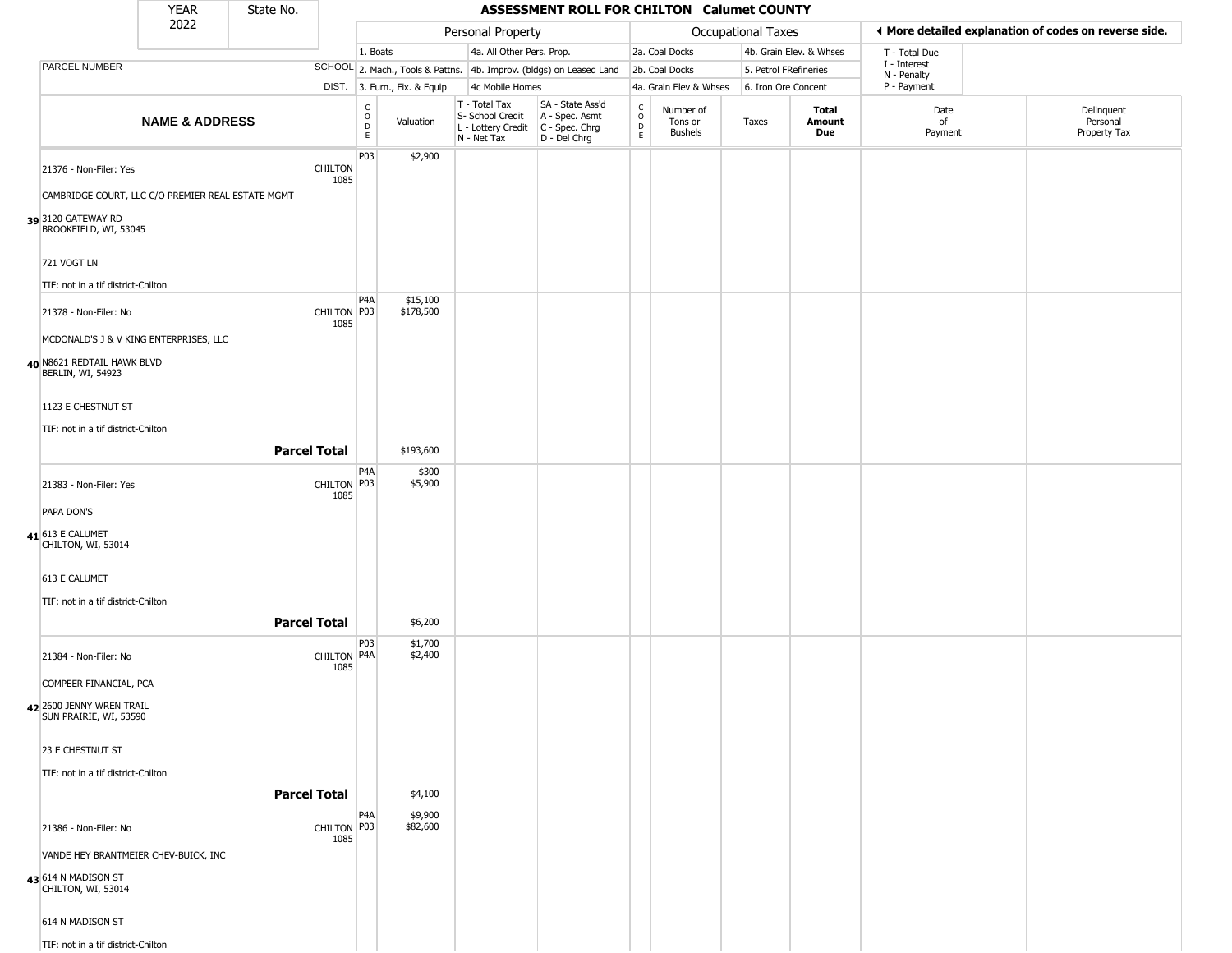|                                                    | <b>YEAR</b>               | State No.           |                        |                             |                              |                                                                                       | ASSESSMENT ROLL FOR CHILTON Calumet COUNTY                          |                          |                                 |                       |                               |                             |                                                       |
|----------------------------------------------------|---------------------------|---------------------|------------------------|-----------------------------|------------------------------|---------------------------------------------------------------------------------------|---------------------------------------------------------------------|--------------------------|---------------------------------|-----------------------|-------------------------------|-----------------------------|-------------------------------------------------------|
|                                                    | 2022                      |                     |                        |                             |                              | Personal Property                                                                     |                                                                     |                          |                                 | Occupational Taxes    |                               |                             | ♦ More detailed explanation of codes on reverse side. |
|                                                    |                           |                     |                        | 1. Boats                    |                              | 4a. All Other Pers. Prop.                                                             |                                                                     |                          | 2a. Coal Docks                  |                       | 4b. Grain Elev. & Whses       | T - Total Due               |                                                       |
| PARCEL NUMBER                                      |                           |                     |                        |                             |                              |                                                                                       | SCHOOL 2. Mach., Tools & Pattns. 4b. Improv. (bldgs) on Leased Land |                          | 2b. Coal Docks                  | 5. Petrol FRefineries |                               | I - Interest<br>N - Penalty |                                                       |
|                                                    |                           |                     |                        |                             | DIST. 3. Furn., Fix. & Equip | 4c Mobile Homes                                                                       |                                                                     |                          | 4a. Grain Elev & Whses          | 6. Iron Ore Concent   |                               | P - Payment                 |                                                       |
|                                                    | <b>NAME &amp; ADDRESS</b> |                     |                        | $\rm _o^C$<br>$\frac{D}{E}$ | Valuation                    | T - Total Tax<br>S- School Credit<br>L - Lottery Credit C - Spec. Chrg<br>N - Net Tax | SA - State Ass'd<br>A - Spec. Asmt<br>D - Del Chrg                  | $\int_{0}^{c}$<br>D<br>E | Number of<br>Tons or<br>Bushels | Taxes                 | <b>Total</b><br>Amount<br>Due | Date<br>of<br>Payment       | Delinquent<br>Personal<br>Property Tax                |
| 21376 - Non-Filer: Yes                             |                           |                     | <b>CHILTON</b><br>1085 | P03                         | \$2,900                      |                                                                                       |                                                                     |                          |                                 |                       |                               |                             |                                                       |
| CAMBRIDGE COURT, LLC C/O PREMIER REAL ESTATE MGMT  |                           |                     |                        |                             |                              |                                                                                       |                                                                     |                          |                                 |                       |                               |                             |                                                       |
| 3120 GATEWAY RD<br>BROOKFIELD, WI, 53045           |                           |                     |                        |                             |                              |                                                                                       |                                                                     |                          |                                 |                       |                               |                             |                                                       |
| 721 VOGT LN                                        |                           |                     |                        |                             |                              |                                                                                       |                                                                     |                          |                                 |                       |                               |                             |                                                       |
| TIF: not in a tif district-Chilton                 |                           |                     |                        |                             |                              |                                                                                       |                                                                     |                          |                                 |                       |                               |                             |                                                       |
| 21378 - Non-Filer: No                              |                           |                     | CHILTON P03<br>1085    | P4A                         | \$15,100<br>\$178,500        |                                                                                       |                                                                     |                          |                                 |                       |                               |                             |                                                       |
| MCDONALD'S J & V KING ENTERPRISES, LLC             |                           |                     |                        |                             |                              |                                                                                       |                                                                     |                          |                                 |                       |                               |                             |                                                       |
| 40 N8621 REDTAIL HAWK BLVD<br>BERLIN, WI, 54923    |                           |                     |                        |                             |                              |                                                                                       |                                                                     |                          |                                 |                       |                               |                             |                                                       |
| 1123 E CHESTNUT ST                                 |                           |                     |                        |                             |                              |                                                                                       |                                                                     |                          |                                 |                       |                               |                             |                                                       |
| TIF: not in a tif district-Chilton                 |                           |                     |                        |                             |                              |                                                                                       |                                                                     |                          |                                 |                       |                               |                             |                                                       |
|                                                    |                           | <b>Parcel Total</b> |                        |                             | \$193,600                    |                                                                                       |                                                                     |                          |                                 |                       |                               |                             |                                                       |
| 21383 - Non-Filer: Yes                             |                           |                     | CHILTON P03<br>1085    | P4A                         | \$300<br>\$5,900             |                                                                                       |                                                                     |                          |                                 |                       |                               |                             |                                                       |
| PAPA DON'S                                         |                           |                     |                        |                             |                              |                                                                                       |                                                                     |                          |                                 |                       |                               |                             |                                                       |
| $41$ 613 E CALUMET<br>CHILTON, WI, 53014           |                           |                     |                        |                             |                              |                                                                                       |                                                                     |                          |                                 |                       |                               |                             |                                                       |
| 613 E CALUMET                                      |                           |                     |                        |                             |                              |                                                                                       |                                                                     |                          |                                 |                       |                               |                             |                                                       |
| TIF: not in a tif district-Chilton                 |                           |                     |                        |                             |                              |                                                                                       |                                                                     |                          |                                 |                       |                               |                             |                                                       |
|                                                    |                           | <b>Parcel Total</b> |                        |                             | \$6,200                      |                                                                                       |                                                                     |                          |                                 |                       |                               |                             |                                                       |
| 21384 - Non-Filer: No                              |                           |                     | CHILTON P4A<br>1085    | P <sub>03</sub>             | \$1,700<br>\$2,400           |                                                                                       |                                                                     |                          |                                 |                       |                               |                             |                                                       |
| COMPEER FINANCIAL, PCA                             |                           |                     |                        |                             |                              |                                                                                       |                                                                     |                          |                                 |                       |                               |                             |                                                       |
| 42 2600 JENNY WREN TRAIL<br>SUN PRAIRIE, WI, 53590 |                           |                     |                        |                             |                              |                                                                                       |                                                                     |                          |                                 |                       |                               |                             |                                                       |
| 23 E CHESTNUT ST                                   |                           |                     |                        |                             |                              |                                                                                       |                                                                     |                          |                                 |                       |                               |                             |                                                       |
| TIF: not in a tif district-Chilton                 |                           |                     |                        |                             |                              |                                                                                       |                                                                     |                          |                                 |                       |                               |                             |                                                       |
|                                                    |                           | <b>Parcel Total</b> |                        |                             | \$4,100                      |                                                                                       |                                                                     |                          |                                 |                       |                               |                             |                                                       |
| 21386 - Non-Filer: No                              |                           |                     | CHILTON P03<br>1085    | P4A                         | \$9,900<br>\$82,600          |                                                                                       |                                                                     |                          |                                 |                       |                               |                             |                                                       |
| VANDE HEY BRANTMEIER CHEV-BUICK, INC               |                           |                     |                        |                             |                              |                                                                                       |                                                                     |                          |                                 |                       |                               |                             |                                                       |
| 43 614 N MADISON ST<br>CHILTON, WI, 53014          |                           |                     |                        |                             |                              |                                                                                       |                                                                     |                          |                                 |                       |                               |                             |                                                       |
| 614 N MADISON ST                                   |                           |                     |                        |                             |                              |                                                                                       |                                                                     |                          |                                 |                       |                               |                             |                                                       |
| TIF: not in a tif district-Chilton                 |                           |                     |                        |                             |                              |                                                                                       |                                                                     |                          |                                 |                       |                               |                             |                                                       |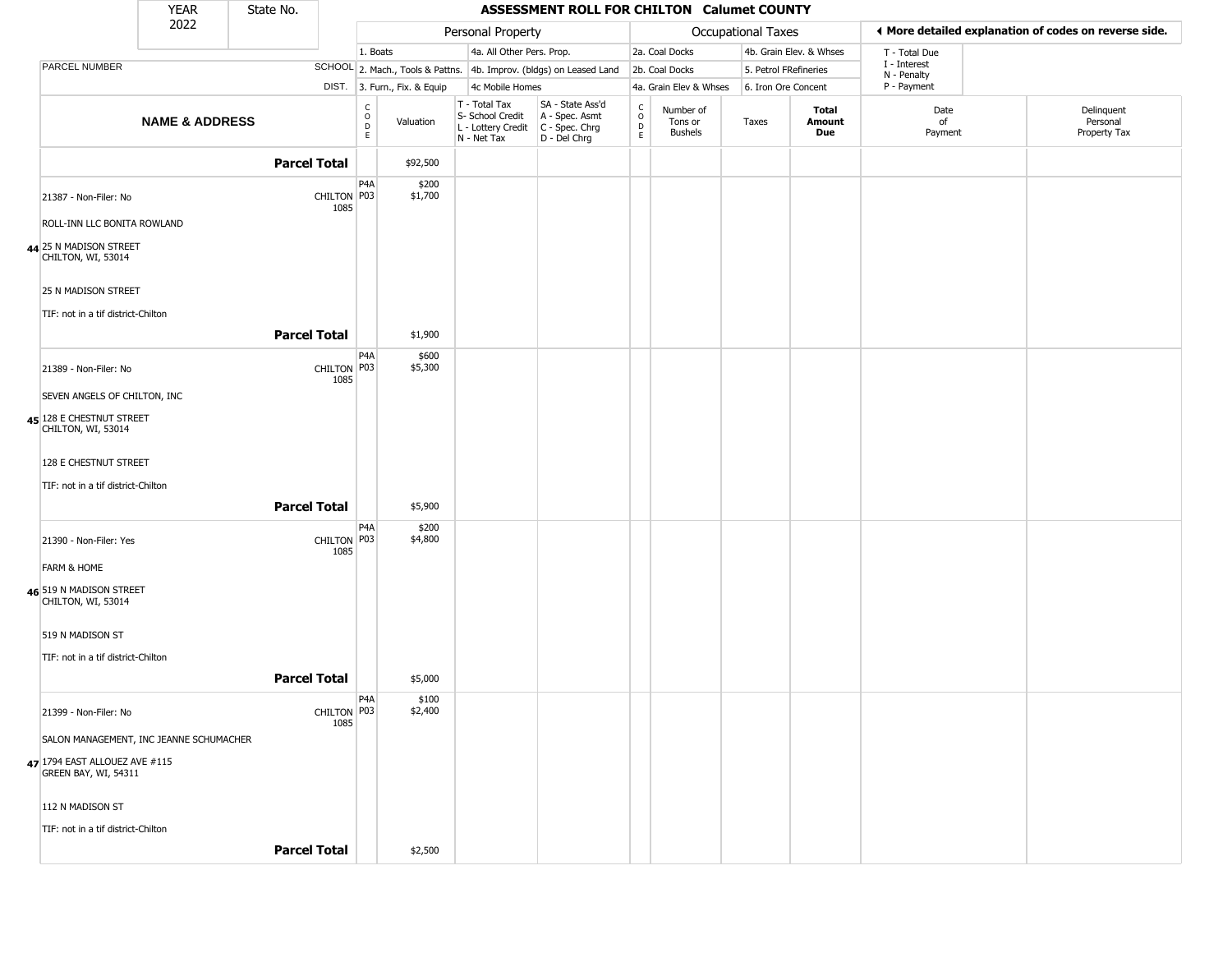|                                                       | <b>YEAR</b>               | State No.           |                     |                                                          |                              |                                                                                         | <b>ASSESSMENT ROLL FOR CHILTON Calumet COUNTY</b>                   |                            |                                        |                       |                         |                             |                                                       |
|-------------------------------------------------------|---------------------------|---------------------|---------------------|----------------------------------------------------------|------------------------------|-----------------------------------------------------------------------------------------|---------------------------------------------------------------------|----------------------------|----------------------------------------|-----------------------|-------------------------|-----------------------------|-------------------------------------------------------|
|                                                       | 2022                      |                     |                     |                                                          |                              | Personal Property                                                                       |                                                                     |                            |                                        | Occupational Taxes    |                         |                             | ♦ More detailed explanation of codes on reverse side. |
|                                                       |                           |                     |                     | 1. Boats                                                 |                              | 4a. All Other Pers. Prop.                                                               |                                                                     |                            | 2a. Coal Docks                         |                       | 4b. Grain Elev. & Whses | T - Total Due               |                                                       |
| PARCEL NUMBER                                         |                           |                     |                     |                                                          |                              |                                                                                         | SCHOOL 2. Mach., Tools & Pattns. 4b. Improv. (bldgs) on Leased Land |                            | 2b. Coal Docks                         | 5. Petrol FRefineries |                         | I - Interest<br>N - Penalty |                                                       |
|                                                       |                           |                     |                     |                                                          | DIST. 3. Furn., Fix. & Equip | 4c Mobile Homes                                                                         |                                                                     |                            | 4a. Grain Elev & Whses                 | 6. Iron Ore Concent   |                         | P - Payment                 |                                                       |
|                                                       | <b>NAME &amp; ADDRESS</b> |                     |                     | $\begin{matrix} 0 \\ 0 \\ D \end{matrix}$<br>$\mathsf E$ | Valuation                    | T - Total Tax<br>S- School Credit<br>L - Lottery Credit   C - Spec. Chrg<br>N - Net Tax | SA - State Ass'd<br>A - Spec. Asmt<br>D - Del Chrg                  | C<br>$\mathsf O$<br>D<br>E | Number of<br>Tons or<br><b>Bushels</b> | Taxes                 | Total<br>Amount<br>Due  | Date<br>of<br>Payment       | Delinquent<br>Personal<br>Property Tax                |
|                                                       |                           |                     | <b>Parcel Total</b> |                                                          | \$92,500                     |                                                                                         |                                                                     |                            |                                        |                       |                         |                             |                                                       |
| 21387 - Non-Filer: No<br>ROLL-INN LLC BONITA ROWLAND  |                           |                     | CHILTON P03<br>1085 | P <sub>4</sub> A                                         | \$200<br>\$1,700             |                                                                                         |                                                                     |                            |                                        |                       |                         |                             |                                                       |
| 44 25 N MADISON STREET<br>CHILTON, WI, 53014          |                           |                     |                     |                                                          |                              |                                                                                         |                                                                     |                            |                                        |                       |                         |                             |                                                       |
| 25 N MADISON STREET                                   |                           |                     |                     |                                                          |                              |                                                                                         |                                                                     |                            |                                        |                       |                         |                             |                                                       |
| TIF: not in a tif district-Chilton                    |                           | <b>Parcel Total</b> |                     |                                                          | \$1,900                      |                                                                                         |                                                                     |                            |                                        |                       |                         |                             |                                                       |
| 21389 - Non-Filer: No                                 |                           |                     | CHILTON P03         | P <sub>4</sub> A                                         | \$600<br>\$5,300             |                                                                                         |                                                                     |                            |                                        |                       |                         |                             |                                                       |
| SEVEN ANGELS OF CHILTON, INC                          |                           |                     | 1085                |                                                          |                              |                                                                                         |                                                                     |                            |                                        |                       |                         |                             |                                                       |
| 45 128 E CHESTNUT STREET                              |                           |                     |                     |                                                          |                              |                                                                                         |                                                                     |                            |                                        |                       |                         |                             |                                                       |
| CHILTON, WI, 53014                                    |                           |                     |                     |                                                          |                              |                                                                                         |                                                                     |                            |                                        |                       |                         |                             |                                                       |
| 128 E CHESTNUT STREET                                 |                           |                     |                     |                                                          |                              |                                                                                         |                                                                     |                            |                                        |                       |                         |                             |                                                       |
| TIF: not in a tif district-Chilton                    |                           |                     |                     |                                                          |                              |                                                                                         |                                                                     |                            |                                        |                       |                         |                             |                                                       |
|                                                       |                           |                     | <b>Parcel Total</b> |                                                          | \$5,900                      |                                                                                         |                                                                     |                            |                                        |                       |                         |                             |                                                       |
| 21390 - Non-Filer: Yes                                |                           |                     | CHILTON P03<br>1085 | P <sub>4</sub> A                                         | \$200<br>\$4,800             |                                                                                         |                                                                     |                            |                                        |                       |                         |                             |                                                       |
| <b>FARM &amp; HOME</b>                                |                           |                     |                     |                                                          |                              |                                                                                         |                                                                     |                            |                                        |                       |                         |                             |                                                       |
| 46 519 N MADISON STREET<br>CHILTON, WI, 53014         |                           |                     |                     |                                                          |                              |                                                                                         |                                                                     |                            |                                        |                       |                         |                             |                                                       |
| 519 N MADISON ST                                      |                           |                     |                     |                                                          |                              |                                                                                         |                                                                     |                            |                                        |                       |                         |                             |                                                       |
| TIF: not in a tif district-Chilton                    |                           |                     |                     |                                                          |                              |                                                                                         |                                                                     |                            |                                        |                       |                         |                             |                                                       |
|                                                       |                           | <b>Parcel Total</b> |                     |                                                          | \$5,000                      |                                                                                         |                                                                     |                            |                                        |                       |                         |                             |                                                       |
| 21399 - Non-Filer: No                                 |                           |                     | CHILTON P03<br>1085 | P <sub>4</sub> A                                         | \$100<br>\$2,400             |                                                                                         |                                                                     |                            |                                        |                       |                         |                             |                                                       |
| SALON MANAGEMENT, INC JEANNE SCHUMACHER               |                           |                     |                     |                                                          |                              |                                                                                         |                                                                     |                            |                                        |                       |                         |                             |                                                       |
| 47 1794 EAST ALLOUEZ AVE #115<br>GREEN BAY, WI, 54311 |                           |                     |                     |                                                          |                              |                                                                                         |                                                                     |                            |                                        |                       |                         |                             |                                                       |
| 112 N MADISON ST                                      |                           |                     |                     |                                                          |                              |                                                                                         |                                                                     |                            |                                        |                       |                         |                             |                                                       |
| TIF: not in a tif district-Chilton                    |                           |                     |                     |                                                          |                              |                                                                                         |                                                                     |                            |                                        |                       |                         |                             |                                                       |
|                                                       |                           | <b>Parcel Total</b> |                     |                                                          | \$2,500                      |                                                                                         |                                                                     |                            |                                        |                       |                         |                             |                                                       |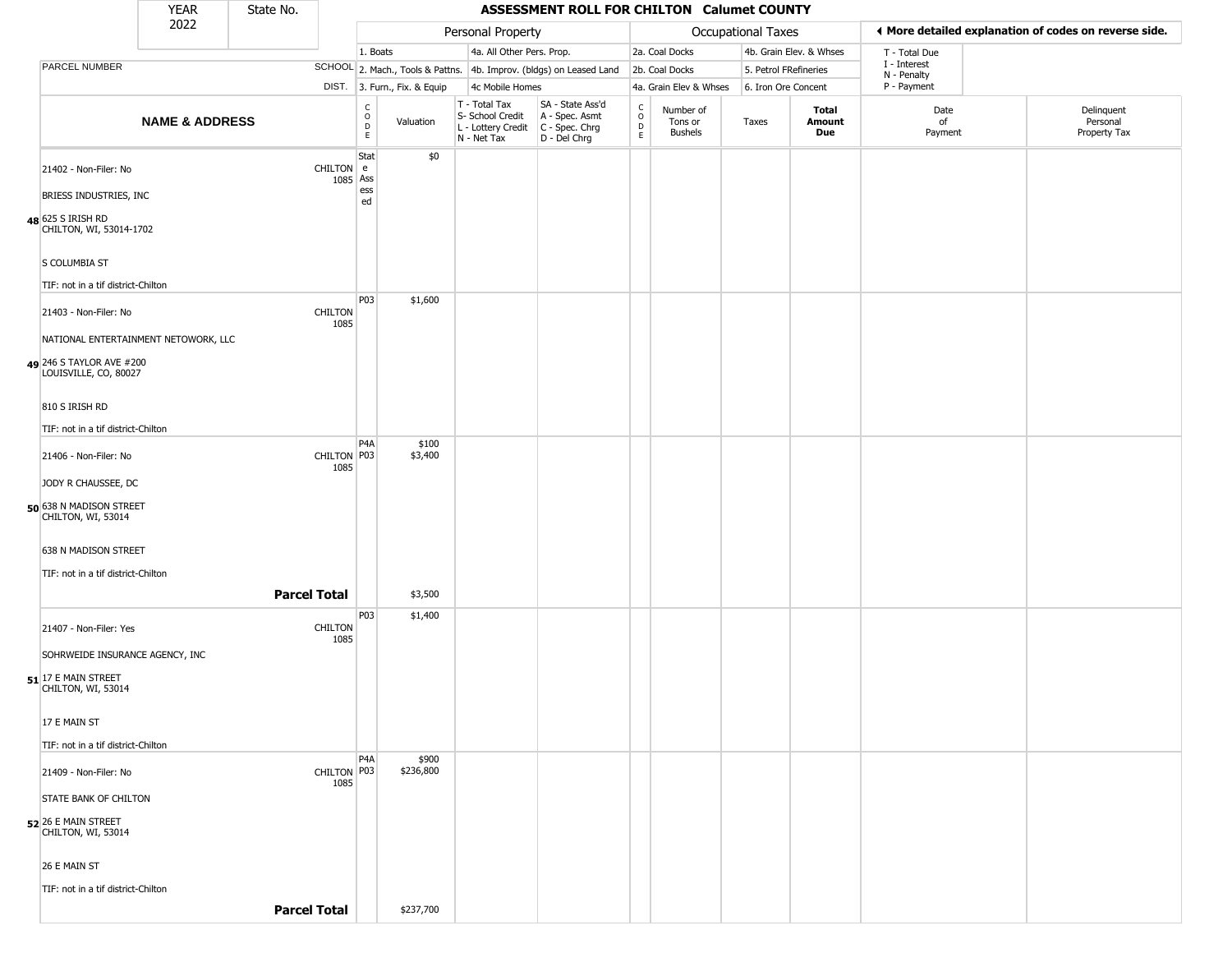|                                                                                           | <b>YEAR</b>               | State No.           |                        |                                        |                              |                                                                        | ASSESSMENT ROLL FOR CHILTON Calumet COUNTY                             |                                                 |                                 |                     |                         |                             |                                                       |
|-------------------------------------------------------------------------------------------|---------------------------|---------------------|------------------------|----------------------------------------|------------------------------|------------------------------------------------------------------------|------------------------------------------------------------------------|-------------------------------------------------|---------------------------------|---------------------|-------------------------|-----------------------------|-------------------------------------------------------|
|                                                                                           | 2022                      |                     |                        |                                        |                              | Personal Property                                                      |                                                                        |                                                 |                                 | Occupational Taxes  |                         |                             | ◀ More detailed explanation of codes on reverse side. |
|                                                                                           |                           |                     |                        | 1. Boats                               |                              | 4a. All Other Pers. Prop.                                              |                                                                        |                                                 | 2a. Coal Docks                  |                     | 4b. Grain Elev. & Whses | T - Total Due               |                                                       |
| PARCEL NUMBER                                                                             |                           |                     |                        |                                        |                              |                                                                        | SCHOOL 2. Mach., Tools & Pattns. 4b. Improv. (bldgs) on Leased Land    |                                                 | 2b. Coal Docks                  |                     | 5. Petrol FRefineries   | I - Interest<br>N - Penalty |                                                       |
|                                                                                           |                           |                     |                        |                                        | DIST. 3. Furn., Fix. & Equip | 4c Mobile Homes                                                        |                                                                        |                                                 | 4a. Grain Elev & Whses          | 6. Iron Ore Concent |                         | P - Payment                 |                                                       |
|                                                                                           | <b>NAME &amp; ADDRESS</b> |                     |                        | $_{\rm o}^{\rm c}$<br>$\mathsf D$<br>E | Valuation                    | T - Total Tax<br>S- School Credit<br>L - Lottery Credit<br>N - Net Tax | SA - State Ass'd<br>A - Spec. Asmt<br>$C - Spec. Chrg$<br>D - Del Chrg | $\begin{array}{c} C \\ O \\ D \\ E \end{array}$ | Number of<br>Tons or<br>Bushels | Taxes               | Total<br>Amount<br>Due  | Date<br>of<br>Payment       | Delinquent<br>Personal<br>Property Tax                |
| 21402 - Non-Filer: No<br>BRIESS INDUSTRIES, INC                                           |                           |                     | CHILTON e<br>1085 Ass  | Stat<br>ess                            | \$0                          |                                                                        |                                                                        |                                                 |                                 |                     |                         |                             |                                                       |
| 48 625 S IRISH RD<br>CHILTON, WI, 53014-1702                                              |                           |                     |                        | ed                                     |                              |                                                                        |                                                                        |                                                 |                                 |                     |                         |                             |                                                       |
| S COLUMBIA ST<br>TIF: not in a tif district-Chilton                                       |                           |                     |                        |                                        |                              |                                                                        |                                                                        |                                                 |                                 |                     |                         |                             |                                                       |
| 21403 - Non-Filer: No                                                                     |                           |                     | <b>CHILTON</b><br>1085 | P03                                    | \$1,600                      |                                                                        |                                                                        |                                                 |                                 |                     |                         |                             |                                                       |
| NATIONAL ENTERTAINMENT NETOWORK, LLC<br>49 246 S TAYLOR AVE #200<br>LOUISVILLE, CO, 80027 |                           |                     |                        |                                        |                              |                                                                        |                                                                        |                                                 |                                 |                     |                         |                             |                                                       |
| 810 S IRISH RD<br>TIF: not in a tif district-Chilton                                      |                           |                     |                        |                                        |                              |                                                                        |                                                                        |                                                 |                                 |                     |                         |                             |                                                       |
| 21406 - Non-Filer: No<br>JODY R CHAUSSEE, DC                                              |                           |                     | CHILTON P03<br>1085    | P <sub>4</sub> A                       | \$100<br>\$3,400             |                                                                        |                                                                        |                                                 |                                 |                     |                         |                             |                                                       |
| 50 638 N MADISON STREET<br>CHILTON, WI, 53014                                             |                           |                     |                        |                                        |                              |                                                                        |                                                                        |                                                 |                                 |                     |                         |                             |                                                       |
| 638 N MADISON STREET<br>TIF: not in a tif district-Chilton                                |                           |                     |                        |                                        |                              |                                                                        |                                                                        |                                                 |                                 |                     |                         |                             |                                                       |
|                                                                                           |                           | <b>Parcel Total</b> |                        |                                        | \$3,500                      |                                                                        |                                                                        |                                                 |                                 |                     |                         |                             |                                                       |
| 21407 - Non-Filer: Yes                                                                    |                           |                     | <b>CHILTON</b><br>1085 | P03                                    | \$1,400                      |                                                                        |                                                                        |                                                 |                                 |                     |                         |                             |                                                       |
| SOHRWEIDE INSURANCE AGENCY, INC<br>$51$ <sup>17</sup> E MAIN STREET<br>CHILTON, WI, 53014 |                           |                     |                        |                                        |                              |                                                                        |                                                                        |                                                 |                                 |                     |                         |                             |                                                       |
| 17 E MAIN ST                                                                              |                           |                     |                        |                                        |                              |                                                                        |                                                                        |                                                 |                                 |                     |                         |                             |                                                       |
| TIF: not in a tif district-Chilton                                                        |                           |                     |                        | P <sub>4</sub> A                       | \$900                        |                                                                        |                                                                        |                                                 |                                 |                     |                         |                             |                                                       |
| 21409 - Non-Filer: No<br>STATE BANK OF CHILTON                                            |                           |                     | CHILTON P03<br>1085    |                                        | \$236,800                    |                                                                        |                                                                        |                                                 |                                 |                     |                         |                             |                                                       |
| 52 26 E MAIN STREET<br>CHILTON, WI, 53014                                                 |                           |                     |                        |                                        |                              |                                                                        |                                                                        |                                                 |                                 |                     |                         |                             |                                                       |
| 26 E MAIN ST<br>TIF: not in a tif district-Chilton                                        |                           |                     |                        |                                        |                              |                                                                        |                                                                        |                                                 |                                 |                     |                         |                             |                                                       |
|                                                                                           |                           | <b>Parcel Total</b> |                        |                                        | \$237,700                    |                                                                        |                                                                        |                                                 |                                 |                     |                         |                             |                                                       |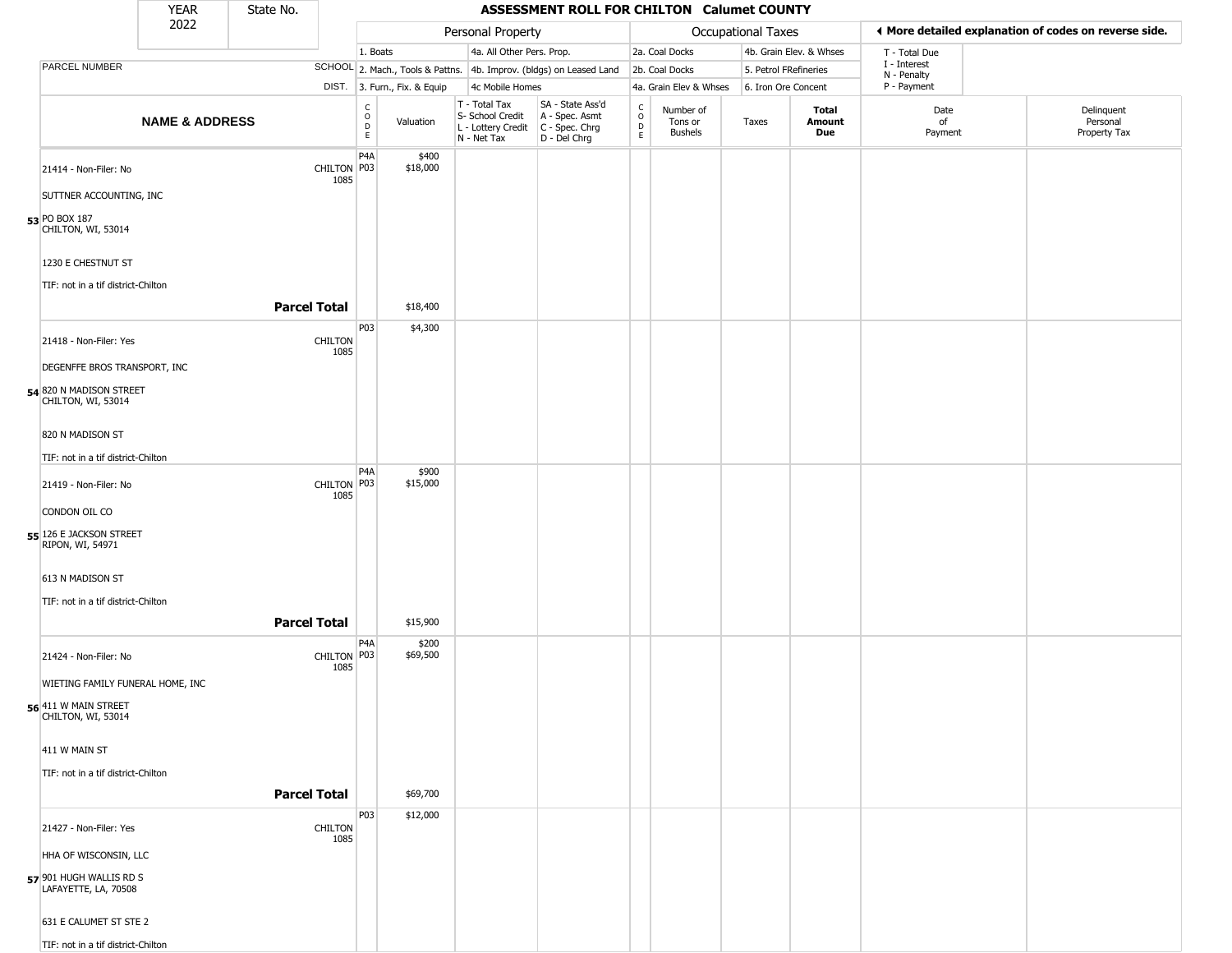|                                                    | <b>YEAR</b>               | State No.           |                        |                                                   |                              |                                                                                         | ASSESSMENT ROLL FOR CHILTON Calumet COUNTY                          |                                                 |                                        |                       |                         |                            |                                                       |
|----------------------------------------------------|---------------------------|---------------------|------------------------|---------------------------------------------------|------------------------------|-----------------------------------------------------------------------------------------|---------------------------------------------------------------------|-------------------------------------------------|----------------------------------------|-----------------------|-------------------------|----------------------------|-------------------------------------------------------|
|                                                    | 2022                      |                     |                        |                                                   |                              | Personal Property                                                                       |                                                                     |                                                 |                                        | Occupational Taxes    |                         |                            | ♦ More detailed explanation of codes on reverse side. |
|                                                    |                           |                     |                        | 1. Boats                                          |                              | 4a. All Other Pers. Prop.                                                               |                                                                     |                                                 | 2a. Coal Docks                         |                       | 4b. Grain Elev. & Whses | T - Total Due              |                                                       |
| PARCEL NUMBER                                      |                           |                     |                        |                                                   |                              |                                                                                         | SCHOOL 2. Mach., Tools & Pattns. 4b. Improv. (bldgs) on Leased Land |                                                 | 2b. Coal Docks                         | 5. Petrol FRefineries |                         | I - Interest               |                                                       |
|                                                    |                           |                     |                        |                                                   | DIST. 3. Furn., Fix. & Equip | 4c Mobile Homes                                                                         |                                                                     |                                                 | 4a. Grain Elev & Whses                 | 6. Iron Ore Concent   |                         | N - Penalty<br>P - Payment |                                                       |
|                                                    | <b>NAME &amp; ADDRESS</b> |                     |                        | $\begin{array}{c}\nC \\ O \\ D \\ E\n\end{array}$ | Valuation                    | T - Total Tax<br>S- School Credit<br>L - Lottery Credit   C - Spec. Chrg<br>N - Net Tax | SA - State Ass'd<br>A - Spec. Asmt<br>$D - Del Chrg$                | $\begin{array}{c} C \\ O \\ D \\ E \end{array}$ | Number of<br>Tons or<br><b>Bushels</b> | Taxes                 | Total<br>Amount<br>Due  | Date<br>of<br>Payment      | Delinquent<br>Personal<br>Property Tax                |
| 21414 - Non-Filer: No                              |                           |                     | CHILTON P03            | P4A                                               | \$400<br>\$18,000            |                                                                                         |                                                                     |                                                 |                                        |                       |                         |                            |                                                       |
|                                                    |                           |                     | 1085                   |                                                   |                              |                                                                                         |                                                                     |                                                 |                                        |                       |                         |                            |                                                       |
| SUTTNER ACCOUNTING, INC<br>53 PO BOX 187           |                           |                     |                        |                                                   |                              |                                                                                         |                                                                     |                                                 |                                        |                       |                         |                            |                                                       |
| CHILTON, WI, 53014                                 |                           |                     |                        |                                                   |                              |                                                                                         |                                                                     |                                                 |                                        |                       |                         |                            |                                                       |
| 1230 E CHESTNUT ST                                 |                           |                     |                        |                                                   |                              |                                                                                         |                                                                     |                                                 |                                        |                       |                         |                            |                                                       |
| TIF: not in a tif district-Chilton                 |                           |                     |                        |                                                   |                              |                                                                                         |                                                                     |                                                 |                                        |                       |                         |                            |                                                       |
|                                                    |                           | <b>Parcel Total</b> |                        |                                                   | \$18,400                     |                                                                                         |                                                                     |                                                 |                                        |                       |                         |                            |                                                       |
| 21418 - Non-Filer: Yes                             |                           |                     | <b>CHILTON</b><br>1085 | P03                                               | \$4,300                      |                                                                                         |                                                                     |                                                 |                                        |                       |                         |                            |                                                       |
| DEGENFFE BROS TRANSPORT, INC                       |                           |                     |                        |                                                   |                              |                                                                                         |                                                                     |                                                 |                                        |                       |                         |                            |                                                       |
| 54 820 N MADISON STREET<br>CHILTON, WI, 53014      |                           |                     |                        |                                                   |                              |                                                                                         |                                                                     |                                                 |                                        |                       |                         |                            |                                                       |
| 820 N MADISON ST                                   |                           |                     |                        |                                                   |                              |                                                                                         |                                                                     |                                                 |                                        |                       |                         |                            |                                                       |
| TIF: not in a tif district-Chilton                 |                           |                     |                        |                                                   |                              |                                                                                         |                                                                     |                                                 |                                        |                       |                         |                            |                                                       |
| 21419 - Non-Filer: No                              |                           |                     | CHILTON P03            | P <sub>4</sub> A                                  | \$900<br>\$15,000            |                                                                                         |                                                                     |                                                 |                                        |                       |                         |                            |                                                       |
| CONDON OIL CO                                      |                           |                     | 1085                   |                                                   |                              |                                                                                         |                                                                     |                                                 |                                        |                       |                         |                            |                                                       |
| 55 126 E JACKSON STREET<br><b>RIPON, WI, 54971</b> |                           |                     |                        |                                                   |                              |                                                                                         |                                                                     |                                                 |                                        |                       |                         |                            |                                                       |
| 613 N MADISON ST                                   |                           |                     |                        |                                                   |                              |                                                                                         |                                                                     |                                                 |                                        |                       |                         |                            |                                                       |
| TIF: not in a tif district-Chilton                 |                           |                     |                        |                                                   |                              |                                                                                         |                                                                     |                                                 |                                        |                       |                         |                            |                                                       |
|                                                    |                           | <b>Parcel Total</b> |                        |                                                   | \$15,900                     |                                                                                         |                                                                     |                                                 |                                        |                       |                         |                            |                                                       |
| 21424 - Non-Filer: No                              |                           |                     | CHILTON P03<br>1085    | P <sub>4</sub> A                                  | \$200<br>\$69,500            |                                                                                         |                                                                     |                                                 |                                        |                       |                         |                            |                                                       |
| WIETING FAMILY FUNERAL HOME, INC                   |                           |                     |                        |                                                   |                              |                                                                                         |                                                                     |                                                 |                                        |                       |                         |                            |                                                       |
| 56 411 W MAIN STREET<br>CHILTON, WI, 53014         |                           |                     |                        |                                                   |                              |                                                                                         |                                                                     |                                                 |                                        |                       |                         |                            |                                                       |
| 411 W MAIN ST                                      |                           |                     |                        |                                                   |                              |                                                                                         |                                                                     |                                                 |                                        |                       |                         |                            |                                                       |
| TIF: not in a tif district-Chilton                 |                           |                     |                        |                                                   |                              |                                                                                         |                                                                     |                                                 |                                        |                       |                         |                            |                                                       |
|                                                    |                           | <b>Parcel Total</b> |                        |                                                   | \$69,700                     |                                                                                         |                                                                     |                                                 |                                        |                       |                         |                            |                                                       |
| 21427 - Non-Filer: Yes                             |                           |                     | <b>CHILTON</b><br>1085 | P03                                               | \$12,000                     |                                                                                         |                                                                     |                                                 |                                        |                       |                         |                            |                                                       |
| HHA OF WISCONSIN, LLC                              |                           |                     |                        |                                                   |                              |                                                                                         |                                                                     |                                                 |                                        |                       |                         |                            |                                                       |
| 57 901 HUGH WALLIS RD S<br>LAFAYETTE, LA, 70508    |                           |                     |                        |                                                   |                              |                                                                                         |                                                                     |                                                 |                                        |                       |                         |                            |                                                       |
| 631 E CALUMET ST STE 2                             |                           |                     |                        |                                                   |                              |                                                                                         |                                                                     |                                                 |                                        |                       |                         |                            |                                                       |
| TIF: not in a tif district-Chilton                 |                           |                     |                        |                                                   |                              |                                                                                         |                                                                     |                                                 |                                        |                       |                         |                            |                                                       |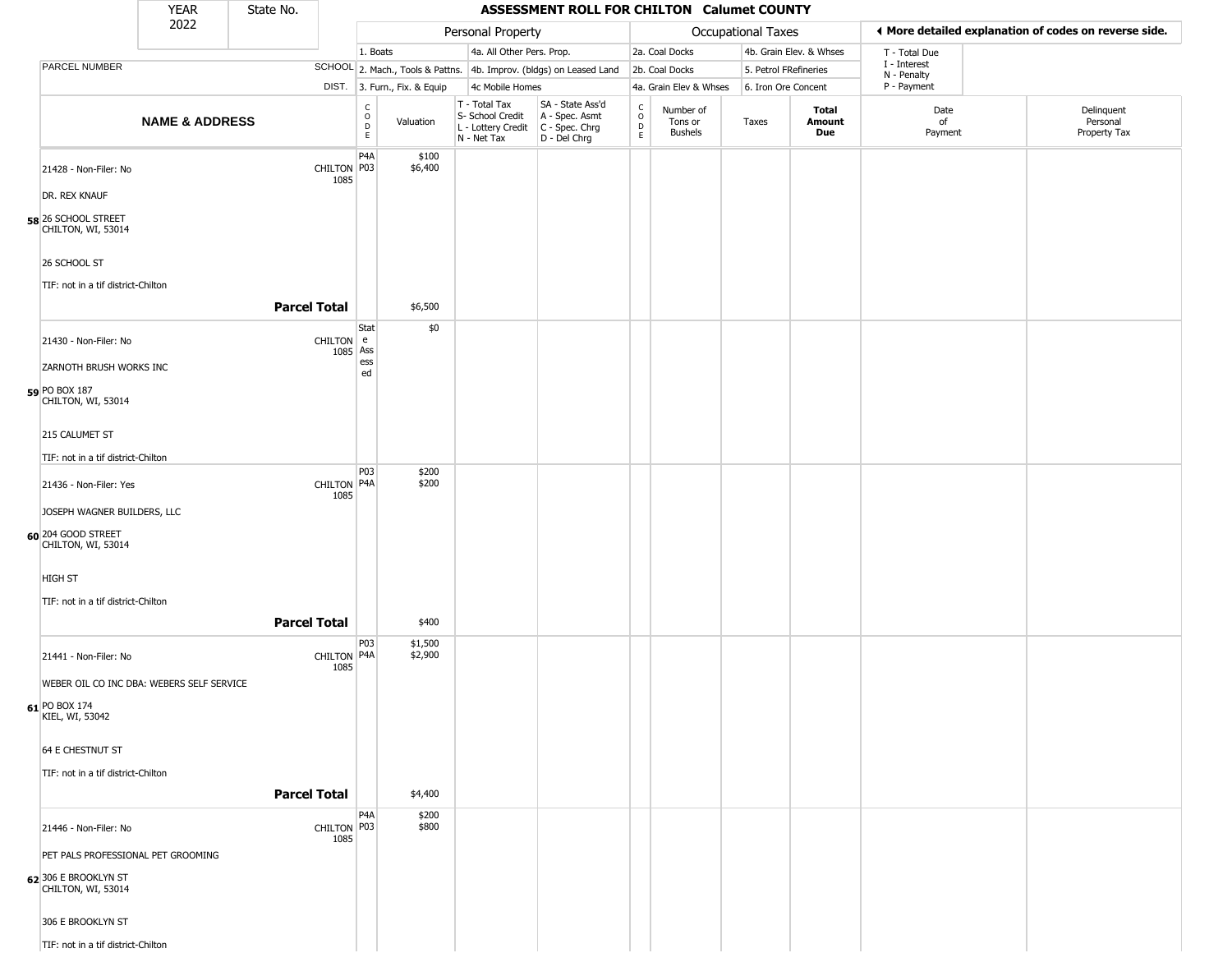|                                            | <b>YEAR</b>               | State No.           |                                               |                              |                                                  | ASSESSMENT ROLL FOR CHILTON Calumet COUNTY                                                |                                |                                        |                       |                         |                             |                                                       |
|--------------------------------------------|---------------------------|---------------------|-----------------------------------------------|------------------------------|--------------------------------------------------|-------------------------------------------------------------------------------------------|--------------------------------|----------------------------------------|-----------------------|-------------------------|-----------------------------|-------------------------------------------------------|
|                                            | 2022                      |                     |                                               |                              | Personal Property                                |                                                                                           |                                |                                        | Occupational Taxes    |                         |                             | ♦ More detailed explanation of codes on reverse side. |
|                                            |                           |                     |                                               | 1. Boats                     | 4a. All Other Pers. Prop.                        |                                                                                           |                                | 2a. Coal Docks                         |                       | 4b. Grain Elev. & Whses | T - Total Due               |                                                       |
| PARCEL NUMBER                              |                           |                     |                                               |                              |                                                  | SCHOOL 2. Mach., Tools & Pattns. 4b. Improv. (bldgs) on Leased Land                       |                                | 2b. Coal Docks                         | 5. Petrol FRefineries |                         | I - Interest<br>N - Penalty |                                                       |
|                                            |                           |                     |                                               | DIST. 3. Furn., Fix. & Equip | 4c Mobile Homes                                  |                                                                                           |                                | 4a. Grain Elev & Whses                 | 6. Iron Ore Concent   |                         | P - Payment                 |                                                       |
|                                            | <b>NAME &amp; ADDRESS</b> |                     | $\rm _o^C$<br>$\frac{\mathsf{D}}{\mathsf{E}}$ | Valuation                    | T - Total Tax<br>S- School Credit<br>N - Net Tax | SA - State Ass'd<br>A - Spec. Asmt<br>L - Lottery Credit   C - Spec. Chrg<br>D - Del Chrg | $\rm _o^C$<br>$\mathsf D$<br>E | Number of<br>Tons or<br><b>Bushels</b> | Taxes                 | Total<br>Amount<br>Due  | Date<br>of<br>Payment       | Delinquent<br>Personal<br>Property Tax                |
|                                            |                           |                     | P4A                                           | \$100                        |                                                  |                                                                                           |                                |                                        |                       |                         |                             |                                                       |
| 21428 - Non-Filer: No                      |                           |                     | CHILTON P03<br>1085                           | \$6,400                      |                                                  |                                                                                           |                                |                                        |                       |                         |                             |                                                       |
| DR. REX KNAUF                              |                           |                     |                                               |                              |                                                  |                                                                                           |                                |                                        |                       |                         |                             |                                                       |
| 58 26 SCHOOL STREET<br>CHILTON, WI, 53014  |                           |                     |                                               |                              |                                                  |                                                                                           |                                |                                        |                       |                         |                             |                                                       |
| 26 SCHOOL ST                               |                           |                     |                                               |                              |                                                  |                                                                                           |                                |                                        |                       |                         |                             |                                                       |
| TIF: not in a tif district-Chilton         |                           |                     |                                               |                              |                                                  |                                                                                           |                                |                                        |                       |                         |                             |                                                       |
|                                            |                           | <b>Parcel Total</b> |                                               | \$6,500                      |                                                  |                                                                                           |                                |                                        |                       |                         |                             |                                                       |
| 21430 - Non-Filer: No                      |                           |                     | Stat<br>CHILTON e<br>1085 Ass<br>ess          | \$0                          |                                                  |                                                                                           |                                |                                        |                       |                         |                             |                                                       |
| <b>ZARNOTH BRUSH WORKS INC</b>             |                           |                     | ed                                            |                              |                                                  |                                                                                           |                                |                                        |                       |                         |                             |                                                       |
| 59 PO BOX 187<br>CHILTON, WI, 53014        |                           |                     |                                               |                              |                                                  |                                                                                           |                                |                                        |                       |                         |                             |                                                       |
| 215 CALUMET ST                             |                           |                     |                                               |                              |                                                  |                                                                                           |                                |                                        |                       |                         |                             |                                                       |
| TIF: not in a tif district-Chilton         |                           |                     |                                               |                              |                                                  |                                                                                           |                                |                                        |                       |                         |                             |                                                       |
| 21436 - Non-Filer: Yes                     |                           |                     | P03<br>CHILTON P4A                            | \$200<br>\$200               |                                                  |                                                                                           |                                |                                        |                       |                         |                             |                                                       |
| JOSEPH WAGNER BUILDERS, LLC                |                           |                     | 1085                                          |                              |                                                  |                                                                                           |                                |                                        |                       |                         |                             |                                                       |
| 60 204 GOOD STREET                         |                           |                     |                                               |                              |                                                  |                                                                                           |                                |                                        |                       |                         |                             |                                                       |
| CHILTON, WI, 53014                         |                           |                     |                                               |                              |                                                  |                                                                                           |                                |                                        |                       |                         |                             |                                                       |
| <b>HIGH ST</b>                             |                           |                     |                                               |                              |                                                  |                                                                                           |                                |                                        |                       |                         |                             |                                                       |
| TIF: not in a tif district-Chilton         |                           |                     |                                               |                              |                                                  |                                                                                           |                                |                                        |                       |                         |                             |                                                       |
|                                            |                           | <b>Parcel Total</b> |                                               | \$400                        |                                                  |                                                                                           |                                |                                        |                       |                         |                             |                                                       |
| 21441 - Non-Filer: No                      |                           |                     | P03<br>CHILTON P4A                            | \$1,500<br>\$2,900           |                                                  |                                                                                           |                                |                                        |                       |                         |                             |                                                       |
| WEBER OIL CO INC DBA: WEBERS SELF SERVICE  |                           |                     | 1085                                          |                              |                                                  |                                                                                           |                                |                                        |                       |                         |                             |                                                       |
| 61 PO BOX 174<br>KIEL, WI, 53042           |                           |                     |                                               |                              |                                                  |                                                                                           |                                |                                        |                       |                         |                             |                                                       |
| 64 E CHESTNUT ST                           |                           |                     |                                               |                              |                                                  |                                                                                           |                                |                                        |                       |                         |                             |                                                       |
| TIF: not in a tif district-Chilton         |                           |                     |                                               |                              |                                                  |                                                                                           |                                |                                        |                       |                         |                             |                                                       |
|                                            |                           | <b>Parcel Total</b> |                                               | \$4,400                      |                                                  |                                                                                           |                                |                                        |                       |                         |                             |                                                       |
|                                            |                           |                     | P4A                                           | \$200                        |                                                  |                                                                                           |                                |                                        |                       |                         |                             |                                                       |
| 21446 - Non-Filer: No                      |                           |                     | CHILTON P03<br>1085                           | \$800                        |                                                  |                                                                                           |                                |                                        |                       |                         |                             |                                                       |
| PET PALS PROFESSIONAL PET GROOMING         |                           |                     |                                               |                              |                                                  |                                                                                           |                                |                                        |                       |                         |                             |                                                       |
| 62 306 E BROOKLYN ST<br>CHILTON, WI, 53014 |                           |                     |                                               |                              |                                                  |                                                                                           |                                |                                        |                       |                         |                             |                                                       |
| 306 E BROOKLYN ST                          |                           |                     |                                               |                              |                                                  |                                                                                           |                                |                                        |                       |                         |                             |                                                       |
| TIF: not in a tif district-Chilton         |                           |                     |                                               |                              |                                                  |                                                                                           |                                |                                        |                       |                         |                             |                                                       |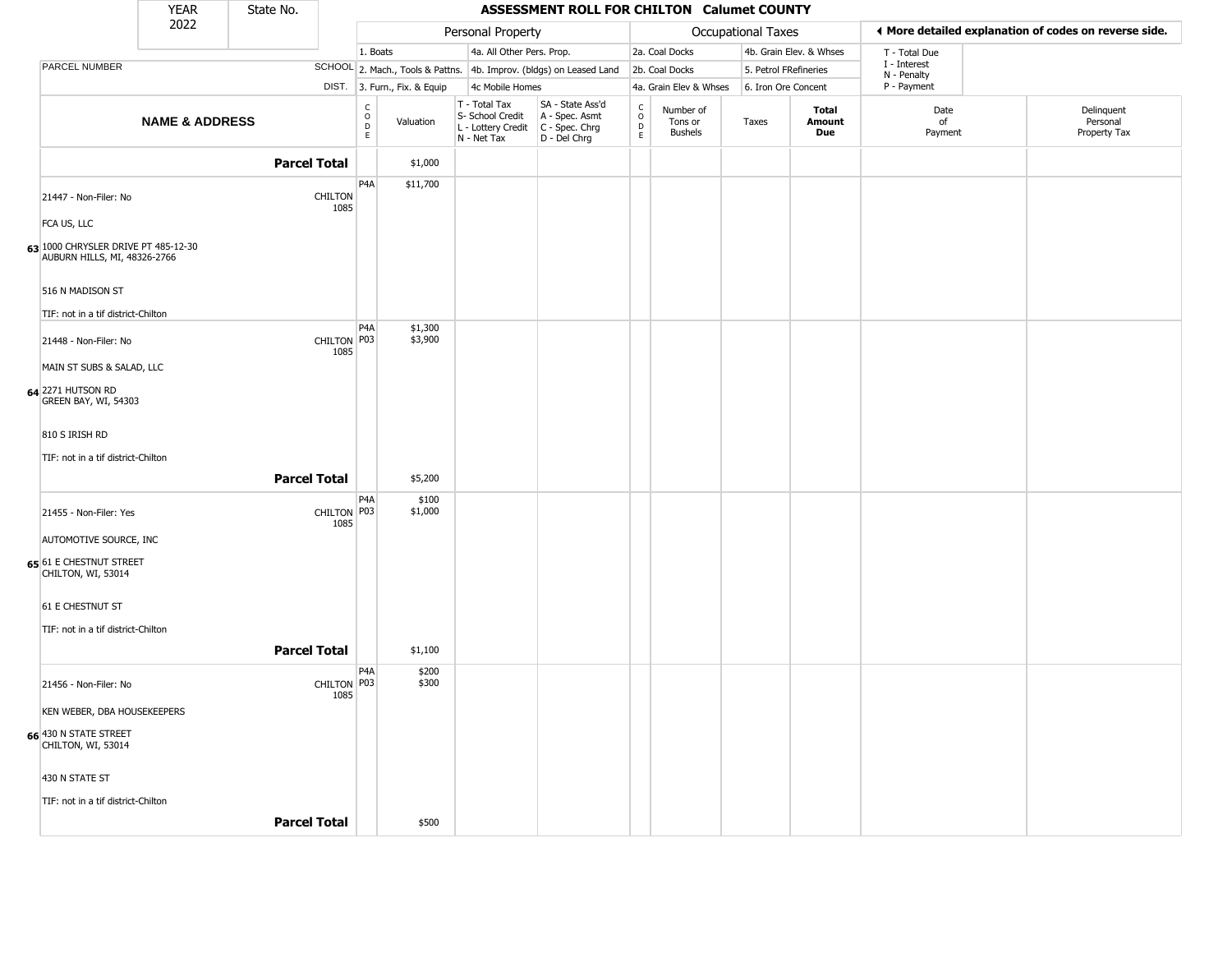|                                                                     | <b>YEAR</b>               | State No.           |                        |                                                 |                              |                                                                        | ASSESSMENT ROLL FOR CHILTON Calumet COUNTY                           |                                            |                                        |                    |                         |                            |                                                       |
|---------------------------------------------------------------------|---------------------------|---------------------|------------------------|-------------------------------------------------|------------------------------|------------------------------------------------------------------------|----------------------------------------------------------------------|--------------------------------------------|----------------------------------------|--------------------|-------------------------|----------------------------|-------------------------------------------------------|
|                                                                     | 2022                      |                     |                        |                                                 |                              | Personal Property                                                      |                                                                      |                                            |                                        | Occupational Taxes |                         |                            | ♦ More detailed explanation of codes on reverse side. |
|                                                                     |                           |                     |                        | 1. Boats                                        |                              | 4a. All Other Pers. Prop.                                              |                                                                      |                                            | 2a. Coal Docks                         |                    | 4b. Grain Elev. & Whses | T - Total Due              |                                                       |
| PARCEL NUMBER                                                       |                           |                     |                        |                                                 |                              |                                                                        | SCHOOL 2. Mach., Tools & Pattns. 4b. Improv. (bldgs) on Leased Land  |                                            | 2b. Coal Docks                         |                    | 5. Petrol FRefineries   | I - Interest               |                                                       |
|                                                                     |                           |                     |                        |                                                 | DIST. 3. Furn., Fix. & Equip | 4c Mobile Homes                                                        |                                                                      |                                            | 4a. Grain Elev & Whses                 |                    | 6. Iron Ore Concent     | N - Penalty<br>P - Payment |                                                       |
|                                                                     | <b>NAME &amp; ADDRESS</b> |                     |                        | $\begin{array}{c} C \\ O \\ D \\ E \end{array}$ | Valuation                    | T - Total Tax<br>S- School Credit<br>L - Lottery Credit<br>N - Net Tax | SA - State Ass'd<br>A - Spec. Asmt<br>C - Spec. Chrg<br>D - Del Chrg | $\begin{array}{c} C \\ O \\ E \end{array}$ | Number of<br>Tons or<br><b>Bushels</b> | Taxes              | Total<br>Amount<br>Due  | Date<br>of<br>Payment      | Delinquent<br>Personal<br>Property Tax                |
|                                                                     |                           | <b>Parcel Total</b> |                        |                                                 | \$1,000                      |                                                                        |                                                                      |                                            |                                        |                    |                         |                            |                                                       |
| 21447 - Non-Filer: No                                               |                           |                     | <b>CHILTON</b><br>1085 | P4A                                             | \$11,700                     |                                                                        |                                                                      |                                            |                                        |                    |                         |                            |                                                       |
| FCA US, LLC                                                         |                           |                     |                        |                                                 |                              |                                                                        |                                                                      |                                            |                                        |                    |                         |                            |                                                       |
| 63 1000 CHRYSLER DRIVE PT 485-12-30<br>AUBURN HILLS, MI, 48326-2766 |                           |                     |                        |                                                 |                              |                                                                        |                                                                      |                                            |                                        |                    |                         |                            |                                                       |
| 516 N MADISON ST                                                    |                           |                     |                        |                                                 |                              |                                                                        |                                                                      |                                            |                                        |                    |                         |                            |                                                       |
| TIF: not in a tif district-Chilton                                  |                           |                     |                        |                                                 |                              |                                                                        |                                                                      |                                            |                                        |                    |                         |                            |                                                       |
| 21448 - Non-Filer: No                                               |                           |                     | CHILTON P03<br>1085    | P <sub>4</sub> A                                | \$1,300<br>\$3,900           |                                                                        |                                                                      |                                            |                                        |                    |                         |                            |                                                       |
| MAIN ST SUBS & SALAD, LLC                                           |                           |                     |                        |                                                 |                              |                                                                        |                                                                      |                                            |                                        |                    |                         |                            |                                                       |
| 64 2271 HUTSON RD<br>GREEN BAY, WI, 54303                           |                           |                     |                        |                                                 |                              |                                                                        |                                                                      |                                            |                                        |                    |                         |                            |                                                       |
| 810 S IRISH RD                                                      |                           |                     |                        |                                                 |                              |                                                                        |                                                                      |                                            |                                        |                    |                         |                            |                                                       |
| TIF: not in a tif district-Chilton                                  |                           | <b>Parcel Total</b> |                        |                                                 | \$5,200                      |                                                                        |                                                                      |                                            |                                        |                    |                         |                            |                                                       |
|                                                                     |                           |                     |                        | P4A                                             |                              |                                                                        |                                                                      |                                            |                                        |                    |                         |                            |                                                       |
| 21455 - Non-Filer: Yes                                              |                           |                     | CHILTON P03<br>1085    |                                                 | \$100<br>\$1,000             |                                                                        |                                                                      |                                            |                                        |                    |                         |                            |                                                       |
| AUTOMOTIVE SOURCE, INC                                              |                           |                     |                        |                                                 |                              |                                                                        |                                                                      |                                            |                                        |                    |                         |                            |                                                       |
| 65 61 E CHESTNUT STREET<br>CHILTON, WI, 53014                       |                           |                     |                        |                                                 |                              |                                                                        |                                                                      |                                            |                                        |                    |                         |                            |                                                       |
| 61 E CHESTNUT ST                                                    |                           |                     |                        |                                                 |                              |                                                                        |                                                                      |                                            |                                        |                    |                         |                            |                                                       |
| TIF: not in a tif district-Chilton                                  |                           |                     |                        |                                                 |                              |                                                                        |                                                                      |                                            |                                        |                    |                         |                            |                                                       |
|                                                                     |                           | <b>Parcel Total</b> |                        |                                                 | \$1,100                      |                                                                        |                                                                      |                                            |                                        |                    |                         |                            |                                                       |
|                                                                     |                           |                     |                        | P <sub>4</sub> A                                | \$200                        |                                                                        |                                                                      |                                            |                                        |                    |                         |                            |                                                       |
| 21456 - Non-Filer: No                                               |                           |                     | CHILTON P03<br>1085    |                                                 | \$300                        |                                                                        |                                                                      |                                            |                                        |                    |                         |                            |                                                       |
| KEN WEBER, DBA HOUSEKEEPERS                                         |                           |                     |                        |                                                 |                              |                                                                        |                                                                      |                                            |                                        |                    |                         |                            |                                                       |
| 66 430 N STATE STREET<br>CHILTON, WI, 53014                         |                           |                     |                        |                                                 |                              |                                                                        |                                                                      |                                            |                                        |                    |                         |                            |                                                       |
| 430 N STATE ST                                                      |                           |                     |                        |                                                 |                              |                                                                        |                                                                      |                                            |                                        |                    |                         |                            |                                                       |
| TIF: not in a tif district-Chilton                                  |                           |                     |                        |                                                 |                              |                                                                        |                                                                      |                                            |                                        |                    |                         |                            |                                                       |
|                                                                     |                           | <b>Parcel Total</b> |                        |                                                 | \$500                        |                                                                        |                                                                      |                                            |                                        |                    |                         |                            |                                                       |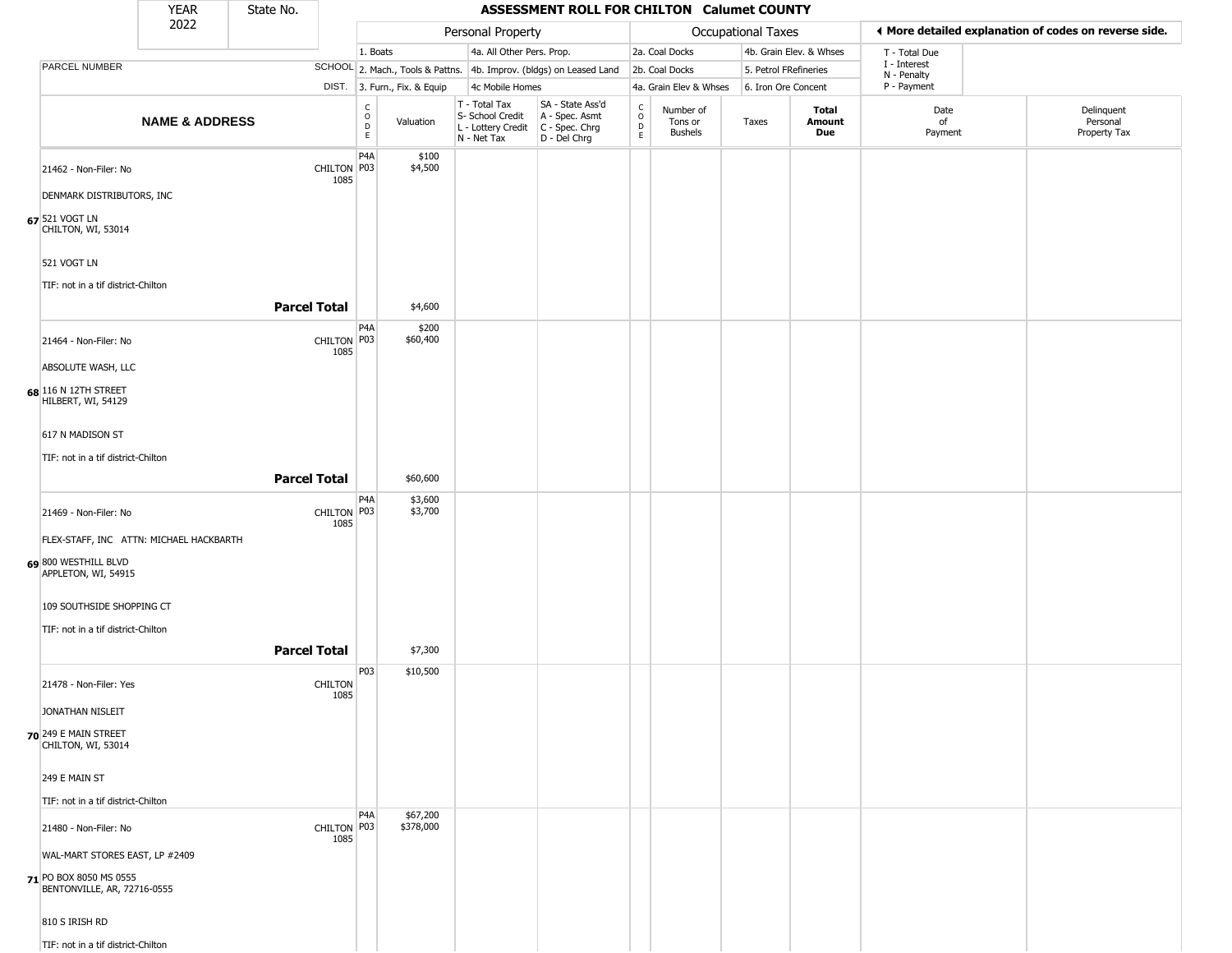|                                                       | <b>YEAR</b>               | State No.           |                     |                         |                              |                                                                                       | ASSESSMENT ROLL FOR CHILTON Calumet COUNTY                          |                                             |                                        |                       |                         |                             |                                                       |
|-------------------------------------------------------|---------------------------|---------------------|---------------------|-------------------------|------------------------------|---------------------------------------------------------------------------------------|---------------------------------------------------------------------|---------------------------------------------|----------------------------------------|-----------------------|-------------------------|-----------------------------|-------------------------------------------------------|
|                                                       | 2022                      |                     |                     |                         |                              | Personal Property                                                                     |                                                                     |                                             |                                        | Occupational Taxes    |                         |                             | ◀ More detailed explanation of codes on reverse side. |
|                                                       |                           |                     |                     | 1. Boats                |                              | 4a. All Other Pers. Prop.                                                             |                                                                     |                                             | 2a. Coal Docks                         |                       | 4b. Grain Elev. & Whses | T - Total Due               |                                                       |
| <b>PARCEL NUMBER</b>                                  |                           |                     |                     |                         |                              |                                                                                       | SCHOOL 2. Mach., Tools & Pattns. 4b. Improv. (bldgs) on Leased Land |                                             | 2b. Coal Docks                         | 5. Petrol FRefineries |                         | I - Interest<br>N - Penalty |                                                       |
|                                                       |                           |                     |                     |                         | DIST. 3. Furn., Fix. & Equip | 4c Mobile Homes                                                                       |                                                                     |                                             | 4a. Grain Elev & Whses                 | 6. Iron Ore Concent   |                         | P - Payment                 |                                                       |
|                                                       | <b>NAME &amp; ADDRESS</b> |                     |                     | $\frac{c}{0}$<br>D<br>E | Valuation                    | T - Total Tax<br>S- School Credit<br>L - Lottery Credit C - Spec. Chrg<br>N - Net Tax | SA - State Ass'd<br>A - Spec. Asmt<br>D - Del Chrg                  | $\frac{c}{0}$<br>$\mathsf D$<br>$\mathsf E$ | Number of<br>Tons or<br><b>Bushels</b> | Taxes                 | Total<br>Amount<br>Due  | Date<br>of<br>Payment       | Delinquent<br>Personal<br>Property Tax                |
| 21462 - Non-Filer: No                                 |                           |                     | CHILTON P03         | P <sub>4</sub> A        | \$100<br>\$4,500             |                                                                                       |                                                                     |                                             |                                        |                       |                         |                             |                                                       |
|                                                       |                           |                     | 1085                |                         |                              |                                                                                       |                                                                     |                                             |                                        |                       |                         |                             |                                                       |
| <b>DENMARK DISTRIBUTORS, INC</b><br>67 521 VOGT LN    |                           |                     |                     |                         |                              |                                                                                       |                                                                     |                                             |                                        |                       |                         |                             |                                                       |
| CHILTON, WI, 53014                                    |                           |                     |                     |                         |                              |                                                                                       |                                                                     |                                             |                                        |                       |                         |                             |                                                       |
| 521 VOGT LN                                           |                           |                     |                     |                         |                              |                                                                                       |                                                                     |                                             |                                        |                       |                         |                             |                                                       |
| TIF: not in a tif district-Chilton                    |                           |                     |                     |                         |                              |                                                                                       |                                                                     |                                             |                                        |                       |                         |                             |                                                       |
|                                                       |                           | <b>Parcel Total</b> |                     |                         | \$4,600                      |                                                                                       |                                                                     |                                             |                                        |                       |                         |                             |                                                       |
| 21464 - Non-Filer: No                                 |                           |                     | CHILTON P03<br>1085 | P <sub>4</sub> A        | \$200<br>\$60,400            |                                                                                       |                                                                     |                                             |                                        |                       |                         |                             |                                                       |
| ABSOLUTE WASH, LLC                                    |                           |                     |                     |                         |                              |                                                                                       |                                                                     |                                             |                                        |                       |                         |                             |                                                       |
| 68 116 N 12TH STREET<br>HILBERT, WI, 54129            |                           |                     |                     |                         |                              |                                                                                       |                                                                     |                                             |                                        |                       |                         |                             |                                                       |
| 617 N MADISON ST                                      |                           |                     |                     |                         |                              |                                                                                       |                                                                     |                                             |                                        |                       |                         |                             |                                                       |
| TIF: not in a tif district-Chilton                    |                           |                     |                     |                         |                              |                                                                                       |                                                                     |                                             |                                        |                       |                         |                             |                                                       |
|                                                       |                           | <b>Parcel Total</b> |                     |                         | \$60,600                     |                                                                                       |                                                                     |                                             |                                        |                       |                         |                             |                                                       |
| 21469 - Non-Filer: No                                 |                           |                     | CHILTON P03<br>1085 | P <sub>4</sub> A        | \$3,600<br>\$3,700           |                                                                                       |                                                                     |                                             |                                        |                       |                         |                             |                                                       |
| FLEX-STAFF, INC ATTN: MICHAEL HACKBARTH               |                           |                     |                     |                         |                              |                                                                                       |                                                                     |                                             |                                        |                       |                         |                             |                                                       |
| 69 800 WESTHILL BLVD<br>APPLETON, WI, 54915           |                           |                     |                     |                         |                              |                                                                                       |                                                                     |                                             |                                        |                       |                         |                             |                                                       |
| 109 SOUTHSIDE SHOPPING CT                             |                           |                     |                     |                         |                              |                                                                                       |                                                                     |                                             |                                        |                       |                         |                             |                                                       |
| TIF: not in a tif district-Chilton                    |                           |                     |                     |                         |                              |                                                                                       |                                                                     |                                             |                                        |                       |                         |                             |                                                       |
|                                                       |                           | <b>Parcel Total</b> |                     |                         | \$7,300                      |                                                                                       |                                                                     |                                             |                                        |                       |                         |                             |                                                       |
| 21478 - Non-Filer: Yes                                |                           |                     | <b>CHILTON</b>      | P03                     | \$10,500                     |                                                                                       |                                                                     |                                             |                                        |                       |                         |                             |                                                       |
| JONATHAN NISLEIT                                      |                           |                     | 1085                |                         |                              |                                                                                       |                                                                     |                                             |                                        |                       |                         |                             |                                                       |
| 70 249 E MAIN STREET                                  |                           |                     |                     |                         |                              |                                                                                       |                                                                     |                                             |                                        |                       |                         |                             |                                                       |
| CHILTON, WI, 53014                                    |                           |                     |                     |                         |                              |                                                                                       |                                                                     |                                             |                                        |                       |                         |                             |                                                       |
| 249 E MAIN ST                                         |                           |                     |                     |                         |                              |                                                                                       |                                                                     |                                             |                                        |                       |                         |                             |                                                       |
| TIF: not in a tif district-Chilton                    |                           |                     |                     |                         |                              |                                                                                       |                                                                     |                                             |                                        |                       |                         |                             |                                                       |
| 21480 - Non-Filer: No                                 |                           |                     | CHILTON P03<br>1085 | P4A                     | \$67,200<br>\$378,000        |                                                                                       |                                                                     |                                             |                                        |                       |                         |                             |                                                       |
| WAL-MART STORES EAST, LP #2409                        |                           |                     |                     |                         |                              |                                                                                       |                                                                     |                                             |                                        |                       |                         |                             |                                                       |
| 71 PO BOX 8050 MS 0555<br>BENTONVILLE, AR, 72716-0555 |                           |                     |                     |                         |                              |                                                                                       |                                                                     |                                             |                                        |                       |                         |                             |                                                       |
| 810 S IRISH RD                                        |                           |                     |                     |                         |                              |                                                                                       |                                                                     |                                             |                                        |                       |                         |                             |                                                       |
| TIF: not in a tif district-Chilton                    |                           |                     |                     |                         |                              |                                                                                       |                                                                     |                                             |                                        |                       |                         |                             |                                                       |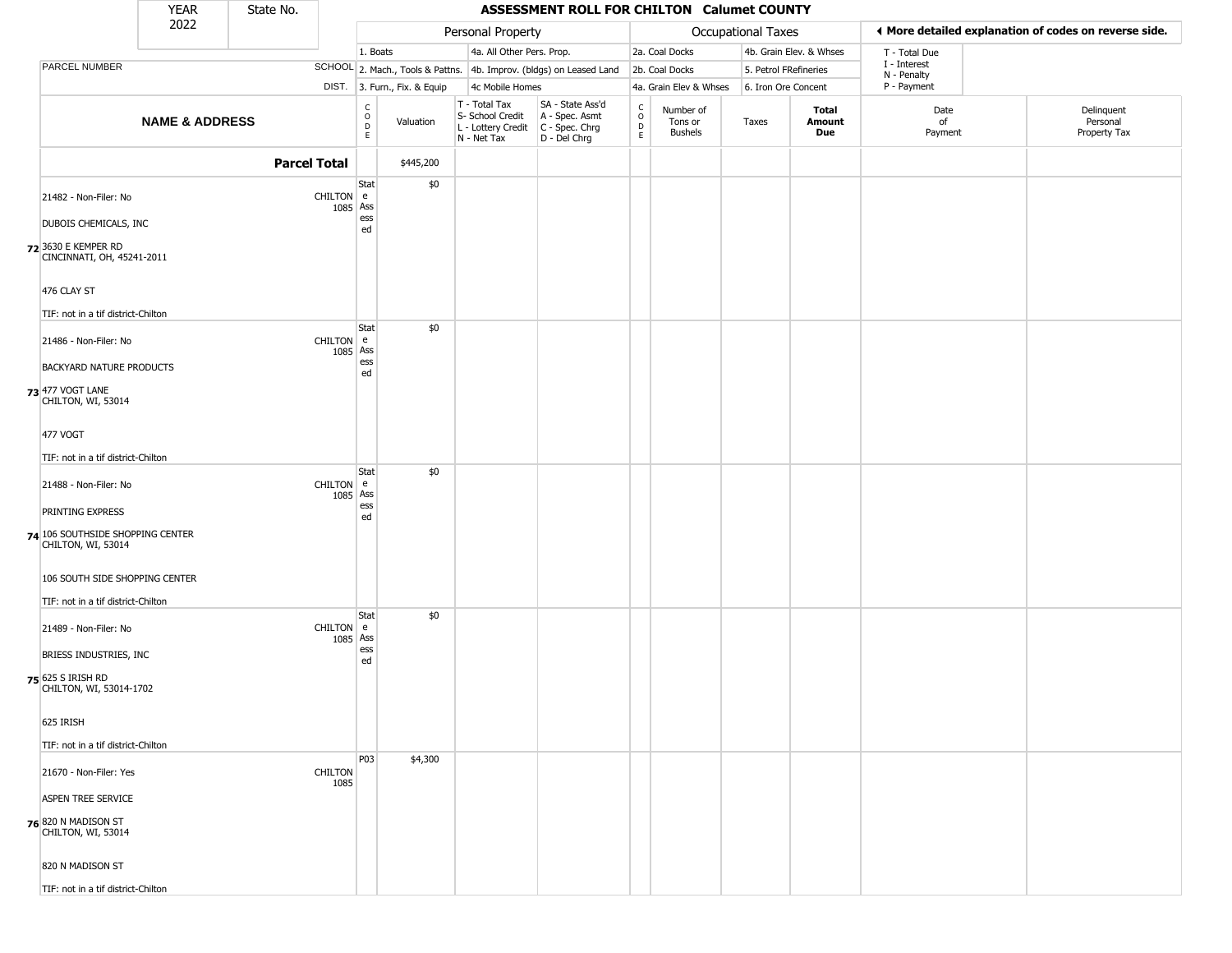|                                                        | <b>YEAR</b>               | State No.           |                        |                                                          |                              |                                                                                         | ASSESSMENT ROLL FOR CHILTON Calumet COUNTY                          |                                                          |                                        |                    |                         |                             |                                                       |
|--------------------------------------------------------|---------------------------|---------------------|------------------------|----------------------------------------------------------|------------------------------|-----------------------------------------------------------------------------------------|---------------------------------------------------------------------|----------------------------------------------------------|----------------------------------------|--------------------|-------------------------|-----------------------------|-------------------------------------------------------|
|                                                        | 2022                      |                     |                        |                                                          |                              | Personal Property                                                                       |                                                                     |                                                          |                                        | Occupational Taxes |                         |                             | ♦ More detailed explanation of codes on reverse side. |
|                                                        |                           |                     |                        | 1. Boats                                                 |                              | 4a. All Other Pers. Prop.                                                               |                                                                     |                                                          | 2a. Coal Docks                         |                    | 4b. Grain Elev. & Whses | T - Total Due               |                                                       |
| PARCEL NUMBER                                          |                           |                     |                        |                                                          |                              |                                                                                         | SCHOOL 2. Mach., Tools & Pattns. 4b. Improv. (bldgs) on Leased Land |                                                          | 2b. Coal Docks                         |                    | 5. Petrol FRefineries   | I - Interest<br>N - Penalty |                                                       |
|                                                        |                           |                     |                        |                                                          | DIST. 3. Furn., Fix. & Equip | 4c Mobile Homes                                                                         |                                                                     |                                                          | 4a. Grain Elev & Whses                 |                    | 6. Iron Ore Concent     | P - Payment                 |                                                       |
|                                                        | <b>NAME &amp; ADDRESS</b> |                     |                        | $\begin{smallmatrix} C \\ O \\ D \end{smallmatrix}$<br>E | Valuation                    | T - Total Tax<br>S- School Credit<br>L - Lottery Credit   C - Spec. Chrg<br>N - Net Tax | SA - State Ass'd<br>A - Spec. Asmt<br>D - Del Chrg                  | $\begin{matrix} 0 \\ 0 \\ 0 \end{matrix}$<br>$\mathsf E$ | Number of<br>Tons or<br><b>Bushels</b> | Taxes              | Total<br>Amount<br>Due  | Date<br>of<br>Payment       | Delinquent<br>Personal<br>Property Tax                |
|                                                        |                           | <b>Parcel Total</b> |                        |                                                          | \$445,200                    |                                                                                         |                                                                     |                                                          |                                        |                    |                         |                             |                                                       |
| 21482 - Non-Filer: No                                  |                           |                     | CHILTON e              | Stat<br>1085 Ass<br>ess                                  | \$0                          |                                                                                         |                                                                     |                                                          |                                        |                    |                         |                             |                                                       |
| DUBOIS CHEMICALS, INC                                  |                           |                     |                        | ed                                                       |                              |                                                                                         |                                                                     |                                                          |                                        |                    |                         |                             |                                                       |
| 72 3630 E KEMPER RD<br>CINCINNATI, OH, 45241-2011      |                           |                     |                        |                                                          |                              |                                                                                         |                                                                     |                                                          |                                        |                    |                         |                             |                                                       |
| 476 CLAY ST                                            |                           |                     |                        |                                                          |                              |                                                                                         |                                                                     |                                                          |                                        |                    |                         |                             |                                                       |
| TIF: not in a tif district-Chilton                     |                           |                     |                        | Stat                                                     | \$0                          |                                                                                         |                                                                     |                                                          |                                        |                    |                         |                             |                                                       |
| 21486 - Non-Filer: No                                  |                           |                     | CHILTON e              | 1085 Ass                                                 |                              |                                                                                         |                                                                     |                                                          |                                        |                    |                         |                             |                                                       |
| <b>BACKYARD NATURE PRODUCTS</b>                        |                           |                     |                        | ess<br>ed                                                |                              |                                                                                         |                                                                     |                                                          |                                        |                    |                         |                             |                                                       |
| 73 477 VOGT LANE<br>CHILTON, WI, 53014                 |                           |                     |                        |                                                          |                              |                                                                                         |                                                                     |                                                          |                                        |                    |                         |                             |                                                       |
| 477 VOGT                                               |                           |                     |                        |                                                          |                              |                                                                                         |                                                                     |                                                          |                                        |                    |                         |                             |                                                       |
| TIF: not in a tif district-Chilton                     |                           |                     |                        |                                                          |                              |                                                                                         |                                                                     |                                                          |                                        |                    |                         |                             |                                                       |
| 21488 - Non-Filer: No                                  |                           |                     | CHILTON e<br>1085 Ass  | Stat                                                     | \$0                          |                                                                                         |                                                                     |                                                          |                                        |                    |                         |                             |                                                       |
| PRINTING EXPRESS                                       |                           |                     |                        | ess<br>ed                                                |                              |                                                                                         |                                                                     |                                                          |                                        |                    |                         |                             |                                                       |
| 74 106 SOUTHSIDE SHOPPING CENTER<br>CHILTON, WI, 53014 |                           |                     |                        |                                                          |                              |                                                                                         |                                                                     |                                                          |                                        |                    |                         |                             |                                                       |
| 106 SOUTH SIDE SHOPPING CENTER                         |                           |                     |                        |                                                          |                              |                                                                                         |                                                                     |                                                          |                                        |                    |                         |                             |                                                       |
| TIF: not in a tif district-Chilton                     |                           |                     |                        | Stat                                                     | \$0                          |                                                                                         |                                                                     |                                                          |                                        |                    |                         |                             |                                                       |
| 21489 - Non-Filer: No                                  |                           |                     | CHILTON e<br>1085 Ass  |                                                          |                              |                                                                                         |                                                                     |                                                          |                                        |                    |                         |                             |                                                       |
| BRIESS INDUSTRIES, INC                                 |                           |                     |                        | ess<br>ed                                                |                              |                                                                                         |                                                                     |                                                          |                                        |                    |                         |                             |                                                       |
| 75 625 S IRISH RD<br>CHILTON, WI, 53014-1702           |                           |                     |                        |                                                          |                              |                                                                                         |                                                                     |                                                          |                                        |                    |                         |                             |                                                       |
| 625 IRISH                                              |                           |                     |                        |                                                          |                              |                                                                                         |                                                                     |                                                          |                                        |                    |                         |                             |                                                       |
| TIF: not in a tif district-Chilton                     |                           |                     |                        |                                                          |                              |                                                                                         |                                                                     |                                                          |                                        |                    |                         |                             |                                                       |
| 21670 - Non-Filer: Yes                                 |                           |                     | <b>CHILTON</b><br>1085 | <b>P03</b>                                               | \$4,300                      |                                                                                         |                                                                     |                                                          |                                        |                    |                         |                             |                                                       |
| <b>ASPEN TREE SERVICE</b>                              |                           |                     |                        |                                                          |                              |                                                                                         |                                                                     |                                                          |                                        |                    |                         |                             |                                                       |
| 76 820 N MADISON ST<br>CHILTON, WI, 53014              |                           |                     |                        |                                                          |                              |                                                                                         |                                                                     |                                                          |                                        |                    |                         |                             |                                                       |
| 820 N MADISON ST                                       |                           |                     |                        |                                                          |                              |                                                                                         |                                                                     |                                                          |                                        |                    |                         |                             |                                                       |
| TIF: not in a tif district-Chilton                     |                           |                     |                        |                                                          |                              |                                                                                         |                                                                     |                                                          |                                        |                    |                         |                             |                                                       |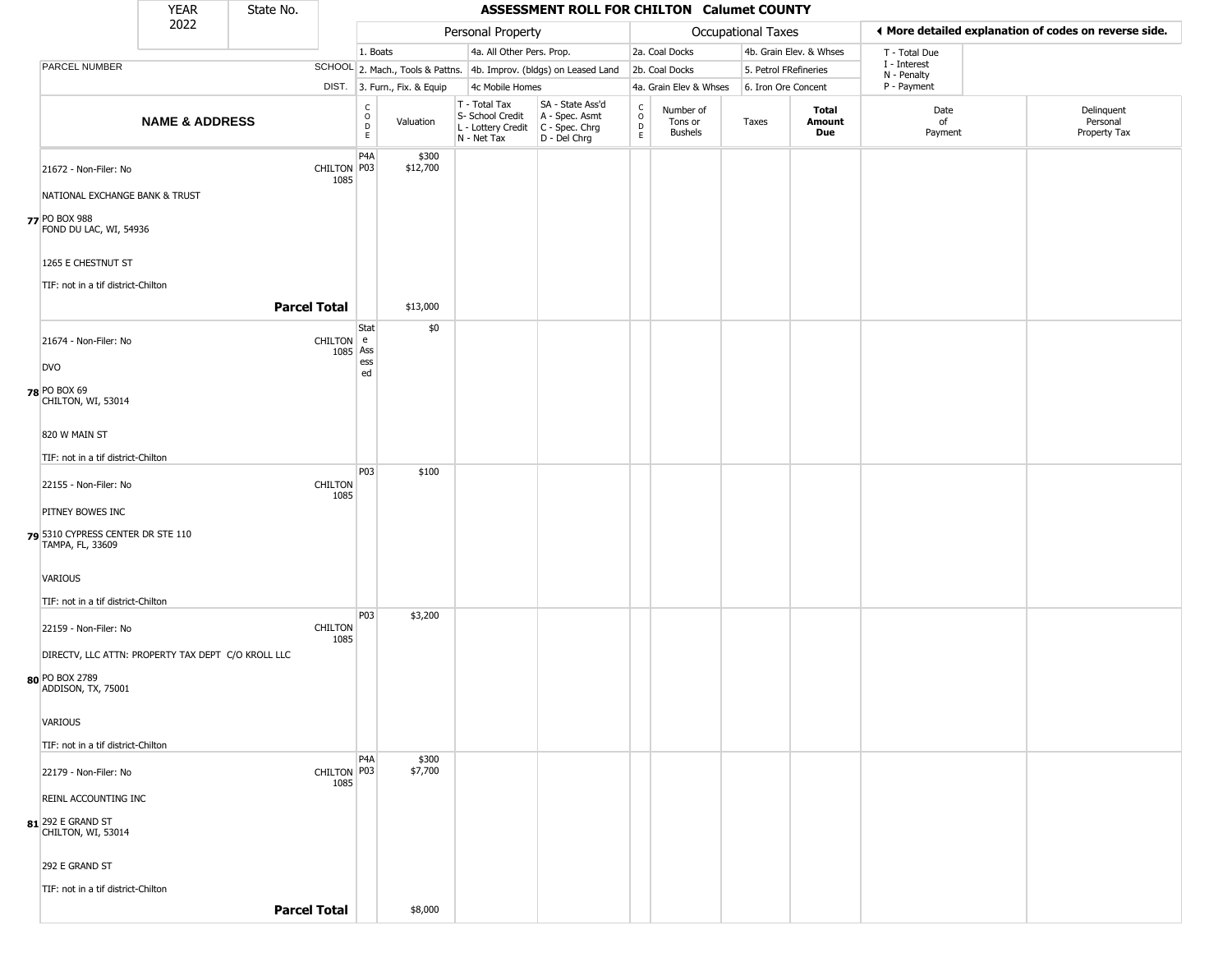|                                                                                            | <b>YEAR</b>               | State No.           |                        |                        |                        |                                                                                         | ASSESSMENT ROLL FOR CHILTON Calumet COUNTY                          |                                            |                                        |                       |                         |                             |                                                       |
|--------------------------------------------------------------------------------------------|---------------------------|---------------------|------------------------|------------------------|------------------------|-----------------------------------------------------------------------------------------|---------------------------------------------------------------------|--------------------------------------------|----------------------------------------|-----------------------|-------------------------|-----------------------------|-------------------------------------------------------|
|                                                                                            | 2022                      |                     |                        |                        |                        | Personal Property                                                                       |                                                                     |                                            |                                        | Occupational Taxes    |                         |                             | ◀ More detailed explanation of codes on reverse side. |
|                                                                                            |                           |                     |                        | 1. Boats               |                        | 4a. All Other Pers. Prop.                                                               |                                                                     |                                            | 2a. Coal Docks                         |                       | 4b. Grain Elev. & Whses | T - Total Due               |                                                       |
| PARCEL NUMBER                                                                              |                           |                     |                        |                        |                        |                                                                                         | SCHOOL 2. Mach., Tools & Pattns. 4b. Improv. (bldgs) on Leased Land |                                            | 2b. Coal Docks                         | 5. Petrol FRefineries |                         | I - Interest<br>N - Penalty |                                                       |
|                                                                                            |                           |                     | DIST.                  |                        | 3. Furn., Fix. & Equip | 4c Mobile Homes                                                                         |                                                                     |                                            | 4a. Grain Elev & Whses                 | 6. Iron Ore Concent   |                         | P - Payment                 |                                                       |
|                                                                                            | <b>NAME &amp; ADDRESS</b> |                     |                        | C<br>$\circ$<br>D<br>E | Valuation              | T - Total Tax<br>S- School Credit<br>L - Lottery Credit   C - Spec. Chrg<br>N - Net Tax | SA - State Ass'd<br>A - Spec. Asmt<br>D - Del Chrg                  | $\begin{array}{c} C \\ 0 \\ E \end{array}$ | Number of<br>Tons or<br><b>Bushels</b> | Taxes                 | Total<br>Amount<br>Due  | Date<br>of<br>Payment       | Delinquent<br>Personal<br>Property Tax                |
| 21672 - Non-Filer: No                                                                      |                           |                     | CHILTON P03<br>1085    | P <sub>4</sub> A       | \$300<br>\$12,700      |                                                                                         |                                                                     |                                            |                                        |                       |                         |                             |                                                       |
| NATIONAL EXCHANGE BANK & TRUST                                                             |                           |                     |                        |                        |                        |                                                                                         |                                                                     |                                            |                                        |                       |                         |                             |                                                       |
| 77 PO BOX 988<br>FOND DU LAC, WI, 54936                                                    |                           |                     |                        |                        |                        |                                                                                         |                                                                     |                                            |                                        |                       |                         |                             |                                                       |
| 1265 E CHESTNUT ST                                                                         |                           |                     |                        |                        |                        |                                                                                         |                                                                     |                                            |                                        |                       |                         |                             |                                                       |
| TIF: not in a tif district-Chilton                                                         |                           | <b>Parcel Total</b> |                        |                        | \$13,000               |                                                                                         |                                                                     |                                            |                                        |                       |                         |                             |                                                       |
| 21674 - Non-Filer: No                                                                      |                           |                     | $CHILTON$ e            | Stat                   | \$0                    |                                                                                         |                                                                     |                                            |                                        |                       |                         |                             |                                                       |
| <b>DVO</b>                                                                                 |                           |                     | 1085 Ass               | ess<br>ed              |                        |                                                                                         |                                                                     |                                            |                                        |                       |                         |                             |                                                       |
| 78 PO BOX 69<br>CHILTON, WI, 53014                                                         |                           |                     |                        |                        |                        |                                                                                         |                                                                     |                                            |                                        |                       |                         |                             |                                                       |
| 820 W MAIN ST                                                                              |                           |                     |                        |                        |                        |                                                                                         |                                                                     |                                            |                                        |                       |                         |                             |                                                       |
| TIF: not in a tif district-Chilton                                                         |                           |                     |                        |                        |                        |                                                                                         |                                                                     |                                            |                                        |                       |                         |                             |                                                       |
| 22155 - Non-Filer: No                                                                      |                           |                     | <b>CHILTON</b><br>1085 | P03                    | \$100                  |                                                                                         |                                                                     |                                            |                                        |                       |                         |                             |                                                       |
| PITNEY BOWES INC                                                                           |                           |                     |                        |                        |                        |                                                                                         |                                                                     |                                            |                                        |                       |                         |                             |                                                       |
| 5310 CYPRESS CENTER DR STE 110<br>TAMPA, FL, 33609                                         |                           |                     |                        |                        |                        |                                                                                         |                                                                     |                                            |                                        |                       |                         |                             |                                                       |
| VARIOUS                                                                                    |                           |                     |                        |                        |                        |                                                                                         |                                                                     |                                            |                                        |                       |                         |                             |                                                       |
| TIF: not in a tif district-Chilton                                                         |                           |                     |                        | P03                    | \$3,200                |                                                                                         |                                                                     |                                            |                                        |                       |                         |                             |                                                       |
| 22159 - Non-Filer: No                                                                      |                           |                     | <b>CHILTON</b><br>1085 |                        |                        |                                                                                         |                                                                     |                                            |                                        |                       |                         |                             |                                                       |
| DIRECTV, LLC ATTN: PROPERTY TAX DEPT C/O KROLL LLC<br>80 PO BOX 2789<br>ADDISON, TX, 75001 |                           |                     |                        |                        |                        |                                                                                         |                                                                     |                                            |                                        |                       |                         |                             |                                                       |
| VARIOUS                                                                                    |                           |                     |                        |                        |                        |                                                                                         |                                                                     |                                            |                                        |                       |                         |                             |                                                       |
| TIF: not in a tif district-Chilton                                                         |                           |                     |                        |                        |                        |                                                                                         |                                                                     |                                            |                                        |                       |                         |                             |                                                       |
| 22179 - Non-Filer: No                                                                      |                           |                     | CHILTON   P03<br>1085  | P <sub>4</sub> A       | \$300<br>\$7,700       |                                                                                         |                                                                     |                                            |                                        |                       |                         |                             |                                                       |
| <b>REINL ACCOUNTING INC</b>                                                                |                           |                     |                        |                        |                        |                                                                                         |                                                                     |                                            |                                        |                       |                         |                             |                                                       |
| $81$ <sup>292</sup> E GRAND ST<br>CHILTON, WI, 53014                                       |                           |                     |                        |                        |                        |                                                                                         |                                                                     |                                            |                                        |                       |                         |                             |                                                       |
| 292 E GRAND ST                                                                             |                           |                     |                        |                        |                        |                                                                                         |                                                                     |                                            |                                        |                       |                         |                             |                                                       |
| TIF: not in a tif district-Chilton                                                         |                           | <b>Parcel Total</b> |                        |                        | \$8,000                |                                                                                         |                                                                     |                                            |                                        |                       |                         |                             |                                                       |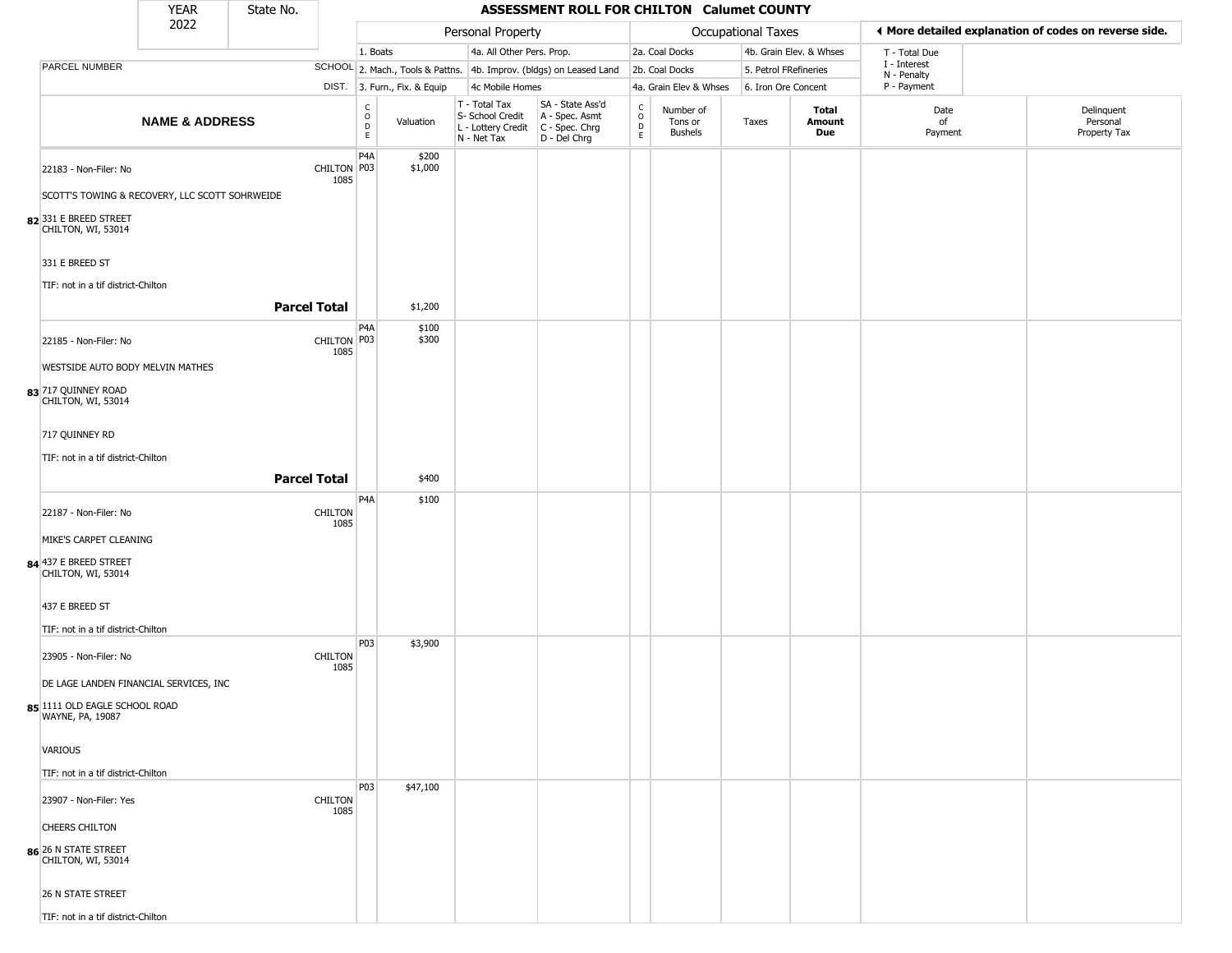|                                                      | <b>YEAR</b>               | State No.              |                        |                              |                                                  | <b>ASSESSMENT ROLL FOR CHILTON Calumet COUNTY</b>                                       |                                                   |                                 |                     |                         |                             |                                                       |
|------------------------------------------------------|---------------------------|------------------------|------------------------|------------------------------|--------------------------------------------------|-----------------------------------------------------------------------------------------|---------------------------------------------------|---------------------------------|---------------------|-------------------------|-----------------------------|-------------------------------------------------------|
|                                                      | 2022                      |                        |                        |                              | Personal Property                                |                                                                                         |                                                   |                                 | Occupational Taxes  |                         |                             | ♦ More detailed explanation of codes on reverse side. |
|                                                      |                           |                        |                        | 1. Boats                     | 4a. All Other Pers. Prop.                        |                                                                                         |                                                   | 2a. Coal Docks                  |                     | 4b. Grain Elev. & Whses | T - Total Due               |                                                       |
| PARCEL NUMBER                                        |                           |                        |                        |                              |                                                  | SCHOOL 2. Mach., Tools & Pattns. 4b. Improv. (bldgs) on Leased Land                     |                                                   | 2b. Coal Docks                  |                     | 5. Petrol FRefineries   | I - Interest<br>N - Penalty |                                                       |
|                                                      |                           |                        |                        | DIST. 3. Furn., Fix. & Equip | 4c Mobile Homes                                  |                                                                                         |                                                   | 4a. Grain Elev & Whses          | 6. Iron Ore Concent |                         | P - Payment                 |                                                       |
|                                                      | <b>NAME &amp; ADDRESS</b> |                        | C<br>$\circ$<br>D<br>E | Valuation                    | T - Total Tax<br>S- School Credit<br>N - Net Tax | SA - State Ass'd<br>A - Spec. Asmt<br>L - Lottery Credit C - Spec. Chrg<br>D - Del Chrg | $\begin{array}{c}\nC \\ O \\ D \\ E\n\end{array}$ | Number of<br>Tons or<br>Bushels | Taxes               | Total<br>Amount<br>Due  | Date<br>of<br>Payment       | Delinquent<br>Personal<br>Property Tax                |
| 22183 - Non-Filer: No                                |                           | CHILTON P03<br>1085    | P4A                    | \$200<br>\$1,000             |                                                  |                                                                                         |                                                   |                                 |                     |                         |                             |                                                       |
| SCOTT'S TOWING & RECOVERY, LLC SCOTT SOHRWEIDE       |                           |                        |                        |                              |                                                  |                                                                                         |                                                   |                                 |                     |                         |                             |                                                       |
| 82331 E BREED STREET<br>CHILTON, WI, 53014           |                           |                        |                        |                              |                                                  |                                                                                         |                                                   |                                 |                     |                         |                             |                                                       |
| 331 E BREED ST<br>TIF: not in a tif district-Chilton |                           |                        |                        |                              |                                                  |                                                                                         |                                                   |                                 |                     |                         |                             |                                                       |
|                                                      |                           | <b>Parcel Total</b>    |                        | \$1,200                      |                                                  |                                                                                         |                                                   |                                 |                     |                         |                             |                                                       |
| 22185 - Non-Filer: No                                |                           | CHILTON P03<br>1085    | P4A                    | \$100<br>\$300               |                                                  |                                                                                         |                                                   |                                 |                     |                         |                             |                                                       |
| WESTSIDE AUTO BODY MELVIN MATHES                     |                           |                        |                        |                              |                                                  |                                                                                         |                                                   |                                 |                     |                         |                             |                                                       |
| 83 717 QUINNEY ROAD<br>CHILTON, WI, 53014            |                           |                        |                        |                              |                                                  |                                                                                         |                                                   |                                 |                     |                         |                             |                                                       |
| 717 QUINNEY RD                                       |                           |                        |                        |                              |                                                  |                                                                                         |                                                   |                                 |                     |                         |                             |                                                       |
| TIF: not in a tif district-Chilton                   |                           |                        |                        |                              |                                                  |                                                                                         |                                                   |                                 |                     |                         |                             |                                                       |
|                                                      |                           | <b>Parcel Total</b>    |                        | \$400                        |                                                  |                                                                                         |                                                   |                                 |                     |                         |                             |                                                       |
| 22187 - Non-Filer: No                                |                           | <b>CHILTON</b><br>1085 | P4A                    | \$100                        |                                                  |                                                                                         |                                                   |                                 |                     |                         |                             |                                                       |
| MIKE'S CARPET CLEANING                               |                           |                        |                        |                              |                                                  |                                                                                         |                                                   |                                 |                     |                         |                             |                                                       |
| 84 437 E BREED STREET<br>CHILTON, WI, 53014          |                           |                        |                        |                              |                                                  |                                                                                         |                                                   |                                 |                     |                         |                             |                                                       |
| 437 E BREED ST                                       |                           |                        |                        |                              |                                                  |                                                                                         |                                                   |                                 |                     |                         |                             |                                                       |
| TIF: not in a tif district-Chilton                   |                           |                        |                        |                              |                                                  |                                                                                         |                                                   |                                 |                     |                         |                             |                                                       |
| 23905 - Non-Filer: No                                |                           | <b>CHILTON</b><br>1085 | P03                    | \$3,900                      |                                                  |                                                                                         |                                                   |                                 |                     |                         |                             |                                                       |
| DE LAGE LANDEN FINANCIAL SERVICES, INC               |                           |                        |                        |                              |                                                  |                                                                                         |                                                   |                                 |                     |                         |                             |                                                       |
| 85 1111 OLD EAGLE SCHOOL ROAD<br>WAYNE, PA, 19087    |                           |                        |                        |                              |                                                  |                                                                                         |                                                   |                                 |                     |                         |                             |                                                       |
| <b>VARIOUS</b>                                       |                           |                        |                        |                              |                                                  |                                                                                         |                                                   |                                 |                     |                         |                             |                                                       |
| TIF: not in a tif district-Chilton                   |                           |                        |                        |                              |                                                  |                                                                                         |                                                   |                                 |                     |                         |                             |                                                       |
| 23907 - Non-Filer: Yes                               |                           | <b>CHILTON</b><br>1085 | P03                    | \$47,100                     |                                                  |                                                                                         |                                                   |                                 |                     |                         |                             |                                                       |
| <b>CHEERS CHILTON</b>                                |                           |                        |                        |                              |                                                  |                                                                                         |                                                   |                                 |                     |                         |                             |                                                       |
| 86 26 N STATE STREET<br>CHILTON, WI, 53014           |                           |                        |                        |                              |                                                  |                                                                                         |                                                   |                                 |                     |                         |                             |                                                       |
| <b>26 N STATE STREET</b>                             |                           |                        |                        |                              |                                                  |                                                                                         |                                                   |                                 |                     |                         |                             |                                                       |
| TIF: not in a tif district-Chilton                   |                           |                        |                        |                              |                                                  |                                                                                         |                                                   |                                 |                     |                         |                             |                                                       |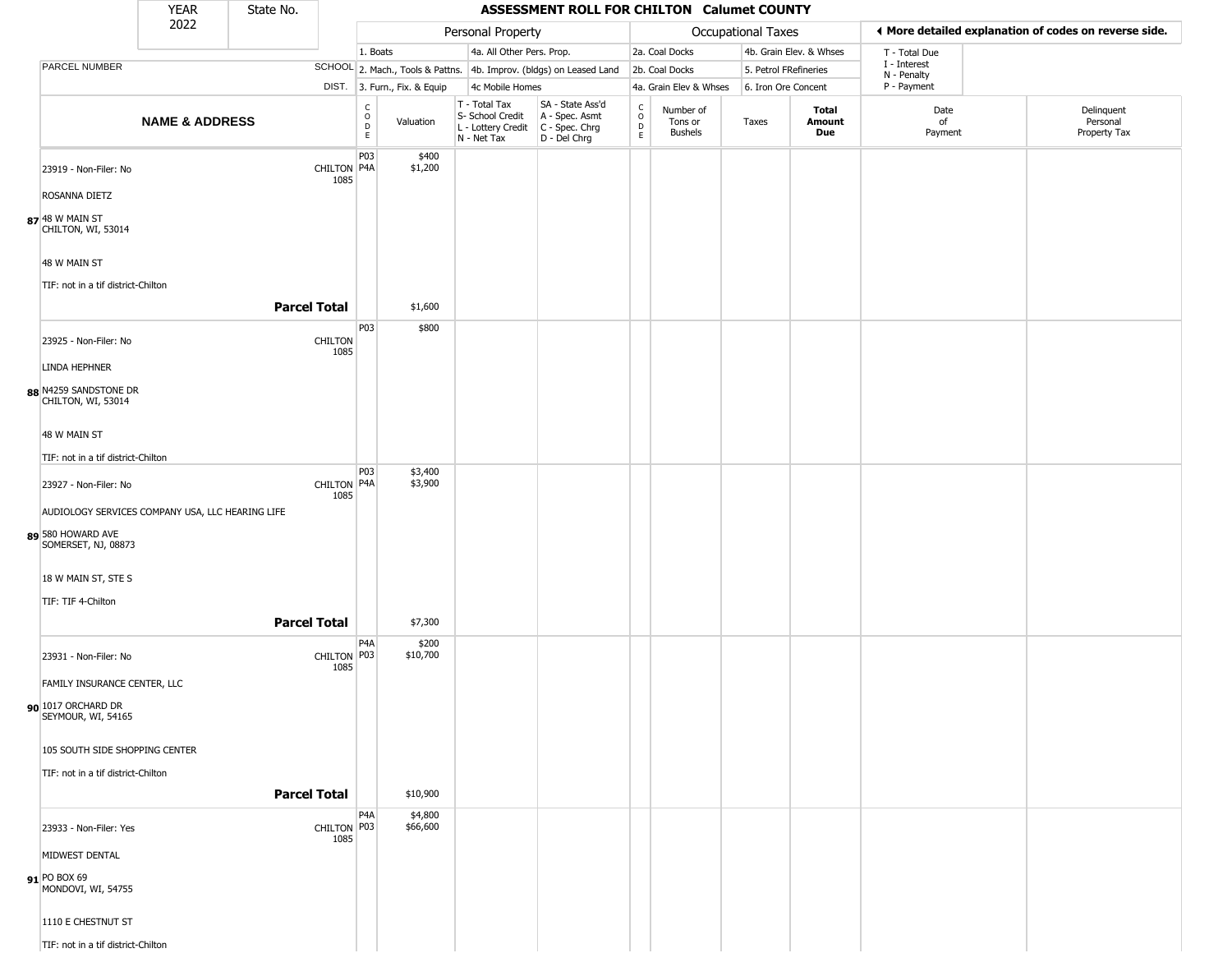|                                                  | <b>YEAR</b>               | State No.           |                        |                                                          |                              |                                                                                       | ASSESSMENT ROLL FOR CHILTON Calumet COUNTY                          |                                                 |                                        |                       |                         |                             |                                                       |
|--------------------------------------------------|---------------------------|---------------------|------------------------|----------------------------------------------------------|------------------------------|---------------------------------------------------------------------------------------|---------------------------------------------------------------------|-------------------------------------------------|----------------------------------------|-----------------------|-------------------------|-----------------------------|-------------------------------------------------------|
|                                                  | 2022                      |                     |                        |                                                          |                              | Personal Property                                                                     |                                                                     |                                                 |                                        | Occupational Taxes    |                         |                             | ◀ More detailed explanation of codes on reverse side. |
|                                                  |                           |                     |                        | 1. Boats                                                 |                              | 4a. All Other Pers. Prop.                                                             |                                                                     |                                                 | 2a. Coal Docks                         |                       | 4b. Grain Elev. & Whses | T - Total Due               |                                                       |
| <b>PARCEL NUMBER</b>                             |                           |                     |                        |                                                          |                              |                                                                                       | SCHOOL 2. Mach., Tools & Pattns. 4b. Improv. (bldgs) on Leased Land |                                                 | 2b. Coal Docks                         | 5. Petrol FRefineries |                         | I - Interest<br>N - Penalty |                                                       |
|                                                  |                           |                     |                        |                                                          | DIST. 3. Furn., Fix. & Equip | 4c Mobile Homes                                                                       |                                                                     |                                                 | 4a. Grain Elev & Whses                 | 6. Iron Ore Concent   |                         | P - Payment                 |                                                       |
|                                                  | <b>NAME &amp; ADDRESS</b> |                     |                        | $\begin{smallmatrix} C \\ O \\ D \end{smallmatrix}$<br>E | Valuation                    | T - Total Tax<br>S- School Credit<br>L - Lottery Credit C - Spec. Chrg<br>N - Net Tax | SA - State Ass'd<br>A - Spec. Asmt<br>D - Del Chrg                  | $\rm_{o}^{\rm C}$<br>$\mathsf D$<br>$\mathsf E$ | Number of<br>Tons or<br><b>Bushels</b> | Taxes                 | Total<br>Amount<br>Due  | Date<br>of<br>Payment       | Delinquent<br>Personal<br>Property Tax                |
|                                                  |                           |                     |                        | P03                                                      | \$400                        |                                                                                       |                                                                     |                                                 |                                        |                       |                         |                             |                                                       |
| 23919 - Non-Filer: No                            |                           |                     | CHILTON P4A<br>1085    |                                                          | \$1,200                      |                                                                                       |                                                                     |                                                 |                                        |                       |                         |                             |                                                       |
| ROSANNA DIETZ                                    |                           |                     |                        |                                                          |                              |                                                                                       |                                                                     |                                                 |                                        |                       |                         |                             |                                                       |
| 87 48 W MAIN ST<br>CHILTON, WI, 53014            |                           |                     |                        |                                                          |                              |                                                                                       |                                                                     |                                                 |                                        |                       |                         |                             |                                                       |
| 48 W MAIN ST                                     |                           |                     |                        |                                                          |                              |                                                                                       |                                                                     |                                                 |                                        |                       |                         |                             |                                                       |
| TIF: not in a tif district-Chilton               |                           |                     |                        |                                                          |                              |                                                                                       |                                                                     |                                                 |                                        |                       |                         |                             |                                                       |
|                                                  |                           | <b>Parcel Total</b> |                        |                                                          | \$1,600                      |                                                                                       |                                                                     |                                                 |                                        |                       |                         |                             |                                                       |
| 23925 - Non-Filer: No                            |                           |                     | <b>CHILTON</b><br>1085 | P03                                                      | \$800                        |                                                                                       |                                                                     |                                                 |                                        |                       |                         |                             |                                                       |
| LINDA HEPHNER                                    |                           |                     |                        |                                                          |                              |                                                                                       |                                                                     |                                                 |                                        |                       |                         |                             |                                                       |
| 88 N4259 SANDSTONE DR<br>CHILTON, WI, 53014      |                           |                     |                        |                                                          |                              |                                                                                       |                                                                     |                                                 |                                        |                       |                         |                             |                                                       |
| 48 W MAIN ST                                     |                           |                     |                        |                                                          |                              |                                                                                       |                                                                     |                                                 |                                        |                       |                         |                             |                                                       |
| TIF: not in a tif district-Chilton               |                           |                     |                        |                                                          |                              |                                                                                       |                                                                     |                                                 |                                        |                       |                         |                             |                                                       |
| 23927 - Non-Filer: No                            |                           |                     | CHILTON P4A<br>1085    | P03                                                      | \$3,400<br>\$3,900           |                                                                                       |                                                                     |                                                 |                                        |                       |                         |                             |                                                       |
| AUDIOLOGY SERVICES COMPANY USA, LLC HEARING LIFE |                           |                     |                        |                                                          |                              |                                                                                       |                                                                     |                                                 |                                        |                       |                         |                             |                                                       |
| 89 580 HOWARD AVE<br>SOMERSET, NJ, 08873         |                           |                     |                        |                                                          |                              |                                                                                       |                                                                     |                                                 |                                        |                       |                         |                             |                                                       |
| 18 W MAIN ST, STE S                              |                           |                     |                        |                                                          |                              |                                                                                       |                                                                     |                                                 |                                        |                       |                         |                             |                                                       |
| TIF: TIF 4-Chilton                               |                           |                     |                        |                                                          |                              |                                                                                       |                                                                     |                                                 |                                        |                       |                         |                             |                                                       |
|                                                  |                           | <b>Parcel Total</b> |                        |                                                          | \$7,300                      |                                                                                       |                                                                     |                                                 |                                        |                       |                         |                             |                                                       |
| 23931 - Non-Filer: No                            |                           |                     | CHILTON P03<br>1085    | P4A                                                      | \$200<br>\$10,700            |                                                                                       |                                                                     |                                                 |                                        |                       |                         |                             |                                                       |
| FAMILY INSURANCE CENTER, LLC                     |                           |                     |                        |                                                          |                              |                                                                                       |                                                                     |                                                 |                                        |                       |                         |                             |                                                       |
| 90 1017 ORCHARD DR<br>SEYMOUR, WI, 54165         |                           |                     |                        |                                                          |                              |                                                                                       |                                                                     |                                                 |                                        |                       |                         |                             |                                                       |
| 105 SOUTH SIDE SHOPPING CENTER                   |                           |                     |                        |                                                          |                              |                                                                                       |                                                                     |                                                 |                                        |                       |                         |                             |                                                       |
| TIF: not in a tif district-Chilton               |                           |                     |                        |                                                          |                              |                                                                                       |                                                                     |                                                 |                                        |                       |                         |                             |                                                       |
|                                                  |                           | <b>Parcel Total</b> |                        |                                                          | \$10,900                     |                                                                                       |                                                                     |                                                 |                                        |                       |                         |                             |                                                       |
| 23933 - Non-Filer: Yes                           |                           |                     | CHILTON P03<br>1085    | P4A                                                      | \$4,800<br>\$66,600          |                                                                                       |                                                                     |                                                 |                                        |                       |                         |                             |                                                       |
| MIDWEST DENTAL                                   |                           |                     |                        |                                                          |                              |                                                                                       |                                                                     |                                                 |                                        |                       |                         |                             |                                                       |
| 91 PO BOX 69<br>MONDOVI, WI, 54755               |                           |                     |                        |                                                          |                              |                                                                                       |                                                                     |                                                 |                                        |                       |                         |                             |                                                       |
| 1110 E CHESTNUT ST                               |                           |                     |                        |                                                          |                              |                                                                                       |                                                                     |                                                 |                                        |                       |                         |                             |                                                       |
| TIF: not in a tif district-Chilton               |                           |                     |                        |                                                          |                              |                                                                                       |                                                                     |                                                 |                                        |                       |                         |                             |                                                       |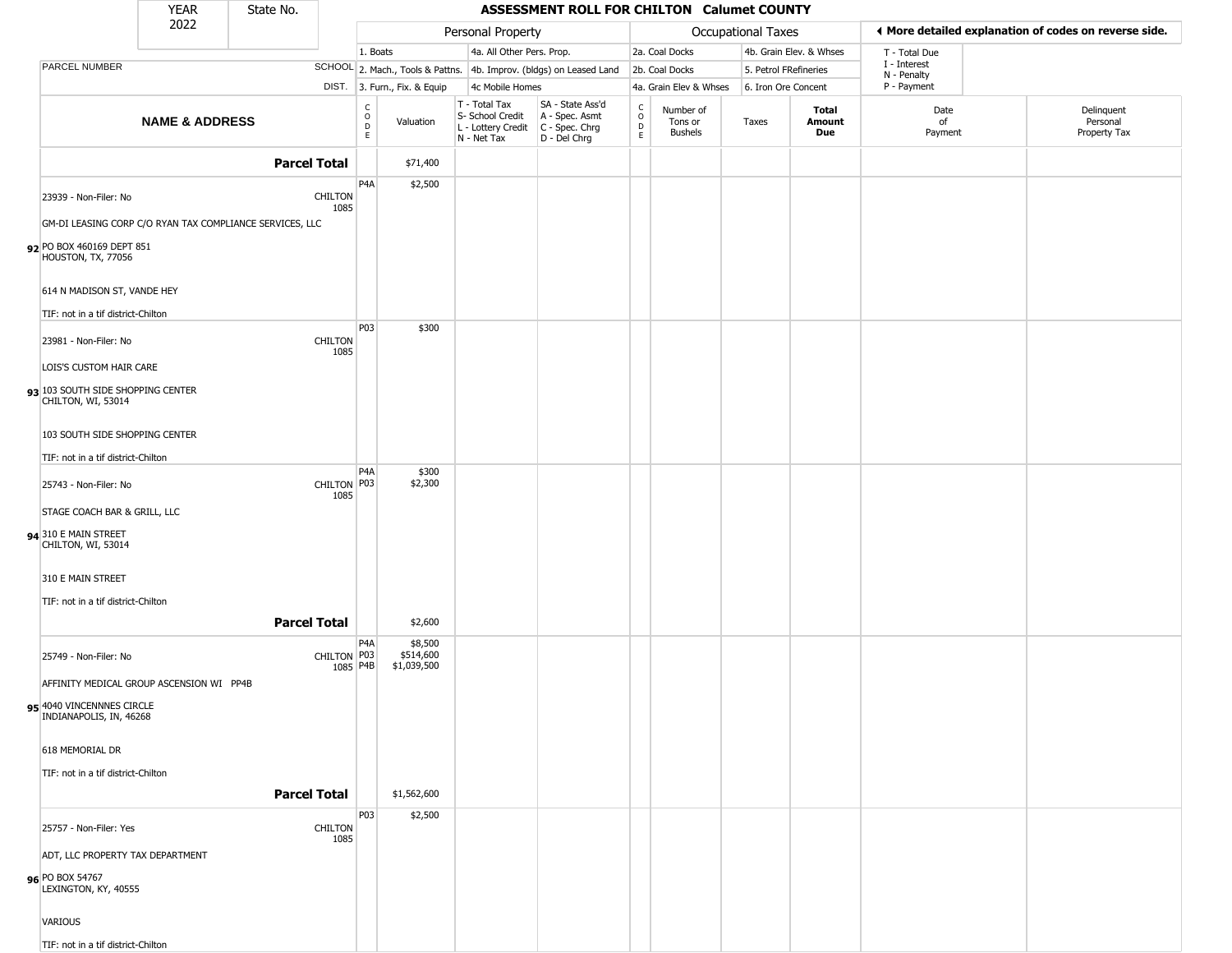|                                                         | <b>YEAR</b>               | State No.                                                |                         |                                                          |                                     |                                                                                         | ASSESSMENT ROLL FOR CHILTON Calumet COUNTY                          |                        |                                 |                       |                         |                             |                                                       |
|---------------------------------------------------------|---------------------------|----------------------------------------------------------|-------------------------|----------------------------------------------------------|-------------------------------------|-----------------------------------------------------------------------------------------|---------------------------------------------------------------------|------------------------|---------------------------------|-----------------------|-------------------------|-----------------------------|-------------------------------------------------------|
|                                                         | 2022                      |                                                          |                         |                                                          |                                     | Personal Property                                                                       |                                                                     |                        |                                 | Occupational Taxes    |                         |                             | ◀ More detailed explanation of codes on reverse side. |
|                                                         |                           |                                                          |                         | 1. Boats                                                 |                                     | 4a. All Other Pers. Prop.                                                               |                                                                     |                        | 2a. Coal Docks                  |                       | 4b. Grain Elev. & Whses | T - Total Due               |                                                       |
| PARCEL NUMBER                                           |                           |                                                          |                         |                                                          |                                     |                                                                                         | SCHOOL 2. Mach., Tools & Pattns. 4b. Improv. (bldgs) on Leased Land |                        | 2b. Coal Docks                  | 5. Petrol FRefineries |                         | I - Interest<br>N - Penalty |                                                       |
|                                                         |                           |                                                          |                         |                                                          | DIST. 3. Furn., Fix. & Equip        | 4c Mobile Homes                                                                         |                                                                     |                        | 4a. Grain Elev & Whses          | 6. Iron Ore Concent   |                         | P - Payment                 |                                                       |
|                                                         | <b>NAME &amp; ADDRESS</b> |                                                          |                         | $\begin{smallmatrix} C \\ O \\ D \end{smallmatrix}$<br>E | Valuation                           | T - Total Tax<br>S- School Credit<br>L - Lottery Credit   C - Spec. Chrg<br>N - Net Tax | SA - State Ass'd<br>A - Spec. Asmt<br>D - Del Chrg                  | C<br>$\circ$<br>D<br>E | Number of<br>Tons or<br>Bushels | Taxes                 | Total<br>Amount<br>Due  | Date<br>of<br>Payment       | Delinquent<br>Personal<br>Property Tax                |
|                                                         |                           | <b>Parcel Total</b>                                      |                         |                                                          | \$71,400                            |                                                                                         |                                                                     |                        |                                 |                       |                         |                             |                                                       |
|                                                         |                           |                                                          |                         | P <sub>4</sub> A                                         | \$2,500                             |                                                                                         |                                                                     |                        |                                 |                       |                         |                             |                                                       |
| 23939 - Non-Filer: No                                   |                           |                                                          | <b>CHILTON</b><br>1085  |                                                          |                                     |                                                                                         |                                                                     |                        |                                 |                       |                         |                             |                                                       |
|                                                         |                           | GM-DI LEASING CORP C/O RYAN TAX COMPLIANCE SERVICES, LLC |                         |                                                          |                                     |                                                                                         |                                                                     |                        |                                 |                       |                         |                             |                                                       |
| 92 PO BOX 460169 DEPT 851<br>HOUSTON, TX, 77056         |                           |                                                          |                         |                                                          |                                     |                                                                                         |                                                                     |                        |                                 |                       |                         |                             |                                                       |
| 614 N MADISON ST, VANDE HEY                             |                           |                                                          |                         |                                                          |                                     |                                                                                         |                                                                     |                        |                                 |                       |                         |                             |                                                       |
| TIF: not in a tif district-Chilton                      |                           |                                                          |                         | <b>P03</b>                                               | \$300                               |                                                                                         |                                                                     |                        |                                 |                       |                         |                             |                                                       |
| 23981 - Non-Filer: No                                   |                           |                                                          | <b>CHILTON</b><br>1085  |                                                          |                                     |                                                                                         |                                                                     |                        |                                 |                       |                         |                             |                                                       |
| LOIS'S CUSTOM HAIR CARE                                 |                           |                                                          |                         |                                                          |                                     |                                                                                         |                                                                     |                        |                                 |                       |                         |                             |                                                       |
| 93 103 SOUTH SIDE SHOPPING CENTER<br>CHILTON, WI, 53014 |                           |                                                          |                         |                                                          |                                     |                                                                                         |                                                                     |                        |                                 |                       |                         |                             |                                                       |
| 103 SOUTH SIDE SHOPPING CENTER                          |                           |                                                          |                         |                                                          |                                     |                                                                                         |                                                                     |                        |                                 |                       |                         |                             |                                                       |
| TIF: not in a tif district-Chilton                      |                           |                                                          |                         |                                                          |                                     |                                                                                         |                                                                     |                        |                                 |                       |                         |                             |                                                       |
| 25743 - Non-Filer: No                                   |                           |                                                          | CHILTON P03<br>1085     | P4A                                                      | \$300<br>\$2,300                    |                                                                                         |                                                                     |                        |                                 |                       |                         |                             |                                                       |
| STAGE COACH BAR & GRILL, LLC                            |                           |                                                          |                         |                                                          |                                     |                                                                                         |                                                                     |                        |                                 |                       |                         |                             |                                                       |
| 94 310 E MAIN STREET<br>CHILTON, WI, 53014              |                           |                                                          |                         |                                                          |                                     |                                                                                         |                                                                     |                        |                                 |                       |                         |                             |                                                       |
| 310 E MAIN STREET                                       |                           |                                                          |                         |                                                          |                                     |                                                                                         |                                                                     |                        |                                 |                       |                         |                             |                                                       |
| TIF: not in a tif district-Chilton                      |                           |                                                          |                         |                                                          |                                     |                                                                                         |                                                                     |                        |                                 |                       |                         |                             |                                                       |
|                                                         |                           | <b>Parcel Total</b>                                      |                         |                                                          | \$2,600                             |                                                                                         |                                                                     |                        |                                 |                       |                         |                             |                                                       |
| 25749 - Non-Filer: No                                   |                           |                                                          | CHILTON P03<br>1085 P4B | P4A                                                      | \$8,500<br>\$514,600<br>\$1,039,500 |                                                                                         |                                                                     |                        |                                 |                       |                         |                             |                                                       |
| AFFINITY MEDICAL GROUP ASCENSION WI PP4B                |                           |                                                          |                         |                                                          |                                     |                                                                                         |                                                                     |                        |                                 |                       |                         |                             |                                                       |
| 95 4040 VINCENNNES CIRCLE<br>INDIANAPOLIS, IN, 46268    |                           |                                                          |                         |                                                          |                                     |                                                                                         |                                                                     |                        |                                 |                       |                         |                             |                                                       |
| 618 MEMORIAL DR                                         |                           |                                                          |                         |                                                          |                                     |                                                                                         |                                                                     |                        |                                 |                       |                         |                             |                                                       |
| TIF: not in a tif district-Chilton                      |                           |                                                          |                         |                                                          |                                     |                                                                                         |                                                                     |                        |                                 |                       |                         |                             |                                                       |
|                                                         |                           | <b>Parcel Total</b>                                      |                         |                                                          | \$1,562,600                         |                                                                                         |                                                                     |                        |                                 |                       |                         |                             |                                                       |
| 25757 - Non-Filer: Yes                                  |                           |                                                          | CHILTON                 | P03                                                      | \$2,500                             |                                                                                         |                                                                     |                        |                                 |                       |                         |                             |                                                       |
| ADT, LLC PROPERTY TAX DEPARTMENT                        |                           |                                                          | 1085                    |                                                          |                                     |                                                                                         |                                                                     |                        |                                 |                       |                         |                             |                                                       |
| 96 PO BOX 54767<br>LEXINGTON, KY, 40555                 |                           |                                                          |                         |                                                          |                                     |                                                                                         |                                                                     |                        |                                 |                       |                         |                             |                                                       |
| VARIOUS                                                 |                           |                                                          |                         |                                                          |                                     |                                                                                         |                                                                     |                        |                                 |                       |                         |                             |                                                       |
| TIF: not in a tif district-Chilton                      |                           |                                                          |                         |                                                          |                                     |                                                                                         |                                                                     |                        |                                 |                       |                         |                             |                                                       |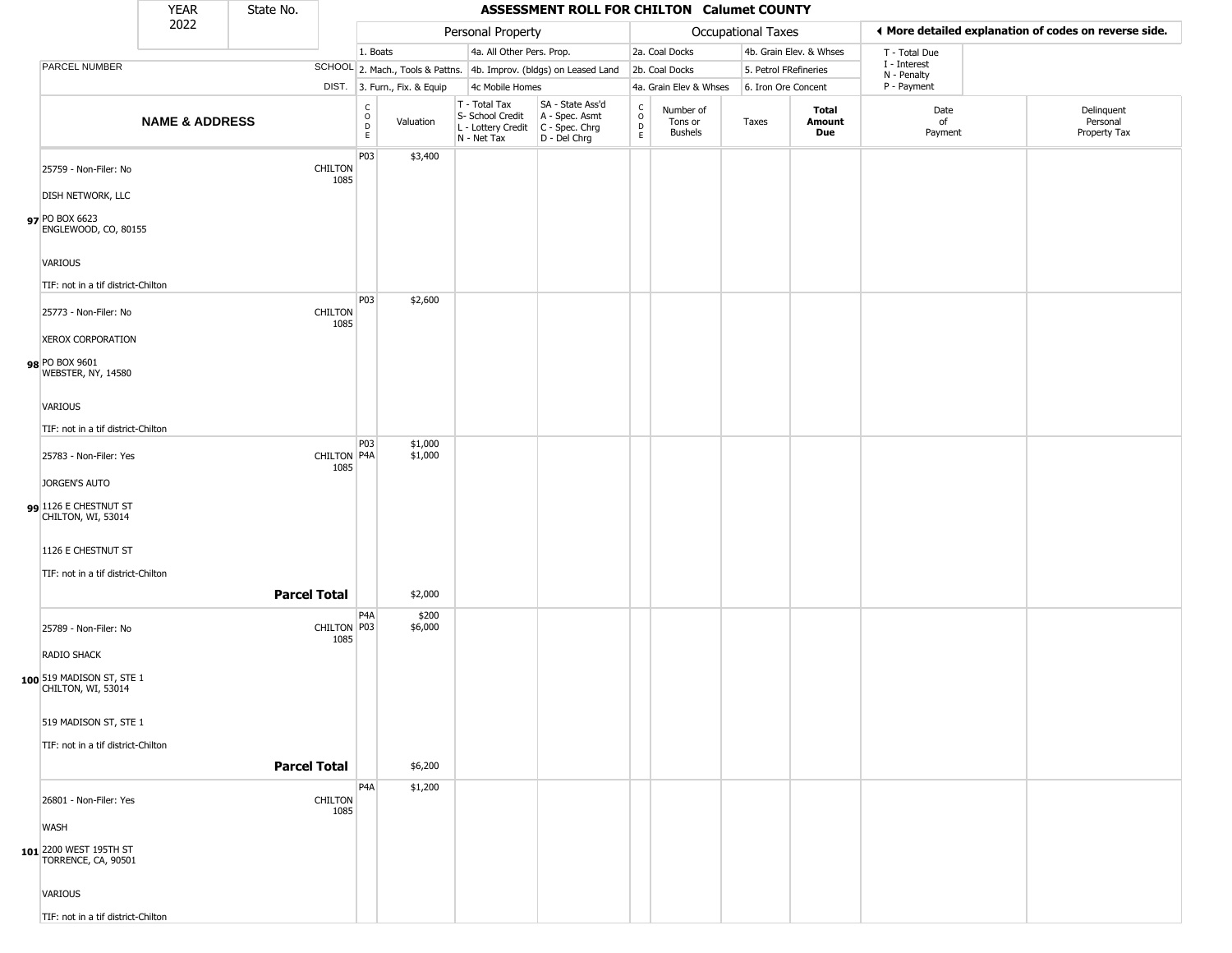|                                                              | <b>YEAR</b>               | State No. |                        |                        |                              |                                                                        | ASSESSMENT ROLL FOR CHILTON Calumet COUNTY                           |                                             |                                        |                       |                         |                             |                                                       |
|--------------------------------------------------------------|---------------------------|-----------|------------------------|------------------------|------------------------------|------------------------------------------------------------------------|----------------------------------------------------------------------|---------------------------------------------|----------------------------------------|-----------------------|-------------------------|-----------------------------|-------------------------------------------------------|
|                                                              | 2022                      |           |                        |                        |                              | Personal Property                                                      |                                                                      |                                             |                                        | Occupational Taxes    |                         |                             | ♦ More detailed explanation of codes on reverse side. |
|                                                              |                           |           |                        | 1. Boats               |                              | 4a. All Other Pers. Prop.                                              |                                                                      |                                             | 2a. Coal Docks                         |                       | 4b. Grain Elev. & Whses | T - Total Due               |                                                       |
| PARCEL NUMBER                                                |                           |           |                        |                        |                              |                                                                        | SCHOOL 2. Mach., Tools & Pattns. 4b. Improv. (bldgs) on Leased Land  |                                             | 2b. Coal Docks                         | 5. Petrol FRefineries |                         | I - Interest<br>N - Penalty |                                                       |
|                                                              |                           |           |                        |                        | DIST. 3. Furn., Fix. & Equip | 4c Mobile Homes                                                        |                                                                      |                                             | 4a. Grain Elev & Whses                 | 6. Iron Ore Concent   |                         | P - Payment                 |                                                       |
|                                                              | <b>NAME &amp; ADDRESS</b> |           |                        | C<br>$\circ$<br>D<br>E | Valuation                    | T - Total Tax<br>S- School Credit<br>L - Lottery Credit<br>N - Net Tax | SA - State Ass'd<br>A - Spec. Asmt<br>C - Spec. Chrg<br>D - Del Chrg | C<br>$\circ$<br>$\mathsf D$<br>$\mathsf{E}$ | Number of<br>Tons or<br><b>Bushels</b> | Taxes                 | Total<br>Amount<br>Due  | Date<br>of<br>Payment       | Delinquent<br>Personal<br>Property Tax                |
| 25759 - Non-Filer: No                                        |                           |           | <b>CHILTON</b><br>1085 | P03                    | \$3,400                      |                                                                        |                                                                      |                                             |                                        |                       |                         |                             |                                                       |
| <b>DISH NETWORK, LLC</b>                                     |                           |           |                        |                        |                              |                                                                        |                                                                      |                                             |                                        |                       |                         |                             |                                                       |
| 97 PO BOX 6623<br>ENGLEWOOD, CO, 80155                       |                           |           |                        |                        |                              |                                                                        |                                                                      |                                             |                                        |                       |                         |                             |                                                       |
| VARIOUS                                                      |                           |           |                        |                        |                              |                                                                        |                                                                      |                                             |                                        |                       |                         |                             |                                                       |
| TIF: not in a tif district-Chilton                           |                           |           |                        |                        |                              |                                                                        |                                                                      |                                             |                                        |                       |                         |                             |                                                       |
| 25773 - Non-Filer: No                                        |                           |           | <b>CHILTON</b>         | P03                    | \$2,600                      |                                                                        |                                                                      |                                             |                                        |                       |                         |                             |                                                       |
| <b>XEROX CORPORATION</b>                                     |                           |           | 1085                   |                        |                              |                                                                        |                                                                      |                                             |                                        |                       |                         |                             |                                                       |
| 98 PO BOX 9601<br>WEBSTER, NY, 14580                         |                           |           |                        |                        |                              |                                                                        |                                                                      |                                             |                                        |                       |                         |                             |                                                       |
| VARIOUS                                                      |                           |           |                        |                        |                              |                                                                        |                                                                      |                                             |                                        |                       |                         |                             |                                                       |
| TIF: not in a tif district-Chilton                           |                           |           |                        | P03                    | \$1,000                      |                                                                        |                                                                      |                                             |                                        |                       |                         |                             |                                                       |
| 25783 - Non-Filer: Yes                                       |                           |           | CHILTON P4A<br>1085    |                        | \$1,000                      |                                                                        |                                                                      |                                             |                                        |                       |                         |                             |                                                       |
| JORGEN'S AUTO<br>99 1126 E CHESTNUT ST                       |                           |           |                        |                        |                              |                                                                        |                                                                      |                                             |                                        |                       |                         |                             |                                                       |
| CHILTON, WI, 53014                                           |                           |           |                        |                        |                              |                                                                        |                                                                      |                                             |                                        |                       |                         |                             |                                                       |
| 1126 E CHESTNUT ST<br>TIF: not in a tif district-Chilton     |                           |           |                        |                        |                              |                                                                        |                                                                      |                                             |                                        |                       |                         |                             |                                                       |
|                                                              |                           |           | <b>Parcel Total</b>    |                        | \$2,000                      |                                                                        |                                                                      |                                             |                                        |                       |                         |                             |                                                       |
| 25789 - Non-Filer: No                                        |                           |           | CHILTON P03<br>1085    | P4A                    | \$200<br>\$6,000             |                                                                        |                                                                      |                                             |                                        |                       |                         |                             |                                                       |
| RADIO SHACK                                                  |                           |           |                        |                        |                              |                                                                        |                                                                      |                                             |                                        |                       |                         |                             |                                                       |
| 100 519 MADISON ST, STE 1<br>CHILTON, WI, 53014              |                           |           |                        |                        |                              |                                                                        |                                                                      |                                             |                                        |                       |                         |                             |                                                       |
| 519 MADISON ST, STE 1                                        |                           |           |                        |                        |                              |                                                                        |                                                                      |                                             |                                        |                       |                         |                             |                                                       |
| TIF: not in a tif district-Chilton                           |                           |           | <b>Parcel Total</b>    |                        | \$6,200                      |                                                                        |                                                                      |                                             |                                        |                       |                         |                             |                                                       |
|                                                              |                           |           |                        | P <sub>4</sub> A       | \$1,200                      |                                                                        |                                                                      |                                             |                                        |                       |                         |                             |                                                       |
| 26801 - Non-Filer: Yes                                       |                           |           | <b>CHILTON</b><br>1085 |                        |                              |                                                                        |                                                                      |                                             |                                        |                       |                         |                             |                                                       |
| <b>WASH</b><br>101 2200 WEST 195TH ST<br>TORRENCE, CA, 90501 |                           |           |                        |                        |                              |                                                                        |                                                                      |                                             |                                        |                       |                         |                             |                                                       |
| VARIOUS                                                      |                           |           |                        |                        |                              |                                                                        |                                                                      |                                             |                                        |                       |                         |                             |                                                       |
| TIF: not in a tif district-Chilton                           |                           |           |                        |                        |                              |                                                                        |                                                                      |                                             |                                        |                       |                         |                             |                                                       |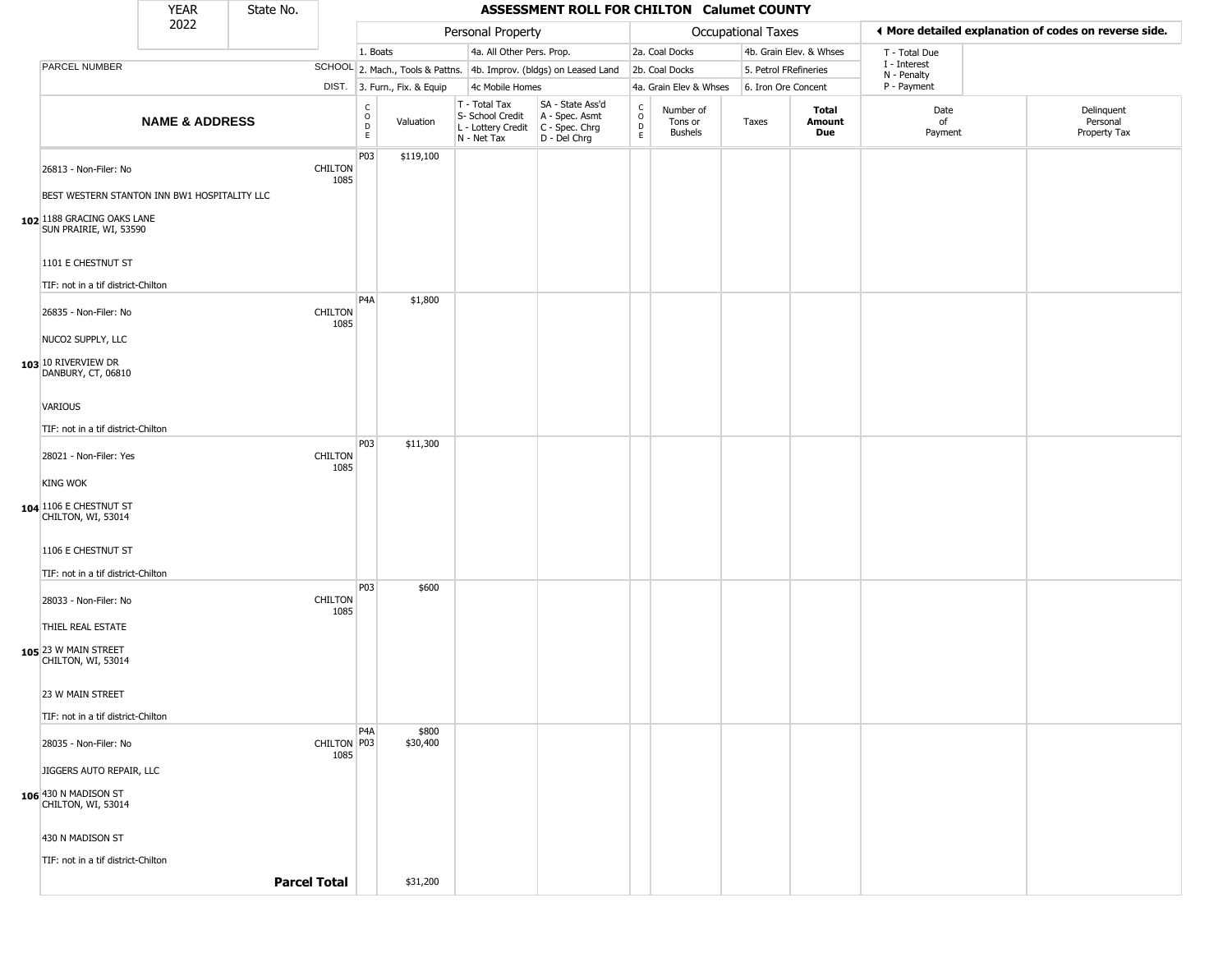|                                                                       | <b>YEAR</b>               | State No. |                        |                                             |                              |                                                                        | ASSESSMENT ROLL FOR CHILTON Calumet COUNTY                           |                                      |                                        |                       |                         |                             |                                                       |
|-----------------------------------------------------------------------|---------------------------|-----------|------------------------|---------------------------------------------|------------------------------|------------------------------------------------------------------------|----------------------------------------------------------------------|--------------------------------------|----------------------------------------|-----------------------|-------------------------|-----------------------------|-------------------------------------------------------|
|                                                                       | 2022                      |           |                        |                                             |                              | Personal Property                                                      |                                                                      |                                      |                                        | Occupational Taxes    |                         |                             | ◀ More detailed explanation of codes on reverse side. |
|                                                                       |                           |           |                        | 1. Boats                                    |                              | 4a. All Other Pers. Prop.                                              |                                                                      |                                      | 2a. Coal Docks                         |                       | 4b. Grain Elev. & Whses | T - Total Due               |                                                       |
| PARCEL NUMBER                                                         |                           |           |                        |                                             |                              |                                                                        | SCHOOL 2. Mach., Tools & Pattns. 4b. Improv. (bldgs) on Leased Land  |                                      | 2b. Coal Docks                         | 5. Petrol FRefineries |                         | I - Interest<br>N - Penalty |                                                       |
|                                                                       |                           |           |                        |                                             | DIST. 3. Furn., Fix. & Equip | 4c Mobile Homes                                                        |                                                                      |                                      | 4a. Grain Elev & Whses                 | 6. Iron Ore Concent   |                         | P - Payment                 |                                                       |
|                                                                       | <b>NAME &amp; ADDRESS</b> |           |                        | $\frac{c}{0}$<br>$\mathsf D$<br>$\mathsf E$ | Valuation                    | T - Total Tax<br>S- School Credit<br>L - Lottery Credit<br>N - Net Tax | SA - State Ass'd<br>A - Spec. Asmt<br>C - Spec. Chrg<br>D - Del Chrg | $\int_{0}^{c}$<br>$_{\rm E}^{\rm D}$ | Number of<br>Tons or<br><b>Bushels</b> | Taxes                 | Total<br>Amount<br>Due  | Date<br>of<br>Payment       | Delinquent<br>Personal<br>Property Tax                |
| 26813 - Non-Filer: No<br>BEST WESTERN STANTON INN BW1 HOSPITALITY LLC |                           |           | <b>CHILTON</b><br>1085 | P <sub>03</sub>                             | \$119,100                    |                                                                        |                                                                      |                                      |                                        |                       |                         |                             |                                                       |
| 102 188 GRACING OAKS LANE<br>SUN PRAIRIE, WI, 53590                   |                           |           |                        |                                             |                              |                                                                        |                                                                      |                                      |                                        |                       |                         |                             |                                                       |
| 1101 E CHESTNUT ST                                                    |                           |           |                        |                                             |                              |                                                                        |                                                                      |                                      |                                        |                       |                         |                             |                                                       |
| TIF: not in a tif district-Chilton                                    |                           |           |                        |                                             |                              |                                                                        |                                                                      |                                      |                                        |                       |                         |                             |                                                       |
| 26835 - Non-Filer: No                                                 |                           |           | <b>CHILTON</b><br>1085 | P4A                                         | \$1,800                      |                                                                        |                                                                      |                                      |                                        |                       |                         |                             |                                                       |
| NUCO2 SUPPLY, LLC                                                     |                           |           |                        |                                             |                              |                                                                        |                                                                      |                                      |                                        |                       |                         |                             |                                                       |
| 103 10 RIVERVIEW DR<br>DANBURY, CT, 06810                             |                           |           |                        |                                             |                              |                                                                        |                                                                      |                                      |                                        |                       |                         |                             |                                                       |
| <b>VARIOUS</b>                                                        |                           |           |                        |                                             |                              |                                                                        |                                                                      |                                      |                                        |                       |                         |                             |                                                       |
| TIF: not in a tif district-Chilton                                    |                           |           |                        |                                             |                              |                                                                        |                                                                      |                                      |                                        |                       |                         |                             |                                                       |
| 28021 - Non-Filer: Yes                                                |                           |           | <b>CHILTON</b><br>1085 | P <sub>0</sub> 3                            | \$11,300                     |                                                                        |                                                                      |                                      |                                        |                       |                         |                             |                                                       |
| <b>KING WOK</b>                                                       |                           |           |                        |                                             |                              |                                                                        |                                                                      |                                      |                                        |                       |                         |                             |                                                       |
| 104 1106 E CHESTNUT ST<br>CHILTON, WI, 53014                          |                           |           |                        |                                             |                              |                                                                        |                                                                      |                                      |                                        |                       |                         |                             |                                                       |
| 1106 E CHESTNUT ST                                                    |                           |           |                        |                                             |                              |                                                                        |                                                                      |                                      |                                        |                       |                         |                             |                                                       |
| TIF: not in a tif district-Chilton                                    |                           |           |                        | P <sub>0</sub> 3                            | \$600                        |                                                                        |                                                                      |                                      |                                        |                       |                         |                             |                                                       |
| 28033 - Non-Filer: No                                                 |                           |           | <b>CHILTON</b><br>1085 |                                             |                              |                                                                        |                                                                      |                                      |                                        |                       |                         |                             |                                                       |
| THIEL REAL ESTATE                                                     |                           |           |                        |                                             |                              |                                                                        |                                                                      |                                      |                                        |                       |                         |                             |                                                       |
| 105 23 W MAIN STREET<br>CHILTON, WI, 53014                            |                           |           |                        |                                             |                              |                                                                        |                                                                      |                                      |                                        |                       |                         |                             |                                                       |
| 23 W MAIN STREET                                                      |                           |           |                        |                                             |                              |                                                                        |                                                                      |                                      |                                        |                       |                         |                             |                                                       |
| TIF: not in a tif district-Chilton                                    |                           |           |                        |                                             |                              |                                                                        |                                                                      |                                      |                                        |                       |                         |                             |                                                       |
| 28035 - Non-Filer: No                                                 |                           |           | CHILTON P03<br>1085    | P <sub>4</sub> A                            | \$800<br>\$30,400            |                                                                        |                                                                      |                                      |                                        |                       |                         |                             |                                                       |
| JIGGERS AUTO REPAIR, LLC                                              |                           |           |                        |                                             |                              |                                                                        |                                                                      |                                      |                                        |                       |                         |                             |                                                       |
| 106 430 N MADISON ST<br>CHILTON, WI, 53014                            |                           |           |                        |                                             |                              |                                                                        |                                                                      |                                      |                                        |                       |                         |                             |                                                       |
| 430 N MADISON ST                                                      |                           |           |                        |                                             |                              |                                                                        |                                                                      |                                      |                                        |                       |                         |                             |                                                       |
| TIF: not in a tif district-Chilton                                    |                           |           |                        |                                             |                              |                                                                        |                                                                      |                                      |                                        |                       |                         |                             |                                                       |
|                                                                       |                           |           | <b>Parcel Total</b>    |                                             | \$31,200                     |                                                                        |                                                                      |                                      |                                        |                       |                         |                             |                                                       |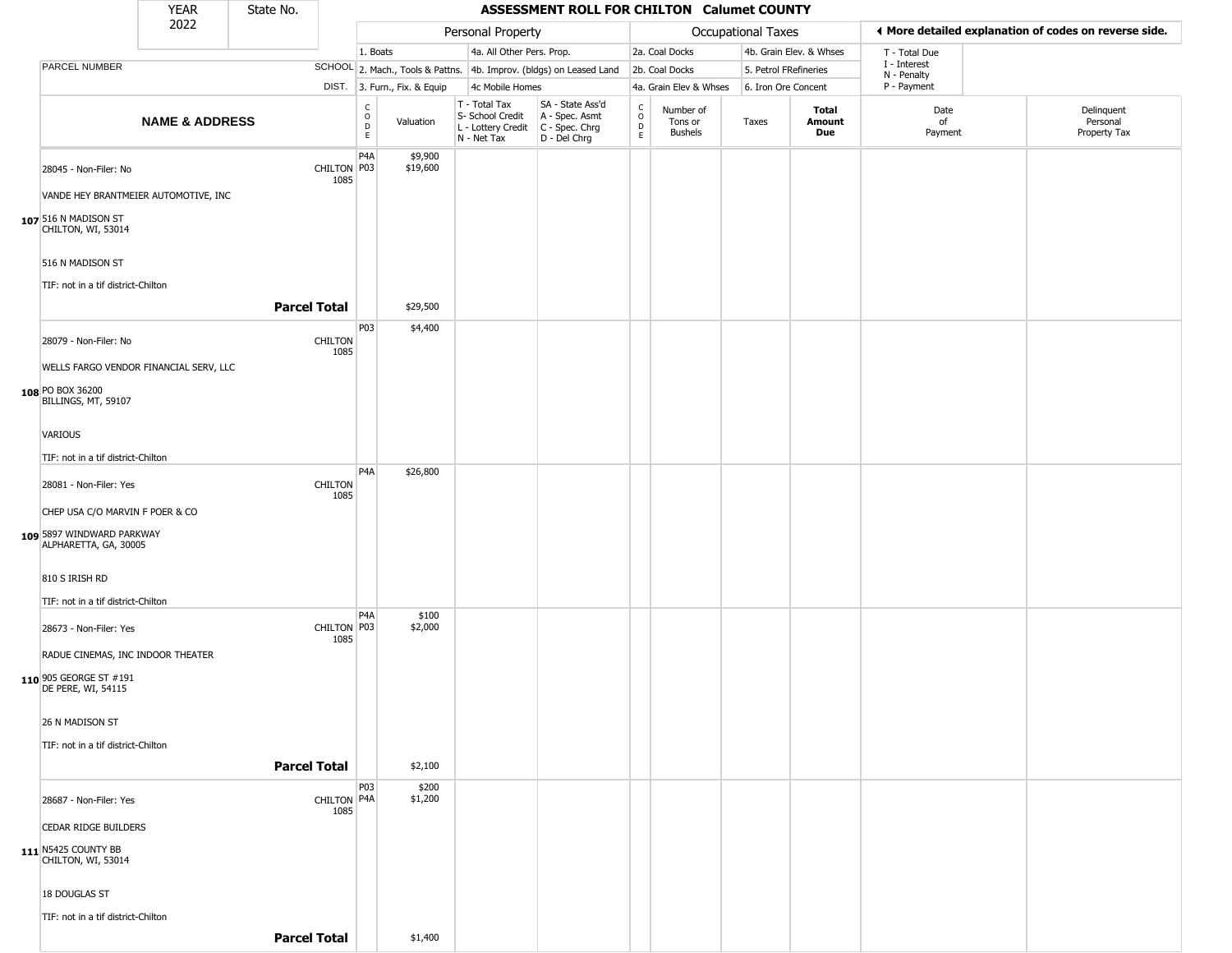|                                                        | <b>YEAR</b>               | State No.           |                        |                                                   |                              |                                                                                       | ASSESSMENT ROLL FOR CHILTON Calumet COUNTY                          |                                |                                        |                           |                         |                             |                                                       |
|--------------------------------------------------------|---------------------------|---------------------|------------------------|---------------------------------------------------|------------------------------|---------------------------------------------------------------------------------------|---------------------------------------------------------------------|--------------------------------|----------------------------------------|---------------------------|-------------------------|-----------------------------|-------------------------------------------------------|
|                                                        | 2022                      |                     |                        |                                                   |                              | Personal Property                                                                     |                                                                     |                                |                                        | <b>Occupational Taxes</b> |                         |                             | ♦ More detailed explanation of codes on reverse side. |
|                                                        |                           |                     |                        | 1. Boats                                          |                              | 4a. All Other Pers. Prop.                                                             |                                                                     |                                | 2a. Coal Docks                         |                           | 4b. Grain Elev. & Whses | T - Total Due               |                                                       |
| <b>PARCEL NUMBER</b>                                   |                           |                     |                        |                                                   |                              |                                                                                       | SCHOOL 2. Mach., Tools & Pattns. 4b. Improv. (bldgs) on Leased Land |                                | 2b. Coal Docks                         | 5. Petrol FRefineries     |                         | I - Interest<br>N - Penalty |                                                       |
|                                                        |                           |                     |                        |                                                   | DIST. 3. Furn., Fix. & Equip | 4c Mobile Homes                                                                       |                                                                     |                                | 4a. Grain Elev & Whses                 | 6. Iron Ore Concent       |                         | P - Payment                 |                                                       |
|                                                        | <b>NAME &amp; ADDRESS</b> |                     |                        | $_{\rm o}^{\rm c}$<br>$\mathsf{D}$<br>$\mathsf E$ | Valuation                    | T - Total Tax<br>S- School Credit<br>L - Lottery Credit C - Spec. Chrg<br>N - Net Tax | SA - State Ass'd<br>A - Spec. Asmt<br>D - Del Chrg                  | $\rm _o^C$<br>$\mathsf D$<br>E | Number of<br>Tons or<br><b>Bushels</b> | Taxes                     | Total<br>Amount<br>Due  | Date<br>of<br>Payment       | Delinquent<br>Personal<br>Property Tax                |
| 28045 - Non-Filer: No                                  |                           |                     | CHILTON P03<br>1085    | P4A                                               | \$9,900<br>\$19,600          |                                                                                       |                                                                     |                                |                                        |                           |                         |                             |                                                       |
| VANDE HEY BRANTMEIER AUTOMOTIVE, INC                   |                           |                     |                        |                                                   |                              |                                                                                       |                                                                     |                                |                                        |                           |                         |                             |                                                       |
| 107 516 N MADISON ST<br>CHILTON, WI, 53014             |                           |                     |                        |                                                   |                              |                                                                                       |                                                                     |                                |                                        |                           |                         |                             |                                                       |
| 516 N MADISON ST<br>TIF: not in a tif district-Chilton |                           |                     |                        |                                                   |                              |                                                                                       |                                                                     |                                |                                        |                           |                         |                             |                                                       |
|                                                        |                           | <b>Parcel Total</b> |                        |                                                   | \$29,500                     |                                                                                       |                                                                     |                                |                                        |                           |                         |                             |                                                       |
|                                                        |                           |                     |                        |                                                   |                              |                                                                                       |                                                                     |                                |                                        |                           |                         |                             |                                                       |
| 28079 - Non-Filer: No                                  |                           |                     | <b>CHILTON</b><br>1085 | P03                                               | \$4,400                      |                                                                                       |                                                                     |                                |                                        |                           |                         |                             |                                                       |
| WELLS FARGO VENDOR FINANCIAL SERV, LLC                 |                           |                     |                        |                                                   |                              |                                                                                       |                                                                     |                                |                                        |                           |                         |                             |                                                       |
| 108 PO BOX 36200<br>BILLINGS, MT, 59107                |                           |                     |                        |                                                   |                              |                                                                                       |                                                                     |                                |                                        |                           |                         |                             |                                                       |
| VARIOUS                                                |                           |                     |                        |                                                   |                              |                                                                                       |                                                                     |                                |                                        |                           |                         |                             |                                                       |
| TIF: not in a tif district-Chilton                     |                           |                     |                        |                                                   |                              |                                                                                       |                                                                     |                                |                                        |                           |                         |                             |                                                       |
|                                                        |                           |                     |                        | P4A                                               | \$26,800                     |                                                                                       |                                                                     |                                |                                        |                           |                         |                             |                                                       |
| 28081 - Non-Filer: Yes                                 |                           |                     | <b>CHILTON</b><br>1085 |                                                   |                              |                                                                                       |                                                                     |                                |                                        |                           |                         |                             |                                                       |
| CHEP USA C/O MARVIN F POER & CO                        |                           |                     |                        |                                                   |                              |                                                                                       |                                                                     |                                |                                        |                           |                         |                             |                                                       |
| 109 5897 WINDWARD PARKWAY<br>ALPHARETTA, GA, 30005     |                           |                     |                        |                                                   |                              |                                                                                       |                                                                     |                                |                                        |                           |                         |                             |                                                       |
| 810 S IRISH RD                                         |                           |                     |                        |                                                   |                              |                                                                                       |                                                                     |                                |                                        |                           |                         |                             |                                                       |
| TIF: not in a tif district-Chilton                     |                           |                     |                        |                                                   |                              |                                                                                       |                                                                     |                                |                                        |                           |                         |                             |                                                       |
|                                                        |                           |                     |                        | P <sub>4</sub> A                                  | \$100                        |                                                                                       |                                                                     |                                |                                        |                           |                         |                             |                                                       |
| 28673 - Non-Filer: Yes                                 |                           |                     | CHILTON P03<br>1085    |                                                   | \$2,000                      |                                                                                       |                                                                     |                                |                                        |                           |                         |                             |                                                       |
| RADUE CINEMAS, INC INDOOR THEATER                      |                           |                     |                        |                                                   |                              |                                                                                       |                                                                     |                                |                                        |                           |                         |                             |                                                       |
| 110 905 GEORGE ST #191<br>DE PERE, WI, 54115           |                           |                     |                        |                                                   |                              |                                                                                       |                                                                     |                                |                                        |                           |                         |                             |                                                       |
| 26 N MADISON ST                                        |                           |                     |                        |                                                   |                              |                                                                                       |                                                                     |                                |                                        |                           |                         |                             |                                                       |
| TIF: not in a tif district-Chilton                     |                           |                     |                        |                                                   |                              |                                                                                       |                                                                     |                                |                                        |                           |                         |                             |                                                       |
|                                                        |                           | <b>Parcel Total</b> |                        |                                                   | \$2,100                      |                                                                                       |                                                                     |                                |                                        |                           |                         |                             |                                                       |
|                                                        |                           |                     |                        | <b>P03</b>                                        | \$200                        |                                                                                       |                                                                     |                                |                                        |                           |                         |                             |                                                       |
| 28687 - Non-Filer: Yes                                 |                           |                     | CHILTON P4A<br>1085    |                                                   | \$1,200                      |                                                                                       |                                                                     |                                |                                        |                           |                         |                             |                                                       |
| CEDAR RIDGE BUILDERS                                   |                           |                     |                        |                                                   |                              |                                                                                       |                                                                     |                                |                                        |                           |                         |                             |                                                       |
| 111 N5425 COUNTY BB<br>CHILTON, WI, 53014              |                           |                     |                        |                                                   |                              |                                                                                       |                                                                     |                                |                                        |                           |                         |                             |                                                       |
| 18 DOUGLAS ST                                          |                           |                     |                        |                                                   |                              |                                                                                       |                                                                     |                                |                                        |                           |                         |                             |                                                       |
| TIF: not in a tif district-Chilton                     |                           |                     |                        |                                                   |                              |                                                                                       |                                                                     |                                |                                        |                           |                         |                             |                                                       |
|                                                        |                           | <b>Parcel Total</b> |                        |                                                   | \$1,400                      |                                                                                       |                                                                     |                                |                                        |                           |                         |                             |                                                       |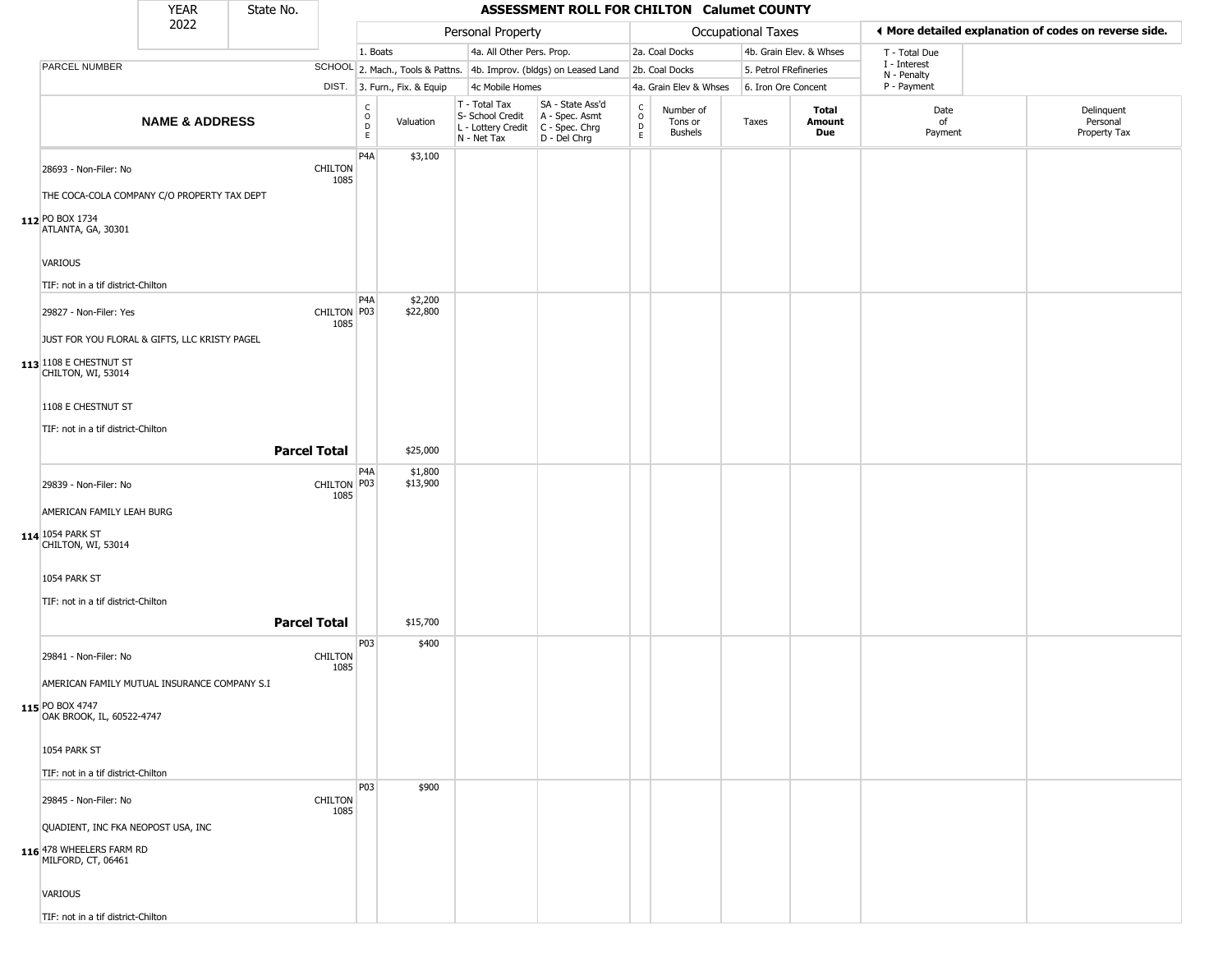|                                                | <b>YEAR</b>               | State No.           |                        |                        |                              |                                                                        | ASSESSMENT ROLL FOR CHILTON Calumet COUNTY                           |                        |                                        |                       |                         |                                                       |                                        |
|------------------------------------------------|---------------------------|---------------------|------------------------|------------------------|------------------------------|------------------------------------------------------------------------|----------------------------------------------------------------------|------------------------|----------------------------------------|-----------------------|-------------------------|-------------------------------------------------------|----------------------------------------|
|                                                | 2022                      |                     |                        |                        |                              | Personal Property                                                      |                                                                      |                        |                                        | Occupational Taxes    |                         | ♦ More detailed explanation of codes on reverse side. |                                        |
|                                                |                           |                     |                        | 1. Boats               |                              | 4a. All Other Pers. Prop.                                              |                                                                      |                        | 2a. Coal Docks                         |                       | 4b. Grain Elev. & Whses | T - Total Due                                         |                                        |
| <b>PARCEL NUMBER</b>                           |                           |                     |                        |                        |                              |                                                                        | SCHOOL 2. Mach., Tools & Pattns. 4b. Improv. (bldgs) on Leased Land  |                        | 2b. Coal Docks                         | 5. Petrol FRefineries |                         | I - Interest<br>N - Penalty                           |                                        |
|                                                |                           |                     |                        |                        | DIST. 3. Furn., Fix. & Equip | 4c Mobile Homes                                                        |                                                                      |                        | 4a. Grain Elev & Whses                 | 6. Iron Ore Concent   |                         | P - Payment                                           |                                        |
|                                                | <b>NAME &amp; ADDRESS</b> |                     |                        | C<br>$\circ$<br>D<br>E | Valuation                    | T - Total Tax<br>S- School Credit<br>L - Lottery Credit<br>N - Net Tax | SA - State Ass'd<br>A - Spec. Asmt<br>C - Spec. Chrg<br>D - Del Chrg | C<br>$\circ$<br>D<br>E | Number of<br>Tons or<br><b>Bushels</b> | Taxes                 | Total<br>Amount<br>Due  | Date<br>of<br>Payment                                 | Delinquent<br>Personal<br>Property Tax |
| 28693 - Non-Filer: No                          |                           |                     | <b>CHILTON</b><br>1085 | P <sub>4</sub> A       | \$3,100                      |                                                                        |                                                                      |                        |                                        |                       |                         |                                                       |                                        |
| THE COCA-COLA COMPANY C/O PROPERTY TAX DEPT    |                           |                     |                        |                        |                              |                                                                        |                                                                      |                        |                                        |                       |                         |                                                       |                                        |
| 112 PO BOX 1734<br>ATLANTA, GA, 30301          |                           |                     |                        |                        |                              |                                                                        |                                                                      |                        |                                        |                       |                         |                                                       |                                        |
| <b>VARIOUS</b>                                 |                           |                     |                        |                        |                              |                                                                        |                                                                      |                        |                                        |                       |                         |                                                       |                                        |
| TIF: not in a tif district-Chilton             |                           |                     |                        |                        |                              |                                                                        |                                                                      |                        |                                        |                       |                         |                                                       |                                        |
| 29827 - Non-Filer: Yes                         |                           |                     | CHILTON P03            | P <sub>4</sub> A       | \$2,200<br>\$22,800          |                                                                        |                                                                      |                        |                                        |                       |                         |                                                       |                                        |
| JUST FOR YOU FLORAL & GIFTS, LLC KRISTY PAGEL  |                           |                     | 1085                   |                        |                              |                                                                        |                                                                      |                        |                                        |                       |                         |                                                       |                                        |
| 113 1108 E CHESTNUT ST<br>CHILTON, WI, 53014   |                           |                     |                        |                        |                              |                                                                        |                                                                      |                        |                                        |                       |                         |                                                       |                                        |
| 1108 E CHESTNUT ST                             |                           |                     |                        |                        |                              |                                                                        |                                                                      |                        |                                        |                       |                         |                                                       |                                        |
| TIF: not in a tif district-Chilton             |                           |                     |                        |                        |                              |                                                                        |                                                                      |                        |                                        |                       |                         |                                                       |                                        |
|                                                |                           | <b>Parcel Total</b> |                        |                        | \$25,000                     |                                                                        |                                                                      |                        |                                        |                       |                         |                                                       |                                        |
| 29839 - Non-Filer: No                          |                           |                     | CHILTON P03<br>1085    | P <sub>4</sub> A       | \$1,800<br>\$13,900          |                                                                        |                                                                      |                        |                                        |                       |                         |                                                       |                                        |
| AMERICAN FAMILY LEAH BURG                      |                           |                     |                        |                        |                              |                                                                        |                                                                      |                        |                                        |                       |                         |                                                       |                                        |
| 114 1054 PARK ST<br>CHILTON, WI, 53014         |                           |                     |                        |                        |                              |                                                                        |                                                                      |                        |                                        |                       |                         |                                                       |                                        |
| 1054 PARK ST                                   |                           |                     |                        |                        |                              |                                                                        |                                                                      |                        |                                        |                       |                         |                                                       |                                        |
| TIF: not in a tif district-Chilton             |                           |                     |                        |                        |                              |                                                                        |                                                                      |                        |                                        |                       |                         |                                                       |                                        |
|                                                |                           | <b>Parcel Total</b> |                        |                        | \$15,700                     |                                                                        |                                                                      |                        |                                        |                       |                         |                                                       |                                        |
| 29841 - Non-Filer: No                          |                           |                     | <b>CHILTON</b><br>1085 | P03                    | \$400                        |                                                                        |                                                                      |                        |                                        |                       |                         |                                                       |                                        |
| AMERICAN FAMILY MUTUAL INSURANCE COMPANY S.I   |                           |                     |                        |                        |                              |                                                                        |                                                                      |                        |                                        |                       |                         |                                                       |                                        |
| 115 PO BOX 4747<br>OAK BROOK, IL, 60522-4747   |                           |                     |                        |                        |                              |                                                                        |                                                                      |                        |                                        |                       |                         |                                                       |                                        |
| 1054 PARK ST                                   |                           |                     |                        |                        |                              |                                                                        |                                                                      |                        |                                        |                       |                         |                                                       |                                        |
| TIF: not in a tif district-Chilton             |                           |                     |                        | P03                    | \$900                        |                                                                        |                                                                      |                        |                                        |                       |                         |                                                       |                                        |
| 29845 - Non-Filer: No                          |                           |                     | <b>CHILTON</b><br>1085 |                        |                              |                                                                        |                                                                      |                        |                                        |                       |                         |                                                       |                                        |
| QUADIENT, INC FKA NEOPOST USA, INC             |                           |                     |                        |                        |                              |                                                                        |                                                                      |                        |                                        |                       |                         |                                                       |                                        |
| 116 478 WHEELERS FARM RD<br>MILFORD, CT, 06461 |                           |                     |                        |                        |                              |                                                                        |                                                                      |                        |                                        |                       |                         |                                                       |                                        |
| <b>VARIOUS</b>                                 |                           |                     |                        |                        |                              |                                                                        |                                                                      |                        |                                        |                       |                         |                                                       |                                        |
| TIF: not in a tif district-Chilton             |                           |                     |                        |                        |                              |                                                                        |                                                                      |                        |                                        |                       |                         |                                                       |                                        |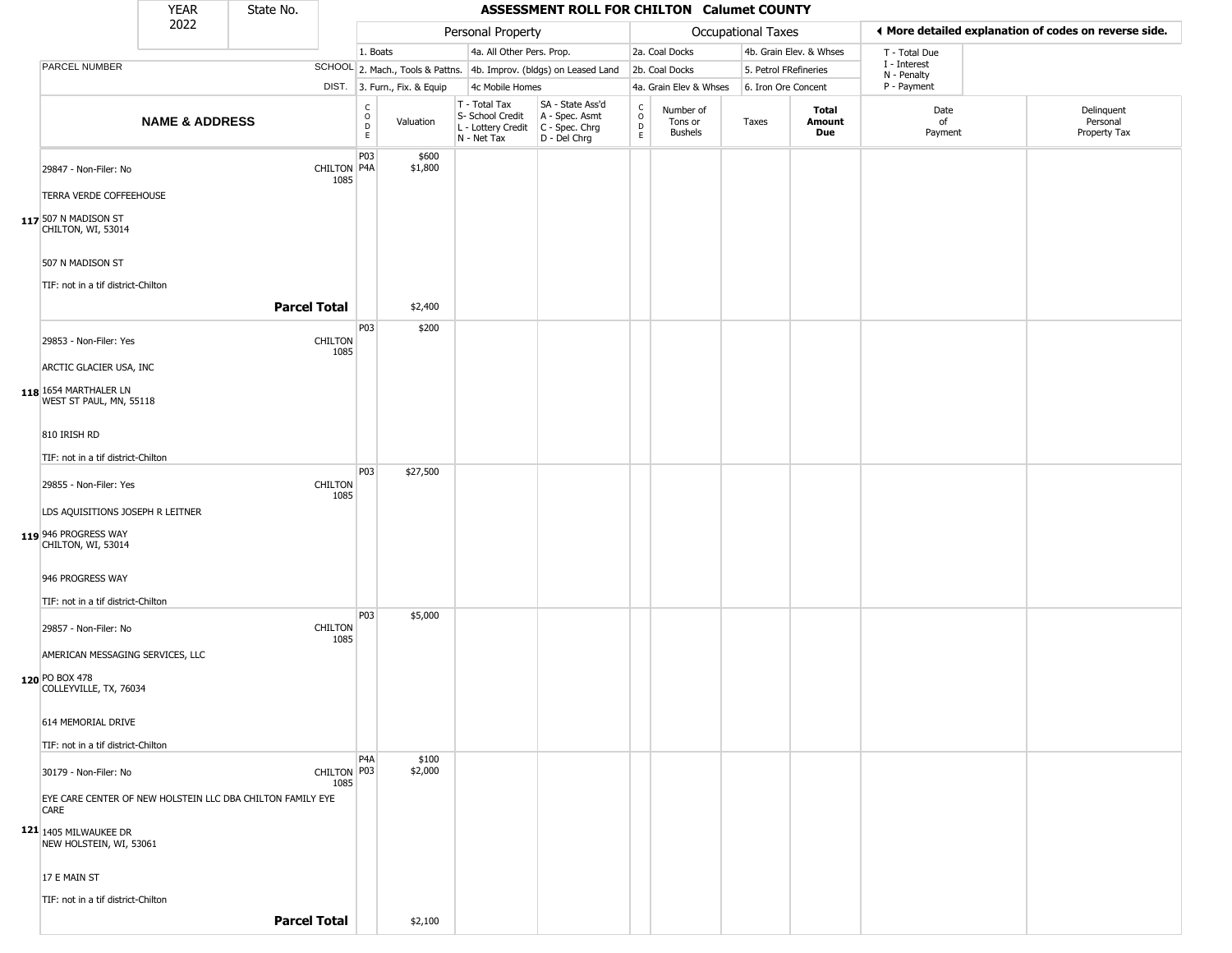|                                                                    | <b>YEAR</b>               | State No.           |                        |                                             |                              |                                                                        | ASSESSMENT ROLL FOR CHILTON Calumet COUNTY                           |                                                 |                                        |                       |                         |                             |                                                       |
|--------------------------------------------------------------------|---------------------------|---------------------|------------------------|---------------------------------------------|------------------------------|------------------------------------------------------------------------|----------------------------------------------------------------------|-------------------------------------------------|----------------------------------------|-----------------------|-------------------------|-----------------------------|-------------------------------------------------------|
|                                                                    | 2022                      |                     |                        |                                             |                              | Personal Property                                                      |                                                                      |                                                 |                                        | Occupational Taxes    |                         |                             | ◀ More detailed explanation of codes on reverse side. |
|                                                                    |                           |                     |                        | 1. Boats                                    |                              | 4a. All Other Pers. Prop.                                              |                                                                      |                                                 | 2a. Coal Docks                         |                       | 4b. Grain Elev. & Whses | T - Total Due               |                                                       |
| PARCEL NUMBER                                                      |                           |                     |                        |                                             |                              |                                                                        | SCHOOL 2. Mach., Tools & Pattns. 4b. Improv. (bldgs) on Leased Land  |                                                 | 2b. Coal Docks                         | 5. Petrol FRefineries |                         | I - Interest<br>N - Penalty |                                                       |
|                                                                    |                           |                     |                        |                                             | DIST. 3. Furn., Fix. & Equip | 4c Mobile Homes                                                        |                                                                      |                                                 | 4a. Grain Elev & Whses                 | 6. Iron Ore Concent   |                         | P - Payment                 |                                                       |
|                                                                    | <b>NAME &amp; ADDRESS</b> |                     |                        | $\mathsf{C}$<br>$\circ$<br>D<br>$\mathsf E$ | Valuation                    | T - Total Tax<br>S- School Credit<br>L - Lottery Credit<br>N - Net Tax | SA - State Ass'd<br>A - Spec. Asmt<br>C - Spec. Chrg<br>D - Del Chrg | $\begin{array}{c} C \\ O \\ D \\ E \end{array}$ | Number of<br>Tons or<br><b>Bushels</b> | Taxes                 | Total<br>Amount<br>Due  | Date<br>of<br>Payment       | Delinquent<br>Personal<br>Property Tax                |
| 29847 - Non-Filer: No                                              |                           |                     | CHILTON P4A<br>1085    | P03                                         | \$600<br>\$1,800             |                                                                        |                                                                      |                                                 |                                        |                       |                         |                             |                                                       |
| TERRA VERDE COFFEEHOUSE                                            |                           |                     |                        |                                             |                              |                                                                        |                                                                      |                                                 |                                        |                       |                         |                             |                                                       |
| 117 507 N MADISON ST<br>CHILTON, WI, 53014                         |                           |                     |                        |                                             |                              |                                                                        |                                                                      |                                                 |                                        |                       |                         |                             |                                                       |
| 507 N MADISON ST<br>TIF: not in a tif district-Chilton             |                           |                     |                        |                                             |                              |                                                                        |                                                                      |                                                 |                                        |                       |                         |                             |                                                       |
|                                                                    |                           | <b>Parcel Total</b> |                        |                                             | \$2,400                      |                                                                        |                                                                      |                                                 |                                        |                       |                         |                             |                                                       |
|                                                                    |                           |                     |                        | P03                                         | \$200                        |                                                                        |                                                                      |                                                 |                                        |                       |                         |                             |                                                       |
| 29853 - Non-Filer: Yes                                             |                           |                     | <b>CHILTON</b><br>1085 |                                             |                              |                                                                        |                                                                      |                                                 |                                        |                       |                         |                             |                                                       |
| ARCTIC GLACIER USA, INC                                            |                           |                     |                        |                                             |                              |                                                                        |                                                                      |                                                 |                                        |                       |                         |                             |                                                       |
| 118 1654 MARTHALER LN<br>WEST ST PAUL, MN, 55118                   |                           |                     |                        |                                             |                              |                                                                        |                                                                      |                                                 |                                        |                       |                         |                             |                                                       |
| 810 IRISH RD                                                       |                           |                     |                        |                                             |                              |                                                                        |                                                                      |                                                 |                                        |                       |                         |                             |                                                       |
| TIF: not in a tif district-Chilton                                 |                           |                     |                        |                                             |                              |                                                                        |                                                                      |                                                 |                                        |                       |                         |                             |                                                       |
| 29855 - Non-Filer: Yes                                             |                           |                     | <b>CHILTON</b><br>1085 | P03                                         | \$27,500                     |                                                                        |                                                                      |                                                 |                                        |                       |                         |                             |                                                       |
| LDS AQUISITIONS JOSEPH R LEITNER                                   |                           |                     |                        |                                             |                              |                                                                        |                                                                      |                                                 |                                        |                       |                         |                             |                                                       |
| 119 946 PROGRESS WAY<br>CHILTON, WI, 53014                         |                           |                     |                        |                                             |                              |                                                                        |                                                                      |                                                 |                                        |                       |                         |                             |                                                       |
| 946 PROGRESS WAY                                                   |                           |                     |                        |                                             |                              |                                                                        |                                                                      |                                                 |                                        |                       |                         |                             |                                                       |
| TIF: not in a tif district-Chilton                                 |                           |                     |                        |                                             |                              |                                                                        |                                                                      |                                                 |                                        |                       |                         |                             |                                                       |
| 29857 - Non-Filer: No                                              |                           |                     | <b>CHILTON</b><br>1085 | P03                                         | \$5,000                      |                                                                        |                                                                      |                                                 |                                        |                       |                         |                             |                                                       |
| AMERICAN MESSAGING SERVICES, LLC                                   |                           |                     |                        |                                             |                              |                                                                        |                                                                      |                                                 |                                        |                       |                         |                             |                                                       |
| 120 PO BOX 478<br>COLLEYVILLE, TX, 76034                           |                           |                     |                        |                                             |                              |                                                                        |                                                                      |                                                 |                                        |                       |                         |                             |                                                       |
| 614 MEMORIAL DRIVE                                                 |                           |                     |                        |                                             |                              |                                                                        |                                                                      |                                                 |                                        |                       |                         |                             |                                                       |
| TIF: not in a tif district-Chilton                                 |                           |                     |                        | P <sub>4</sub> A                            | \$100                        |                                                                        |                                                                      |                                                 |                                        |                       |                         |                             |                                                       |
| 30179 - Non-Filer: No                                              |                           |                     | CHILTON   P03<br>1085  |                                             | \$2,000                      |                                                                        |                                                                      |                                                 |                                        |                       |                         |                             |                                                       |
| EYE CARE CENTER OF NEW HOLSTEIN LLC DBA CHILTON FAMILY EYE<br>CARE |                           |                     |                        |                                             |                              |                                                                        |                                                                      |                                                 |                                        |                       |                         |                             |                                                       |
| 121 1405 MILWAUKEE DR<br>NEW HOLSTEIN, WI, 53061                   |                           |                     |                        |                                             |                              |                                                                        |                                                                      |                                                 |                                        |                       |                         |                             |                                                       |
| 17 E MAIN ST                                                       |                           |                     |                        |                                             |                              |                                                                        |                                                                      |                                                 |                                        |                       |                         |                             |                                                       |
| TIF: not in a tif district-Chilton                                 |                           |                     |                        |                                             |                              |                                                                        |                                                                      |                                                 |                                        |                       |                         |                             |                                                       |
|                                                                    |                           | <b>Parcel Total</b> |                        |                                             | \$2,100                      |                                                                        |                                                                      |                                                 |                                        |                       |                         |                             |                                                       |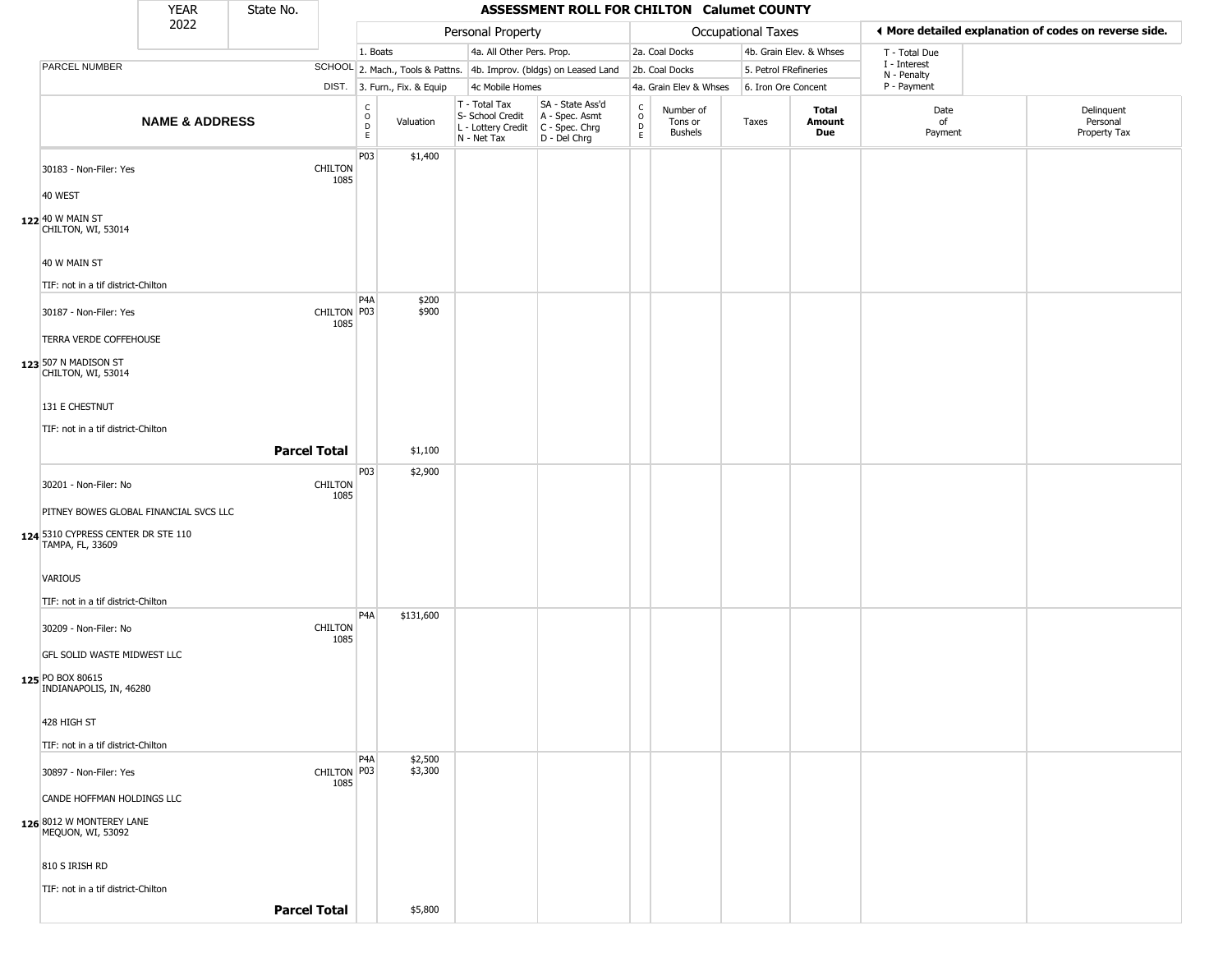|                                                        | <b>YEAR</b>               | State No. |                        |                                   |                              |                                                                                         | ASSESSMENT ROLL FOR CHILTON Calumet COUNTY                          |                                          |                                        |                    |                         |                             |                                                       |
|--------------------------------------------------------|---------------------------|-----------|------------------------|-----------------------------------|------------------------------|-----------------------------------------------------------------------------------------|---------------------------------------------------------------------|------------------------------------------|----------------------------------------|--------------------|-------------------------|-----------------------------|-------------------------------------------------------|
|                                                        | 2022                      |           |                        |                                   |                              | Personal Property                                                                       |                                                                     |                                          |                                        | Occupational Taxes |                         |                             | ◀ More detailed explanation of codes on reverse side. |
|                                                        |                           |           |                        | 1. Boats                          |                              | 4a. All Other Pers. Prop.                                                               |                                                                     |                                          | 2a. Coal Docks                         |                    | 4b. Grain Elev. & Whses | T - Total Due               |                                                       |
| PARCEL NUMBER                                          |                           |           |                        |                                   |                              |                                                                                         | SCHOOL 2. Mach., Tools & Pattns. 4b. Improv. (bldgs) on Leased Land |                                          | 2b. Coal Docks                         |                    | 5. Petrol FRefineries   | I - Interest<br>N - Penalty |                                                       |
|                                                        |                           |           |                        |                                   | DIST. 3. Furn., Fix. & Equip | 4c Mobile Homes                                                                         |                                                                     |                                          | 4a. Grain Elev & Whses                 |                    | 6. Iron Ore Concent     | P - Payment                 |                                                       |
|                                                        | <b>NAME &amp; ADDRESS</b> |           |                        | $\mathsf{C}$<br>$\circ$<br>D<br>E | Valuation                    | T - Total Tax<br>S- School Credit<br>L - Lottery Credit   C - Spec. Chrg<br>N - Net Tax | SA - State Ass'd<br>A - Spec. Asmt<br>D - Del Chrg                  | $\mathsf{C}$<br>$\circ$<br>$\frac{D}{E}$ | Number of<br>Tons or<br><b>Bushels</b> | Taxes              | Total<br>Amount<br>Due  | Date<br>of<br>Payment       | Delinquent<br>Personal<br>Property Tax                |
| 30183 - Non-Filer: Yes                                 |                           |           | <b>CHILTON</b><br>1085 | P03                               | \$1,400                      |                                                                                         |                                                                     |                                          |                                        |                    |                         |                             |                                                       |
| 40 WEST                                                |                           |           |                        |                                   |                              |                                                                                         |                                                                     |                                          |                                        |                    |                         |                             |                                                       |
| 122 40 W MAIN ST<br>CHILTON, WI, 53014                 |                           |           |                        |                                   |                              |                                                                                         |                                                                     |                                          |                                        |                    |                         |                             |                                                       |
| 40 W MAIN ST                                           |                           |           |                        |                                   |                              |                                                                                         |                                                                     |                                          |                                        |                    |                         |                             |                                                       |
| TIF: not in a tif district-Chilton                     |                           |           |                        |                                   |                              |                                                                                         |                                                                     |                                          |                                        |                    |                         |                             |                                                       |
| 30187 - Non-Filer: Yes                                 |                           |           | CHILTON   P03<br>1085  | P4A                               | \$200<br>\$900               |                                                                                         |                                                                     |                                          |                                        |                    |                         |                             |                                                       |
| TERRA VERDE COFFEHOUSE                                 |                           |           |                        |                                   |                              |                                                                                         |                                                                     |                                          |                                        |                    |                         |                             |                                                       |
| 123 507 N MADISON ST<br>CHILTON, WI, 53014             |                           |           |                        |                                   |                              |                                                                                         |                                                                     |                                          |                                        |                    |                         |                             |                                                       |
| 131 E CHESTNUT                                         |                           |           |                        |                                   |                              |                                                                                         |                                                                     |                                          |                                        |                    |                         |                             |                                                       |
| TIF: not in a tif district-Chilton                     |                           |           |                        |                                   |                              |                                                                                         |                                                                     |                                          |                                        |                    |                         |                             |                                                       |
|                                                        |                           |           | <b>Parcel Total</b>    |                                   | \$1,100                      |                                                                                         |                                                                     |                                          |                                        |                    |                         |                             |                                                       |
| 30201 - Non-Filer: No                                  |                           |           | <b>CHILTON</b><br>1085 | P03                               | \$2,900                      |                                                                                         |                                                                     |                                          |                                        |                    |                         |                             |                                                       |
| PITNEY BOWES GLOBAL FINANCIAL SVCS LLC                 |                           |           |                        |                                   |                              |                                                                                         |                                                                     |                                          |                                        |                    |                         |                             |                                                       |
| 124 5310 CYPRESS CENTER DR STE 110<br>TAMPA, FL, 33609 |                           |           |                        |                                   |                              |                                                                                         |                                                                     |                                          |                                        |                    |                         |                             |                                                       |
| VARIOUS                                                |                           |           |                        |                                   |                              |                                                                                         |                                                                     |                                          |                                        |                    |                         |                             |                                                       |
| TIF: not in a tif district-Chilton                     |                           |           |                        |                                   |                              |                                                                                         |                                                                     |                                          |                                        |                    |                         |                             |                                                       |
| 30209 - Non-Filer: No                                  |                           |           | <b>CHILTON</b><br>1085 | P <sub>4</sub> A                  | \$131,600                    |                                                                                         |                                                                     |                                          |                                        |                    |                         |                             |                                                       |
| GFL SOLID WASTE MIDWEST LLC                            |                           |           |                        |                                   |                              |                                                                                         |                                                                     |                                          |                                        |                    |                         |                             |                                                       |
| 125 PO BOX 80615<br>INDIANAPOLIS, IN, 46280            |                           |           |                        |                                   |                              |                                                                                         |                                                                     |                                          |                                        |                    |                         |                             |                                                       |
| 428 HIGH ST                                            |                           |           |                        |                                   |                              |                                                                                         |                                                                     |                                          |                                        |                    |                         |                             |                                                       |
| TIF: not in a tif district-Chilton                     |                           |           |                        |                                   |                              |                                                                                         |                                                                     |                                          |                                        |                    |                         |                             |                                                       |
| 30897 - Non-Filer: Yes                                 |                           |           | CHILTON P03<br>1085    | P <sub>4</sub> A                  | \$2,500<br>\$3,300           |                                                                                         |                                                                     |                                          |                                        |                    |                         |                             |                                                       |
| CANDE HOFFMAN HOLDINGS LLC                             |                           |           |                        |                                   |                              |                                                                                         |                                                                     |                                          |                                        |                    |                         |                             |                                                       |
| 126 8012 W MONTEREY LANE<br>MEQUON, WI, 53092          |                           |           |                        |                                   |                              |                                                                                         |                                                                     |                                          |                                        |                    |                         |                             |                                                       |
| 810 S IRISH RD                                         |                           |           |                        |                                   |                              |                                                                                         |                                                                     |                                          |                                        |                    |                         |                             |                                                       |
| TIF: not in a tif district-Chilton                     |                           |           |                        |                                   |                              |                                                                                         |                                                                     |                                          |                                        |                    |                         |                             |                                                       |
|                                                        |                           |           | <b>Parcel Total</b>    |                                   | \$5,800                      |                                                                                         |                                                                     |                                          |                                        |                    |                         |                             |                                                       |
|                                                        |                           |           |                        |                                   |                              |                                                                                         |                                                                     |                                          |                                        |                    |                         |                             |                                                       |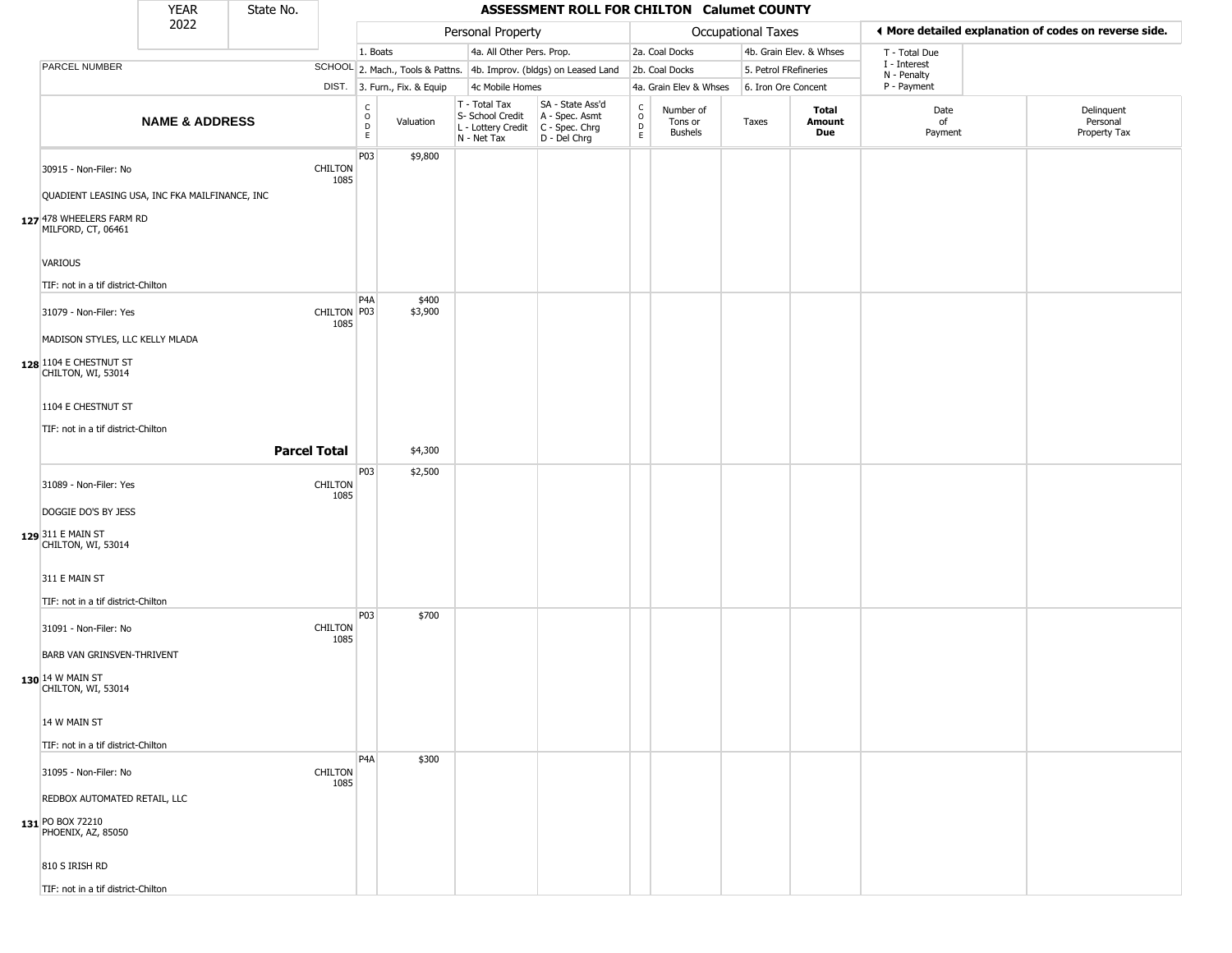|                                                                                                                                                            | <b>YEAR</b>               | State No.           |                        |                                                         |                                                                          | ASSESSMENT ROLL FOR CHILTON Calumet COUNTY                             |                                           |                                        |                     |                         |                             |                                                       |
|------------------------------------------------------------------------------------------------------------------------------------------------------------|---------------------------|---------------------|------------------------|---------------------------------------------------------|--------------------------------------------------------------------------|------------------------------------------------------------------------|-------------------------------------------|----------------------------------------|---------------------|-------------------------|-----------------------------|-------------------------------------------------------|
|                                                                                                                                                            | 2022                      |                     |                        |                                                         | Personal Property                                                        |                                                                        |                                           |                                        | Occupational Taxes  |                         |                             | ◀ More detailed explanation of codes on reverse side. |
|                                                                                                                                                            |                           |                     |                        | 1. Boats                                                | 4a. All Other Pers. Prop.                                                |                                                                        |                                           | 2a. Coal Docks                         |                     | 4b. Grain Elev. & Whses | T - Total Due               |                                                       |
| PARCEL NUMBER                                                                                                                                              |                           |                     |                        |                                                         |                                                                          | SCHOOL 2. Mach., Tools & Pattns. 4b. Improv. (bldgs) on Leased Land    |                                           | 2b. Coal Docks                         |                     | 5. Petrol FRefineries   | I - Interest<br>N - Penalty |                                                       |
|                                                                                                                                                            |                           |                     |                        | DIST. 3. Furn., Fix. & Equip                            | 4c Mobile Homes                                                          |                                                                        |                                           | 4a. Grain Elev & Whses                 | 6. Iron Ore Concent |                         | P - Payment                 |                                                       |
|                                                                                                                                                            | <b>NAME &amp; ADDRESS</b> |                     |                        | $\begin{array}{c} C \\ 0 \\ E \end{array}$<br>Valuation | $T - Total Tax$<br>S- School Credit<br>L - Lottery Credit<br>N - Net Tax | SA - State Ass'd<br>A - Spec. Asmt<br>$C - Spec. Chrg$<br>D - Del Chrg | c<br>$\circ$<br>$\mathsf{D}_{\mathsf{E}}$ | Number of<br>Tons or<br><b>Bushels</b> | Taxes               | Total<br>Amount<br>Due  | Date<br>of<br>Payment       | Delinquent<br>Personal<br>Property Tax                |
| 30915 - Non-Filer: No<br>QUADIENT LEASING USA, INC FKA MAILFINANCE, INC<br>127 478 WHEELERS FARM RD                                                        |                           |                     | <b>CHILTON</b><br>1085 | P03<br>\$9,800                                          |                                                                          |                                                                        |                                           |                                        |                     |                         |                             |                                                       |
| MILFORD, CT, 06461<br><b>VARIOUS</b><br>TIF: not in a tif district-Chilton                                                                                 |                           |                     |                        |                                                         |                                                                          |                                                                        |                                           |                                        |                     |                         |                             |                                                       |
| 31079 - Non-Filer: Yes<br>MADISON STYLES, LLC KELLY MLADA<br>128 1104 E CHESTNUT ST                                                                        |                           |                     | CHILTON P03<br>1085    | P <sub>4</sub> A<br>\$400<br>\$3,900                    |                                                                          |                                                                        |                                           |                                        |                     |                         |                             |                                                       |
| CHILTON, WI, 53014<br>1104 E CHESTNUT ST<br>TIF: not in a tif district-Chilton                                                                             |                           | <b>Parcel Total</b> |                        | \$4,300                                                 |                                                                          |                                                                        |                                           |                                        |                     |                         |                             |                                                       |
|                                                                                                                                                            |                           |                     |                        | P03<br>\$2,500                                          |                                                                          |                                                                        |                                           |                                        |                     |                         |                             |                                                       |
| 31089 - Non-Filer: Yes<br>DOGGIE DO'S BY JESS<br>129 311 E MAIN ST<br>CHILTON, WI, 53014                                                                   |                           |                     | <b>CHILTON</b><br>1085 |                                                         |                                                                          |                                                                        |                                           |                                        |                     |                         |                             |                                                       |
| 311 E MAIN ST                                                                                                                                              |                           |                     |                        |                                                         |                                                                          |                                                                        |                                           |                                        |                     |                         |                             |                                                       |
| TIF: not in a tif district-Chilton<br>31091 - Non-Filer: No<br><b>BARB VAN GRINSVEN-THRIVENT</b><br>130 14 W MAIN ST<br>CHILTON, WI, 53014<br>14 W MAIN ST |                           |                     | <b>CHILTON</b><br>1085 | P03<br>\$700                                            |                                                                          |                                                                        |                                           |                                        |                     |                         |                             |                                                       |
| TIF: not in a tif district-Chilton                                                                                                                         |                           |                     |                        |                                                         |                                                                          |                                                                        |                                           |                                        |                     |                         |                             |                                                       |
| 31095 - Non-Filer: No<br>REDBOX AUTOMATED RETAIL, LLC<br>131 PO BOX 72210<br>PHOENIX, AZ, 85050<br>810 S IRISH RD                                          |                           |                     | <b>CHILTON</b><br>1085 | P <sub>4</sub> A<br>\$300                               |                                                                          |                                                                        |                                           |                                        |                     |                         |                             |                                                       |
| TIF: not in a tif district-Chilton                                                                                                                         |                           |                     |                        |                                                         |                                                                          |                                                                        |                                           |                                        |                     |                         |                             |                                                       |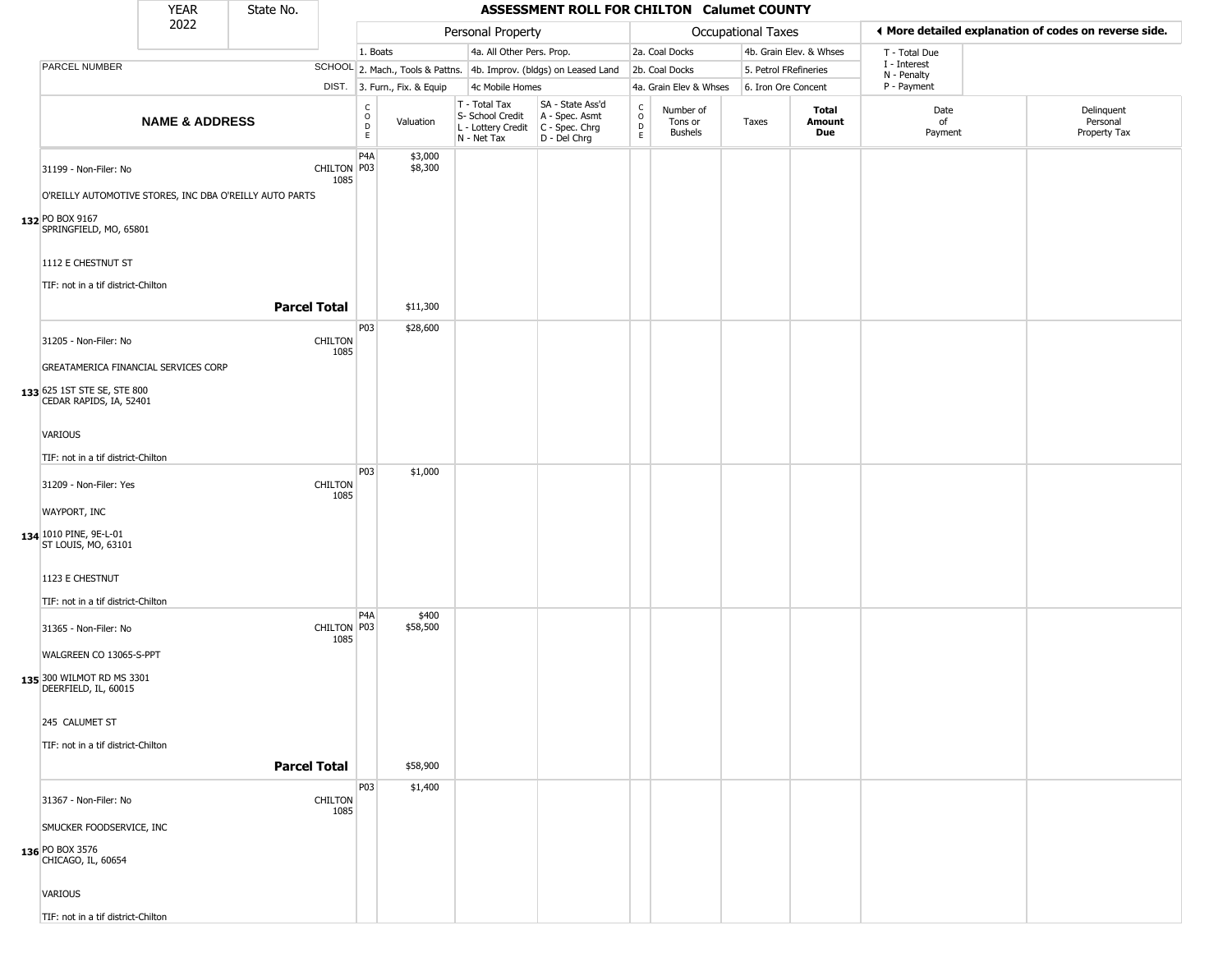|                                                                                                                                                     | <b>YEAR</b>               | State No.           |                        |                         |                              |                                                                        | <b>ASSESSMENT ROLL FOR CHILTON Calumet COUNTY</b>                    |                                                 |                                 |                       |                         |                             |                                                       |
|-----------------------------------------------------------------------------------------------------------------------------------------------------|---------------------------|---------------------|------------------------|-------------------------|------------------------------|------------------------------------------------------------------------|----------------------------------------------------------------------|-------------------------------------------------|---------------------------------|-----------------------|-------------------------|-----------------------------|-------------------------------------------------------|
|                                                                                                                                                     | 2022                      |                     |                        |                         |                              | Personal Property                                                      |                                                                      |                                                 |                                 | Occupational Taxes    |                         |                             | ♦ More detailed explanation of codes on reverse side. |
|                                                                                                                                                     |                           |                     |                        | 1. Boats                |                              | 4a. All Other Pers. Prop.                                              |                                                                      |                                                 | 2a. Coal Docks                  |                       | 4b. Grain Elev. & Whses | T - Total Due               |                                                       |
| PARCEL NUMBER                                                                                                                                       |                           |                     |                        |                         |                              |                                                                        | SCHOOL 2. Mach., Tools & Pattns. 4b. Improv. (bldgs) on Leased Land  |                                                 | 2b. Coal Docks                  | 5. Petrol FRefineries |                         | I - Interest<br>N - Penalty |                                                       |
|                                                                                                                                                     |                           |                     |                        |                         | DIST. 3. Furn., Fix. & Equip | 4c Mobile Homes                                                        |                                                                      |                                                 | 4a. Grain Elev & Whses          | 6. Iron Ore Concent   |                         | P - Payment                 |                                                       |
|                                                                                                                                                     | <b>NAME &amp; ADDRESS</b> |                     |                        | C<br>$\circ$<br>D<br>E. | Valuation                    | T - Total Tax<br>S- School Credit<br>L - Lottery Credit<br>N - Net Tax | SA - State Ass'd<br>A - Spec. Asmt<br>C - Spec. Chrg<br>D - Del Chrg | $\begin{array}{c} C \\ O \\ D \\ E \end{array}$ | Number of<br>Tons or<br>Bushels | Taxes                 | Total<br>Amount<br>Due  | Date<br>of<br>Payment       | Delinquent<br>Personal<br>Property Tax                |
| 31199 - Non-Filer: No<br>O'REILLY AUTOMOTIVE STORES, INC DBA O'REILLY AUTO PARTS<br>132 PO BOX 9167<br>SPRINGFIELD, MO, 65801<br>1112 E CHESTNUT ST |                           |                     | CHILTON P03<br>1085    | P <sub>4</sub> A        | \$3,000<br>\$8,300           |                                                                        |                                                                      |                                                 |                                 |                       |                         |                             |                                                       |
| TIF: not in a tif district-Chilton                                                                                                                  |                           | <b>Parcel Total</b> |                        |                         | \$11,300                     |                                                                        |                                                                      |                                                 |                                 |                       |                         |                             |                                                       |
| 31205 - Non-Filer: No<br>GREATAMERICA FINANCIAL SERVICES CORP<br>133 625 1ST STE SE, STE 800<br>CEDAR RAPIDS, IA, 52401                             |                           |                     | <b>CHILTON</b><br>1085 | P03                     | \$28,600                     |                                                                        |                                                                      |                                                 |                                 |                       |                         |                             |                                                       |
| <b>VARIOUS</b><br>TIF: not in a tif district-Chilton                                                                                                |                           |                     |                        | P03                     |                              |                                                                        |                                                                      |                                                 |                                 |                       |                         |                             |                                                       |
| 31209 - Non-Filer: Yes<br>WAYPORT, INC<br>134 1010 PINE, 9E-L-01<br>ST LOUIS, MO, 63101<br>1123 E CHESTNUT<br>TIF: not in a tif district-Chilton    |                           |                     | <b>CHILTON</b><br>1085 |                         | \$1,000                      |                                                                        |                                                                      |                                                 |                                 |                       |                         |                             |                                                       |
| 31365 - Non-Filer: No<br>WALGREEN CO 13065-S-PPT<br>135 300 WILMOT RD MS 3301<br>DEERFIELD, IL, 60015                                               |                           |                     | CHILTON   P03<br>1085  | P4A                     | \$400<br>\$58,500            |                                                                        |                                                                      |                                                 |                                 |                       |                         |                             |                                                       |
| 245 CALUMET ST<br>TIF: not in a tif district-Chilton                                                                                                |                           | <b>Parcel Total</b> |                        |                         | \$58,900                     |                                                                        |                                                                      |                                                 |                                 |                       |                         |                             |                                                       |
| 31367 - Non-Filer: No<br>SMUCKER FOODSERVICE, INC<br>136 PO BOX 3576<br>CHICAGO, IL, 60654<br><b>VARIOUS</b><br>TIF: not in a tif district-Chilton  |                           |                     | <b>CHILTON</b><br>1085 | P03                     | \$1,400                      |                                                                        |                                                                      |                                                 |                                 |                       |                         |                             |                                                       |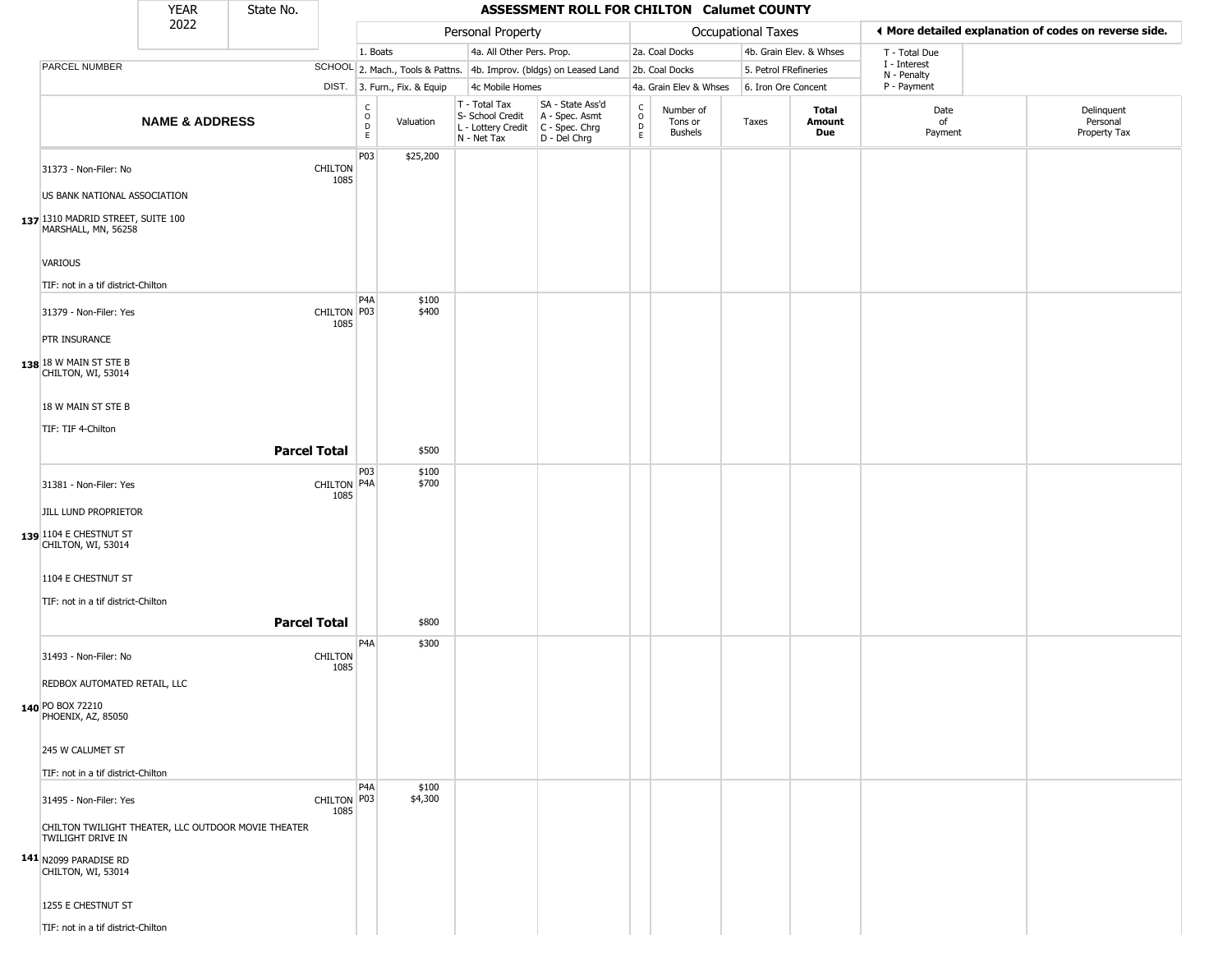|                                                                                                                                                   | <b>YEAR</b>               | State No.           |                        |                                                              |                                                                        | ASSESSMENT ROLL FOR CHILTON Calumet COUNTY                             |                                              |                                        |                    |                               |                             |                                                       |
|---------------------------------------------------------------------------------------------------------------------------------------------------|---------------------------|---------------------|------------------------|--------------------------------------------------------------|------------------------------------------------------------------------|------------------------------------------------------------------------|----------------------------------------------|----------------------------------------|--------------------|-------------------------------|-----------------------------|-------------------------------------------------------|
|                                                                                                                                                   | 2022                      |                     |                        |                                                              | Personal Property                                                      |                                                                        |                                              |                                        | Occupational Taxes |                               |                             | ♦ More detailed explanation of codes on reverse side. |
|                                                                                                                                                   |                           |                     |                        | 1. Boats                                                     | 4a. All Other Pers. Prop.                                              |                                                                        |                                              | 2a. Coal Docks                         |                    | 4b. Grain Elev. & Whses       | T - Total Due               |                                                       |
| PARCEL NUMBER                                                                                                                                     |                           |                     |                        |                                                              |                                                                        | SCHOOL 2. Mach., Tools & Pattns. 4b. Improv. (bldgs) on Leased Land    |                                              | 2b. Coal Docks                         |                    | 5. Petrol FRefineries         | I - Interest<br>N - Penalty |                                                       |
|                                                                                                                                                   |                           |                     |                        | DIST. 3. Furn., Fix. & Equip                                 | 4c Mobile Homes                                                        |                                                                        |                                              | 4a. Grain Elev & Whses                 |                    | 6. Iron Ore Concent           | P - Payment                 |                                                       |
|                                                                                                                                                   | <b>NAME &amp; ADDRESS</b> |                     |                        | $\begin{array}{c} C \\ O \\ D \\ E \end{array}$<br>Valuation | T - Total Tax<br>S- School Credit<br>L - Lottery Credit<br>N - Net Tax | SA - State Ass'd<br>A - Spec. Asmt<br>$C - Spec. Chrg$<br>D - Del Chrg | $\begin{array}{c}\nC \\ D \\ E\n\end{array}$ | Number of<br>Tons or<br><b>Bushels</b> | Taxes              | <b>Total</b><br>Amount<br>Due | Date<br>of<br>Payment       | Delinquent<br>Personal<br>Property Tax                |
| 31373 - Non-Filer: No<br>US BANK NATIONAL ASSOCIATION<br>137 1310 MADRID STREET, SUITE 100<br>MARSHALL, MN, 56258                                 |                           |                     | <b>CHILTON</b><br>1085 | P03<br>\$25,200                                              |                                                                        |                                                                        |                                              |                                        |                    |                               |                             |                                                       |
| VARIOUS                                                                                                                                           |                           |                     |                        |                                                              |                                                                        |                                                                        |                                              |                                        |                    |                               |                             |                                                       |
| TIF: not in a tif district-Chilton<br>31379 - Non-Filer: Yes<br>PTR INSURANCE<br>138 18 W MAIN ST STE B                                           |                           |                     | CHILTON P03<br>1085    | P <sub>4</sub> A<br>\$100<br>\$400                           |                                                                        |                                                                        |                                              |                                        |                    |                               |                             |                                                       |
| CHILTON, WI, 53014<br>18 W MAIN ST STE B<br>TIF: TIF 4-Chilton                                                                                    |                           | <b>Parcel Total</b> |                        | \$500                                                        |                                                                        |                                                                        |                                              |                                        |                    |                               |                             |                                                       |
|                                                                                                                                                   |                           |                     |                        | P03<br>\$100                                                 |                                                                        |                                                                        |                                              |                                        |                    |                               |                             |                                                       |
| 31381 - Non-Filer: Yes<br>JILL LUND PROPRIETOR<br>139 1104 E CHESTNUT ST<br>CHILTON, WI, 53014                                                    |                           |                     | CHILTON P4A<br>1085    | \$700                                                        |                                                                        |                                                                        |                                              |                                        |                    |                               |                             |                                                       |
| 1104 E CHESTNUT ST                                                                                                                                |                           |                     |                        |                                                              |                                                                        |                                                                        |                                              |                                        |                    |                               |                             |                                                       |
| TIF: not in a tif district-Chilton                                                                                                                |                           | <b>Parcel Total</b> |                        |                                                              |                                                                        |                                                                        |                                              |                                        |                    |                               |                             |                                                       |
|                                                                                                                                                   |                           |                     |                        | \$800<br>P <sub>4</sub> A<br>\$300                           |                                                                        |                                                                        |                                              |                                        |                    |                               |                             |                                                       |
| 31493 - Non-Filer: No<br>REDBOX AUTOMATED RETAIL, LLC<br>140 PO BOX 72210<br>PHOENIX, AZ, 85050                                                   |                           |                     | <b>CHILTON</b><br>1085 |                                                              |                                                                        |                                                                        |                                              |                                        |                    |                               |                             |                                                       |
| 245 W CALUMET ST                                                                                                                                  |                           |                     |                        |                                                              |                                                                        |                                                                        |                                              |                                        |                    |                               |                             |                                                       |
| TIF: not in a tif district-Chilton                                                                                                                |                           |                     |                        | P <sub>4</sub> A<br>\$100                                    |                                                                        |                                                                        |                                              |                                        |                    |                               |                             |                                                       |
| 31495 - Non-Filer: Yes<br>CHILTON TWILIGHT THEATER, LLC OUTDOOR MOVIE THEATER<br>TWILIGHT DRIVE IN<br>141 N2099 PARADISE RD<br>CHILTON, WI, 53014 |                           |                     | CHILTON   P03<br>1085  | \$4,300                                                      |                                                                        |                                                                        |                                              |                                        |                    |                               |                             |                                                       |
| 1255 E CHESTNUT ST<br>TIF: not in a tif district-Chilton                                                                                          |                           |                     |                        |                                                              |                                                                        |                                                                        |                                              |                                        |                    |                               |                             |                                                       |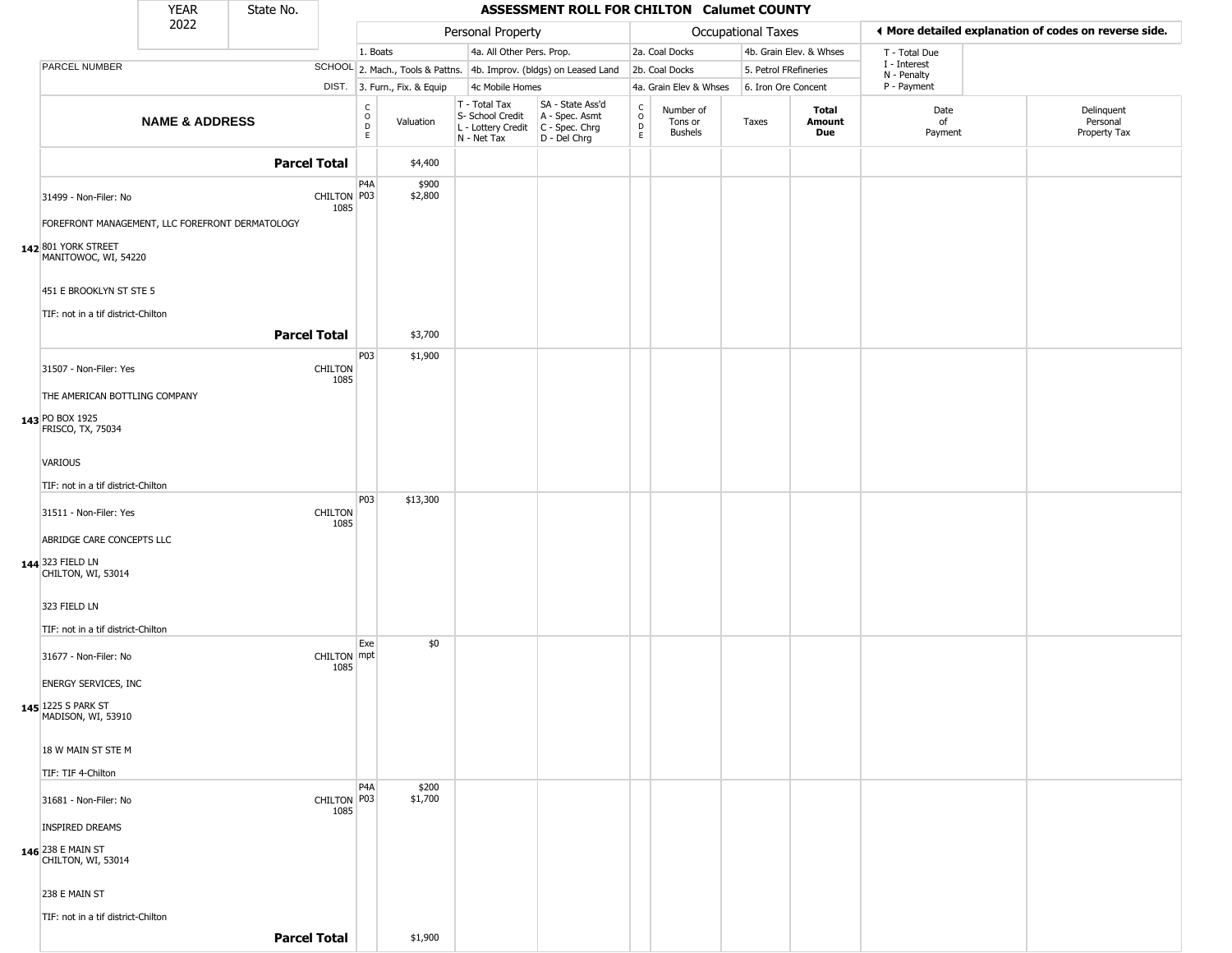|                                                 | <b>YEAR</b>               | State No. |                        |                                                |                              |                                                                                         | ASSESSMENT ROLL FOR CHILTON Calumet COUNTY                          |                         |                                        |                       |                         |                             |                                                       |
|-------------------------------------------------|---------------------------|-----------|------------------------|------------------------------------------------|------------------------------|-----------------------------------------------------------------------------------------|---------------------------------------------------------------------|-------------------------|----------------------------------------|-----------------------|-------------------------|-----------------------------|-------------------------------------------------------|
|                                                 | 2022                      |           |                        |                                                |                              | Personal Property                                                                       |                                                                     |                         |                                        | Occupational Taxes    |                         |                             | ◀ More detailed explanation of codes on reverse side. |
|                                                 |                           |           |                        | 1. Boats                                       |                              | 4a. All Other Pers. Prop.                                                               |                                                                     |                         | 2a. Coal Docks                         |                       | 4b. Grain Elev. & Whses | T - Total Due               |                                                       |
| PARCEL NUMBER                                   |                           |           |                        |                                                |                              |                                                                                         | SCHOOL 2. Mach., Tools & Pattns. 4b. Improv. (bldgs) on Leased Land |                         | 2b. Coal Docks                         | 5. Petrol FRefineries |                         | I - Interest<br>N - Penalty |                                                       |
|                                                 |                           |           |                        |                                                | DIST. 3. Furn., Fix. & Equip | 4c Mobile Homes                                                                         |                                                                     |                         | 4a. Grain Elev & Whses                 | 6. Iron Ore Concent   |                         | P - Payment                 |                                                       |
|                                                 | <b>NAME &amp; ADDRESS</b> |           |                        | $\begin{matrix} 0 \\ 0 \\ 0 \end{matrix}$<br>E | Valuation                    | T - Total Tax<br>S- School Credit<br>L - Lottery Credit   C - Spec. Chrg<br>N - Net Tax | SA - State Ass'd<br>A - Spec. Asmt<br>D - Del Chrg                  | $\frac{c}{0}$<br>D<br>E | Number of<br>Tons or<br><b>Bushels</b> | Taxes                 | Total<br>Amount<br>Due  | Date<br>of<br>Payment       | Delinquent<br>Personal<br>Property Tax                |
|                                                 |                           |           | <b>Parcel Total</b>    |                                                | \$4,400                      |                                                                                         |                                                                     |                         |                                        |                       |                         |                             |                                                       |
| 31499 - Non-Filer: No                           |                           |           | CHILTON P03<br>1085    | P4A                                            | \$900<br>\$2,800             |                                                                                         |                                                                     |                         |                                        |                       |                         |                             |                                                       |
| FOREFRONT MANAGEMENT, LLC FOREFRONT DERMATOLOGY |                           |           |                        |                                                |                              |                                                                                         |                                                                     |                         |                                        |                       |                         |                             |                                                       |
| 142 801 YORK STREET<br>MANITOWOC, WI, 54220     |                           |           |                        |                                                |                              |                                                                                         |                                                                     |                         |                                        |                       |                         |                             |                                                       |
| 451 E BROOKLYN ST STE 5                         |                           |           |                        |                                                |                              |                                                                                         |                                                                     |                         |                                        |                       |                         |                             |                                                       |
| TIF: not in a tif district-Chilton              |                           |           | <b>Parcel Total</b>    |                                                | \$3,700                      |                                                                                         |                                                                     |                         |                                        |                       |                         |                             |                                                       |
|                                                 |                           |           |                        | P03                                            | \$1,900                      |                                                                                         |                                                                     |                         |                                        |                       |                         |                             |                                                       |
| 31507 - Non-Filer: Yes                          |                           |           | CHILTON<br>1085        |                                                |                              |                                                                                         |                                                                     |                         |                                        |                       |                         |                             |                                                       |
| THE AMERICAN BOTTLING COMPANY                   |                           |           |                        |                                                |                              |                                                                                         |                                                                     |                         |                                        |                       |                         |                             |                                                       |
| 143 PO BOX 1925<br>FRISCO, TX, 75034            |                           |           |                        |                                                |                              |                                                                                         |                                                                     |                         |                                        |                       |                         |                             |                                                       |
| <b>VARIOUS</b>                                  |                           |           |                        |                                                |                              |                                                                                         |                                                                     |                         |                                        |                       |                         |                             |                                                       |
| TIF: not in a tif district-Chilton              |                           |           |                        |                                                |                              |                                                                                         |                                                                     |                         |                                        |                       |                         |                             |                                                       |
| 31511 - Non-Filer: Yes                          |                           |           | <b>CHILTON</b><br>1085 | P03                                            | \$13,300                     |                                                                                         |                                                                     |                         |                                        |                       |                         |                             |                                                       |
| ABRIDGE CARE CONCEPTS LLC                       |                           |           |                        |                                                |                              |                                                                                         |                                                                     |                         |                                        |                       |                         |                             |                                                       |
| 144 323 FIELD LN<br>CHILTON, WI, 53014          |                           |           |                        |                                                |                              |                                                                                         |                                                                     |                         |                                        |                       |                         |                             |                                                       |
| 323 FIELD LN                                    |                           |           |                        |                                                |                              |                                                                                         |                                                                     |                         |                                        |                       |                         |                             |                                                       |
| TIF: not in a tif district-Chilton              |                           |           |                        |                                                |                              |                                                                                         |                                                                     |                         |                                        |                       |                         |                             |                                                       |
| 31677 - Non-Filer: No                           |                           |           | CHILTON mpt<br>1085    | Exe                                            | \$0                          |                                                                                         |                                                                     |                         |                                        |                       |                         |                             |                                                       |
| <b>ENERGY SERVICES, INC</b>                     |                           |           |                        |                                                |                              |                                                                                         |                                                                     |                         |                                        |                       |                         |                             |                                                       |
| 145 1225 S PARK ST<br>MADISON, WI, 53910        |                           |           |                        |                                                |                              |                                                                                         |                                                                     |                         |                                        |                       |                         |                             |                                                       |
| 18 W MAIN ST STE M                              |                           |           |                        |                                                |                              |                                                                                         |                                                                     |                         |                                        |                       |                         |                             |                                                       |
| TIF: TIF 4-Chilton                              |                           |           |                        |                                                |                              |                                                                                         |                                                                     |                         |                                        |                       |                         |                             |                                                       |
| 31681 - Non-Filer: No                           |                           |           | CHILTON P03<br>1085    | P <sub>4</sub> A                               | \$200<br>\$1,700             |                                                                                         |                                                                     |                         |                                        |                       |                         |                             |                                                       |
| <b>INSPIRED DREAMS</b>                          |                           |           |                        |                                                |                              |                                                                                         |                                                                     |                         |                                        |                       |                         |                             |                                                       |
| 146 238 E MAIN ST<br>CHILTON, WI, 53014         |                           |           |                        |                                                |                              |                                                                                         |                                                                     |                         |                                        |                       |                         |                             |                                                       |
| 238 E MAIN ST                                   |                           |           |                        |                                                |                              |                                                                                         |                                                                     |                         |                                        |                       |                         |                             |                                                       |
| TIF: not in a tif district-Chilton              |                           |           |                        |                                                |                              |                                                                                         |                                                                     |                         |                                        |                       |                         |                             |                                                       |
|                                                 |                           |           | <b>Parcel Total</b>    |                                                | \$1,900                      |                                                                                         |                                                                     |                         |                                        |                       |                         |                             |                                                       |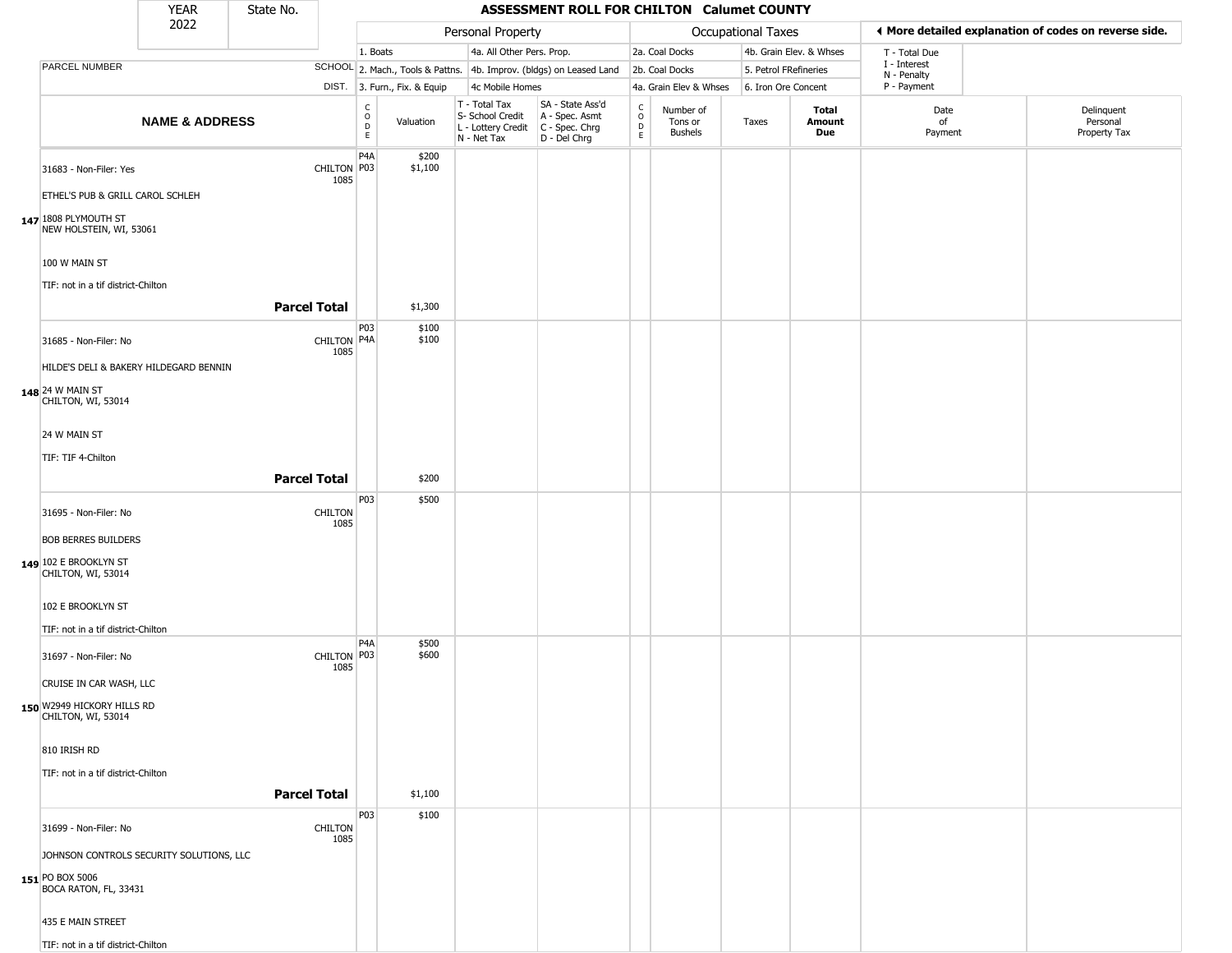|                                                  | <b>YEAR</b>                              | State No.           |                        |                                           |                              |                                                                        | ASSESSMENT ROLL FOR CHILTON Calumet COUNTY                           |                                                 |                                        |                       |                         |                            |                                                       |
|--------------------------------------------------|------------------------------------------|---------------------|------------------------|-------------------------------------------|------------------------------|------------------------------------------------------------------------|----------------------------------------------------------------------|-------------------------------------------------|----------------------------------------|-----------------------|-------------------------|----------------------------|-------------------------------------------------------|
|                                                  | 2022                                     |                     |                        |                                           |                              | Personal Property                                                      |                                                                      |                                                 |                                        | Occupational Taxes    |                         |                            | ♦ More detailed explanation of codes on reverse side. |
|                                                  |                                          |                     |                        | 1. Boats                                  |                              | 4a. All Other Pers. Prop.                                              |                                                                      |                                                 | 2a. Coal Docks                         |                       | 4b. Grain Elev. & Whses | T - Total Due              |                                                       |
| <b>PARCEL NUMBER</b>                             |                                          |                     |                        |                                           |                              |                                                                        | SCHOOL 2. Mach., Tools & Pattns. 4b. Improv. (bldgs) on Leased Land  |                                                 | 2b. Coal Docks                         | 5. Petrol FRefineries |                         | I - Interest               |                                                       |
|                                                  |                                          |                     |                        |                                           | DIST. 3. Furn., Fix. & Equip | 4c Mobile Homes                                                        |                                                                      |                                                 | 4a. Grain Elev & Whses                 | 6. Iron Ore Concent   |                         | N - Penalty<br>P - Payment |                                                       |
|                                                  | <b>NAME &amp; ADDRESS</b>                |                     |                        | $_{\rm o}^{\rm c}$<br>$\overline{D}$<br>E | Valuation                    | T - Total Tax<br>S- School Credit<br>L - Lottery Credit<br>N - Net Tax | SA - State Ass'd<br>A - Spec. Asmt<br>C - Spec. Chrg<br>D - Del Chrg | $\begin{array}{c} C \\ O \\ D \\ E \end{array}$ | Number of<br>Tons or<br><b>Bushels</b> | Taxes                 | Total<br>Amount<br>Due  | Date<br>of<br>Payment      | Delinquent<br>Personal<br>Property Tax                |
| 31683 - Non-Filer: Yes<br>147 1808 PLYMOUTH ST   | ETHEL'S PUB & GRILL CAROL SCHLEH         |                     | CHILTON P03<br>1085    | P4A                                       | \$200<br>\$1,100             |                                                                        |                                                                      |                                                 |                                        |                       |                         |                            |                                                       |
| 100 W MAIN ST                                    | NEW HOLSTEIN, WI, 53061                  |                     |                        |                                           |                              |                                                                        |                                                                      |                                                 |                                        |                       |                         |                            |                                                       |
|                                                  | TIF: not in a tif district-Chilton       | <b>Parcel Total</b> |                        |                                           |                              |                                                                        |                                                                      |                                                 |                                        |                       |                         |                            |                                                       |
|                                                  |                                          |                     |                        |                                           | \$1,300                      |                                                                        |                                                                      |                                                 |                                        |                       |                         |                            |                                                       |
| 31685 - Non-Filer: No                            |                                          |                     | CHILTON P4A<br>1085    | P03                                       | \$100<br>\$100               |                                                                        |                                                                      |                                                 |                                        |                       |                         |                            |                                                       |
|                                                  | HILDE'S DELI & BAKERY HILDEGARD BENNIN   |                     |                        |                                           |                              |                                                                        |                                                                      |                                                 |                                        |                       |                         |                            |                                                       |
| 148 24 W MAIN ST<br>CHILTON, WI, 53014           |                                          |                     |                        |                                           |                              |                                                                        |                                                                      |                                                 |                                        |                       |                         |                            |                                                       |
| 24 W MAIN ST                                     |                                          |                     |                        |                                           |                              |                                                                        |                                                                      |                                                 |                                        |                       |                         |                            |                                                       |
| TIF: TIF 4-Chilton                               |                                          |                     |                        |                                           |                              |                                                                        |                                                                      |                                                 |                                        |                       |                         |                            |                                                       |
|                                                  |                                          | <b>Parcel Total</b> |                        |                                           | \$200                        |                                                                        |                                                                      |                                                 |                                        |                       |                         |                            |                                                       |
|                                                  |                                          |                     |                        | P03                                       | \$500                        |                                                                        |                                                                      |                                                 |                                        |                       |                         |                            |                                                       |
| 31695 - Non-Filer: No                            |                                          |                     | <b>CHILTON</b>         |                                           |                              |                                                                        |                                                                      |                                                 |                                        |                       |                         |                            |                                                       |
| <b>BOB BERRES BUILDERS</b>                       |                                          |                     | 1085                   |                                           |                              |                                                                        |                                                                      |                                                 |                                        |                       |                         |                            |                                                       |
| 149 102 E BROOKLYN ST<br>CHILTON, WI, 53014      |                                          |                     |                        |                                           |                              |                                                                        |                                                                      |                                                 |                                        |                       |                         |                            |                                                       |
| 102 E BROOKLYN ST                                |                                          |                     |                        |                                           |                              |                                                                        |                                                                      |                                                 |                                        |                       |                         |                            |                                                       |
|                                                  | TIF: not in a tif district-Chilton       |                     |                        |                                           |                              |                                                                        |                                                                      |                                                 |                                        |                       |                         |                            |                                                       |
| 31697 - Non-Filer: No                            |                                          |                     | CHILTON P03<br>1085    | P4A                                       | \$500<br>\$600               |                                                                        |                                                                      |                                                 |                                        |                       |                         |                            |                                                       |
| CRUISE IN CAR WASH, LLC                          |                                          |                     |                        |                                           |                              |                                                                        |                                                                      |                                                 |                                        |                       |                         |                            |                                                       |
| 150 W2949 HICKORY HILLS RD<br>CHILTON, WI, 53014 |                                          |                     |                        |                                           |                              |                                                                        |                                                                      |                                                 |                                        |                       |                         |                            |                                                       |
| 810 IRISH RD                                     |                                          |                     |                        |                                           |                              |                                                                        |                                                                      |                                                 |                                        |                       |                         |                            |                                                       |
|                                                  | TIF: not in a tif district-Chilton       |                     |                        |                                           |                              |                                                                        |                                                                      |                                                 |                                        |                       |                         |                            |                                                       |
|                                                  |                                          |                     | <b>Parcel Total</b>    |                                           | \$1,100                      |                                                                        |                                                                      |                                                 |                                        |                       |                         |                            |                                                       |
| 31699 - Non-Filer: No                            |                                          |                     | <b>CHILTON</b><br>1085 | P03                                       | \$100                        |                                                                        |                                                                      |                                                 |                                        |                       |                         |                            |                                                       |
|                                                  | JOHNSON CONTROLS SECURITY SOLUTIONS, LLC |                     |                        |                                           |                              |                                                                        |                                                                      |                                                 |                                        |                       |                         |                            |                                                       |
| 151 PO BOX 5006<br>BOCA RATON, FL, 33431         |                                          |                     |                        |                                           |                              |                                                                        |                                                                      |                                                 |                                        |                       |                         |                            |                                                       |
| 435 E MAIN STREET                                |                                          |                     |                        |                                           |                              |                                                                        |                                                                      |                                                 |                                        |                       |                         |                            |                                                       |
|                                                  | TIF: not in a tif district-Chilton       |                     |                        |                                           |                              |                                                                        |                                                                      |                                                 |                                        |                       |                         |                            |                                                       |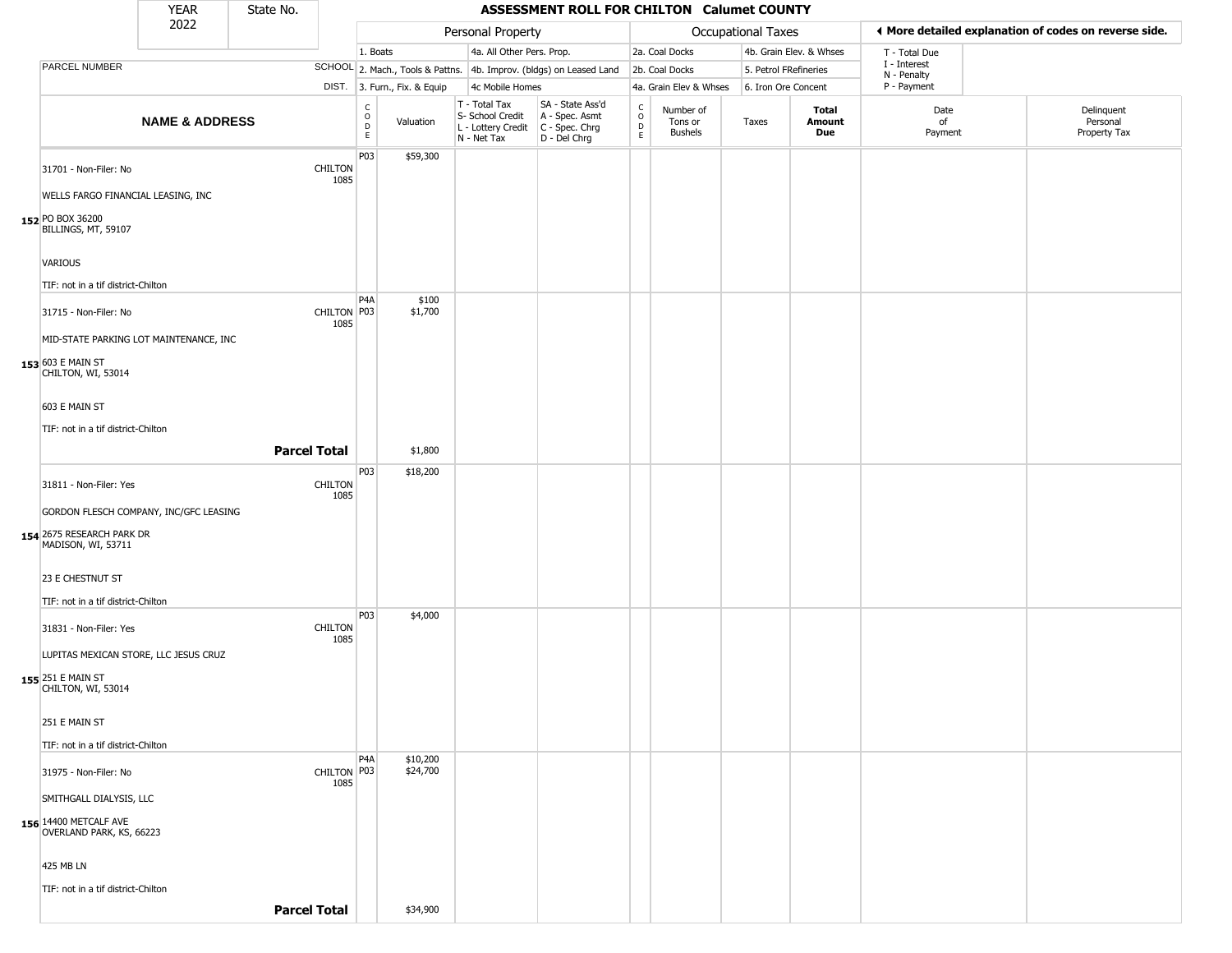|                                                                 | YEAR                      | State No.           |                        |                            |                              |                                                                        | ASSESSMENT ROLL FOR CHILTON Calumet COUNTY                           |                                        |                                 |                       |                         |                             |                                                       |
|-----------------------------------------------------------------|---------------------------|---------------------|------------------------|----------------------------|------------------------------|------------------------------------------------------------------------|----------------------------------------------------------------------|----------------------------------------|---------------------------------|-----------------------|-------------------------|-----------------------------|-------------------------------------------------------|
|                                                                 | 2022                      |                     |                        |                            |                              | Personal Property                                                      |                                                                      |                                        |                                 | Occupational Taxes    |                         |                             | ♦ More detailed explanation of codes on reverse side. |
|                                                                 |                           |                     |                        | 1. Boats                   |                              | 4a. All Other Pers. Prop.                                              |                                                                      |                                        | 2a. Coal Docks                  |                       | 4b. Grain Elev. & Whses | T - Total Due               |                                                       |
| PARCEL NUMBER                                                   |                           |                     |                        |                            |                              |                                                                        | SCHOOL 2. Mach., Tools & Pattns. 4b. Improv. (bldgs) on Leased Land  |                                        | 2b. Coal Docks                  | 5. Petrol FRefineries |                         | I - Interest<br>N - Penalty |                                                       |
|                                                                 |                           |                     |                        |                            | DIST. 3. Furn., Fix. & Equip | 4c Mobile Homes                                                        |                                                                      |                                        | 4a. Grain Elev & Whses          | 6. Iron Ore Concent   |                         | P - Payment                 |                                                       |
|                                                                 | <b>NAME &amp; ADDRESS</b> |                     |                        | C<br>$\mathsf O$<br>D<br>E | Valuation                    | T - Total Tax<br>S- School Credit<br>L - Lottery Credit<br>N - Net Tax | SA - State Ass'd<br>A - Spec. Asmt<br>C - Spec. Chrg<br>D - Del Chrg | $\rm_{o}^{\rm c}$<br>$\mathsf{D}$<br>E | Number of<br>Tons or<br>Bushels | Taxes                 | Total<br>Amount<br>Due  | Date<br>of<br>Payment       | Delinquent<br>Personal<br>Property Tax                |
| 31701 - Non-Filer: No                                           |                           |                     | <b>CHILTON</b><br>1085 | P <sub>03</sub>            | \$59,300                     |                                                                        |                                                                      |                                        |                                 |                       |                         |                             |                                                       |
| WELLS FARGO FINANCIAL LEASING, INC                              |                           |                     |                        |                            |                              |                                                                        |                                                                      |                                        |                                 |                       |                         |                             |                                                       |
| 152 PO BOX 36200<br>BILLINGS, MT, 59107                         |                           |                     |                        |                            |                              |                                                                        |                                                                      |                                        |                                 |                       |                         |                             |                                                       |
| <b>VARIOUS</b><br>TIF: not in a tif district-Chilton            |                           |                     |                        |                            |                              |                                                                        |                                                                      |                                        |                                 |                       |                         |                             |                                                       |
|                                                                 |                           |                     | CHILTON P03            | P4A                        | \$100<br>\$1,700             |                                                                        |                                                                      |                                        |                                 |                       |                         |                             |                                                       |
| 31715 - Non-Filer: No<br>MID-STATE PARKING LOT MAINTENANCE, INC |                           |                     | 1085                   |                            |                              |                                                                        |                                                                      |                                        |                                 |                       |                         |                             |                                                       |
| 153 603 E MAIN ST<br>CHILTON, WI, 53014                         |                           |                     |                        |                            |                              |                                                                        |                                                                      |                                        |                                 |                       |                         |                             |                                                       |
| 603 E MAIN ST<br>TIF: not in a tif district-Chilton             |                           |                     |                        |                            |                              |                                                                        |                                                                      |                                        |                                 |                       |                         |                             |                                                       |
|                                                                 |                           | <b>Parcel Total</b> |                        |                            | \$1,800                      |                                                                        |                                                                      |                                        |                                 |                       |                         |                             |                                                       |
| 31811 - Non-Filer: Yes                                          |                           |                     | <b>CHILTON</b><br>1085 | P <sub>03</sub>            | \$18,200                     |                                                                        |                                                                      |                                        |                                 |                       |                         |                             |                                                       |
| GORDON FLESCH COMPANY, INC/GFC LEASING                          |                           |                     |                        |                            |                              |                                                                        |                                                                      |                                        |                                 |                       |                         |                             |                                                       |
| 154 2675 RESEARCH PARK DR<br>MADISON, WI, 53711                 |                           |                     |                        |                            |                              |                                                                        |                                                                      |                                        |                                 |                       |                         |                             |                                                       |
| 23 E CHESTNUT ST                                                |                           |                     |                        |                            |                              |                                                                        |                                                                      |                                        |                                 |                       |                         |                             |                                                       |
| TIF: not in a tif district-Chilton                              |                           |                     |                        |                            |                              |                                                                        |                                                                      |                                        |                                 |                       |                         |                             |                                                       |
| 31831 - Non-Filer: Yes                                          |                           |                     | <b>CHILTON</b>         | P03                        | \$4,000                      |                                                                        |                                                                      |                                        |                                 |                       |                         |                             |                                                       |
| LUPITAS MEXICAN STORE, LLC JESUS CRUZ                           |                           |                     | 1085                   |                            |                              |                                                                        |                                                                      |                                        |                                 |                       |                         |                             |                                                       |
| 155 251 E MAIN ST<br>CHILTON, WI, 53014                         |                           |                     |                        |                            |                              |                                                                        |                                                                      |                                        |                                 |                       |                         |                             |                                                       |
| 251 E MAIN ST                                                   |                           |                     |                        |                            |                              |                                                                        |                                                                      |                                        |                                 |                       |                         |                             |                                                       |
| TIF: not in a tif district-Chilton                              |                           |                     |                        |                            |                              |                                                                        |                                                                      |                                        |                                 |                       |                         |                             |                                                       |
| 31975 - Non-Filer: No                                           |                           |                     | CHILTON P03<br>1085    | P <sub>4</sub> A           | \$10,200<br>\$24,700         |                                                                        |                                                                      |                                        |                                 |                       |                         |                             |                                                       |
| SMITHGALL DIALYSIS, LLC                                         |                           |                     |                        |                            |                              |                                                                        |                                                                      |                                        |                                 |                       |                         |                             |                                                       |
| 156 14400 METCALF AVE<br>OVERLAND PARK, KS, 66223               |                           |                     |                        |                            |                              |                                                                        |                                                                      |                                        |                                 |                       |                         |                             |                                                       |
| 425 MB LN                                                       |                           |                     |                        |                            |                              |                                                                        |                                                                      |                                        |                                 |                       |                         |                             |                                                       |
| TIF: not in a tif district-Chilton                              |                           |                     |                        |                            |                              |                                                                        |                                                                      |                                        |                                 |                       |                         |                             |                                                       |
|                                                                 |                           | <b>Parcel Total</b> |                        |                            | \$34,900                     |                                                                        |                                                                      |                                        |                                 |                       |                         |                             |                                                       |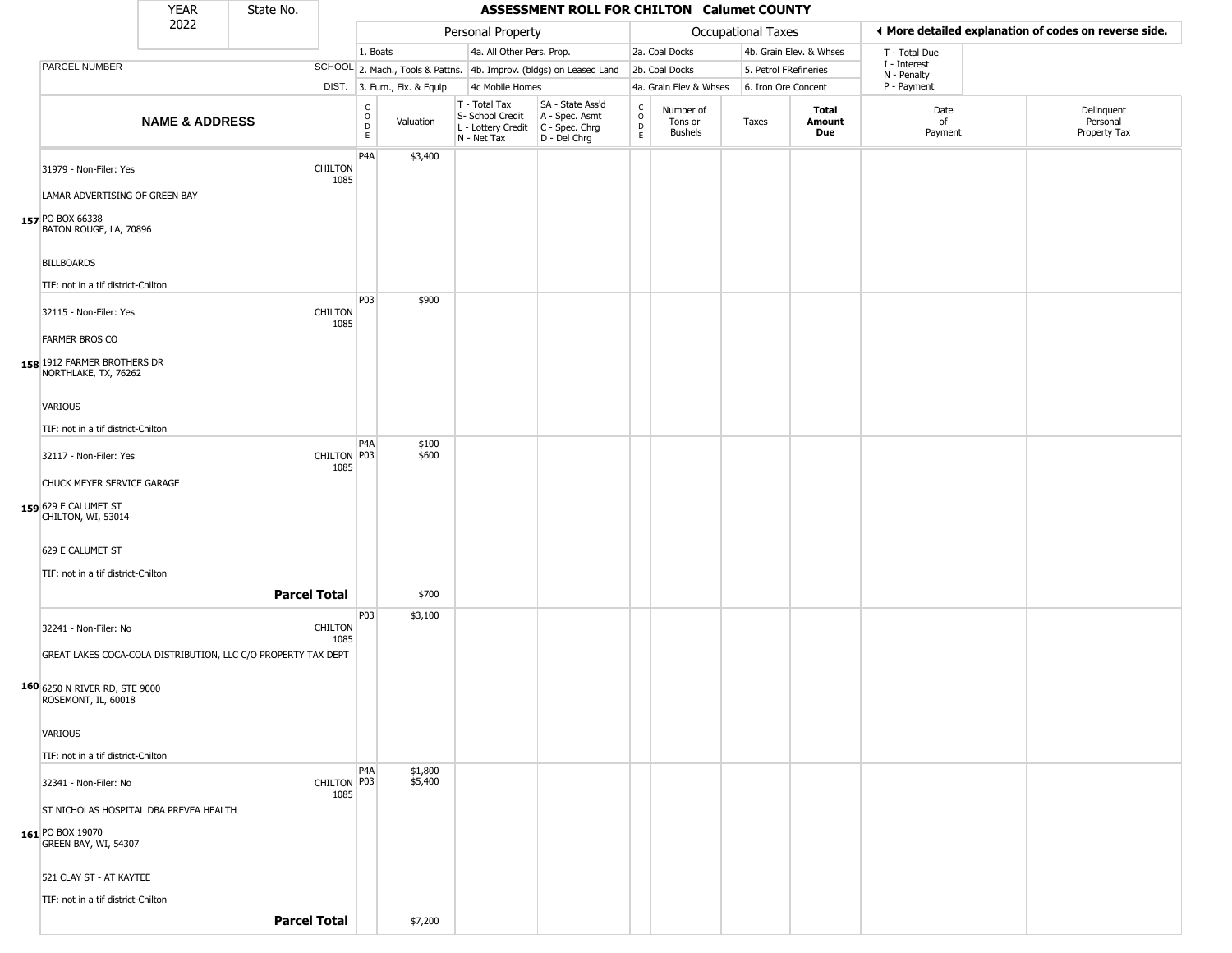|                                                                                                                    | <b>YEAR</b>               | State No.           |                        |                                |                              |                                                                        | ASSESSMENT ROLL FOR CHILTON Calumet COUNTY                           |                                              |                                 |                           |                         |                             |                                                       |
|--------------------------------------------------------------------------------------------------------------------|---------------------------|---------------------|------------------------|--------------------------------|------------------------------|------------------------------------------------------------------------|----------------------------------------------------------------------|----------------------------------------------|---------------------------------|---------------------------|-------------------------|-----------------------------|-------------------------------------------------------|
|                                                                                                                    | 2022                      |                     |                        |                                |                              | Personal Property                                                      |                                                                      |                                              |                                 | <b>Occupational Taxes</b> |                         |                             | I More detailed explanation of codes on reverse side. |
|                                                                                                                    |                           |                     |                        | 1. Boats                       |                              | 4a. All Other Pers. Prop.                                              |                                                                      |                                              | 2a. Coal Docks                  |                           | 4b. Grain Elev. & Whses | T - Total Due               |                                                       |
| PARCEL NUMBER                                                                                                      |                           |                     |                        |                                |                              |                                                                        | SCHOOL 2. Mach., Tools & Pattns. 4b. Improv. (bldgs) on Leased Land  |                                              | 2b. Coal Docks                  | 5. Petrol FRefineries     |                         | I - Interest<br>N - Penalty |                                                       |
|                                                                                                                    |                           |                     |                        |                                | DIST. 3. Furn., Fix. & Equip | 4c Mobile Homes                                                        |                                                                      |                                              | 4a. Grain Elev & Whses          | 6. Iron Ore Concent       |                         | P - Payment                 |                                                       |
|                                                                                                                    | <b>NAME &amp; ADDRESS</b> |                     |                        | $\rm _o^C$<br>D<br>$\mathsf E$ | Valuation                    | T - Total Tax<br>S- School Credit<br>L - Lottery Credit<br>N - Net Tax | SA - State Ass'd<br>A - Spec. Asmt<br>C - Spec. Chrg<br>D - Del Chrg | $\begin{array}{c}\nC \\ O \\ D\n\end{array}$ | Number of<br>Tons or<br>Bushels | Taxes                     | Total<br>Amount<br>Due  | Date<br>of<br>Payment       | Delinquent<br>Personal<br>Property Tax                |
| 31979 - Non-Filer: Yes<br>LAMAR ADVERTISING OF GREEN BAY                                                           |                           |                     | <b>CHILTON</b><br>1085 | P4A                            | \$3,400                      |                                                                        |                                                                      |                                              |                                 |                           |                         |                             |                                                       |
| 157 PO BOX 66338<br>BATON ROUGE, LA, 70896<br><b>BILLBOARDS</b><br>TIF: not in a tif district-Chilton              |                           |                     |                        |                                |                              |                                                                        |                                                                      |                                              |                                 |                           |                         |                             |                                                       |
| 32115 - Non-Filer: Yes<br><b>FARMER BROS CO</b>                                                                    |                           |                     | <b>CHILTON</b><br>1085 | P03                            | \$900                        |                                                                        |                                                                      |                                              |                                 |                           |                         |                             |                                                       |
| 158 1912 FARMER BROTHERS DR<br>NORTHLAKE, TX, 76262                                                                |                           |                     |                        |                                |                              |                                                                        |                                                                      |                                              |                                 |                           |                         |                             |                                                       |
| <b>VARIOUS</b><br>TIF: not in a tif district-Chilton                                                               |                           |                     |                        |                                |                              |                                                                        |                                                                      |                                              |                                 |                           |                         |                             |                                                       |
| 32117 - Non-Filer: Yes<br>CHUCK MEYER SERVICE GARAGE<br>159 629 E CALUMET ST<br>CHILTON, WI, 53014                 |                           |                     | CHILTON P03<br>1085    | P <sub>4</sub> A               | \$100<br>\$600               |                                                                        |                                                                      |                                              |                                 |                           |                         |                             |                                                       |
| 629 E CALUMET ST<br>TIF: not in a tif district-Chilton                                                             |                           |                     | <b>Parcel Total</b>    |                                | \$700                        |                                                                        |                                                                      |                                              |                                 |                           |                         |                             |                                                       |
| 32241 - Non-Filer: No<br>GREAT LAKES COCA-COLA DISTRIBUTION, LLC C/O PROPERTY TAX DEPT                             |                           |                     | <b>CHILTON</b><br>1085 | P03                            | \$3,100                      |                                                                        |                                                                      |                                              |                                 |                           |                         |                             |                                                       |
| 160 6250 N RIVER RD, STE 9000<br>ROSEMONT, IL, 60018<br>VARIOUS                                                    |                           |                     |                        |                                |                              |                                                                        |                                                                      |                                              |                                 |                           |                         |                             |                                                       |
| TIF: not in a tif district-Chilton                                                                                 |                           |                     |                        |                                |                              |                                                                        |                                                                      |                                              |                                 |                           |                         |                             |                                                       |
| 32341 - Non-Filer: No<br>ST NICHOLAS HOSPITAL DBA PREVEA HEALTH<br><b>161</b> PO BOX 19070<br>GREEN BAY, WI, 54307 |                           |                     | CHILTON P03<br>1085    | P4A                            | \$1,800<br>\$5,400           |                                                                        |                                                                      |                                              |                                 |                           |                         |                             |                                                       |
| 521 CLAY ST - AT KAYTEE<br>TIF: not in a tif district-Chilton                                                      |                           |                     |                        |                                |                              |                                                                        |                                                                      |                                              |                                 |                           |                         |                             |                                                       |
|                                                                                                                    |                           | <b>Parcel Total</b> |                        |                                | \$7,200                      |                                                                        |                                                                      |                                              |                                 |                           |                         |                             |                                                       |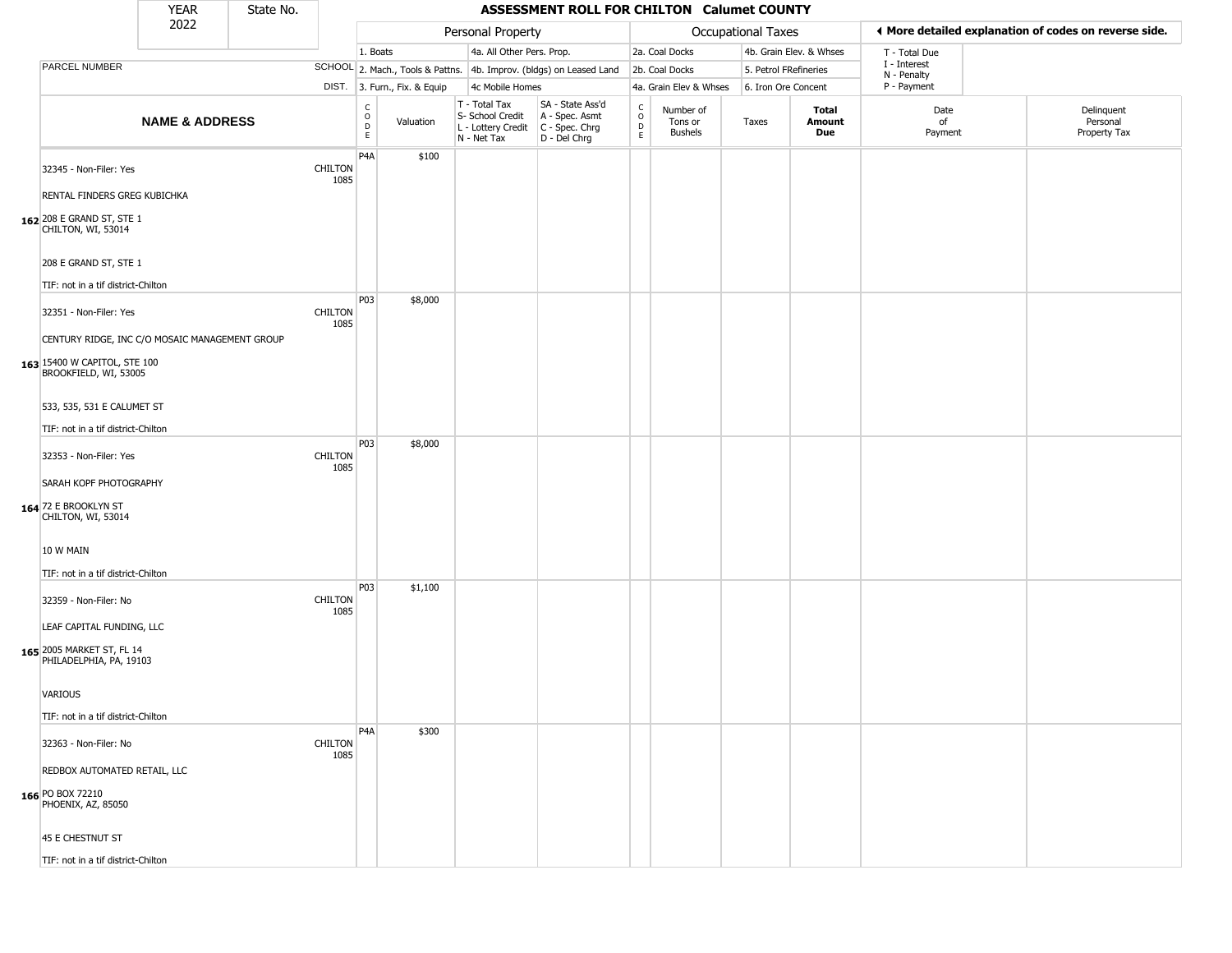|                                                             | <b>YEAR</b>               | State No. |                        |                                            |                              |                                                                                         | <b>ASSESSMENT ROLL FOR CHILTON Calumet COUNTY</b>                   |                                             |                                 |                       |                         |                             |                                                       |
|-------------------------------------------------------------|---------------------------|-----------|------------------------|--------------------------------------------|------------------------------|-----------------------------------------------------------------------------------------|---------------------------------------------------------------------|---------------------------------------------|---------------------------------|-----------------------|-------------------------|-----------------------------|-------------------------------------------------------|
|                                                             | 2022                      |           |                        |                                            |                              | Personal Property                                                                       |                                                                     |                                             |                                 | Occupational Taxes    |                         |                             | ◀ More detailed explanation of codes on reverse side. |
|                                                             |                           |           |                        | 1. Boats                                   |                              | 4a. All Other Pers. Prop.                                                               |                                                                     |                                             | 2a. Coal Docks                  |                       | 4b. Grain Elev. & Whses | T - Total Due               |                                                       |
| PARCEL NUMBER                                               |                           |           |                        |                                            |                              |                                                                                         | SCHOOL 2. Mach., Tools & Pattns. 4b. Improv. (bldgs) on Leased Land |                                             | 2b. Coal Docks                  | 5. Petrol FRefineries |                         | I - Interest<br>N - Penalty |                                                       |
|                                                             |                           |           |                        |                                            | DIST. 3. Furn., Fix. & Equip | 4c Mobile Homes                                                                         |                                                                     |                                             | 4a. Grain Elev & Whses          | 6. Iron Ore Concent   |                         | P - Payment                 |                                                       |
|                                                             | <b>NAME &amp; ADDRESS</b> |           |                        | $\begin{array}{c} C \\ 0 \\ E \end{array}$ | Valuation                    | T - Total Tax<br>S- School Credit<br>L - Lottery Credit   C - Spec. Chrg<br>N - Net Tax | SA - State Ass'd<br>A - Spec. Asmt<br>D - Del Chrg                  | $\mathsf{C}$<br>$\circ$<br>D<br>$\mathsf E$ | Number of<br>Tons or<br>Bushels | Taxes                 | Total<br>Amount<br>Due  | Date<br>of<br>Payment       | Delinquent<br>Personal<br>Property Tax                |
| 32345 - Non-Filer: Yes                                      |                           |           | <b>CHILTON</b><br>1085 | P <sub>4</sub> A                           | \$100                        |                                                                                         |                                                                     |                                             |                                 |                       |                         |                             |                                                       |
| RENTAL FINDERS GREG KUBICHKA                                |                           |           |                        |                                            |                              |                                                                                         |                                                                     |                                             |                                 |                       |                         |                             |                                                       |
| 162 208 E GRAND ST, STE 1<br>CHILTON, WI, 53014             |                           |           |                        |                                            |                              |                                                                                         |                                                                     |                                             |                                 |                       |                         |                             |                                                       |
| 208 E GRAND ST, STE 1<br>TIF: not in a tif district-Chilton |                           |           |                        |                                            |                              |                                                                                         |                                                                     |                                             |                                 |                       |                         |                             |                                                       |
| 32351 - Non-Filer: Yes                                      |                           |           | <b>CHILTON</b><br>1085 | P03                                        | \$8,000                      |                                                                                         |                                                                     |                                             |                                 |                       |                         |                             |                                                       |
| CENTURY RIDGE, INC C/O MOSAIC MANAGEMENT GROUP              |                           |           |                        |                                            |                              |                                                                                         |                                                                     |                                             |                                 |                       |                         |                             |                                                       |
| 163 15400 W CAPITOL, STE 100<br>BROOKFIELD, WI, 53005       |                           |           |                        |                                            |                              |                                                                                         |                                                                     |                                             |                                 |                       |                         |                             |                                                       |
|                                                             |                           |           |                        |                                            |                              |                                                                                         |                                                                     |                                             |                                 |                       |                         |                             |                                                       |
| 533, 535, 531 E CALUMET ST                                  |                           |           |                        |                                            |                              |                                                                                         |                                                                     |                                             |                                 |                       |                         |                             |                                                       |
| TIF: not in a tif district-Chilton                          |                           |           |                        |                                            |                              |                                                                                         |                                                                     |                                             |                                 |                       |                         |                             |                                                       |
| 32353 - Non-Filer: Yes                                      |                           |           | <b>CHILTON</b><br>1085 | P03                                        | \$8,000                      |                                                                                         |                                                                     |                                             |                                 |                       |                         |                             |                                                       |
| SARAH KOPF PHOTOGRAPHY                                      |                           |           |                        |                                            |                              |                                                                                         |                                                                     |                                             |                                 |                       |                         |                             |                                                       |
| 164 72 E BROOKLYN ST<br>CHILTON, WI, 53014                  |                           |           |                        |                                            |                              |                                                                                         |                                                                     |                                             |                                 |                       |                         |                             |                                                       |
| 10 W MAIN                                                   |                           |           |                        |                                            |                              |                                                                                         |                                                                     |                                             |                                 |                       |                         |                             |                                                       |
| TIF: not in a tif district-Chilton                          |                           |           |                        |                                            |                              |                                                                                         |                                                                     |                                             |                                 |                       |                         |                             |                                                       |
| 32359 - Non-Filer: No                                       |                           |           | <b>CHILTON</b><br>1085 | P03                                        | \$1,100                      |                                                                                         |                                                                     |                                             |                                 |                       |                         |                             |                                                       |
| LEAF CAPITAL FUNDING, LLC                                   |                           |           |                        |                                            |                              |                                                                                         |                                                                     |                                             |                                 |                       |                         |                             |                                                       |
| 165 2005 MARKET ST, FL 14<br>PHILADELPHIA, PA, 19103        |                           |           |                        |                                            |                              |                                                                                         |                                                                     |                                             |                                 |                       |                         |                             |                                                       |
| VARIOUS                                                     |                           |           |                        |                                            |                              |                                                                                         |                                                                     |                                             |                                 |                       |                         |                             |                                                       |
| TIF: not in a tif district-Chilton                          |                           |           |                        |                                            |                              |                                                                                         |                                                                     |                                             |                                 |                       |                         |                             |                                                       |
|                                                             |                           |           |                        | P <sub>4</sub> A                           | \$300                        |                                                                                         |                                                                     |                                             |                                 |                       |                         |                             |                                                       |
| 32363 - Non-Filer: No                                       |                           |           | CHILTON<br>1085        |                                            |                              |                                                                                         |                                                                     |                                             |                                 |                       |                         |                             |                                                       |
| REDBOX AUTOMATED RETAIL, LLC                                |                           |           |                        |                                            |                              |                                                                                         |                                                                     |                                             |                                 |                       |                         |                             |                                                       |
| 166 PO BOX 72210<br>PHOENIX, AZ, 85050                      |                           |           |                        |                                            |                              |                                                                                         |                                                                     |                                             |                                 |                       |                         |                             |                                                       |
| 45 E CHESTNUT ST                                            |                           |           |                        |                                            |                              |                                                                                         |                                                                     |                                             |                                 |                       |                         |                             |                                                       |
| TIF: not in a tif district-Chilton                          |                           |           |                        |                                            |                              |                                                                                         |                                                                     |                                             |                                 |                       |                         |                             |                                                       |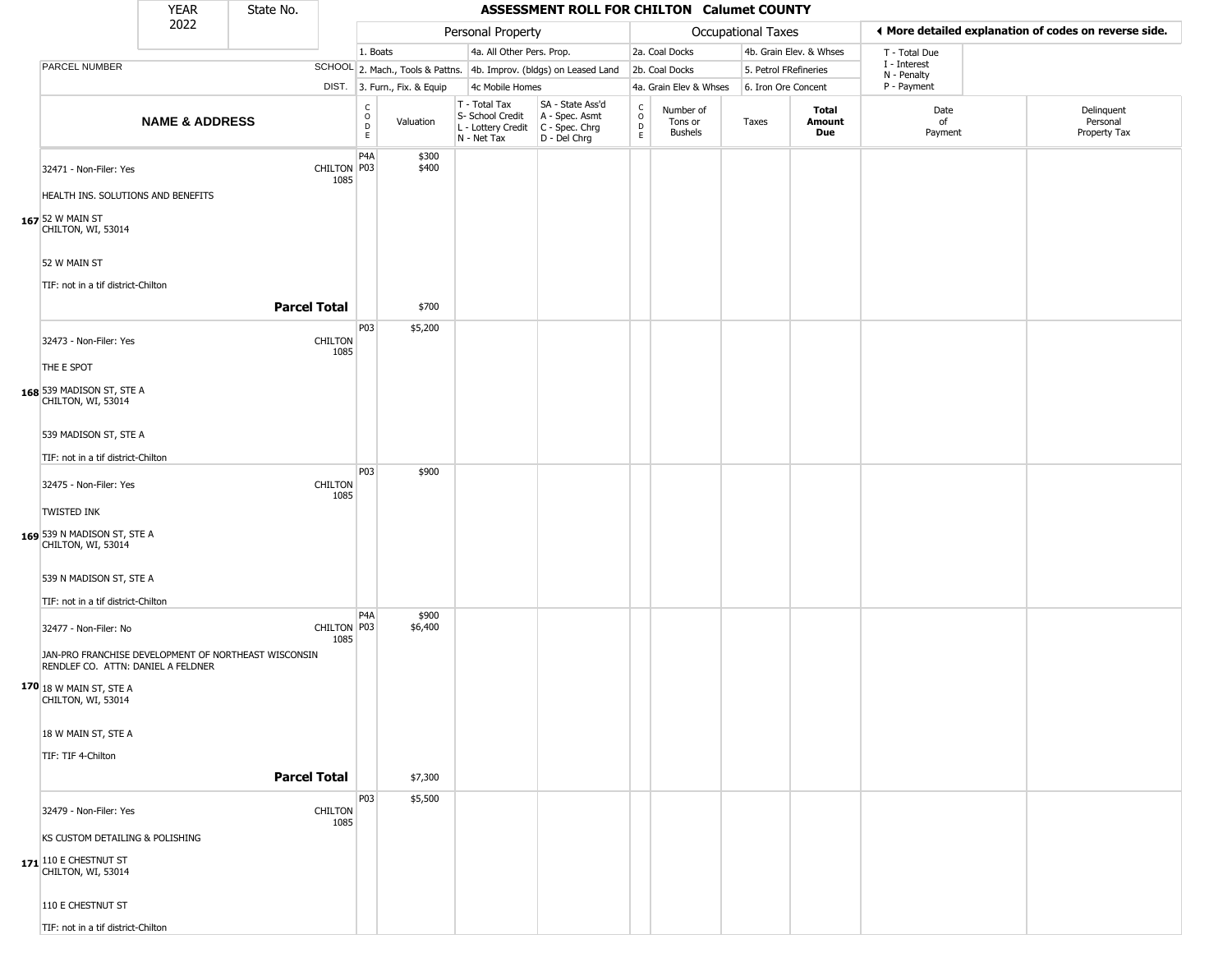|                                                                                            | <b>YEAR</b>               | State No.           |                        |                            |                              |                                                                        | ASSESSMENT ROLL FOR CHILTON Calumet COUNTY                           |                               |                                        |                       |                         |                             |                                                       |
|--------------------------------------------------------------------------------------------|---------------------------|---------------------|------------------------|----------------------------|------------------------------|------------------------------------------------------------------------|----------------------------------------------------------------------|-------------------------------|----------------------------------------|-----------------------|-------------------------|-----------------------------|-------------------------------------------------------|
|                                                                                            | 2022                      |                     |                        |                            |                              | Personal Property                                                      |                                                                      |                               |                                        | Occupational Taxes    |                         |                             | ♦ More detailed explanation of codes on reverse side. |
|                                                                                            |                           |                     |                        | 1. Boats                   |                              | 4a. All Other Pers. Prop.                                              |                                                                      |                               | 2a. Coal Docks                         |                       | 4b. Grain Elev. & Whses | T - Total Due               |                                                       |
| PARCEL NUMBER                                                                              |                           |                     |                        |                            |                              |                                                                        | SCHOOL 2. Mach., Tools & Pattns. 4b. Improv. (bldgs) on Leased Land  |                               | 2b. Coal Docks                         | 5. Petrol FRefineries |                         | I - Interest<br>N - Penalty |                                                       |
|                                                                                            |                           |                     |                        |                            | DIST. 3. Furn., Fix. & Equip | 4c Mobile Homes                                                        |                                                                      |                               | 4a. Grain Elev & Whses                 | 6. Iron Ore Concent   |                         | P - Payment                 |                                                       |
|                                                                                            | <b>NAME &amp; ADDRESS</b> |                     |                        | C<br>$\mathsf O$<br>D<br>E | Valuation                    | T - Total Tax<br>S- School Credit<br>L - Lottery Credit<br>N - Net Tax | SA - State Ass'd<br>A - Spec. Asmt<br>C - Spec. Chrg<br>D - Del Chrg | $\rm ^c_{o}$<br>$\frac{D}{E}$ | Number of<br>Tons or<br><b>Bushels</b> | Taxes                 | Total<br>Amount<br>Due  | Date<br>of<br>Payment       | Delinquent<br>Personal<br>Property Tax                |
| 32471 - Non-Filer: Yes<br>HEALTH INS. SOLUTIONS AND BENEFITS                               |                           |                     | CHILTON P03<br>1085    | P <sub>4</sub> A           | \$300<br>\$400               |                                                                        |                                                                      |                               |                                        |                       |                         |                             |                                                       |
| 167 52 W MAIN ST<br>CHILTON, WI, 53014                                                     |                           |                     |                        |                            |                              |                                                                        |                                                                      |                               |                                        |                       |                         |                             |                                                       |
| 52 W MAIN ST                                                                               |                           |                     |                        |                            |                              |                                                                        |                                                                      |                               |                                        |                       |                         |                             |                                                       |
| TIF: not in a tif district-Chilton                                                         |                           | <b>Parcel Total</b> |                        |                            | \$700                        |                                                                        |                                                                      |                               |                                        |                       |                         |                             |                                                       |
| 32473 - Non-Filer: Yes                                                                     |                           |                     | <b>CHILTON</b><br>1085 | P03                        | \$5,200                      |                                                                        |                                                                      |                               |                                        |                       |                         |                             |                                                       |
| THE E SPOT<br>168 539 MADISON ST, STE A<br>CHILTON, WI, 53014                              |                           |                     |                        |                            |                              |                                                                        |                                                                      |                               |                                        |                       |                         |                             |                                                       |
| 539 MADISON ST, STE A                                                                      |                           |                     |                        |                            |                              |                                                                        |                                                                      |                               |                                        |                       |                         |                             |                                                       |
| TIF: not in a tif district-Chilton<br>32475 - Non-Filer: Yes                               |                           |                     | CHILTON                | P03                        | \$900                        |                                                                        |                                                                      |                               |                                        |                       |                         |                             |                                                       |
| <b>TWISTED INK</b>                                                                         |                           |                     | 1085                   |                            |                              |                                                                        |                                                                      |                               |                                        |                       |                         |                             |                                                       |
| 169 539 N MADISON ST, STE A<br>CHILTON, WI, 53014                                          |                           |                     |                        |                            |                              |                                                                        |                                                                      |                               |                                        |                       |                         |                             |                                                       |
| 539 N MADISON ST, STE A<br>TIF: not in a tif district-Chilton                              |                           |                     |                        |                            |                              |                                                                        |                                                                      |                               |                                        |                       |                         |                             |                                                       |
| 32477 - Non-Filer: No                                                                      |                           |                     | CHILTON P03            | P <sub>4</sub> A           | \$900<br>\$6,400             |                                                                        |                                                                      |                               |                                        |                       |                         |                             |                                                       |
| JAN-PRO FRANCHISE DEVELOPMENT OF NORTHEAST WISCONSIN<br>RENDLEF CO. ATTN: DANIEL A FELDNER |                           |                     | 1085                   |                            |                              |                                                                        |                                                                      |                               |                                        |                       |                         |                             |                                                       |
| 170 18 W MAIN ST, STE A<br>CHILTON, WI, 53014                                              |                           |                     |                        |                            |                              |                                                                        |                                                                      |                               |                                        |                       |                         |                             |                                                       |
| 18 W MAIN ST, STE A                                                                        |                           |                     |                        |                            |                              |                                                                        |                                                                      |                               |                                        |                       |                         |                             |                                                       |
| TIF: TIF 4-Chilton                                                                         |                           | <b>Parcel Total</b> |                        |                            | \$7,300                      |                                                                        |                                                                      |                               |                                        |                       |                         |                             |                                                       |
| 32479 - Non-Filer: Yes                                                                     |                           |                     | <b>CHILTON</b><br>1085 | P03                        | \$5,500                      |                                                                        |                                                                      |                               |                                        |                       |                         |                             |                                                       |
| KS CUSTOM DETAILING & POLISHING                                                            |                           |                     |                        |                            |                              |                                                                        |                                                                      |                               |                                        |                       |                         |                             |                                                       |
| 171 10 E CHESTNUT ST<br>CHILTON, WI, 53014                                                 |                           |                     |                        |                            |                              |                                                                        |                                                                      |                               |                                        |                       |                         |                             |                                                       |
| 110 E CHESTNUT ST                                                                          |                           |                     |                        |                            |                              |                                                                        |                                                                      |                               |                                        |                       |                         |                             |                                                       |
| TIF: not in a tif district-Chilton                                                         |                           |                     |                        |                            |                              |                                                                        |                                                                      |                               |                                        |                       |                         |                             |                                                       |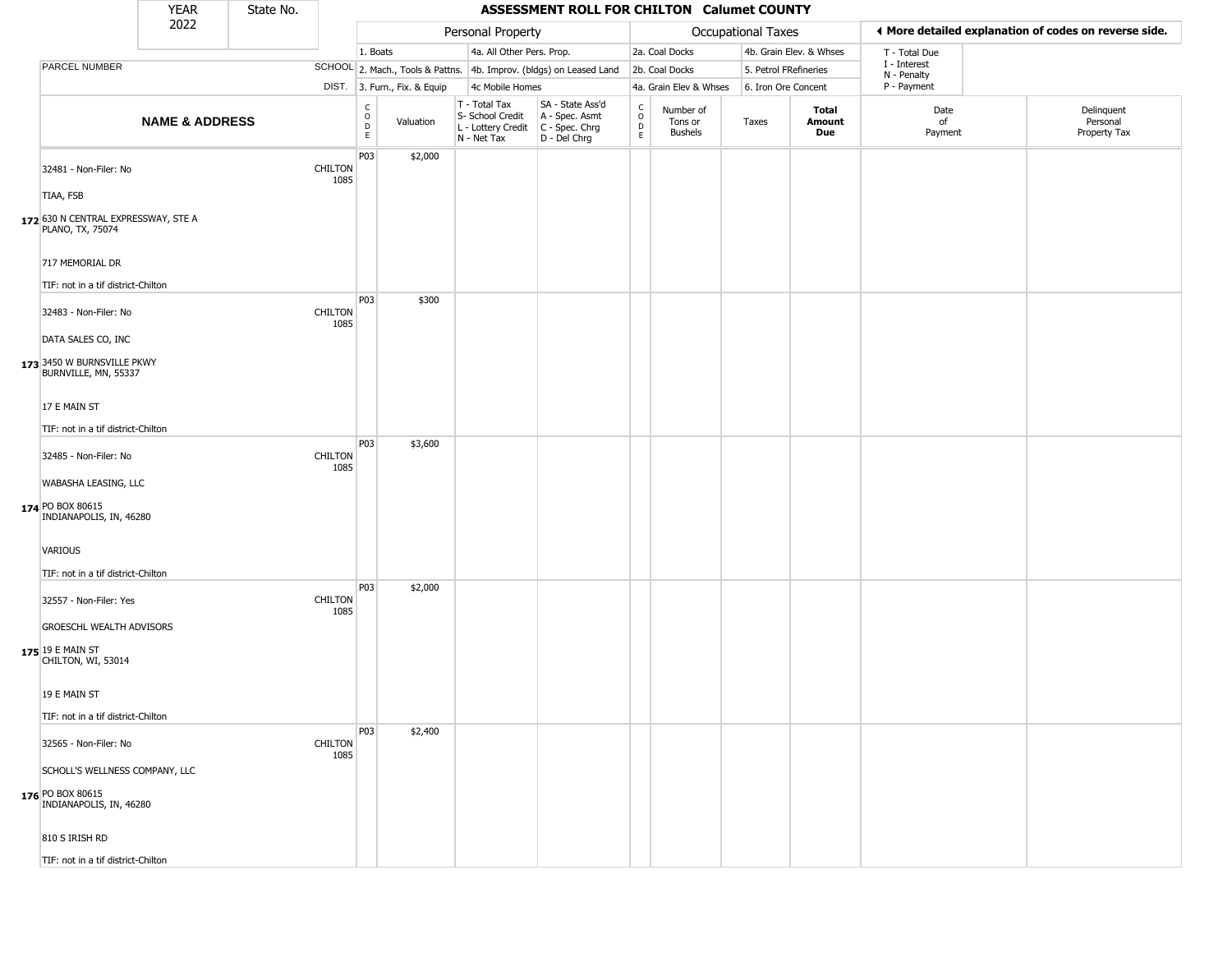|                                                         | <b>YEAR</b>               | State No. |                        |                                                     |                              |                                                                        | ASSESSMENT ROLL FOR CHILTON Calumet COUNTY                           |                                            |                                        |                       |                         |                             |                                                       |
|---------------------------------------------------------|---------------------------|-----------|------------------------|-----------------------------------------------------|------------------------------|------------------------------------------------------------------------|----------------------------------------------------------------------|--------------------------------------------|----------------------------------------|-----------------------|-------------------------|-----------------------------|-------------------------------------------------------|
|                                                         | 2022                      |           |                        |                                                     |                              | Personal Property                                                      |                                                                      |                                            |                                        | Occupational Taxes    |                         |                             | ♦ More detailed explanation of codes on reverse side. |
|                                                         |                           |           |                        | 1. Boats                                            |                              | 4a. All Other Pers. Prop.                                              |                                                                      |                                            | 2a. Coal Docks                         |                       | 4b. Grain Elev. & Whses | T - Total Due               |                                                       |
| PARCEL NUMBER                                           |                           |           |                        |                                                     |                              |                                                                        | SCHOOL 2. Mach., Tools & Pattns. 4b. Improv. (bldgs) on Leased Land  |                                            | 2b. Coal Docks                         | 5. Petrol FRefineries |                         | I - Interest<br>N - Penalty |                                                       |
|                                                         |                           |           |                        |                                                     | DIST. 3. Furn., Fix. & Equip | 4c Mobile Homes                                                        |                                                                      |                                            | 4a. Grain Elev & Whses                 | 6. Iron Ore Concent   |                         | P - Payment                 |                                                       |
|                                                         | <b>NAME &amp; ADDRESS</b> |           |                        | $_{\rm o}^{\rm c}$<br>$\overline{D}$<br>$\mathsf E$ | Valuation                    | T - Total Tax<br>S- School Credit<br>L - Lottery Credit<br>N - Net Tax | SA - State Ass'd<br>A - Spec. Asmt<br>C - Spec. Chrg<br>D - Del Chrg | $\begin{array}{c} C \\ O \\ E \end{array}$ | Number of<br>Tons or<br><b>Bushels</b> | Taxes                 | Total<br>Amount<br>Due  | Date<br>of<br>Payment       | Delinquent<br>Personal<br>Property Tax                |
| 32481 - Non-Filer: No                                   |                           |           | <b>CHILTON</b><br>1085 | P03                                                 | \$2,000                      |                                                                        |                                                                      |                                            |                                        |                       |                         |                             |                                                       |
| TIAA, FSB                                               |                           |           |                        |                                                     |                              |                                                                        |                                                                      |                                            |                                        |                       |                         |                             |                                                       |
| 172 630 N CENTRAL EXPRESSWAY, STE A<br>PLANO, TX, 75074 |                           |           |                        |                                                     |                              |                                                                        |                                                                      |                                            |                                        |                       |                         |                             |                                                       |
| 717 MEMORIAL DR<br>TIF: not in a tif district-Chilton   |                           |           |                        |                                                     |                              |                                                                        |                                                                      |                                            |                                        |                       |                         |                             |                                                       |
| 32483 - Non-Filer: No                                   |                           |           | <b>CHILTON</b><br>1085 | P03                                                 | \$300                        |                                                                        |                                                                      |                                            |                                        |                       |                         |                             |                                                       |
| DATA SALES CO, INC<br>173 3450 W BURNSVILLE PKWY        |                           |           |                        |                                                     |                              |                                                                        |                                                                      |                                            |                                        |                       |                         |                             |                                                       |
| BURNVILLE, MN, 55337<br>17 E MAIN ST                    |                           |           |                        |                                                     |                              |                                                                        |                                                                      |                                            |                                        |                       |                         |                             |                                                       |
| TIF: not in a tif district-Chilton                      |                           |           |                        |                                                     |                              |                                                                        |                                                                      |                                            |                                        |                       |                         |                             |                                                       |
| 32485 - Non-Filer: No                                   |                           |           | <b>CHILTON</b>         | P03                                                 | \$3,600                      |                                                                        |                                                                      |                                            |                                        |                       |                         |                             |                                                       |
| WABASHA LEASING, LLC                                    |                           |           | 1085                   |                                                     |                              |                                                                        |                                                                      |                                            |                                        |                       |                         |                             |                                                       |
| 174 PO BOX 80615<br>INDIANAPOLIS, IN, 46280             |                           |           |                        |                                                     |                              |                                                                        |                                                                      |                                            |                                        |                       |                         |                             |                                                       |
| <b>VARIOUS</b><br>TIF: not in a tif district-Chilton    |                           |           |                        |                                                     |                              |                                                                        |                                                                      |                                            |                                        |                       |                         |                             |                                                       |
| 32557 - Non-Filer: Yes                                  |                           |           | <b>CHILTON</b><br>1085 | P03                                                 | \$2,000                      |                                                                        |                                                                      |                                            |                                        |                       |                         |                             |                                                       |
| <b>GROESCHL WEALTH ADVISORS</b><br>$175$ 19 E MAIN ST   |                           |           |                        |                                                     |                              |                                                                        |                                                                      |                                            |                                        |                       |                         |                             |                                                       |
| CHILTON, WI, 53014<br>19 E MAIN ST                      |                           |           |                        |                                                     |                              |                                                                        |                                                                      |                                            |                                        |                       |                         |                             |                                                       |
| TIF: not in a tif district-Chilton                      |                           |           |                        |                                                     |                              |                                                                        |                                                                      |                                            |                                        |                       |                         |                             |                                                       |
| 32565 - Non-Filer: No                                   |                           |           | <b>CHILTON</b><br>1085 | P03                                                 | \$2,400                      |                                                                        |                                                                      |                                            |                                        |                       |                         |                             |                                                       |
| SCHOLL'S WELLNESS COMPANY, LLC                          |                           |           |                        |                                                     |                              |                                                                        |                                                                      |                                            |                                        |                       |                         |                             |                                                       |
| 176 PO BOX 80615<br>INDIANAPOLIS, IN, 46280             |                           |           |                        |                                                     |                              |                                                                        |                                                                      |                                            |                                        |                       |                         |                             |                                                       |
| 810 S IRISH RD                                          |                           |           |                        |                                                     |                              |                                                                        |                                                                      |                                            |                                        |                       |                         |                             |                                                       |
| TIF: not in a tif district-Chilton                      |                           |           |                        |                                                     |                              |                                                                        |                                                                      |                                            |                                        |                       |                         |                             |                                                       |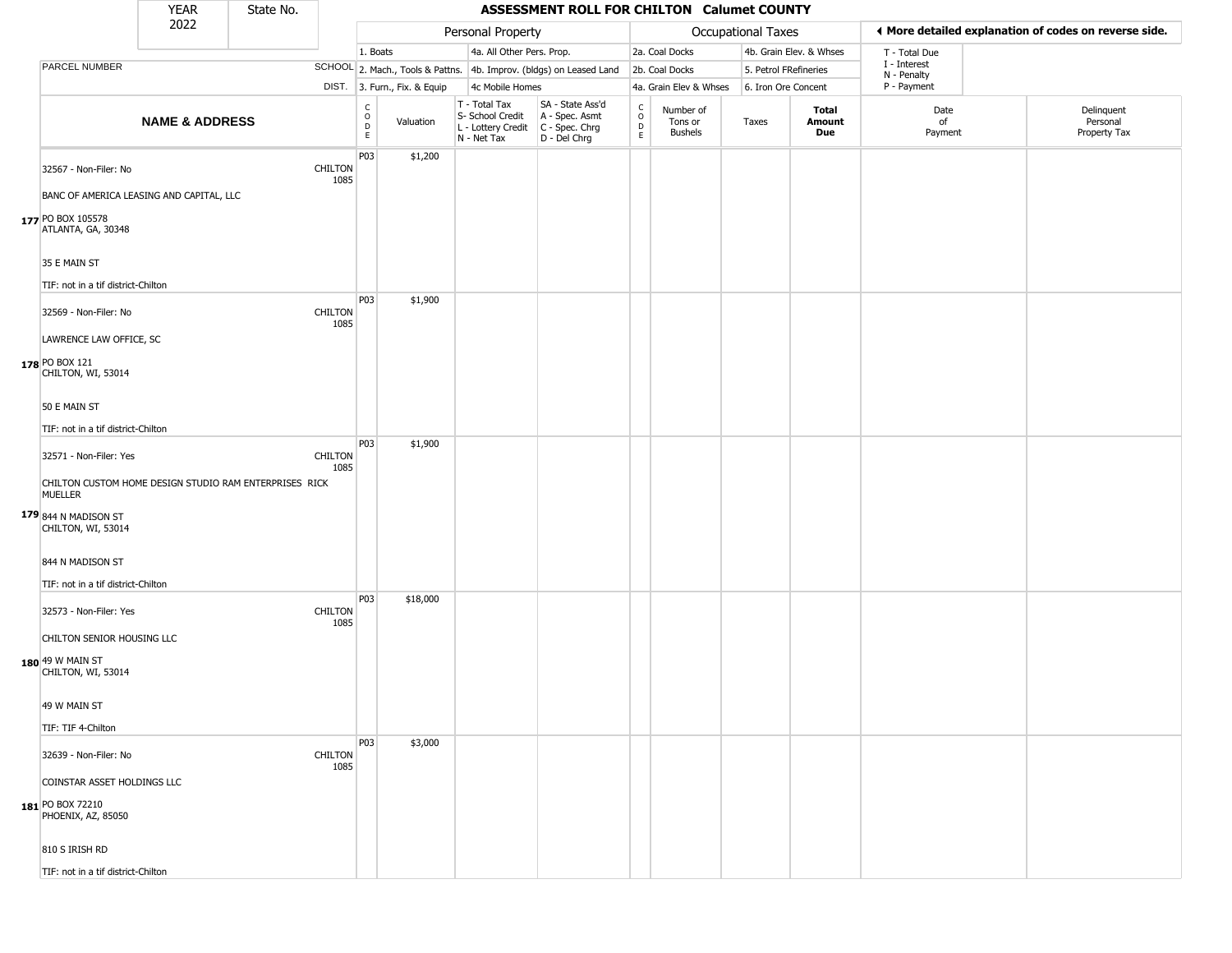|                                                                                  | YEAR                      | State No. |                        |                                        |                              |                                                                                         | ASSESSMENT ROLL FOR CHILTON Calumet COUNTY                          |                                                  |                                        |                       |                         |                             |                                                       |
|----------------------------------------------------------------------------------|---------------------------|-----------|------------------------|----------------------------------------|------------------------------|-----------------------------------------------------------------------------------------|---------------------------------------------------------------------|--------------------------------------------------|----------------------------------------|-----------------------|-------------------------|-----------------------------|-------------------------------------------------------|
|                                                                                  | 2022                      |           |                        |                                        |                              | Personal Property                                                                       |                                                                     |                                                  |                                        | Occupational Taxes    |                         |                             | ◀ More detailed explanation of codes on reverse side. |
|                                                                                  |                           |           |                        | 1. Boats                               |                              | 4a. All Other Pers. Prop.                                                               |                                                                     |                                                  | 2a. Coal Docks                         |                       | 4b. Grain Elev. & Whses | T - Total Due               |                                                       |
| PARCEL NUMBER                                                                    |                           |           |                        |                                        |                              |                                                                                         | SCHOOL 2. Mach., Tools & Pattns. 4b. Improv. (bldgs) on Leased Land |                                                  | 2b. Coal Docks                         | 5. Petrol FRefineries |                         | I - Interest<br>N - Penalty |                                                       |
|                                                                                  |                           |           |                        |                                        | DIST. 3. Furn., Fix. & Equip | 4c Mobile Homes                                                                         |                                                                     |                                                  | 4a. Grain Elev & Whses                 | 6. Iron Ore Concent   |                         | P - Payment                 |                                                       |
|                                                                                  | <b>NAME &amp; ADDRESS</b> |           |                        | $_{\rm o}^{\rm c}$<br>D<br>$\mathsf E$ | Valuation                    | T - Total Tax<br>S- School Credit<br>L - Lottery Credit   C - Spec. Chrg<br>N - Net Tax | SA - State Ass'd<br>A - Spec. Asmt<br>D - Del Chrg                  | $_{\rm o}^{\rm c}$<br>$\mathsf D$<br>$\mathsf E$ | Number of<br>Tons or<br><b>Bushels</b> | Taxes                 | Total<br>Amount<br>Due  | Date<br>of<br>Payment       | Delinquent<br>Personal<br>Property Tax                |
| 32567 - Non-Filer: No<br>BANC OF AMERICA LEASING AND CAPITAL, LLC                |                           |           | <b>CHILTON</b><br>1085 | P03                                    | \$1,200                      |                                                                                         |                                                                     |                                                  |                                        |                       |                         |                             |                                                       |
| 177 PO BOX 105578<br>ATLANTA, GA, 30348                                          |                           |           |                        |                                        |                              |                                                                                         |                                                                     |                                                  |                                        |                       |                         |                             |                                                       |
| 35 E MAIN ST<br>TIF: not in a tif district-Chilton                               |                           |           |                        |                                        |                              |                                                                                         |                                                                     |                                                  |                                        |                       |                         |                             |                                                       |
| 32569 - Non-Filer: No                                                            |                           |           | <b>CHILTON</b><br>1085 | P03                                    | \$1,900                      |                                                                                         |                                                                     |                                                  |                                        |                       |                         |                             |                                                       |
| LAWRENCE LAW OFFICE, SC<br>178 PO BOX 121<br>CHILTON, WI, 53014                  |                           |           |                        |                                        |                              |                                                                                         |                                                                     |                                                  |                                        |                       |                         |                             |                                                       |
| 50 E MAIN ST                                                                     |                           |           |                        |                                        |                              |                                                                                         |                                                                     |                                                  |                                        |                       |                         |                             |                                                       |
| TIF: not in a tif district-Chilton                                               |                           |           |                        | P03                                    | \$1,900                      |                                                                                         |                                                                     |                                                  |                                        |                       |                         |                             |                                                       |
| 32571 - Non-Filer: Yes<br>CHILTON CUSTOM HOME DESIGN STUDIO RAM ENTERPRISES RICK |                           |           | <b>CHILTON</b><br>1085 |                                        |                              |                                                                                         |                                                                     |                                                  |                                        |                       |                         |                             |                                                       |
| <b>MUELLER</b>                                                                   |                           |           |                        |                                        |                              |                                                                                         |                                                                     |                                                  |                                        |                       |                         |                             |                                                       |
| 179 844 N MADISON ST<br>CHILTON, WI, 53014                                       |                           |           |                        |                                        |                              |                                                                                         |                                                                     |                                                  |                                        |                       |                         |                             |                                                       |
| 844 N MADISON ST                                                                 |                           |           |                        |                                        |                              |                                                                                         |                                                                     |                                                  |                                        |                       |                         |                             |                                                       |
| TIF: not in a tif district-Chilton<br>32573 - Non-Filer: Yes                     |                           |           | <b>CHILTON</b>         | P03                                    | \$18,000                     |                                                                                         |                                                                     |                                                  |                                        |                       |                         |                             |                                                       |
| CHILTON SENIOR HOUSING LLC                                                       |                           |           | 1085                   |                                        |                              |                                                                                         |                                                                     |                                                  |                                        |                       |                         |                             |                                                       |
| $180$ 49 W MAIN ST<br>CHILTON, WI, 53014                                         |                           |           |                        |                                        |                              |                                                                                         |                                                                     |                                                  |                                        |                       |                         |                             |                                                       |
| 49 W MAIN ST                                                                     |                           |           |                        |                                        |                              |                                                                                         |                                                                     |                                                  |                                        |                       |                         |                             |                                                       |
| TIF: TIF 4-Chilton                                                               |                           |           |                        |                                        |                              |                                                                                         |                                                                     |                                                  |                                        |                       |                         |                             |                                                       |
| 32639 - Non-Filer: No                                                            |                           |           | <b>CHILTON</b><br>1085 | P03                                    | \$3,000                      |                                                                                         |                                                                     |                                                  |                                        |                       |                         |                             |                                                       |
| COINSTAR ASSET HOLDINGS LLC<br>181 PO BOX 72210<br>PHOENIX, AZ, 85050            |                           |           |                        |                                        |                              |                                                                                         |                                                                     |                                                  |                                        |                       |                         |                             |                                                       |
| 810 S IRISH RD                                                                   |                           |           |                        |                                        |                              |                                                                                         |                                                                     |                                                  |                                        |                       |                         |                             |                                                       |
| TIF: not in a tif district-Chilton                                               |                           |           |                        |                                        |                              |                                                                                         |                                                                     |                                                  |                                        |                       |                         |                             |                                                       |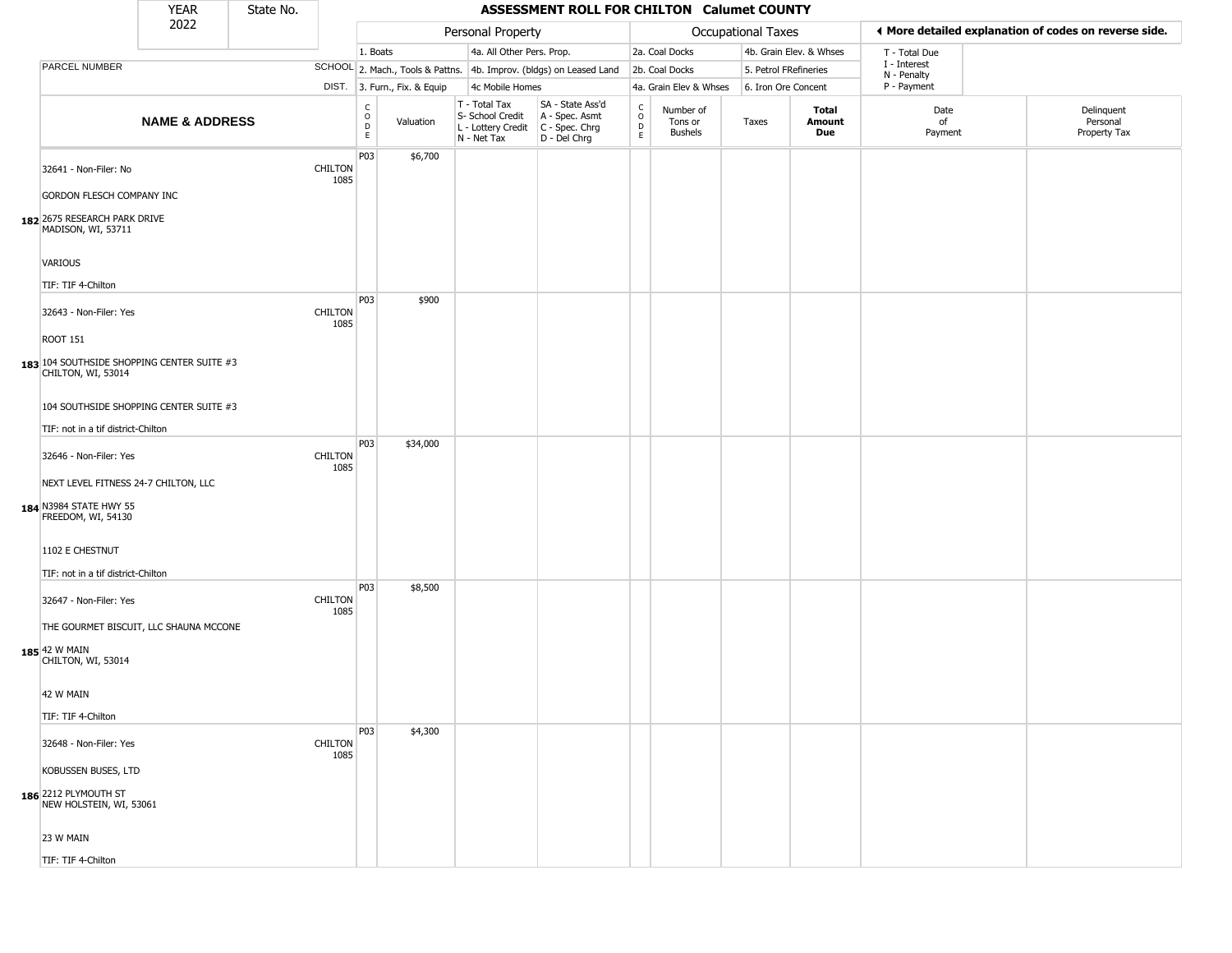|                                                                                      | <b>YEAR</b>               | State No. |                        |                                |                              |                                                                                         | ASSESSMENT ROLL FOR CHILTON Calumet COUNTY                          |                                             |                                 |                       |                         |                             |                                                       |
|--------------------------------------------------------------------------------------|---------------------------|-----------|------------------------|--------------------------------|------------------------------|-----------------------------------------------------------------------------------------|---------------------------------------------------------------------|---------------------------------------------|---------------------------------|-----------------------|-------------------------|-----------------------------|-------------------------------------------------------|
|                                                                                      | 2022                      |           |                        |                                |                              | Personal Property                                                                       |                                                                     |                                             |                                 | Occupational Taxes    |                         |                             | ◀ More detailed explanation of codes on reverse side. |
|                                                                                      |                           |           |                        | 1. Boats                       |                              | 4a. All Other Pers. Prop.                                                               |                                                                     |                                             | 2a. Coal Docks                  |                       | 4b. Grain Elev. & Whses | T - Total Due               |                                                       |
| PARCEL NUMBER                                                                        |                           |           |                        |                                |                              |                                                                                         | SCHOOL 2. Mach., Tools & Pattns. 4b. Improv. (bldgs) on Leased Land |                                             | 2b. Coal Docks                  | 5. Petrol FRefineries |                         | I - Interest<br>N - Penalty |                                                       |
|                                                                                      |                           |           |                        |                                | DIST. 3. Furn., Fix. & Equip | 4c Mobile Homes                                                                         |                                                                     |                                             | 4a. Grain Elev & Whses          | 6. Iron Ore Concent   |                         | P - Payment                 |                                                       |
|                                                                                      | <b>NAME &amp; ADDRESS</b> |           |                        | $\rm _o^C$<br>D<br>$\mathsf E$ | Valuation                    | T - Total Tax<br>S- School Credit<br>L - Lottery Credit   C - Spec. Chrg<br>N - Net Tax | SA - State Ass'd<br>A - Spec. Asmt<br>D - Del Chrg                  | $_{\rm o}^{\rm c}$<br>$\mathsf D$<br>$\,$ E | Number of<br>Tons or<br>Bushels | Taxes                 | Total<br>Amount<br>Due  | Date<br>of<br>Payment       | Delinquent<br>Personal<br>Property Tax                |
| 32641 - Non-Filer: No                                                                |                           |           | <b>CHILTON</b><br>1085 | P03                            | \$6,700                      |                                                                                         |                                                                     |                                             |                                 |                       |                         |                             |                                                       |
| GORDON FLESCH COMPANY INC                                                            |                           |           |                        |                                |                              |                                                                                         |                                                                     |                                             |                                 |                       |                         |                             |                                                       |
| 182 2675 RESEARCH PARK DRIVE<br>MADISON, WI, 53711                                   |                           |           |                        |                                |                              |                                                                                         |                                                                     |                                             |                                 |                       |                         |                             |                                                       |
| VARIOUS                                                                              |                           |           |                        |                                |                              |                                                                                         |                                                                     |                                             |                                 |                       |                         |                             |                                                       |
| TIF: TIF 4-Chilton                                                                   |                           |           |                        |                                |                              |                                                                                         |                                                                     |                                             |                                 |                       |                         |                             |                                                       |
| 32643 - Non-Filer: Yes                                                               |                           |           | <b>CHILTON</b><br>1085 | P03                            | \$900                        |                                                                                         |                                                                     |                                             |                                 |                       |                         |                             |                                                       |
| <b>ROOT 151</b><br>183 104 SOUTHSIDE SHOPPING CENTER SUITE #3<br>CHILTON, WI, 53014  |                           |           |                        |                                |                              |                                                                                         |                                                                     |                                             |                                 |                       |                         |                             |                                                       |
| 104 SOUTHSIDE SHOPPING CENTER SUITE #3                                               |                           |           |                        |                                |                              |                                                                                         |                                                                     |                                             |                                 |                       |                         |                             |                                                       |
| TIF: not in a tif district-Chilton                                                   |                           |           |                        |                                |                              |                                                                                         |                                                                     |                                             |                                 |                       |                         |                             |                                                       |
| 32646 - Non-Filer: Yes                                                               |                           |           | <b>CHILTON</b><br>1085 | P03                            | \$34,000                     |                                                                                         |                                                                     |                                             |                                 |                       |                         |                             |                                                       |
| NEXT LEVEL FITNESS 24-7 CHILTON, LLC<br>184 N3984 STATE HWY 55<br>FREEDOM, WI, 54130 |                           |           |                        |                                |                              |                                                                                         |                                                                     |                                             |                                 |                       |                         |                             |                                                       |
| 1102 E CHESTNUT                                                                      |                           |           |                        |                                |                              |                                                                                         |                                                                     |                                             |                                 |                       |                         |                             |                                                       |
| TIF: not in a tif district-Chilton<br>32647 - Non-Filer: Yes                         |                           |           | <b>CHILTON</b><br>1085 | P03                            | \$8,500                      |                                                                                         |                                                                     |                                             |                                 |                       |                         |                             |                                                       |
| THE GOURMET BISCUIT, LLC SHAUNA MCCONE<br>185 42 W MAIN<br>CHILTON, WI, 53014        |                           |           |                        |                                |                              |                                                                                         |                                                                     |                                             |                                 |                       |                         |                             |                                                       |
| 42 W MAIN                                                                            |                           |           |                        |                                |                              |                                                                                         |                                                                     |                                             |                                 |                       |                         |                             |                                                       |
| TIF: TIF 4-Chilton                                                                   |                           |           |                        |                                |                              |                                                                                         |                                                                     |                                             |                                 |                       |                         |                             |                                                       |
| 32648 - Non-Filer: Yes                                                               |                           |           | <b>CHILTON</b><br>1085 | <b>P03</b>                     | \$4,300                      |                                                                                         |                                                                     |                                             |                                 |                       |                         |                             |                                                       |
| KOBUSSEN BUSES, LTD                                                                  |                           |           |                        |                                |                              |                                                                                         |                                                                     |                                             |                                 |                       |                         |                             |                                                       |
| 186 2212 PLYMOUTH ST<br>NEW HOLSTEIN, WI, 53061                                      |                           |           |                        |                                |                              |                                                                                         |                                                                     |                                             |                                 |                       |                         |                             |                                                       |
| 23 W MAIN                                                                            |                           |           |                        |                                |                              |                                                                                         |                                                                     |                                             |                                 |                       |                         |                             |                                                       |
| TIF: TIF 4-Chilton                                                                   |                           |           |                        |                                |                              |                                                                                         |                                                                     |                                             |                                 |                       |                         |                             |                                                       |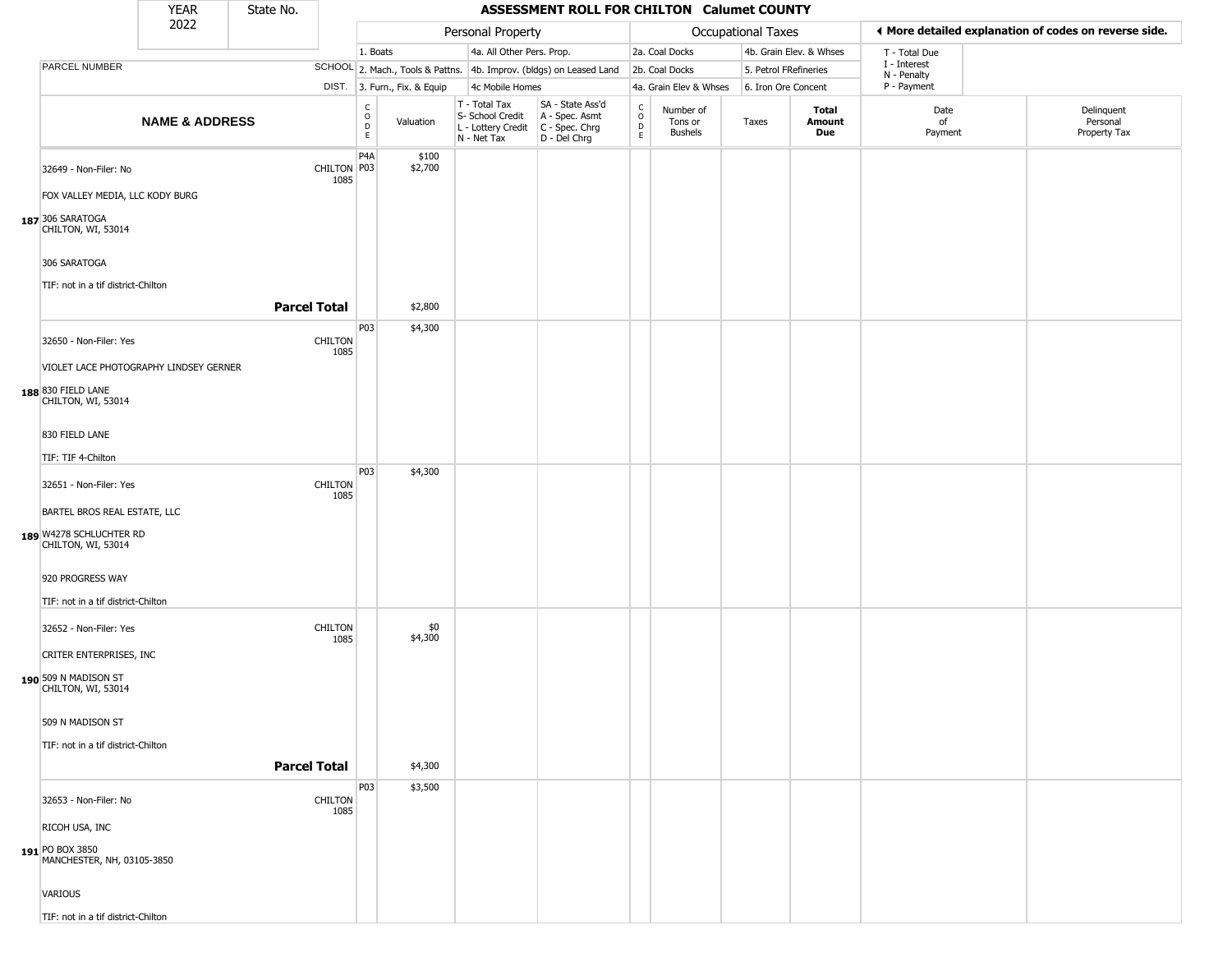|                                               | <b>YEAR</b>               | State No. |                        |                        |                              |                                                                        | ASSESSMENT ROLL FOR CHILTON Calumet COUNTY                           |                                   |                                        |                       |                         |                             |                                                       |
|-----------------------------------------------|---------------------------|-----------|------------------------|------------------------|------------------------------|------------------------------------------------------------------------|----------------------------------------------------------------------|-----------------------------------|----------------------------------------|-----------------------|-------------------------|-----------------------------|-------------------------------------------------------|
|                                               | 2022                      |           |                        |                        |                              | Personal Property                                                      |                                                                      |                                   |                                        | Occupational Taxes    |                         |                             | ◀ More detailed explanation of codes on reverse side. |
|                                               |                           |           |                        | 1. Boats               |                              | 4a. All Other Pers. Prop.                                              |                                                                      |                                   | 2a. Coal Docks                         |                       | 4b. Grain Elev. & Whses | T - Total Due               |                                                       |
| PARCEL NUMBER                                 |                           |           |                        |                        |                              |                                                                        | SCHOOL 2. Mach., Tools & Pattns. 4b. Improv. (bldgs) on Leased Land  |                                   | 2b. Coal Docks                         | 5. Petrol FRefineries |                         | I - Interest<br>N - Penalty |                                                       |
|                                               |                           |           |                        |                        | DIST. 3. Furn., Fix. & Equip | 4c Mobile Homes                                                        |                                                                      |                                   | 4a. Grain Elev & Whses                 | 6. Iron Ore Concent   |                         | P - Payment                 |                                                       |
|                                               | <b>NAME &amp; ADDRESS</b> |           |                        | C<br>$\circ$<br>D<br>E | Valuation                    | T - Total Tax<br>S- School Credit<br>L - Lottery Credit<br>N - Net Tax | SA - State Ass'd<br>A - Spec. Asmt<br>C - Spec. Chrg<br>D - Del Chrg | C<br>$\circ$<br>$\mathsf{D}$<br>E | Number of<br>Tons or<br><b>Bushels</b> | Taxes                 | Total<br>Amount<br>Due  | Date<br>of<br>Payment       | Delinquent<br>Personal<br>Property Tax                |
| 32649 - Non-Filer: No                         |                           |           | CHILTON P03<br>1085    | P4A                    | \$100<br>\$2,700             |                                                                        |                                                                      |                                   |                                        |                       |                         |                             |                                                       |
| FOX VALLEY MEDIA, LLC KODY BURG               |                           |           |                        |                        |                              |                                                                        |                                                                      |                                   |                                        |                       |                         |                             |                                                       |
| 187 306 SARATOGA<br>CHILTON, WI, 53014        |                           |           |                        |                        |                              |                                                                        |                                                                      |                                   |                                        |                       |                         |                             |                                                       |
| 306 SARATOGA                                  |                           |           |                        |                        |                              |                                                                        |                                                                      |                                   |                                        |                       |                         |                             |                                                       |
| TIF: not in a tif district-Chilton            |                           |           |                        |                        |                              |                                                                        |                                                                      |                                   |                                        |                       |                         |                             |                                                       |
|                                               |                           |           | <b>Parcel Total</b>    |                        | \$2,800                      |                                                                        |                                                                      |                                   |                                        |                       |                         |                             |                                                       |
| 32650 - Non-Filer: Yes                        |                           |           | <b>CHILTON</b><br>1085 | P03                    | \$4,300                      |                                                                        |                                                                      |                                   |                                        |                       |                         |                             |                                                       |
| VIOLET LACE PHOTOGRAPHY LINDSEY GERNER        |                           |           |                        |                        |                              |                                                                        |                                                                      |                                   |                                        |                       |                         |                             |                                                       |
| 188 830 FIELD LANE<br>CHILTON, WI, 53014      |                           |           |                        |                        |                              |                                                                        |                                                                      |                                   |                                        |                       |                         |                             |                                                       |
| 830 FIELD LANE                                |                           |           |                        |                        |                              |                                                                        |                                                                      |                                   |                                        |                       |                         |                             |                                                       |
| TIF: TIF 4-Chilton                            |                           |           |                        |                        |                              |                                                                        |                                                                      |                                   |                                        |                       |                         |                             |                                                       |
| 32651 - Non-Filer: Yes                        |                           |           | <b>CHILTON</b><br>1085 | P03                    | \$4,300                      |                                                                        |                                                                      |                                   |                                        |                       |                         |                             |                                                       |
| BARTEL BROS REAL ESTATE, LLC                  |                           |           |                        |                        |                              |                                                                        |                                                                      |                                   |                                        |                       |                         |                             |                                                       |
| 189 W4278 SCHLUCHTER RD<br>CHILTON, WI, 53014 |                           |           |                        |                        |                              |                                                                        |                                                                      |                                   |                                        |                       |                         |                             |                                                       |
| 920 PROGRESS WAY                              |                           |           |                        |                        |                              |                                                                        |                                                                      |                                   |                                        |                       |                         |                             |                                                       |
| TIF: not in a tif district-Chilton            |                           |           |                        |                        |                              |                                                                        |                                                                      |                                   |                                        |                       |                         |                             |                                                       |
| 32652 - Non-Filer: Yes                        |                           |           | <b>CHILTON</b><br>1085 |                        | \$0<br>\$4,300               |                                                                        |                                                                      |                                   |                                        |                       |                         |                             |                                                       |
| CRITER ENTERPRISES, INC                       |                           |           |                        |                        |                              |                                                                        |                                                                      |                                   |                                        |                       |                         |                             |                                                       |
| 190 509 N MADISON ST<br>CHILTON, WI, 53014    |                           |           |                        |                        |                              |                                                                        |                                                                      |                                   |                                        |                       |                         |                             |                                                       |
| 509 N MADISON ST                              |                           |           |                        |                        |                              |                                                                        |                                                                      |                                   |                                        |                       |                         |                             |                                                       |
| TIF: not in a tif district-Chilton            |                           |           |                        |                        |                              |                                                                        |                                                                      |                                   |                                        |                       |                         |                             |                                                       |
|                                               |                           |           | <b>Parcel Total</b>    |                        | \$4,300                      |                                                                        |                                                                      |                                   |                                        |                       |                         |                             |                                                       |
| 32653 - Non-Filer: No                         |                           |           | <b>CHILTON</b><br>1085 | P03                    | \$3,500                      |                                                                        |                                                                      |                                   |                                        |                       |                         |                             |                                                       |
| RICOH USA, INC                                |                           |           |                        |                        |                              |                                                                        |                                                                      |                                   |                                        |                       |                         |                             |                                                       |
| 191 PO BOX 3850<br>MANCHESTER, NH, 03105-3850 |                           |           |                        |                        |                              |                                                                        |                                                                      |                                   |                                        |                       |                         |                             |                                                       |
| <b>VARIOUS</b>                                |                           |           |                        |                        |                              |                                                                        |                                                                      |                                   |                                        |                       |                         |                             |                                                       |
| TIF: not in a tif district-Chilton            |                           |           |                        |                        |                              |                                                                        |                                                                      |                                   |                                        |                       |                         |                             |                                                       |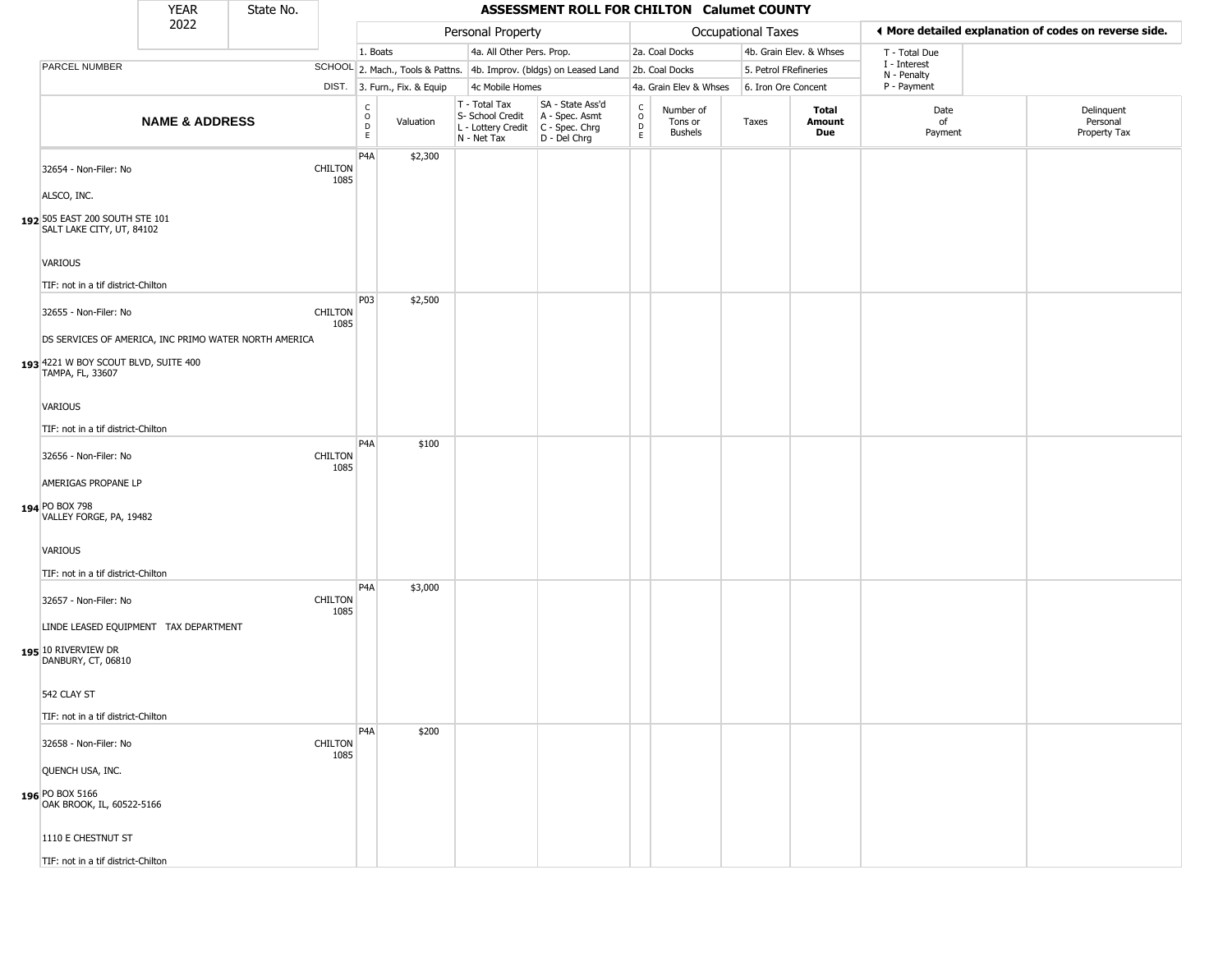|                                                                                                                   | <b>YEAR</b>               | State No. |                        |                                                |                              |                                                                        | ASSESSMENT ROLL FOR CHILTON Calumet COUNTY                           |                                                          |                                 |                       |                         |                             |                                                       |
|-------------------------------------------------------------------------------------------------------------------|---------------------------|-----------|------------------------|------------------------------------------------|------------------------------|------------------------------------------------------------------------|----------------------------------------------------------------------|----------------------------------------------------------|---------------------------------|-----------------------|-------------------------|-----------------------------|-------------------------------------------------------|
|                                                                                                                   | 2022                      |           |                        |                                                |                              | Personal Property                                                      |                                                                      |                                                          |                                 | Occupational Taxes    |                         |                             | ◀ More detailed explanation of codes on reverse side. |
|                                                                                                                   |                           |           |                        | 1. Boats                                       |                              | 4a. All Other Pers. Prop.                                              |                                                                      |                                                          | 2a. Coal Docks                  |                       | 4b. Grain Elev. & Whses | T - Total Due               |                                                       |
| PARCEL NUMBER                                                                                                     |                           |           |                        |                                                |                              |                                                                        | SCHOOL 2. Mach., Tools & Pattns. 4b. Improv. (bldgs) on Leased Land  |                                                          | 2b. Coal Docks                  | 5. Petrol FRefineries |                         | I - Interest<br>N - Penalty |                                                       |
|                                                                                                                   |                           |           |                        |                                                | DIST. 3. Furn., Fix. & Equip | 4c Mobile Homes                                                        |                                                                      |                                                          | 4a. Grain Elev & Whses          | 6. Iron Ore Concent   |                         | P - Payment                 |                                                       |
|                                                                                                                   | <b>NAME &amp; ADDRESS</b> |           |                        | $\begin{matrix} 0 \\ 0 \\ D \end{matrix}$<br>E | Valuation                    | T - Total Tax<br>S- School Credit<br>L - Lottery Credit<br>N - Net Tax | SA - State Ass'd<br>A - Spec. Asmt<br>C - Spec. Chrg<br>D - Del Chrg | $\begin{matrix} 0 \\ 0 \\ D \end{matrix}$<br>$\mathsf E$ | Number of<br>Tons or<br>Bushels | Taxes                 | Total<br>Amount<br>Due  | Date<br>of<br>Payment       | Delinquent<br>Personal<br>Property Tax                |
| 32654 - Non-Filer: No<br>ALSCO, INC.                                                                              |                           |           | <b>CHILTON</b><br>1085 | P <sub>4</sub> A                               | \$2,300                      |                                                                        |                                                                      |                                                          |                                 |                       |                         |                             |                                                       |
| 192 505 EAST 200 SOUTH STE 101<br>SALT LAKE CITY, UT, 84102                                                       |                           |           |                        |                                                |                              |                                                                        |                                                                      |                                                          |                                 |                       |                         |                             |                                                       |
| <b>VARIOUS</b><br>TIF: not in a tif district-Chilton                                                              |                           |           |                        |                                                |                              |                                                                        |                                                                      |                                                          |                                 |                       |                         |                             |                                                       |
| 32655 - Non-Filer: No                                                                                             |                           |           | <b>CHILTON</b><br>1085 | P03                                            | \$2,500                      |                                                                        |                                                                      |                                                          |                                 |                       |                         |                             |                                                       |
| DS SERVICES OF AMERICA, INC PRIMO WATER NORTH AMERICA<br>193 4221 W BOY SCOUT BLVD, SUITE 400<br>TAMPA, FL, 33607 |                           |           |                        |                                                |                              |                                                                        |                                                                      |                                                          |                                 |                       |                         |                             |                                                       |
| <b>VARIOUS</b><br>TIF: not in a tif district-Chilton                                                              |                           |           |                        |                                                |                              |                                                                        |                                                                      |                                                          |                                 |                       |                         |                             |                                                       |
| 32656 - Non-Filer: No<br>AMERIGAS PROPANE LP<br>194 PO BOX 798<br>VALLEY FORGE, PA, 19482                         |                           |           | <b>CHILTON</b><br>1085 | P4A                                            | \$100                        |                                                                        |                                                                      |                                                          |                                 |                       |                         |                             |                                                       |
| <b>VARIOUS</b><br>TIF: not in a tif district-Chilton                                                              |                           |           |                        |                                                |                              |                                                                        |                                                                      |                                                          |                                 |                       |                         |                             |                                                       |
| 32657 - Non-Filer: No<br>LINDE LEASED EQUIPMENT TAX DEPARTMENT                                                    |                           |           | <b>CHILTON</b><br>1085 | P <sub>4</sub> A                               | \$3,000                      |                                                                        |                                                                      |                                                          |                                 |                       |                         |                             |                                                       |
| 195 10 RIVERVIEW DR<br>DANBURY, CT, 06810                                                                         |                           |           |                        |                                                |                              |                                                                        |                                                                      |                                                          |                                 |                       |                         |                             |                                                       |
| 542 CLAY ST<br>TIF: not in a tif district-Chilton                                                                 |                           |           |                        |                                                |                              |                                                                        |                                                                      |                                                          |                                 |                       |                         |                             |                                                       |
| 32658 - Non-Filer: No                                                                                             |                           |           | <b>CHILTON</b><br>1085 | P4A                                            | \$200                        |                                                                        |                                                                      |                                                          |                                 |                       |                         |                             |                                                       |
| QUENCH USA, INC.<br>196 PO BOX 5166                                                                               |                           |           |                        |                                                |                              |                                                                        |                                                                      |                                                          |                                 |                       |                         |                             |                                                       |
| OAK BROOK, IL, 60522-5166<br>1110 E CHESTNUT ST                                                                   |                           |           |                        |                                                |                              |                                                                        |                                                                      |                                                          |                                 |                       |                         |                             |                                                       |
| TIF: not in a tif district-Chilton                                                                                |                           |           |                        |                                                |                              |                                                                        |                                                                      |                                                          |                                 |                       |                         |                             |                                                       |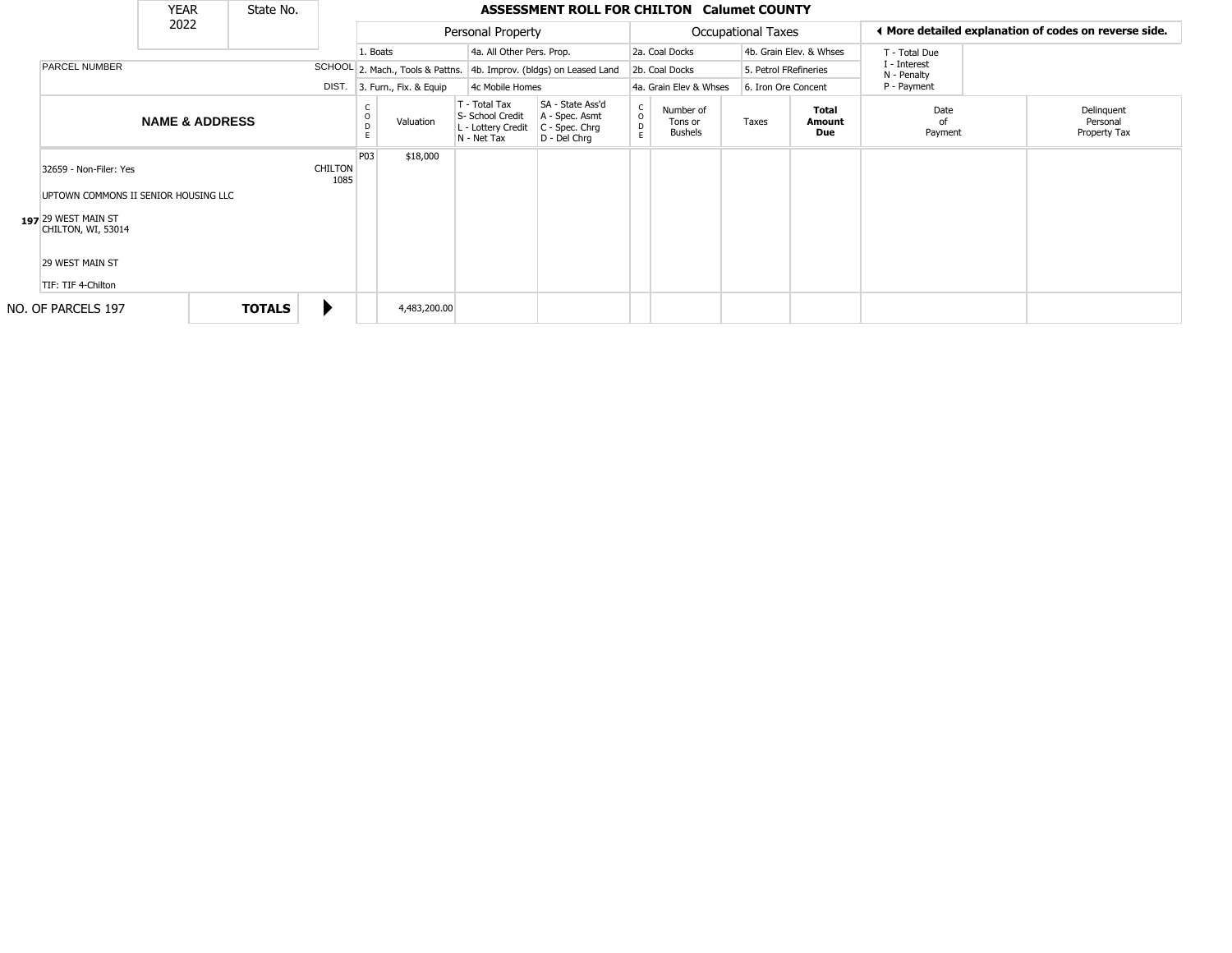|                                                                                                                                                      | <b>YEAR</b>               | State No.     |                        |          |                                  |                                                                        | <b>ASSESSMENT ROLL FOR CHILTON Calumet COUNTY</b>                      |                        |                                        |                           |                         |                             |                                                       |
|------------------------------------------------------------------------------------------------------------------------------------------------------|---------------------------|---------------|------------------------|----------|----------------------------------|------------------------------------------------------------------------|------------------------------------------------------------------------|------------------------|----------------------------------------|---------------------------|-------------------------|-----------------------------|-------------------------------------------------------|
|                                                                                                                                                      | 2022                      |               |                        |          |                                  | Personal Property                                                      |                                                                        |                        |                                        | <b>Occupational Taxes</b> |                         |                             | ◀ More detailed explanation of codes on reverse side. |
|                                                                                                                                                      |                           |               |                        | 1. Boats |                                  | 4a. All Other Pers. Prop.                                              |                                                                        |                        | 2a. Coal Docks                         |                           | 4b. Grain Elev. & Whses | T - Total Due               |                                                       |
| PARCEL NUMBER                                                                                                                                        |                           |               |                        |          | SCHOOL 2. Mach., Tools & Pattns. |                                                                        | 4b. Improv. (bldgs) on Leased Land                                     |                        | 2b. Coal Docks                         | 5. Petrol FRefineries     |                         | I - Interest<br>N - Penalty |                                                       |
|                                                                                                                                                      |                           |               | DIST.                  |          | 3. Furn., Fix. & Equip           | 4c Mobile Homes                                                        |                                                                        |                        | 4a. Grain Elev & Whses                 | 6. Iron Ore Concent       |                         | P - Payment                 |                                                       |
|                                                                                                                                                      | <b>NAME &amp; ADDRESS</b> |               |                        | D        | Valuation                        | T - Total Tax<br>S- School Credit<br>L - Lottery Credit<br>N - Net Tax | SA - State Ass'd<br>A - Spec. Asmt<br>$C - Spec. Chrg$<br>D - Del Chrg | C<br>$\circ$<br>D<br>E | Number of<br>Tons or<br><b>Bushels</b> | Taxes                     | Total<br>Amount<br>Due  | Date<br>nf<br>Payment       | Delinquent<br>Personal<br>Property Tax                |
| 32659 - Non-Filer: Yes<br>UPTOWN COMMONS II SENIOR HOUSING LLC<br>197 29 WEST MAIN ST<br>CHILTON, WI, 53014<br>29 WEST MAIN ST<br>TIF: TIF 4-Chilton |                           |               | <b>CHILTON</b><br>1085 | P03      | \$18,000                         |                                                                        |                                                                        |                        |                                        |                           |                         |                             |                                                       |
| NO. OF PARCELS 197                                                                                                                                   |                           | <b>TOTALS</b> | ▶                      |          | 4,483,200.00                     |                                                                        |                                                                        |                        |                                        |                           |                         |                             |                                                       |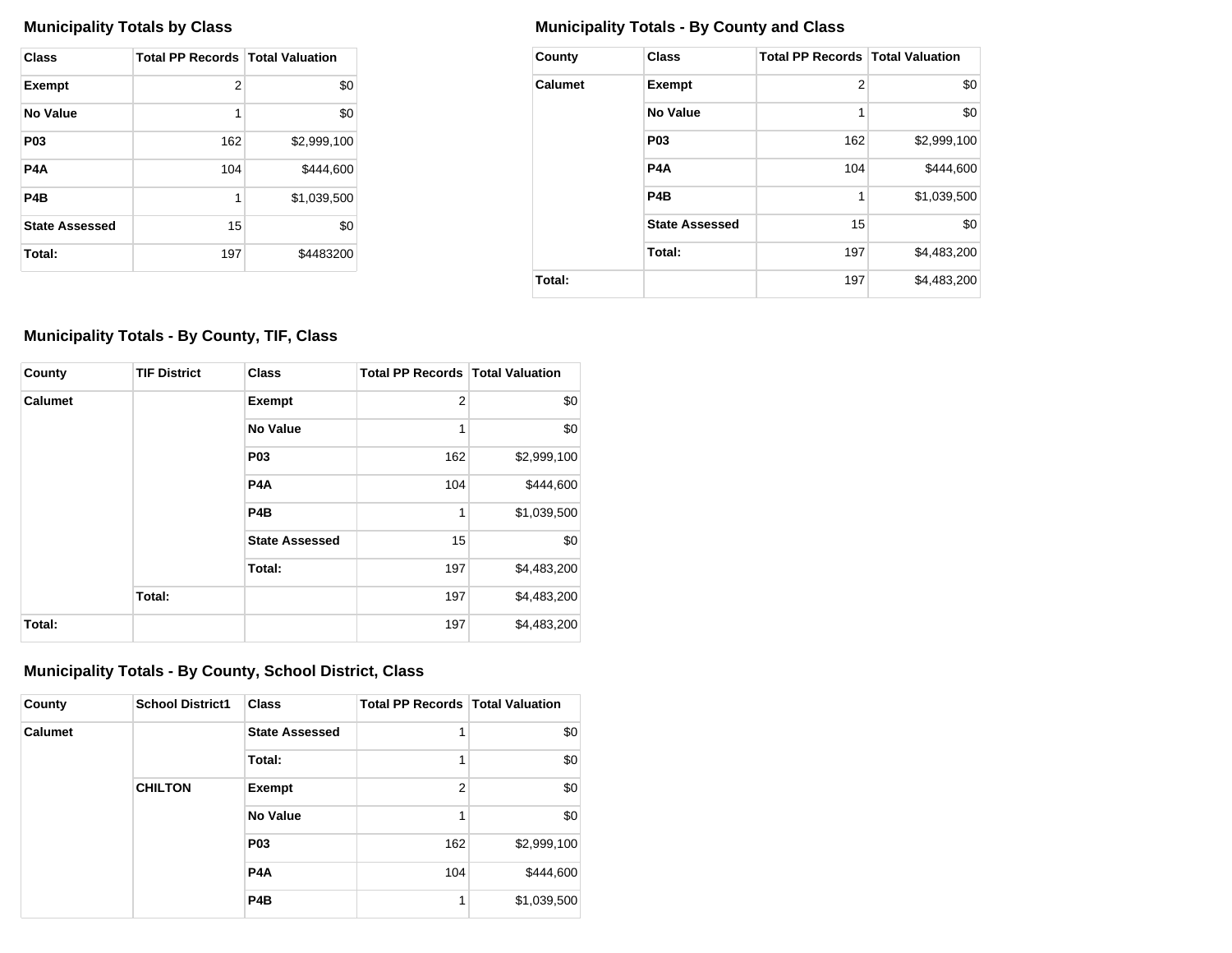| Class                 | <b>Total PP Records   Total Valuation</b> |             |
|-----------------------|-------------------------------------------|-------------|
| <b>Exempt</b>         | 2                                         | \$0         |
| No Value              | 1                                         | \$0         |
| P <sub>0</sub> 3      | 162                                       | \$2,999,100 |
| P4A                   | 104                                       | \$444,600   |
| P <sub>4</sub> B      | 1                                         | \$1,039,500 |
| <b>State Assessed</b> | 15                                        | \$0         |
| Total:                | 197                                       | \$4483200   |

# **Municipality Totals by Class Municipality Totals - By County and Class**

| County         | <b>Class</b>          | <b>Total PP Records   Total Valuation</b> |             |
|----------------|-----------------------|-------------------------------------------|-------------|
| <b>Calumet</b> | <b>Exempt</b>         | $\overline{2}$                            | \$0         |
|                | No Value              | 1                                         | \$0         |
|                | P <sub>0</sub> 3      | 162                                       | \$2,999,100 |
|                | P <sub>4</sub> A      | 104                                       | \$444,600   |
|                | P <sub>4</sub> B      | 1                                         | \$1,039,500 |
|                | <b>State Assessed</b> | 15                                        | \$0         |
|                | Total:                | 197                                       | \$4,483,200 |
| Total:         |                       | 197                                       | \$4,483,200 |

# **Municipality Totals - By County, TIF, Class**

| County         | <b>TIF District</b> | <b>Class</b>          | <b>Total PP Records   Total Valuation</b> |             |
|----------------|---------------------|-----------------------|-------------------------------------------|-------------|
| <b>Calumet</b> |                     | Exempt                | $\overline{2}$                            | \$0         |
|                |                     | <b>No Value</b>       | 1                                         | \$0         |
|                |                     | <b>P03</b>            | 162                                       | \$2,999,100 |
|                |                     | P <sub>4</sub> A      | 104                                       | \$444,600   |
|                |                     | P <sub>4</sub> B      | 1                                         | \$1,039,500 |
|                |                     | <b>State Assessed</b> | 15                                        | \$0         |
|                |                     | Total:                | 197                                       | \$4,483,200 |
|                | Total:              |                       | 197                                       | \$4,483,200 |
| Total:         |                     |                       | 197                                       | \$4,483,200 |

## **Municipality Totals - By County, School District, Class**

| County         | <b>School District1</b> | <b>Class</b>          | <b>Total PP Records   Total Valuation</b> |             |
|----------------|-------------------------|-----------------------|-------------------------------------------|-------------|
| <b>Calumet</b> |                         | <b>State Assessed</b> |                                           | \$0         |
|                |                         | Total:                |                                           | \$0         |
|                | <b>CHILTON</b>          | Exempt                | $\overline{2}$                            | \$0         |
|                |                         | <b>No Value</b>       |                                           | \$0         |
|                |                         | <b>P03</b>            | 162                                       | \$2,999,100 |
|                |                         | P <sub>4</sub> A      | 104                                       | \$444,600   |
|                |                         | P <sub>4</sub> B      | 1                                         | \$1,039,500 |